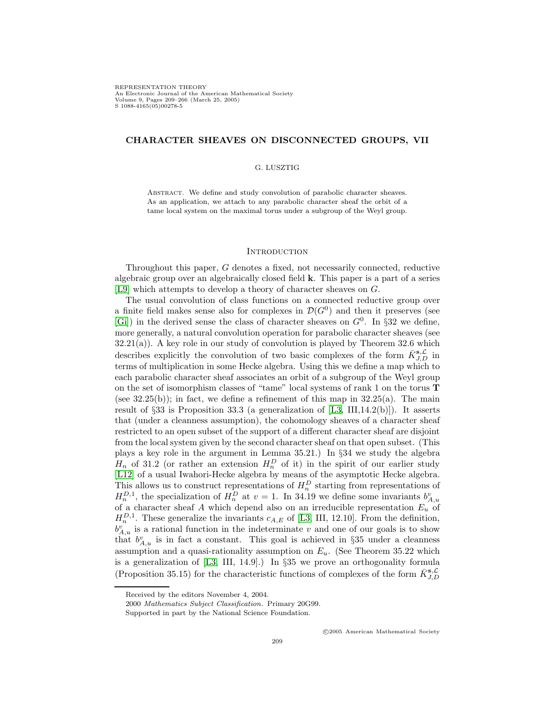REPRESENTATION THEORY<br>An Electronic Journal of the American Mathematical Society An Electronic Journal of the American Mathematical Society Volume 9, Pages 209–266 (March 25, 2005) S 1088-4165(05)00278-5

## **CHARACTER SHEAVES ON DISCONNECTED GROUPS, VII**

#### G. LUSZTIG

ABSTRACT. We define and study convolution of parabolic character sheaves. As an application, we attach to any parabolic character sheaf the orbit of a tame local system on the maximal torus under a subgroup of the Weyl group.

#### **INTRODUCTION**

Throughout this paper, G denotes a fixed, not necessarily connected, reductive algebraic group over an algebraically closed field **k**. This paper is a part of a series [\[L9\]](#page-57-0) which attempts to develop a theory of character sheaves on G.

The usual convolution of class functions on a connected reductive group over a finite field makes sense also for complexes in  $\mathcal{D}(G^0)$  and then it preserves (see [\[Gi\]](#page-57-1)) in the derived sense the class of character sheaves on  $G^0$ . In §32 we define, more generally, a natural convolution operation for parabolic character sheaves (see  $32.21(a)$ ). A key role in our study of convolution is played by Theorem  $32.6$  which describes explicitly the convolution of two basic complexes of the form  $\bar{K}_{J,D}^{s,\mathcal{L}}$  in terms of multiplication in some Hecke algebra. Using this we define a map which to each parabolic character sheaf associates an orbit of a subgroup of the Weyl group on the set of isomorphism classes of "tame" local systems of rank 1 on the torus **T** (see  $32.25(b)$ ); in fact, we define a refinement of this map in  $32.25(a)$ . The main result of  $\S 33$  is Proposition 33.3 (a generalization of [\[L3,](#page-57-2) III,14.2(b)]). It asserts that (under a cleanness assumption), the cohomology sheaves of a character sheaf restricted to an open subset of the support of a different character sheaf are disjoint from the local system given by the second character sheaf on that open subset. (This plays a key role in the argument in Lemma 35.21.) In §34 we study the algebra  $H_n$  of 31.2 (or rather an extension  $H_n^D$  of it) in the spirit of our earlier study [\[L12\]](#page-57-3) of a usual Iwahori-Hecke algebra by means of the asymptotic Hecke algebra. This allows us to construct representations of  $H_n^D$  starting from representations of  $H_n^{D,1}$ , the specialization of  $H_n^D$  at  $v=1$ . In 34.19 we define some invariants  $b_{A,u}^v$ of a character sheaf A which depend also on an irreducible representation  $E_u$  of  $H_n^{D,1}$ . These generalize the invariants  $c_{A,E}$  of [\[L3,](#page-57-2) III, 12.10]. From the definition,  $b_{A,u}^v$  is a rational function in the indeterminate v and one of our goals is to show that  $b_{A,u}^v$  is in fact a constant. This goal is achieved in §35 under a cleanness assumption and a quasi-rationality assumption on  $E_u$ . (See Theorem 35.22 which is a generalization of [\[L3,](#page-57-2) III, 14.9].) In §35 we prove an orthogonality formula (Proposition 35.15) for the characteristic functions of complexes of the form  $\bar{K}_{J,D}^{s,\mathcal{L}}$ 

<sup>c</sup> 2005 American Mathematical Society

Received by the editors November 4, 2004.

<sup>2000</sup> *Mathematics Subject Classification.* Primary 20G99.

Supported in part by the National Science Foundation.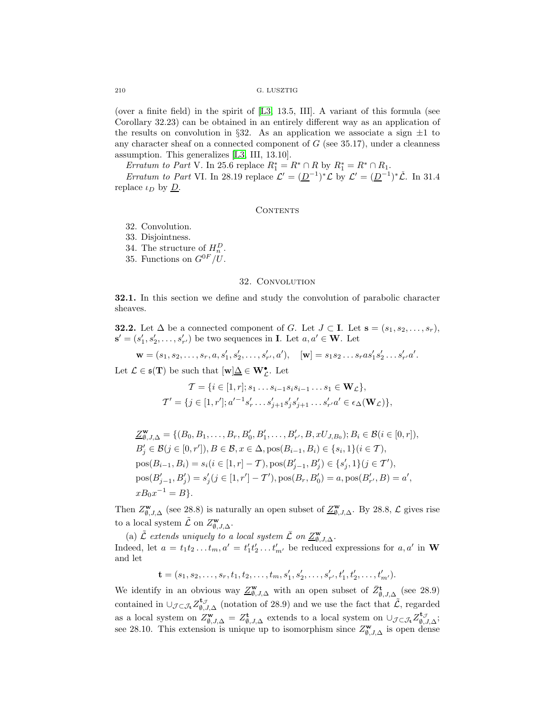(over a finite field) in the spirit of [\[L3,](#page-57-2) 13.5, III]. A variant of this formula (see Corollary 32.23) can be obtained in an entirely different way as an application of the results on convolution in §32. As an application we associate a sign  $\pm 1$  to any character sheaf on a connected component of  $G$  (see 35.17), under a cleanness assumption. This generalizes [\[L3,](#page-57-2) III, 13.10].

*Erratum to Part* V. In 25.6 replace  $R_1^* = R^* \cap R$  by  $R_1^* = R^* \cap R_1$ .

*Erratum to Part* VI. In 28.19 replace  $\mathcal{L}' = (\underline{D}^{-1})^*\mathcal{L}$  by  $\mathcal{L}' = (\underline{D}^{-1})^*\mathcal{L}$ . In 31.4 replace  $\iota_D$  by  $\underline{D}$ .

#### CONTENTS

32. Convolution.

33. Disjointness.

34. The structure of  $H_n^D$ .

35. Functions on  $G^{0F}/U$ .

#### 32. Convolution

**32.1.** In this section we define and study the convolution of parabolic character sheaves.

**32.2.** Let  $\Delta$  be a connected component of G. Let  $J \subset I$ . Let  $\mathbf{s} = (s_1, s_2, \ldots, s_r)$ ,  $\mathbf{s}' = (s'_1, s'_2, \dots, s'_{r'})$  be two sequences in **I**. Let  $a, a' \in \mathbf{W}$ . Let

$$
\mathbf{w} = (s_1, s_2, \dots, s_r, a, s'_1, s'_2, \dots, s'_{r'}, a'), \quad [\mathbf{w}] = s_1 s_2 \dots s_r a s'_1 s'_2 \dots s'_{r'} a'.
$$

Let  $\mathcal{L} \in \mathfrak{s}(\mathbf{T})$  be such that  $[\mathbf{w}] \underline{\Delta} \in \mathbf{W}_{\mathcal{L}}^{\bullet}$ . Let

$$
\mathcal{T} = \{ i \in [1, r]; s_1 \dots s_{i-1} s_i s_{i-1} \dots s_1 \in \mathbf{W}_{\mathcal{L}} \},
$$
  

$$
\mathcal{T}' = \{ j \in [1, r'], a'^{-1} s'_r \dots s'_{j+1} s'_j s'_{j+1} \dots s'_{r'} a' \in \epsilon_{\Delta}(\mathbf{W}_{\mathcal{L}}) \},
$$

$$
\underline{Z}_{\emptyset,J,\Delta}^{\mathbf{w}} = \{ (B_0, B_1, \dots, B_r, B'_0, B'_1, \dots, B'_{r'}, B, xU_{J,B_0}); B_i \in \mathcal{B}(i \in [0, r]),
$$
  
\n
$$
B'_j \in \mathcal{B}(j \in [0, r'], B \in \mathcal{B}, x \in \Delta, \text{pos}(B_{i-1}, B_i) \in \{s_i, 1\} (i \in T),
$$
  
\n
$$
\text{pos}(B_{i-1}, B_i) = s_i (i \in [1, r] - T), \text{pos}(B'_{j-1}, B'_j) \in \{s'_j, 1\} (j \in T'),
$$
  
\n
$$
\text{pos}(B'_{j-1}, B'_j) = s'_j (j \in [1, r'] - T'), \text{pos}(B_r, B'_0) = a, \text{pos}(B'_{r'}, B) = a',
$$
  
\n
$$
xB_0 x^{-1} = B \}.
$$

Then  $Z_{\emptyset, J, \Delta}^{\mathbf{w}}$  (see 28.8) is naturally an open subset of  $\underline{Z_{\emptyset, J, \Delta}^{\mathbf{w}}}$ . By 28.8,  $\mathcal{L}$  gives rise to a local system  $\tilde{\mathcal{L}}$  on  $Z_{\emptyset, J, \Delta}^{\mathbf{w}}$ .

(a)  $\tilde{\mathcal{L}}$  *extends uniquely to a local system*  $\overline{\mathcal{L}}$  *on*  $\underline{Z}_{\emptyset, J, \Delta}^{\mathbf{w}}$ *.* Indeed, let  $a = t_1 t_2 ... t_m$ ,  $a' = t'_1 t'_2 ... t'_{m'}$  be reduced expressions for  $a, a'$  in **W** and let

 $\mathbf{t} = (s_1, s_2, \ldots, s_r, t_1, t_2, \ldots, t_m, s'_1, s'_2, \ldots, s'_{r'}, t'_1, t'_2, \ldots, t'_{m'}).$ 

We identify in an obvious way  $\underline{Z}_{\emptyset,J,\Delta}^{\mathbf{w}}$  with an open subset of  $\overline{Z}_{\emptyset,J,\Delta}^{\mathbf{t}}$  (see 28.9) contained in  $\cup_{\mathcal{J}\subset\mathcal{J}_{\mathbf{t}}}Z_{\emptyset,\mathcal{J},\Delta}^{\mathbf{t}_{\mathcal{J}}}$  (notation of 28.9) and we use the fact that  $\tilde{\mathcal{L}}$ , regarded as a local system on  $Z_{\emptyset, J, \Delta}^{\mathbf{t}} = Z_{\emptyset, J, \Delta}^{\mathbf{t}}$  extends to a local system on  $\cup_{\mathcal{J} \subset \mathcal{J}_{\mathbf{t}}} Z_{\emptyset, J, \Delta}^{\mathbf{t}_{\mathcal{J}}^{\mathcal{J}}};$ see 28.10. This extension is unique up to isomorphism since  $Z_{\emptyset, J, \Delta}^{\mathbf{w}}$  is open dense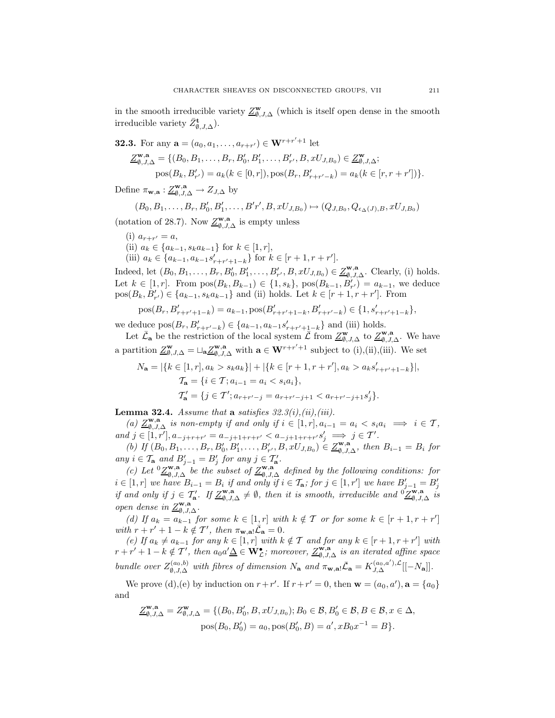in the smooth irreducible variety  $\underline{Z}_{\emptyset, J, \Delta}^{\mathbf{w}}$  (which is itself open dense in the smooth irreducible variety  $\bar{Z}_{\emptyset, J, \Delta}^{\mathbf{t}}$ ).

**32.3.** For any 
$$
\mathbf{a} = (a_0, a_1, ..., a_{r+r'}) \in \mathbf{W}^{r+r'+1}
$$
 let  
\n
$$
\underline{Z}_{\emptyset, J, \Delta}^{\mathbf{w}, \mathbf{a}} = \{ (B_0, B_1, ..., B_r, B'_0, B'_1, ..., B'_{r'}, B, xU_{J, B_0}) \in \underline{Z}_{\emptyset, J, \Delta}^{\mathbf{w}};
$$
\n
$$
\text{pos}(B_k, B'_{r'}) = a_k (k \in [0, r]), \text{pos}(B_r, B'_{r+r'-k}) = a_k (k \in [r, r+r']) \}.
$$

Define  $\pi_{\mathbf{w},\mathbf{a}} : \underline{Z}_{\emptyset,J,\Delta}^{\mathbf{w},\mathbf{a}} \to Z_{J,\Delta}$  by

$$
(B_0, B_1, \ldots, B_r, B'_0, B'_1, \ldots, B'r', B, xU_{J,B_0}) \mapsto (Q_{J,B_0}, Q_{\epsilon_{\Delta}(J),B}, xU_{J,B_0})
$$

(notation of 28.7). Now  $\underline{Z}_{\emptyset,J,\Delta}^{\mathbf{w},\mathbf{a}}$  is empty unless

(i)  $a_{r+r'} = a$ , (ii)  $a_k \in \{a_{k-1}, s_k a_{k-1}\}\$ for  $k \in [1, r],$ (iii)  $a_k \in \{a_{k-1}, a_{k-1}s'_{r+r'+1-k}\}$  for  $k \in [r+1, r+r']$ .

Indeed, let  $(B_0, B_1, \ldots, B_r, B'_0, B'_1, \ldots, B'_{r'}, B, xU_{J,B_0}) \in \underline{Z_{\emptyset, J,\Delta}^{\mathbf{w}, \mathbf{a}}}$ . Clearly, (i) holds. Let  $k \in [1, r]$ . From  $pos(B_k, B_{k-1}) \in \{1, s_k\}$ ,  $pos(B_{k-1}, B'_{r'}) = a_{k-1}$ , we deduce  $pos(B_k, B'_{r'}) \in \{a_{k-1}, s_k a_{k-1}\}\$ and (ii) holds. Let  $k \in [r+1, r+r']$ . From

$$
pos(B_r, B'_{r+r'+1-k}) = a_{k-1}, pos(B'_{r+r'+1-k}, B'_{r+r'-k}) \in \{1, s'_{r+r'+1-k}\},
$$

we deduce  $pos(B_r, B'_{r+r'-k}) \in \{a_{k-1}, a_{k-1}s'_{r+r'+1-k}\}\$  and (iii) holds.

Let  $\bar{\mathcal{L}}_a$  be the restriction of the local system  $\bar{\mathcal{L}}$  from  $\underline{\mathcal{Z}}_{\emptyset, J, \Delta}^{\mathbf{w}}$  to  $\underline{\mathcal{Z}}_{\emptyset, J, \Delta}^{\mathbf{w}, \mathbf{a}}$ . We have a partition  $\underline{Z}_{\emptyset, J, \Delta}^{\mathbf{w}} = \sqcup_{\mathbf{a}} \underline{Z}_{\emptyset, J, \Delta}^{\mathbf{w}, \mathbf{a}}$  with  $\mathbf{a} \in \mathbf{W}^{r+r'+1}$  subject to (i),(ii),(iii). We set

$$
N_{\mathbf{a}} = |\{k \in [1, r], a_k > s_k a_k\}| + |\{k \in [r+1, r+r'], a_k > a_k s'_{r+r'+1-k}\}|,
$$
  

$$
\mathcal{T}_{\mathbf{a}} = \{i \in \mathcal{T}; a_{i-1} = a_i < s_i a_i\},
$$
  

$$
\mathcal{T}'_{\mathbf{a}} = \{j \in \mathcal{T}'; a_{r+r'-j} = a_{r+r'-j+1} < a_{r+r'-j+1} s'_j\}.
$$

**Lemma 32.4.** *Assume that* **a** *satisfies*  $32.3(i), (ii), (iii)$ .

 $(a)$   $\underline{Z}_{\emptyset, J, \Delta}^{\mathbf{w}, \mathbf{a}}$  *is non-empty if and only if*  $i \in [1, r], a_{i-1} = a_i < s_i a_i \implies i \in \mathcal{T}$ ,  $and \ j \in [1, r'], a_{-j+r+r'} = a_{-j+1+r+r'} < a_{-j+1+r+r'} s'_j \implies j \in T'.$ 

 $\overline{(b)}$  If  $(B_0, B_1, \ldots, B_r, B'_0, B'_1, \ldots, B'_{r'}, B, xU_{J,B_0}) \in \underline{Z_{\emptyset, J, \Delta}^{\mathbf{w}, \mathbf{a}}},$  then  $B_{i-1} = B_i$  for  $any \ i \in \mathcal{T}_a \ and \ B'_{j-1} = B'_j \ for \ any \ j \in \mathcal{T}'_a.$ 

 $\overline{f}(c)$  Let  $\overline{O} \underline{Z}_{\emptyset,J,\Delta}^{\mathbf{w},\mathbf{a}}$  *be the subset of*  $\underline{Z}_{\emptyset,J,\Delta}^{\mathbf{w},\mathbf{a}}$  *defined by the following conditions: for*  $i \in [1, r]$  we have  $B_{i-1} = B_i$  if and only if  $i \in \mathcal{T}_a$ ; for  $j \in [1, r']$  we have  $B'_{j-1} = B'_j$ <br>if and only if  $j \in \mathcal{T}'_a$ . If  $\underline{Z}^{\mathbf{w},\mathbf{a}}_{\emptyset,J,\Delta} \neq \emptyset$ , then it is smooth, irreducible and  ${}^0 \underline{Z}^{\mathbf{w},\mathbf{a$  $open$  dense in  $\underline{Z}_{\emptyset, J, \Delta}^{\mathbf{w}, \mathbf{a}}$ .

*(d)* If  $a_k = a_{k-1}$  for some  $k \in [1, r]$  with  $k \notin \mathcal{T}$  or for some  $k \in [r+1, r+r']$  $with \space r + r' + 1 - k \notin \mathcal{T}'$ , then  $\pi_{\mathbf{w},\mathbf{a}} \overline{\mathcal{L}}_{\mathbf{a}} = 0$ .

 $(e)$  *If*  $a_k ≠ a_{k-1}$  *for any*  $k ∈ [1, r]$  *with*  $k ∉ T$  *and for any*  $k ∈ [r + 1, r + r']$  *with*  $r + r' + 1 - k \notin T'$ , then  $a_0 a' \Delta \in W_c^{\bullet}$ ; moreover,  $Z_{\emptyset, J, \Delta}^{\mathbf{w}, \mathbf{a}}$  is an iterated affine space *bundle over*  $Z_{\emptyset, J, \Delta}^{(a_0, b)}$  *with fibres of dimension*  $N_a$  *and*  $\pi_{\mathbf{w}, \mathbf{a}} \overline{\mathcal{L}}_{\mathbf{a}} = K_{J, \Delta}^{(a_0, a'), \mathcal{L}}[[-N_a]].$ 

We prove (d), (e) by induction on  $r + r'$ . If  $r + r' = 0$ , then  $\mathbf{w} = (a_0, a')$ ,  $\mathbf{a} = \{a_0\}$ and

$$
\underline{Z}_{\emptyset, J, \Delta}^{\mathbf{w}, \mathbf{a}} = Z_{\emptyset, J, \Delta}^{\mathbf{w}} = \{ (B_0, B_0', B, xU_{J, B_0}); B_0 \in \mathcal{B}, B_0' \in \mathcal{B}, B \in \mathcal{B}, x \in \Delta, \text{pos}(B_0, B_0') = a_0, \text{pos}(B_0', B) = a', xB_0x^{-1} = B \}.
$$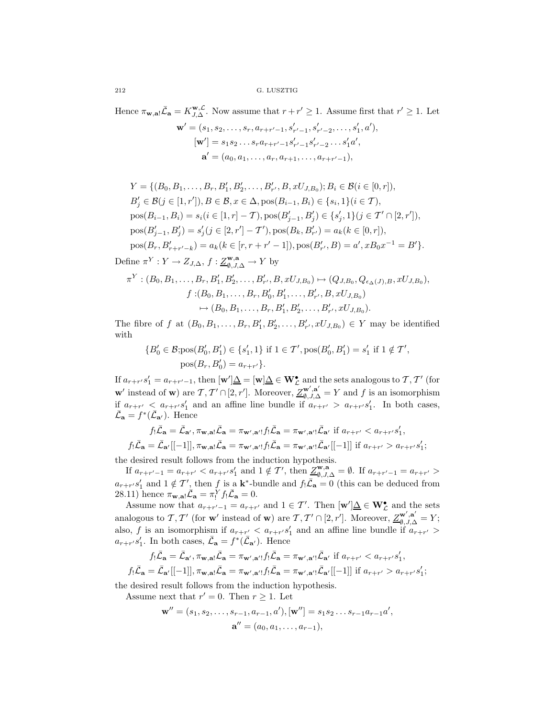Hence  $\pi_{\mathbf{w},\mathbf{a}}\overline{\mathcal{L}}_{\mathbf{a}} = K_{J,\Delta}^{\mathbf{w},\mathcal{L}}$ . Now assume that  $r + r' \geq 1$ . Assume first that  $r' \geq 1$ . Let

$$
\mathbf{w}' = (s_1, s_2, \dots, s_r, a_{r+r'-1}, s'_{r'-1}, s'_{r'-2}, \dots, s'_1, a'),
$$
  
\n
$$
[\mathbf{w}'] = s_1 s_2 \dots s_r a_{r+r'-1} s'_{r'-1} s'_{r'-2} \dots s'_1 a',
$$
  
\n
$$
\mathbf{a}' = (a_0, a_1, \dots, a_r, a_{r+1}, \dots, a_{r+r'-1}),
$$

$$
Y = \{(B_0, B_1, \dots, B_r, B'_1, B'_2, \dots, B'_{r'}, B, xU_{J,B_0}); B_i \in \mathcal{B}(i \in [0, r]),
$$
  
\n
$$
B'_j \in \mathcal{B}(j \in [1, r']), B \in \mathcal{B}, x \in \Delta, \text{pos}(B_{i-1}, B_i) \in \{s_i, 1\} (i \in \mathcal{T}),
$$
  
\n
$$
\text{pos}(B_{i-1}, B_i) = s_i (i \in [1, r] - \mathcal{T}), \text{pos}(B'_{j-1}, B'_j) \in \{s'_j, 1\} (j \in \mathcal{T}' \cap [2, r')),
$$
  
\n
$$
\text{pos}(B'_{j-1}, B'_j) = s'_j (j \in [2, r'] - \mathcal{T}'), \text{pos}(B_k, B'_{r'}) = a_k (k \in [0, r]),
$$
  
\n
$$
\text{pos}(B_r, B'_{r+r'-k}) = a_k (k \in [r, r + r' - 1]), \text{pos}(B'_{r'}, B) = a', xB_0 x^{-1} = B' \}.
$$

Define  $\pi^Y : Y \to Z_{J,\Delta}, f : \underline{Z}_{\emptyset, J, \Delta}^{\mathbf{w}, \mathbf{a}} \to Y$  by

$$
\pi^{Y}: (B_{0}, B_{1}, \ldots, B_{r}, B'_{1}, B'_{2}, \ldots, B'_{r'}, B, xU_{J,B_{0}}) \mapsto (Q_{J,B_{0}}, Q_{\epsilon_{\Delta}(J), B}, xU_{J,B_{0}}),
$$

$$
f: (B_{0}, B_{1}, \ldots, B_{r}, B'_{0}, B'_{1}, \ldots, B'_{r'}, B, xU_{J,B_{0}})
$$

$$
\mapsto (B_{0}, B_{1}, \ldots, B_{r}, B'_{1}, B'_{2}, \ldots, B'_{r'}, xU_{J,B_{0}}).
$$

The fibre of f at  $(B_0, B_1, ..., B_r, B'_1, B'_2, ..., B'_{r'}, xU_{J,B_0}) \in Y$  may be identified with

$$
\{B'_0 \in \mathcal{B}; \text{pos}(B'_0, B'_1) \in \{s'_1, 1\} \text{ if } 1 \in \mathcal{T}', \text{pos}(B'_0, B'_1) = s'_1 \text{ if } 1 \notin \mathcal{T}',\
$$
  

$$
\text{pos}(B_r, B'_0) = a_{r+r'}\}.
$$

If  $a_{r+r'}s'_1 = a_{r+r'-1}$ , then  $[w']\underline{\Delta} = [w]\underline{\Delta} \in W^{\bullet}_{\mathcal{L}}$  and the sets analogous to  $\mathcal{T}, \mathcal{T}'$  (for **w**<sup> $\prime$ </sup> instead of **w**) are  $\mathcal{T}, \mathcal{T}' \cap [2, r']$ . Moreover,  $\mathcal{Z}^{\mathbf{w}', \mathbf{a}'}_{\emptyset, J, \Delta} = Y$  and f is an isomorphism if  $a_{r+r'} < a_{r+r'}s'_1$  and an affine line bundle if  $a_{r+r'} > a_{r+r'}s'_1$ . In both cases,  $\bar{\mathcal{L}}_{\mathbf{a}} = f^*(\bar{\mathcal{L}}_{\mathbf{a}})$ . Hence

$$
f_! \bar{\mathcal{L}}_\mathbf{a} = \bar{\mathcal{L}}_{\mathbf{a}', \pi_{\mathbf{w}, \mathbf{a}}!} \bar{\mathcal{L}}_\mathbf{a} = \pi_{\mathbf{w}', \mathbf{a}'} f_! \bar{\mathcal{L}}_\mathbf{a} = \pi_{\mathbf{w}', \mathbf{a}'}! \bar{\mathcal{L}}_{\mathbf{a}'} \text{ if } a_{r+r'} < a_{r+r'} s'_1,
$$
\n
$$
f_! \bar{\mathcal{L}}_\mathbf{a} = \bar{\mathcal{L}}_{\mathbf{a}'} [[-1]], \pi_{\mathbf{w}, \mathbf{a}!} \bar{\mathcal{L}}_\mathbf{a} = \pi_{\mathbf{w}', \mathbf{a}'}! f_! \bar{\mathcal{L}}_\mathbf{a} = \pi_{\mathbf{w}', \mathbf{a}'}! \bar{\mathcal{L}}_{\mathbf{a}'} [[-1]] \text{ if } a_{r+r'} > a_{r+r'} s'_1;
$$

the desired result follows from the induction hypothesis.

If  $a_{r+r'-1} = a_{r+r'} < a_{r+r'} s'_1$  and  $1 \notin T'$ , then  $\underline{Z}_{\emptyset, J, \Delta}^{\mathbf{w}, \mathbf{a}} = \emptyset$ . If  $a_{r+r'-1} = a_{r+r'} >$  $a_{r+r} s'_1$  and  $1 \notin \mathcal{T}'$ , then f is a **k**<sup>\*</sup>-bundle and  $f_! \overline{\mathcal{L}}_a = 0$  (this can be deduced from 28.11) hence  $\pi_{\mathbf{w},\mathbf{a}}$   $\bar{\mathcal{L}}_{\mathbf{a}} = \pi_!^Y f_! \bar{\mathcal{L}}_{\mathbf{a}} = 0.$ 

Assume now that  $a_{r+r'-1} = a_{r+r'}$  and  $1 \in \mathcal{T}'$ . Then  $[\mathbf{w}']\underline{\Delta} \in \mathbf{W}_{\mathcal{L}}^{\bullet}$  and the sets analogous to  $\mathcal{T}, \mathcal{T}'$  (for **w**<sup>'</sup> instead of **w**) are  $\mathcal{T}, \mathcal{T}' \cap [2, r']$ . Moreover,  $\underline{\mathcal{Z}}_{\emptyset, J, \Delta}^{\mathbf{w}', \mathbf{a}'} = Y$ ; also, f is an isomorphism if  $a_{r+r'} < a_{r+r'} s'_1$  and an affine line bundle if  $a_{r+r'} > a_{r+r'} s'_1$  $a_{r+r'}s'_1$ . In both cases,  $\bar{\mathcal{L}}_{\mathbf{a}} = f^*(\bar{\mathcal{L}}_{\mathbf{a'}})$ . Hence

$$
f_! \bar{\mathcal{L}}_\mathbf{a} = \bar{\mathcal{L}}_{\mathbf{a}', \pi_{\mathbf{w}, \mathbf{a}}!} \bar{\mathcal{L}}_\mathbf{a} = \pi_{\mathbf{w}', \mathbf{a}'} f_! \bar{\mathcal{L}}_\mathbf{a} = \pi_{\mathbf{w}', \mathbf{a}'}! \bar{\mathcal{L}}_{\mathbf{a}'} \text{ if } a_{r+r'} < a_{r+r'} s'_1,
$$
\n
$$
f_! \bar{\mathcal{L}}_\mathbf{a} = \bar{\mathcal{L}}_{\mathbf{a}'} [[-1]], \pi_{\mathbf{w}, \mathbf{a}!} \bar{\mathcal{L}}_\mathbf{a} = \pi_{\mathbf{w}', \mathbf{a}'}! f_! \bar{\mathcal{L}}_\mathbf{a} = \pi_{\mathbf{w}', \mathbf{a}'}! \bar{\mathcal{L}}_{\mathbf{a}'} [[-1]] \text{ if } a_{r+r'} > a_{r+r'} s'_1;
$$

the desired result follows from the induction hypothesis.

Assume next that  $r' = 0$ . Then  $r \geq 1$ . Let

$$
\mathbf{w}'' = (s_1, s_2, \dots, s_{r-1}, a_{r-1}, a'), [\mathbf{w}''] = s_1 s_2 \dots s_{r-1} a_{r-1} a',\mathbf{a}'' = (a_0, a_1, \dots, a_{r-1}),
$$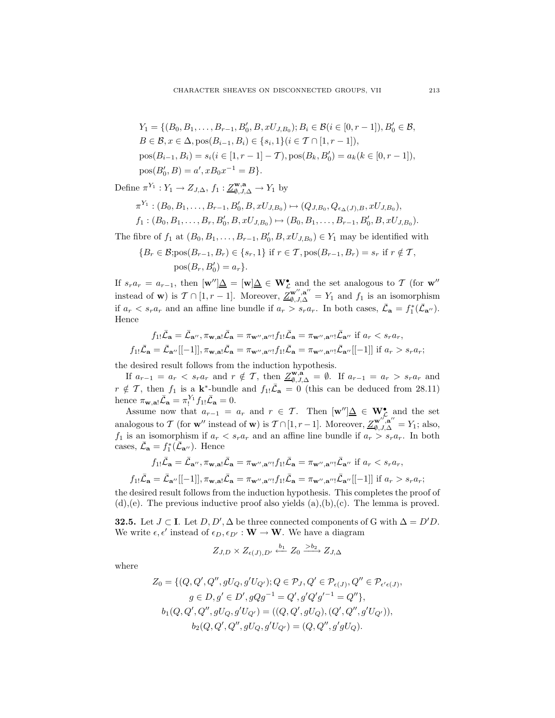$$
Y_1 = \{ (B_0, B_1, \dots, B_{r-1}, B'_0, B, xU_{J,B_0}); B_i \in \mathcal{B}(i \in [0, r-1]), B'_0 \in \mathcal{B},
$$
  
\n
$$
B \in \mathcal{B}, x \in \Delta, \text{pos}(B_{i-1}, B_i) \in \{s_i, 1\} (i \in \mathcal{T} \cap [1, r-1]),
$$
  
\n
$$
\text{pos}(B_{i-1}, B_i) = s_i (i \in [1, r-1] - \mathcal{T}), \text{pos}(B_k, B'_0) = a_k (k \in [0, r-1]),
$$
  
\n
$$
\text{pos}(B'_0, B) = a', xB_0 x^{-1} = B \}.
$$

Define  $\pi^{Y_1}: Y_1 \to Z_{J,\Delta}, f_1: \underline{Z}_{\emptyset,J,\Delta}^{\mathbf{w},\mathbf{a}} \to Y_1$  by

$$
\pi^{Y_1} : (B_0, B_1, \ldots, B_{r-1}, B'_0, B, xU_{J,B_0}) \mapsto (Q_{J,B_0}, Q_{\epsilon_{\Delta}(J),B}, xU_{J,B_0}),
$$
  

$$
f_1 : (B_0, B_1, \ldots, B_r, B'_0, B, xU_{J,B_0}) \mapsto (B_0, B_1, \ldots, B_{r-1}, B'_0, B, xU_{J,B_0}).
$$

The fibre of  $f_1$  at  $(B_0, B_1, \ldots, B_{r-1}, B'_0, B, xU_{J,B_0}) \in Y_1$  may be identified with

$$
\{B_r \in \mathcal{B}; \text{pos}(B_{r-1}, B_r) \in \{s_r, 1\} \text{ if } r \in \mathcal{T}, \text{pos}(B_{r-1}, B_r) = s_r \text{ if } r \notin \mathcal{T},\
$$

$$
\text{pos}(B_r, B'_0) = a_r\}.
$$

If  $s_r a_r = a_{r-1}$ , then  $[\mathbf{w}''] \underline{\Delta} = [\mathbf{w}] \underline{\Delta} \in \mathbf{W}_{\mathcal{L}}^{\bullet}$  and the set analogous to  $\mathcal{T}$  (for  $\mathbf{w}''$  instead of **w**) is  $\mathcal{T} \cap [1, r-1]$ . Moreover,  $\underline{Z}_{\emptyset, J, \Delta}^{\mathbf{w}'', \mathbf{a}''} = Y_1$  and  $f_1$  is an iso if  $a_r < s_r a_r$  and an affine line bundle if  $a_r > s_r a_r$ . In both cases,  $\bar{\mathcal{L}}_a = f_1^*(\bar{\mathcal{L}}_{a''}).$ Hence

$$
f_{1!}\overline{\mathcal{L}}_{\mathbf{a}} = \overline{\mathcal{L}}_{\mathbf{a}''}, \pi_{\mathbf{w},\mathbf{a}!}\overline{\mathcal{L}}_{\mathbf{a}} = \pi_{\mathbf{w}'',\mathbf{a}''!}f_{1!}\overline{\mathcal{L}}_{\mathbf{a}} = \pi_{\mathbf{w}'',\mathbf{a}''!}\overline{\mathcal{L}}_{\mathbf{a}''} \text{ if } a_r < s_r a_r,
$$
  

$$
f_{1!}\overline{\mathcal{L}}_{\mathbf{a}} = \overline{\mathcal{L}}_{\mathbf{a}''}[[-1]], \pi_{\mathbf{w},\mathbf{a}!}\overline{\mathcal{L}}_{\mathbf{a}} = \pi_{\mathbf{w}'',\mathbf{a}''!}f_{1!}\overline{\mathcal{L}}_{\mathbf{a}} = \pi_{\mathbf{w}'',\mathbf{a}''!}\overline{\mathcal{L}}_{\mathbf{a}''}[[-1]] \text{ if } a_r > s_r a_r;
$$

the desired result follows from the induction hypothesis.

If  $a_{r-1} = a_r < s_r a_r$  and  $r \notin \mathcal{T}$ , then  $\underline{Z_{\emptyset,\mathcal{J},\Delta}^{\mathbf{w},\mathbf{a}}} = \emptyset$ . If  $a_{r-1} = a_r > s_r a_r$  and  $r \notin \mathcal{T}$ , then  $f_1$  is a **k**<sup>\*</sup>-bundle and  $f_{1!}\bar{\mathcal{L}}_a = 0$  (this can be deduced from 28.11) hence  $\pi_{\mathbf{w},\mathbf{a}!}\bar{\mathcal{L}}_{\mathbf{a}} = \pi_!^{Y_1} f_{1!}\bar{\mathcal{L}}_{\mathbf{a}} = 0.$ 

Assume now that  $a_{r-1} = a_r$  and  $r \in \mathcal{T}$ . Then  $[\mathbf{w}'] \underline{\Delta} \in \mathbf{W}_{\mathcal{L}}^{\bullet}$  and the set analogous to T (for **w**<sup>"</sup> instead of **w**) is  $T \cap [1, r-1]$ . Moreover,  $\underline{Z_{\emptyset, J,\Delta}^{\mathbf{w}'',\mathbf{a}''}} = Y_1$ ; also,  $f_1$  is an isomorphism if  $a_r < s_r a_r$  and an affine line bundle if  $a_r > s_r a_r$ . In both cases,  $\bar{\mathcal{L}}_{\mathbf{a}} = f_1^*(\bar{\mathcal{L}}_{\mathbf{a}''})$ . Hence

$$
f_{1!}\bar{\mathcal{L}}_{\mathbf{a}} = \bar{\mathcal{L}}_{\mathbf{a}''}, \pi_{\mathbf{w},\mathbf{a}!}\bar{\mathcal{L}}_{\mathbf{a}} = \pi_{\mathbf{w}'',\mathbf{a}''!}f_{1!}\bar{\mathcal{L}}_{\mathbf{a}} = \pi_{\mathbf{w}'',\mathbf{a}''!}\bar{\mathcal{L}}_{\mathbf{a}''} \text{ if } a_r < s_r a_r,
$$

$$
f_{1!}\bar{\mathcal{L}}_{\mathbf{a}} = \bar{\mathcal{L}}_{\mathbf{a}''}([-1]], \pi_{\mathbf{w},\mathbf{a}!}\bar{\mathcal{L}}_{\mathbf{a}} = \pi_{\mathbf{w}'',\mathbf{a}''!}f_{1!}\bar{\mathcal{L}}_{\mathbf{a}} = \pi_{\mathbf{w}'',\mathbf{a}''!}\bar{\mathcal{L}}_{\mathbf{a}''}([-1]] \text{ if } a_r > s_r a_r;
$$

the desired result follows from the induction hypothesis. This completes the proof of  $(d),(e)$ . The previous inductive proof also yields  $(a),(b),(c)$ . The lemma is proved.

**32.5.** Let  $J \subset I$ . Let  $D, D', \Delta$  be three connected components of G with  $\Delta = D'D$ . We write  $\epsilon, \epsilon'$  instead of  $\epsilon_D, \epsilon_{D'} : \mathbf{W} \to \mathbf{W}$ . We have a diagram

$$
Z_{J,D}\times Z_{\epsilon(J),D'} \xleftarrow{b_1} Z_0 \xrightarrow{>b_2} Z_{J,\Delta}
$$

where

$$
Z_0 = \{ (Q, Q', Q'', gU_Q, g'U_{Q'}); Q \in \mathcal{P}_J, Q' \in \mathcal{P}_{\epsilon(J)}, Q'' \in \mathcal{P}_{\epsilon' \epsilon(J)}, g \in D, g' \in D', gQg^{-1} = Q', g'Q'g'^{-1} = Q'' \}, b_1(Q, Q', Q'', gU_Q, g'U_{Q'}) = ((Q, Q', gU_Q), (Q', Q'', g'U_{Q'})), b_2(Q, Q', Q'', gU_{Q}, g'U_{Q'}) = (Q, Q'', g'gU_Q).
$$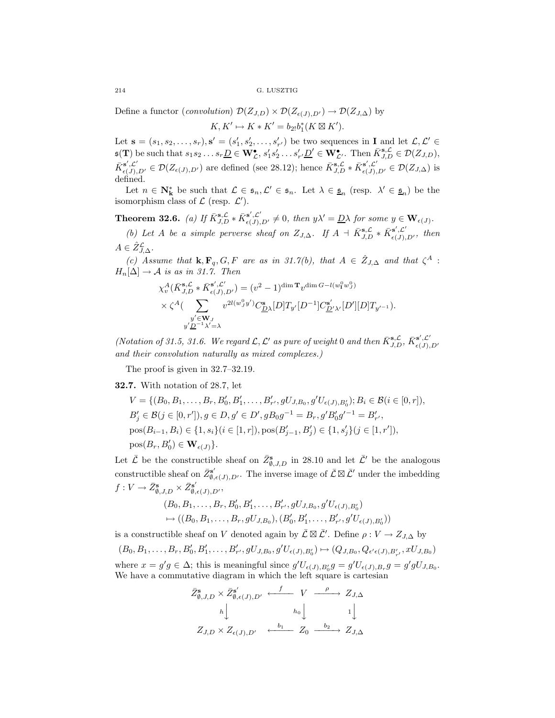Define a functor (*convolution*)  $\mathcal{D}(Z_{J,D}) \times \mathcal{D}(Z_{\epsilon(J),D'}) \to \mathcal{D}(Z_{J,\Delta})$  by

 $K, K' \mapsto K * K' = b_{2}b_1^*(K \boxtimes K').$ 

Let  $\mathbf{s} = (s_1, s_2, \ldots, s_r), \mathbf{s}' = (s'_1, s'_2, \ldots, s'_{r'})$  be two sequences in **I** and let  $\mathcal{L}, \mathcal{L}' \in$  $\mathfrak{s}(\mathbf{T})$  be such that  $s_1 s_2 \ldots s_r \underline{D} \in \mathbf{W}_{\mathcal{L}}^{\bullet}, s'_1 s'_2 \ldots s'_{r'} \underline{D}' \in \mathbf{W}_{\mathcal{L}'}^{\bullet}$ . Then  $\bar{K}_{J,D}^{\mathbf{s},\mathcal{L}} \in \mathcal{D}(Z_{J,D})$ ,  $\bar{K}_{\epsilon(J),D'}^{s',\mathcal{L}'} \in \mathcal{D}(Z_{\epsilon(J),D'})$  are defined (see 28.12); hence  $\bar{K}_{J,D}^{s,\mathcal{L}} * \bar{K}_{\epsilon(J),D'}^{s',\mathcal{L}'} \in \mathcal{D}(Z_{J,\Delta})$  is defined.

Let  $n \in \mathbb{N}_{\mathbf{k}}^*$  be such that  $\mathcal{L} \in \mathfrak{s}_n, \mathcal{L}' \in \mathfrak{s}_n$ . Let  $\lambda \in \underline{\mathfrak{s}}_n$  (resp.  $\lambda' \in \underline{\mathfrak{s}}_n$ ) be the isomorphism class of  $\mathcal L$  (resp.  $\mathcal L'$ ).

**Theorem 32.6.** (a) If  $\bar{K}_{J,D}^{s,\mathcal{L}} * \bar{K}_{\epsilon(J),D'}^{s',\mathcal{L}'} \neq 0$ , then  $y\lambda' = \underline{D}\lambda$  for some  $y \in W_{\epsilon(J)}$ .

(b) Let A be a simple perverse sheaf on  $Z_{J,\Delta}$ . If  $A + \bar{K}_{J,D}^{s,\mathcal{L}} * \bar{K}_{\epsilon(J),D'}^{s',\mathcal{L}'},$  then  $A \in \hat{Z}_{J,\Delta}^{\mathcal{L}}$ .

*(c)* Assume that **k**, **F**<sub>q</sub>, *G*, *F* are as in 31.7(b), that  $A \in \hat{Z}_{J,\Delta}$  and that  $\zeta^A$ :  $H_n[\Delta] \to \mathcal{A}$  is as in 31.7. Then

$$
\begin{split} \chi_v^A(\bar{K}_{J,D}^{\mathbf{s},\mathcal{L}}\ast \bar{K}_{\epsilon(J),D'}^{\mathbf{s}',\mathcal{L'}}) &= (v^2-1)^{\dim \mathbf{T}} v^{\dim G - l(w_1^0w_J^0)} \\ &\times \zeta^A (\sum_{\substack{y'\in \mathbf{W}_J \\ y'\underline{D}^{-1}\lambda'=\lambda}} v^{2l(w_J^0y')} C_{D\lambda}^{\mathbf{s}}[D] T_{y'}[D^{-1}] C_{D'\lambda'}^{\mathbf{s}'}[D'][D] T_{y'-1}). \end{split}
$$

*(Notation of 31.5, 31.6. We regard*  $\mathcal{L}, \mathcal{L}'$  as pure of weight 0 and then  $\bar{K}_{J,D}^{\mathbf{s}, \mathcal{L}}, \bar{K}_{\epsilon(J),D'}^{\mathbf{s}', \mathcal{L}'}$ *and their convolution naturally as mixed complexes.)*

The proof is given in 32.7–32.19.

**32.7.** With notation of 28.7, let

$$
V = \{ (B_0, B_1, \ldots, B_r, B'_0, B'_1, \ldots, B'_{r'}, gU_{J, B_0}, g'U_{\epsilon(J), B'_0}); B_i \in \mathcal{B}(i \in [0, r]),
$$
  
\n
$$
B'_j \in \mathcal{B}(j \in [0, r']), g \in D, g' \in D', gB_0g^{-1} = B_r, g'B'_0g'^{-1} = B'_{r'},
$$
  
\n
$$
pos(B_{i-1}, B_i) \in \{1, s_i\}(i \in [1, r]), pos(B'_{j-1}, B'_j) \in \{1, s'_j\}(j \in [1, r')),
$$
  
\n
$$
pos(B_r, B'_0) \in \mathbf{W}_{\epsilon(J)} \}.
$$

Let  $\bar{\mathcal{L}}$  be the constructible sheaf on  $\bar{Z}_{\emptyset, J, D}^s$  in 28.10 and let  $\bar{\mathcal{L}}'$  be the analogous constructible sheaf on  $\bar{Z}_{\emptyset, \epsilon(J), D'}^{\mathbf{s'}}$ . The inverse image of  $\bar{\mathcal{L}} \boxtimes \bar{\mathcal{L}}'$  under the imbedding  $f: V \to \bar{Z}_{\emptyset, J, D}^{\mathbf{s}} \times \bar{Z}_{\emptyset, \epsilon(J), D'}^{\mathbf{s}'},$ 

$$
(B_0, B_1, \ldots, B_r, B'_0, B'_1, \ldots, B'_{r'}, gU_{J, B_0}, g'U_{\epsilon(J), B'_0})
$$
  

$$
\mapsto ((B_0, B_1, \ldots, B_r, gU_{J, B_0}), (B'_0, B'_1, \ldots, B'_{r'}, g'U_{\epsilon(J), B'_0}))
$$

is a constructible sheaf on V denoted again by  $\bar{\mathcal{L}} \boxtimes \bar{\mathcal{L}}'$ . Define  $\rho : V \to Z_{J,\Delta}$  by

 $(B_0, B_1, \ldots, B_r, B'_0, B'_1, \ldots, B'_{r'}, gU_{J, B_0}, g'U_{\epsilon(J), B'_0}) \mapsto (Q_{J, B_0}, Q_{\epsilon' \epsilon(J), B'_{r'}}, xU_{J, B_0})$ 

where  $x = g'g \in \Delta$ ; this is meaningful since  $g'U_{\epsilon(J),B_0'}g = g'U_{\epsilon(J),B_r}g = g'gU_{J,B_0}$ . We have a commutative diagram in which the left square is cartesian

$$
\bar{Z}_{\emptyset,J,D}^{\mathbf{s}} \times \bar{Z}_{\emptyset,\epsilon(J),D'}^{\mathbf{s}'} \xleftarrow{f} V \xrightarrow{\rho} Z_{J,\Delta}
$$
\n
$$
h \downarrow \qquad h_0 \downarrow \qquad 1 \downarrow
$$
\n
$$
Z_{J,D} \times Z_{\epsilon(J),D'} \xleftarrow{b_1} Z_0 \xrightarrow{b_2} Z_{J,\Delta}
$$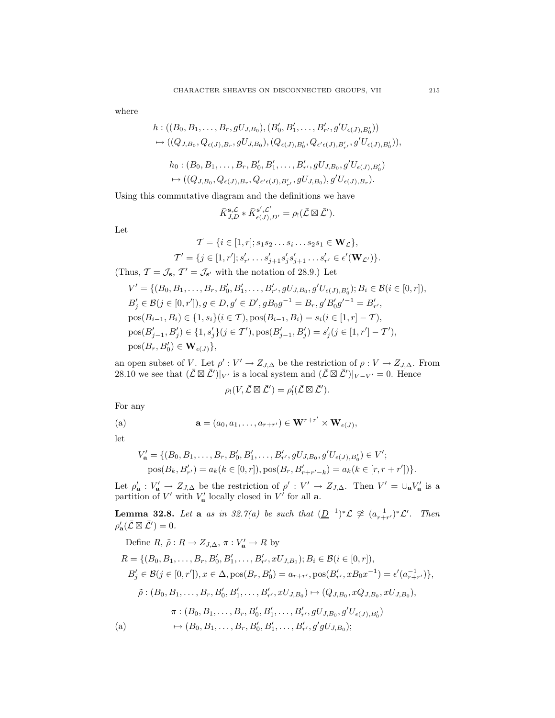where

$$
h: ((B_0, B_1, \ldots, B_r, gU_{J,B_0}), (B'_0, B'_1, \ldots, B'_{r'}, g'U_{\epsilon(J), B'_0}))
$$
  
\n
$$
\mapsto ((Q_{J,B_0}, Q_{\epsilon(J),B_r}, gU_{J,B_0}), (Q_{\epsilon(J),B'_0}, Q_{\epsilon'\epsilon(J),B'_{r'}}, g'U_{\epsilon(J),B'_0})),
$$
  
\n
$$
h_0: (B_0, B_1, \ldots, B_r, B'_0, B'_1, \ldots, B'_{r'}, gU_{J,B_0}, g'U_{\epsilon(J),B'_0})
$$
  
\n
$$
\mapsto ((Q_{J,B_0}, Q_{\epsilon(J),B_r}, Q_{\epsilon'\epsilon(J),B'_{r'}}, gU_{J,B_0}), g'U_{\epsilon(J),B_r}).
$$

Using this commutative diagram and the definitions we have

$$
\bar{K}_{J,D}^{\mathbf{s},\mathcal{L}} * \bar{K}_{\epsilon(J),D'}^{\mathbf{s}',\mathcal{L}'} = \rho_! (\bar{\mathcal{L}} \boxtimes \bar{\mathcal{L}}').
$$

Let

$$
\mathcal{T} = \{i \in [1, r]; s_1 s_2 \dots s_i \dots s_2 s_1 \in \mathbf{W}_{\mathcal{L}}\},
$$
  

$$
\mathcal{T}' = \{j \in [1, r'], s'_{r'} \dots s'_{j+1} s'_{j} s'_{j+1} \dots s'_{r'} \in \epsilon'(\mathbf{W}_{\mathcal{L}'})\}.
$$

(Thus,  $\mathcal{T} = \mathcal{J}_s$ ,  $\mathcal{T}' = \mathcal{J}_{s'}$  with the notation of 28.9.) Let

$$
V' = \{ (B_0, B_1, \ldots, B_r, B'_0, B'_1, \ldots, B'_{r'}, gU_{J,B_0}, g'U_{\epsilon(J), B'_0}); B_i \in \mathcal{B}(i \in [0, r]),
$$
  
\n
$$
B'_j \in \mathcal{B}(j \in [0, r'], g \in D, g' \in D', gB_0g^{-1} = B_r, g'B'_0g'^{-1} = B'_{r'},
$$
  
\n
$$
pos(B_{i-1}, B_i) \in \{1, s_i\}(i \in T), pos(B_{i-1}, B_i) = s_i(i \in [1, r] - T),
$$
  
\n
$$
pos(B'_{j-1}, B'_j) \in \{1, s'_j\}(j \in T'), pos(B'_{j-1}, B'_j) = s'_j(j \in [1, r'] - T'),
$$
  
\n
$$
pos(B_r, B'_0) \in \mathbf{W}_{\epsilon(J)}\},
$$

an open subset of V. Let  $\rho' : V' \to Z_{J,\Delta}$  be the restriction of  $\rho : V \to Z_{J,\Delta}$ . From 28.10 we see that  $(\bar{\mathcal{L}} \boxtimes \bar{\mathcal{L}}')|_{V'}$  is a local system and  $(\bar{\mathcal{L}} \boxtimes \bar{\mathcal{L}}')|_{V-V'} = 0$ . Hence

$$
\rho_!(V,\bar{\mathcal{L}}\boxtimes\bar{\mathcal{L}}')=\rho'_!(\bar{\mathcal{L}}\boxtimes\bar{\mathcal{L}}').
$$

For any

(a) 
$$
\mathbf{a} = (a_0, a_1, \dots, a_{r+r'}) \in \mathbf{W}^{r+r'} \times \mathbf{W}_{\epsilon(J)},
$$

let

$$
V'_{\mathbf{a}} = \{ (B_0, B_1, \dots, B_r, B'_0, B'_1, \dots, B'_{r'}, gU_{J,B_0}, g'U_{\epsilon(J), B'_0}) \in V';
$$
  
\n
$$
pos(B_k, B'_{r'}) = a_k (k \in [0, r]), pos(B_r, B'_{r+r'-k}) = a_k (k \in [r, r+r']) \}.
$$

Let  $\rho'_{\mathbf{a}} : V'_{\mathbf{a}} \to Z_{J,\Delta}$  be the restriction of  $\rho' : V' \to Z_{J,\Delta}$ . Then  $V' = \cup_{\mathbf{a}} V'_{\mathbf{a}}$  is a partition of  $V'$  with  $V'_{\mathbf{a}}$  locally closed in  $V'$  for all **a**.

**Lemma 32.8.** Let **a** as in 32.7(a) be such that  $(\underline{D}^{-1})^* \mathcal{L} \ncong (a_{r+r'}^{-1})^* \mathcal{L}'$ . Then  $\rho'_{\mathbf{a}}(\bar{\mathcal{L}}\boxtimes\bar{\mathcal{L}}')=0.$ 

Define  $R, \tilde{\rho}: R \to Z_{J,\Delta}, \pi: V'_{\mathbf{a}} \to R$  by  $R = \{ (B_0, B_1, \ldots, B_r, B'_0, B'_1, \ldots, B'_{r'}, xU_{J,B_0}); B_i \in \mathcal{B} (i \in [0, r]),$  $B'_j \in \mathcal{B}(j \in [0, r']), x \in \Delta, \text{pos}(B_r, B'_0) = a_{r+r'}, \text{pos}(B'_{r'}, xB_0x^{-1}) = \epsilon'(a_{r+r'}^{-1})\},$  $\tilde{\rho}: (B_0, B_1, \ldots, B_r, B'_0, B'_1, \ldots, B'_{r'}, xU_{J,B_0}) \mapsto (Q_{J,B_0}, xQ_{J,B_0}, xU_{J,B_0}),$  $\pi:(B_0, B_1, \ldots, B_r, B'_0, B'_1, \ldots, B'_{r'}, gU_{J,B_0}, g'U_{\epsilon(J),B'_0})$ (a)  $\rightarrow (B_0, B_1, \ldots, B_r, B'_0, B'_1, \ldots, B'_{r'}, g'gU_{J,B_0});$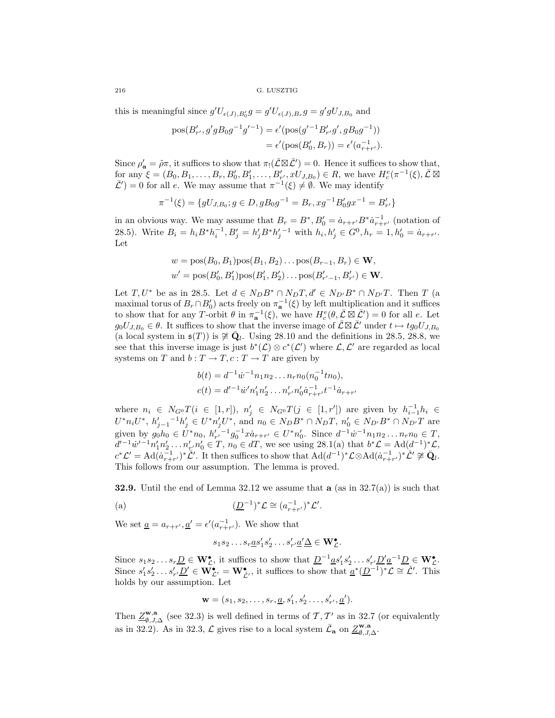this is meaningful since  $g'U_{\epsilon(J),B'_0}g = g'U_{\epsilon(J),B_r}g = g'gU_{J,B_0}$  and

$$
pos(B'_{r'}, g'gB_0g^{-1}g'^{-1}) = \epsilon' (pos(g'^{-1}B'_{r'}g', gB_0g^{-1}))
$$
  
=  $\epsilon' (pos(B'_0, B_r)) = \epsilon'(a_{r+r'}^{-1}).$ 

Since  $\rho'_{\mathbf{a}} = \tilde{\rho}\pi$ , it suffices to show that  $\pi_! (\bar{\mathcal{L}} \boxtimes \bar{\mathcal{L}}') = 0$ . Hence it suffices to show that, for any  $\xi = (B_0, B_1, \ldots, B_r, B'_0, B'_1, \ldots, B'_{r'}, xU_{J,B_0}) \in R$ , we have  $H_c^e(\pi^{-1}(\xi), \bar{\mathcal{L}} \boxtimes$  $\bar{\mathcal{L}}'$  = 0 for all e. We may assume that  $\pi^{-1}(\xi) \neq \emptyset$ . We may identify

$$
\pi^{-1}(\xi)=\{gU_{J,B_0}; g\in D, gB_0g^{-1}=B_r, xg^{-1}B_0'gx^{-1}=B_{r'}'\}
$$

in an obvious way. We may assume that  $B_r = B^*$ ,  $B'_0 = \dot{a}_{r+r'}B^* \dot{a}_{r+r'}^{-1}$  (notation of 28.5). Write  $B_i = h_i B^* h_i^{-1}, B'_j = h'_j B^* h'_j^{-1}$  with  $h_i, h'_j \in G^0, h_r = 1, h'_0 = \dot{a}_{r+r'}$ . Let

$$
w = \text{pos}(B_0, B_1)\text{pos}(B_1, B_2)\dots\text{pos}(B_{r-1}, B_r) \in \mathbf{W},
$$
  

$$
w' = \text{pos}(B'_0, B'_1)\text{pos}(B'_1, B'_2)\dots\text{pos}(B'_{r'-1}, B'_{r'}) \in \mathbf{W}.
$$

Let  $T, U^*$  be as in 28.5. Let  $d \in N_D B^* \cap N_D T, d' \in N_{D'} B^* \cap N_{D'} T$ . Then T (a maximal torus of  $B_r \cap B'_0$  acts freely on  $\pi_a^{-1}(\xi)$  by left multiplication and it suffices to show that for any T-orbit  $\theta$  in  $\pi_{\mathbf{a}}^{-1}(\xi)$ , we have  $H_c^e(\theta, \overline{\mathcal{L}} \boxtimes \overline{\mathcal{L}}') = 0$  for all e. Let  $g_0U_{J,B_0} \in \theta$ . It suffices to show that the inverse image of  $\mathcal{L} \boxtimes \mathcal{L}'$  under  $t \mapsto tg_0U_{J,B_0}$ (a local system in  $\mathfrak{s}(T)$ ) is  $\neq \mathbf{Q}_l$ . Using 28.10 and the definitions in 28.5, 28.8, we see that this inverse image is just  $b^*(\mathcal{L}) \otimes c^*(\mathcal{L}')$  where  $\mathcal{L}, \mathcal{L}'$  are regarded as local systems on T and  $b: T \to T, c: T \to T$  are given by

$$
b(t) = d^{-1} \dot{w}^{-1} n_1 n_2 \dots n_r n_0 (n_0^{-1} t n_0),
$$
  

$$
c(t) = d'^{-1} \dot{w}' n'_1 n'_2 \dots n'_{r'} n'_0 \dot{a}_{r+r'}^{-1} t^{-1} \dot{a}_{r+r'}
$$

where  $n_i \in N_{G} \circ T(i \in [1,r]), n'_j \in N_{G} \circ T(j \in [1,r'])$  are given by  $h_{i-1}^{-1}h_i \in$  $U^*n_iU^*, h'_{j-1}{}^{-1}h'_j \in U^*n'_jU^*,$  and  $n_0 \in N_DB^* \cap N_DT, n'_0 \in N_{D'}B^* \cap N_{D'}T$  are given by  $g_0h_0 \in U^*n_0$ ,  $h'_{r'}^{-1}g_0^{-1}x\dot{a}_{r+r'} \in U^*n'_0$ . Since  $d^{-1}\dot{w}^{-1}n_1n_2...n_rn_0 \in T$ ,  $d'^{-1}w'^{-1}n'_1n'_2\ldots n'_{r'}n'_0 \in T, n_0 \in dT$ , we see using 28.1(a) that  $b^*\mathcal{L} = \text{Ad}(d^{-1})^*\mathcal{L}$ ,  $c^*\mathcal{L}' = \text{Ad}(\tilde{a}_{r+r'}^{-1})^*\check{\mathcal{L}}'.$  It then suffices to show that  $\text{Ad}(d^{-1})^*\mathcal{L}\otimes \text{Ad}(\tilde{a}_{r+r'}^{-1})^*\check{\mathcal{L}}' \not\cong \mathbf{Q}_l.$ This follows from our assumption. The lemma is proved.

**32.9.** Until the end of Lemma 32.12 we assume that **a** (as in 32.7(a)) is such that

(a) 
$$
(\underline{D}^{-1})^* \mathcal{L} \cong (a_{r+r'}^{-1})^* \mathcal{L}'.
$$

We set  $\underline{a} = a_{r+r'}, \underline{a'} = \epsilon'(a_{r+r'}^{-1})$ . We show that

$$
s_1s_2\ldots s_r\underline{a}s'_1s'_2\ldots s'_{r'}\underline{a'}\underline{\Delta}\in \mathbf{W}_{\mathcal{L}}^{\bullet}.
$$

Since  $s_1 s_2 ... s_r \underline{D} \in \mathbf{W}_{\mathcal{L}}^{\bullet}$ , it suffices to show that  $\underline{D}^{-1} \underline{a} s'_1 s'_2 ... s'_{r'} \underline{D}' \underline{a}^{-1} \underline{D} \in \mathbf{W}_{\mathcal{L}}^{\bullet}$ . Since  $s'_1 s'_2 \ldots s'_{r'} \underline{D'} \in \mathbf{W}_{\mathcal{L'}}^{\bullet} = \mathbf{W}_{\mathcal{L'}}^{\bullet}$ , it suffices to show that  $\underline{a}^*(\underline{D}^{-1})^* \mathcal{L} \cong \mathcal{L'}$ . This holds by our assumption. Let

$$
\mathbf{w}=(s_1,s_2,\ldots,s_r,\underline{a},s'_1,s'_2\ldots,s'_{r'},\underline{a}').
$$

Then  $\underline{Z}_{\emptyset, J, \Delta}^{\mathbf{w}, \mathbf{a}}$  (see 32.3) is well defined in terms of  $\mathcal{T}, \mathcal{T}'$  as in 32.7 (or equivalently as in 32.2). As in 32.3,  $\mathcal{L}$  gives rise to a local system  $\bar{\mathcal{L}}_a$  on  $\underline{\mathcal{Z}}_{\emptyset, J, \Delta}^{\mathbf{w}, \mathbf{a}}$ .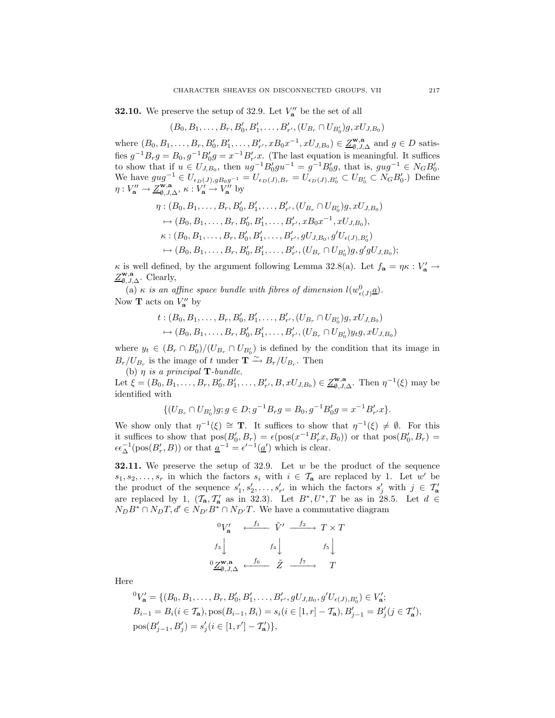**32.10.** We preserve the setup of 32.9. Let  $V''_a$  be the set of all

$$
(B_0, B_1, \ldots, B_r, B'_0, B'_1, \ldots, B'_{r'}, (U_{B_r} \cap U_{B'_0})g, xU_{J, B_0})
$$

where  $(B_0, B_1, \ldots, B_r, B'_0, B'_1, \ldots, B'_{r'}, xB_0x^{-1}, xU_{J,B_0}) \in \underline{Z}_{\emptyset, J, \Delta}^{\mathbf{w}, \mathbf{a}}$  and  $g \in D$  satisfies  $g^{-1}B_rg = B_0, g^{-1}B'_0g = x^{-1}B'_{r'}x$ . (The last equation is meaningful. It suffices to show that if  $u \in U_{J,B_0}$ , then  $ug^{-1}B'_0gu^{-1} = g^{-1}B'_0g$ , that is,  $gug^{-1} \in N_GB'_0$ . We have  $gug^{-1} \in U_{\epsilon_D(J),gB_0g^{-1}} = U_{\epsilon_D(J),B_r} = U_{\epsilon_D(J),B_0'} \subset U_{B_0'} \subset N_GB_0'.$  Define  $\eta: V''_{\mathbf{a}} \to \underline{Z}^{\mathbf{w},\mathbf{a}}_{\emptyset, J, \Delta}, \ \kappa: V'_{\mathbf{a}} \to V''_{\mathbf{a}}$  by

$$
\eta: (B_0, B_1, \ldots, B_r, B'_0, B'_1, \ldots, B'_{r'}, (U_{B_r} \cap U_{B'_0})g, xU_{J,B_0})
$$
  
\n
$$
\mapsto (B_0, B_1, \ldots, B_r, B'_0, B'_1, \ldots, B'_{r'}, xB_0x^{-1}, xU_{J,B_0}),
$$
  
\n
$$
\kappa: (B_0, B_1, \ldots, B_r, B'_0, B'_1, \ldots, B'_{r'}, gU_{J,B_0}, g'U_{\epsilon(J), B'_0})
$$
  
\n
$$
\mapsto (B_0, B_1, \ldots, B_r, B'_0, B'_1, \ldots, B'_{r'}, (U_{B_r} \cap U_{B'_0})g, g'gU_{J,B_0});
$$

 $\kappa$  is well defined, by the argument following Lemma 32.8(a). Let  $f_{\mathbf{a}} = \eta \kappa : V_{\mathbf{a}}' \to V_{\mathbf{a}}'$  $Z_{\emptyset, J, \Delta}^{\mathbf{w}, \mathbf{a}}$ . Clearly,

(a)  $\kappa$  *is an affine space bundle with fibres of dimension*  $l(w_{\epsilon(J)}^0 \underline{a})$ . Now **T** acts on  $V''_a$  by

$$
t: (B_0, B_1, \ldots, B_r, B'_0, B'_1, \ldots, B'_{r'}, (U_{B_r} \cap U_{B'_0})g, xU_{J,B_0})
$$
  

$$
\mapsto (B_0, B_1, \ldots, B_r, B'_0, B'_1, \ldots, B'_{r'}, (U_{B_r} \cap U_{B'_0})y_t g, xU_{J,B_0})
$$

where  $y_t \in (B_r \cap B'_0)/(U_{B_r} \cap U_{B'_0})$  is defined by the condition that its image in  $B_r/U_{B_r}$  is the image of t under  $\mathbf{T} \xrightarrow{\sim} B_r/U_{B_r}$ . Then

(b)  $\eta$  *is a principal* **T***-bundle.* 

Let  $\xi = (B_0, B_1, \ldots, B_r, B'_0, B'_1, \ldots, B'_{r'}, B, xU_{J,B_0}) \in \underline{Z}^{\mathbf{w},\mathbf{a}}_{\emptyset, J, \Delta}$ . Then  $\eta^{-1}(\xi)$  may be identified with

$$
\{(U_{B_r}\cap U_{B'_0})g;g\in D;g^{-1}B_rg=B_0,g^{-1}B'_0g=x^{-1}B'_{r'}x\}.
$$

We show only that  $\eta^{-1}(\xi) \cong \mathbf{T}$ . It suffices to show that  $\eta^{-1}(\xi) \neq \emptyset$ . For this it suffices to show that  $pos(B'_0, B_r) = \epsilon (pos(x^{-1}B'_r x, B_0))$  or that  $pos(B'_0, B_r)$  $\epsilon \epsilon_{\Delta}^{-1}(\text{pos}(B_r', B))$  or that  $a^{-1} = \epsilon'^{-1}(\underline{a}')$  which is clear.

**32.11.** We preserve the setup of 32.9. Let w be the product of the sequence  $s_1, s_2, \ldots, s_r$  in which the factors  $s_i$  with  $i \in \mathcal{T}_a$  are replaced by 1. Let w' be the product of the sequence  $s'_1, s'_2, \ldots, s'_{r'}$  in which the factors  $s'_j$  with  $j \in \mathcal{T}'_{\mathbf{a}}$ are replaced by 1,  $(T_a, T'_a$  as in 32.3). Let  $B^*, U^*, T$  be as in 28.5. Let  $d \in$  $N_D B^* \cap N_D T, d' \in N_{D'} B^* \cap N_{D'} T$ . We have a commutative diagram

$$
\begin{array}{ccc}\n^0V'_\mathbf{a} & \xleftarrow{f_1} & \tilde{V}' & \xrightarrow{f_2} & T \times T \\
\hline\n\begin{array}{c}\nf_3 \\
\downarrow \\
\end{array} & & f_4 \downarrow \\
^0\underline{Z}_{\emptyset, J, \Delta}^{\mathbf{w}, \mathbf{a}} & \xleftarrow{f_6} & \tilde{Z} & \xrightarrow{f_7} & T\n\end{array}
$$

Here

$$
{}^{0}V'_{\mathbf{a}} = \{ (B_0, B_1, \dots, B_r, B'_0, B'_1, \dots, B'_{r'}, gU_{J, B_0}, g'U_{\epsilon(J), B'_0}) \in V'_{\mathbf{a}}; \nB_{i-1} = B_i (i \in \mathcal{T}_{\mathbf{a}}), \text{pos}(B_{i-1}, B_i) = s_i (i \in [1, r] - \mathcal{T}_{\mathbf{a}}), B'_{j-1} = B'_{j} (j \in \mathcal{T}'_{\mathbf{a}}), \n\text{pos}(B'_{j-1}, B'_{j}) = s'_{j} (i \in [1, r'] - \mathcal{T}'_{\mathbf{a}}) \},
$$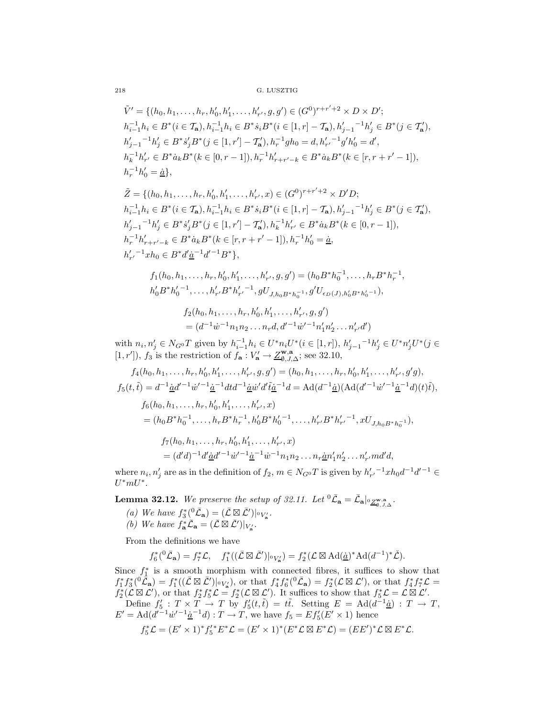$$
\begin{split} &\tilde{V}' = \{(h_0,h_1,\ldots,h_r,h_0',h_1',\ldots,h_{r'}',g,g') \in (G^0)^{r+r'+2} \times D \times D'; \\ &\,h_{i-1}^{-1}h_i \in B^*(i \in \mathcal{T}_{\mathbf{a}}),h_{i-1}^{-1}h_i \in B^*s_iB^*(i \in [1,r]-\mathcal{T}_{\mathbf{a}}),h_{j-1}'^{-1}h_j' \in B^*(j \in \mathcal{T}_{\mathbf{a}}'), \\ &\,h_{j-1}'^{-1}h_j' \in B^* \dot{s}_j'B^*(j \in [1,r']-\mathcal{T}_{\mathbf{a}}'),h_r^{-1}gh_0 = d, h_{r'}'^{-1}g'h_0' = d', \\ &\,h_k^{-1}h_{r'}' \in B^* \dot{a}_kB^*(k \in [0,r-1]),h_r^{-1}h_{r+r'-k}' \in B^* \dot{a}_kB^*(k \in [r,r+r'-1]), \\ &\,h_r^{-1}h_0' = \underline{\dot{a}}\}, \end{split}
$$

$$
\begin{split} &\tilde{Z}=\{(h_0,h_1,\ldots,h_r,h_0',h_1',\ldots,h_{r'}',x)\in (G^0)^{r+r'+2}\times D'D;\\ &h_{i-1}^{-1}h_i\in B^*(i\in{\mathcal T}_{\mathbf{a}}),h_{i-1}^{-1}h_i\in B^*s_iB^*(i\in[1,r]-{\mathcal T}_{\mathbf{a}}),h_{j-1}'^{-1}h_j'\in B^*(j\in{\mathcal T}_{\mathbf{a}}'),\\ &h_{j-1}'^{-1}h_j'\in B^* \dot{s}_j'B^*(j\in[1,r']-{\mathcal T}_{\mathbf{a}}'),h_k^{-1}h_{r'}'\in B^* \dot{a}_kB^*(k\in[0,r-1]),\\ &h_r^{-1}h_{r+r'-k}'\in B^* \dot{a}_kB^*(k\in[r,r+r'-1]),h_r^{-1}h_0'=\dot{\underline{a}},\\ &h_{r'}'^{-1}xh_0\in B^* d'\dot{\underline{a}}^{-1}d'^{-1}B^*\}, \end{split}
$$

$$
f_1(h_0, h_1, \ldots, h_r, h'_0, h'_1, \ldots, h'_{r'}, g, g') = (h_0 B^* h_0^{-1}, \ldots, h_r B^* h_r^{-1},
$$
  

$$
h'_0 B^* h'_0{}^{-1}, \ldots, h'_{r'} B^* h'_{r'}{}^{-1}, g U_{J, h_0 B^* h_0^{-1}}, g' U_{\epsilon_D(J), h'_0 B^* h'_0^{-1}}),
$$

$$
f_2(h_0, h_1, \dots, h_r, h'_0, h'_1, \dots, h'_{r'}, g, g')
$$
  
=  $(d^{-1}\dot{w}^{-1}n_1n_2 \dots n_rd, d'^{-1}\dot{w}'^{-1}n'_1n'_2 \dots n'_{r'}d')$ 

with  $n_i, n'_j \in N_{G^0}T$  given by  $h_{i-1}^{-1}h_i \in U^*n_iU^*(i \in [1, r]), h'_{j-1}^{-1}h'_j \in U^*n'_jU^*(j \in$ [1, r']), f<sub>3</sub> is the restriction of  $f_a: V'_a \to \underline{Z}_{\emptyset, J, \Delta}^{\mathbf{w}, \mathbf{a}}$ ; see 32.10,

$$
f_4(h_0, h_1, \ldots, h_r, h'_0, h'_1, \ldots, h'_{r'}, g, g') = (h_0, h_1, \ldots, h_r, h'_0, h'_1, \ldots, h'_{r'}, g'g),
$$
  
\n
$$
f_5(t, \tilde{t}) = d^{-1} \underline{\dot{a}} d'^{-1} \dot{w}'^{-1} \underline{\dot{a}}^{-1} dt d^{-1} \underline{\dot{a}} \dot{w}' d' \tilde{t} \underline{\dot{a}}^{-1} d = \text{Ad}(d^{-1} \underline{\dot{a}}) (\text{Ad}(d'^{-1} \dot{w}'^{-1} \underline{\dot{a}}^{-1} d)(t) \tilde{t}),
$$
  
\n
$$
f_6(h_0, h_1, \ldots, h_r, h'_0, h'_1, \ldots, h'_{r'}, x)
$$
  
\n
$$
= (h_0 B^* h_0^{-1}, \ldots, h_r B^* h_r^{-1}, h'_0 B^* h'_0^{-1}, \ldots, h'_{r'} B^* h'_{r'}^{-1}, x U_{J, h_0 B^* h_0^{-1}}),
$$
  
\n
$$
f_7(h_0, h_1, \ldots, h_r, h'_0, h'_1, \ldots, h'_{r'}, x)
$$
  
\n
$$
= (d'd)^{-1} d' \underline{\dot{a}} d'^{-1} \dot{w}'^{-1} \underline{\dot{a}}^{-1} \dot{w}^{-1} n_1 n_2 \ldots n_r \underline{\dot{a}} n'_1 n'_2 \ldots n'_{r'} m d' d,
$$

where  $n_i, n'_j$  are as in the definition of  $f_2, m \in N_{G^0}T$  is given by  $h'_{r'}$ <sup>-1</sup>x $h_0d^{-1}d'^{-1} \in$  $U^*mU^*$ .

**Lemma 32.12.** *We preserve the setup of 32.11.* Let  ${}^{0}\bar{\mathcal{L}}_{a} = \bar{\mathcal{L}}_{a}|_{{}^{0}\underline{Z}_{\emptyset}^{\mathbf{w},\mathbf{a}}\Delta}$ .

*(a)* We have  $f_3^*({}^0\bar{\mathcal{L}}_{\mathbf{a}}) = (\bar{\mathcal{L}} \boxtimes \bar{\mathcal{L}}')|_{{}^0V_{\mathbf{a}}'}.$ *(b)* We have  $f_{\mathbf{a}}^* \overline{\mathcal{L}}_{\mathbf{a}} = (\overline{\mathcal{L}} \boxtimes \overline{\mathcal{L}}')|_{V_{\mathbf{a}}'}$ .

From the definitions we have

$$
f_6^*(\hbox{${}^0\bar{\mathcal{L}}_\mathbf{a}$})=f_7^*\mathcal{L},\quad f_1^*((\bar{\mathcal{L}}\boxtimes\bar{\mathcal{L}}')|_{{}^0V_\mathbf{a}'})=f_2^*(\mathcal{L}\boxtimes\mathrm{Ad}(\underline{\dot{a}})^*\mathrm{Ad}(d^{-1})^*\check{\mathcal{L}}).
$$

Since  $f_1^*$  is a smooth morphism with connected fibres, it suffices to show that  $f_1^* f_3^* ({}^0\mathring{\mathcal{L}}_{\mathbf{a}}) = f_1^* ((\mathcal{L} \boxtimes \mathcal{L}') | {}^0V_{\mathbf{a}}'$ ), or that  $f_4^* f_6^* ({}^0\mathcal{L}_{\mathbf{a}}) = f_2^* (\mathcal{L} \boxtimes \mathcal{L}'),$  or that  $f_4^* f_7^* \mathcal{L} =$  $f_2^*(\mathcal{L} \boxtimes \mathcal{L}')$ , or that  $f_2^* f_5^* \mathcal{L} = f_2^*(\mathcal{L} \boxtimes \mathcal{L}')$ . It suffices to show that  $f_5^* \mathcal{L} = \mathcal{L} \boxtimes \mathcal{L}'$ . Define  $f'_5: T \times T \to T$  by  $f'_5(t,\tilde{t}) = t\tilde{t}$ . Setting  $E = \text{Ad}(\tilde{d}^{-1}\underline{\dot{a}}): T \to T$ ,  $E' = \text{Ad}(d'^{-1}\dot{w}'^{-1}\dot{a}^{-1}d) : T \to T$ , we have  $f_5 = Ef'_5(E' \times 1)$  hence

$$
f_5^* \mathcal{L} = (E' \times 1)^* f_5'^* E^* \mathcal{L} = (E' \times 1)^* (E^* \mathcal{L} \boxtimes E^* \mathcal{L}) = (EE')^* \mathcal{L} \boxtimes E^* \mathcal{L}.
$$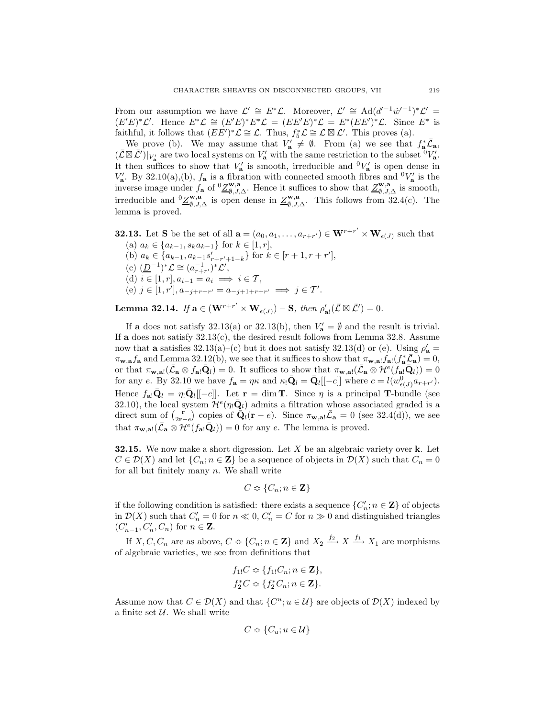From our assumption we have  $\mathcal{L}' \cong E^*\mathcal{L}$ . Moreover,  $\mathcal{L}' \cong \text{Ad}(d'^{-1}\dot{w}'^{-1})^*\mathcal{L}' =$  $(E'E)^*\mathcal{L}'$ . Hence  $E^*\mathcal{L} \cong (E'E)^*\mathcal{L} = (EE'E)^*\mathcal{L} = E^*(EE')^*\mathcal{L}$ . Since  $E^*$  is faithful, it follows that  $(EE')^*\mathcal{L} \cong \mathcal{L}$ . Thus,  $f_5^*\mathcal{L} \cong \mathcal{L} \boxtimes \mathcal{L}'$ . This proves (a).

We prove (b). We may assume that  $V'_a \neq \emptyset$ . From (a) we see that  $f_a^* \bar{\mathcal{L}}_a$ ,  $(\overline{\mathcal{L}} \boxtimes \overline{\mathcal{L}}')|_{V'_a}$  are two local systems on  $V'_a$  with the same restriction to the subset  ${}^0V'_a$ . It then suffices to show that  $V'_a$  is smooth, irreducible and  ${}^0V'_a$  is open dense in  $V'_a$ . By 32.10(a),(b),  $f_a$  is a fibration with connected smooth fibres and  ${}^0V'_a$  is the inverse image under  $f_{\mathbf{a}}$  of  ${}^{0}\underline{Z}^{\mathbf{w},\mathbf{a}}_{\emptyset,J,\Delta}$ . Hence it suffices to show that  $\underline{Z}^{\mathbf{w},\mathbf{a}}_{\emptyset,J,\Delta}$  is smooth, irreducible and  ${}^0\underline{Z}^{\mathbf{w},\mathbf{a}}_{\emptyset,J,\Delta}$  is open dense in  $\underline{Z}^{\mathbf{w},\mathbf{a}}_{\emptyset,J,\Delta}$ . This follows from 32.4(c). The lemma is proved.

**32.13.** Let **S** be the set of all  $\mathbf{a} = (a_0, a_1, \dots, a_{r+r'}) \in \mathbf{W}^{r+r'} \times \mathbf{W}_{\epsilon(J)}$  such that (a)  $a_k \in \{a_{k-1}, s_k a_{k-1}\}$  for  $k \in [1, r]$ , (b)  $a_k \in \{a_{k-1}, a_{k-1}s'_{r+r'+1-k}\}$  for  $k \in [r+1, r+r']$ , (c)  $(\underline{D}^{-1})^*$  $\mathcal{L} \cong (a_{r+r'}^{-1})^* \mathcal{L}',$ (d)  $i \in [1, r], a_{i-1} = a_i \implies i \in \mathcal{T},$ (e)  $j \in [1, r'], a_{-j+r+r'} = a_{-j+1+r+r'} \implies j \in T'.$ 

**Lemma 32.14.** *If*  $\mathbf{a} \in (\mathbf{W}^{r+r'} \times \mathbf{W}_{\epsilon(J)}) - \mathbf{S}$ *, then*  $\rho'_{\mathbf{a}!}(\overline{\mathcal{L}} \boxtimes \overline{\mathcal{L}}') = 0$ *.* 

If **a** does not satisfy 32.13(a) or 32.13(b), then  $V'_a = \emptyset$  and the result is trivial. If **a** does not satisfy 32.13(c), the desired result follows from Lemma 32.8. Assume now that **a** satisfies  $32.13(a)$ -(c) but it does not satisfy  $32.13(d)$  or (e). Using  $\rho'_{\mathbf{a}} =$  $\pi_{\mathbf{w},\mathbf{a}} f_{\mathbf{a}}$  and Lemma 32.12(b), we see that it suffices to show that  $\pi_{\mathbf{w},\mathbf{a}} f_{\mathbf{a}}(f_{\mathbf{a}}^* \overline{\mathcal{L}}_{\mathbf{a}}) = 0$ , or that  $\pi_{\mathbf{w},\mathbf{a}!}(\bar{\mathcal{L}}_{\mathbf{a}} \otimes f_{\mathbf{a}!}\bar{\mathbf{Q}}_l) = 0$ . It suffices to show that  $\pi_{\mathbf{w},\mathbf{a}!}(\bar{\mathcal{L}}_{\mathbf{a}} \otimes \mathcal{H}^e(f_{\mathbf{a}!}\bar{\mathbf{Q}}_l)) = 0$ for any e. By 32.10 we have  $f_{\mathbf{a}} = \eta \kappa$  and  $\kappa_! \bar{\mathbf{Q}}_l = \bar{\mathbf{Q}}_l [[-c]]$  where  $c = l(w_{\epsilon(J)}^0 a_{r+r'})$ . Hence  $f_{\mathbf{a}!}\bar{\mathbf{Q}}_l = \eta_!\bar{\mathbf{Q}}_l[[-c]]$ . Let  $\mathbf{r} = \dim \mathbf{T}$ . Since  $\eta$  is a principal **T**-bundle (see 32.10), the local system  $\mathcal{H}^e(\eta_!\bar{\mathbf{Q}}_l)$  admits a filtration whose associated graded is a direct sum of  $\begin{pmatrix} \mathbf{r} \\ 2\mathbf{r}-e \end{pmatrix}$  copies of  $\mathbf{\bar{Q}}_l(\mathbf{r}-e)$ . Since  $\pi_{\mathbf{w},\mathbf{a}} \bar{\mathcal{L}}_{\mathbf{a}} = 0$  (see 32.4(d)), we see that  $\pi_{\mathbf{w},\mathbf{a}!}(\overline{\mathcal{L}}_{\mathbf{a}} \otimes \mathcal{H}^e(f_{\mathbf{a}!}\overline{\mathbf{Q}}_l)) = 0$  for any e. The lemma is proved.

**32.15.** We now make a short digression. Let X be an algebraic variety over **k**. Let  $C \in \mathcal{D}(X)$  and let  $\{C_n; n \in \mathbf{Z}\}\$ be a sequence of objects in  $\mathcal{D}(X)$  such that  $C_n = 0$ for all but finitely many  $n$ . We shall write

$$
C \Leftrightarrow \{C_n; n \in \mathbf{Z}\}\
$$

if the following condition is satisfied: there exists a sequence  $\{C'_n; n \in \mathbf{Z}\}\)$  of objects in  $\mathcal{D}(X)$  such that  $C'_n = 0$  for  $n \ll 0$ ,  $C'_n = C$  for  $n \gg 0$  and distinguished triangles  $(C'_{n-1}, C'_{n}, C_{n})$  for  $n \in \mathbb{Z}$ .

If  $X, C, C_n$  are as above,  $C \text{ }\mathfrak{D} \{C_n; n \in \mathbf{Z}\}\$  and  $X_2 \xrightarrow{f_2} X \xrightarrow{f_1} X_1$  are morphisms of algebraic varieties, we see from definitions that

$$
f_{1!}C \approx \{f_{1!}C_n; n \in \mathbf{Z}\},
$$
  

$$
f_2^*C \approx \{f_2^*C_n; n \in \mathbf{Z}\}.
$$

Assume now that  $C \in \mathcal{D}(X)$  and that  $\{C^u; u \in \mathcal{U}\}\)$  are objects of  $\mathcal{D}(X)$  indexed by a finite set  $U$ . We shall write

$$
C \Leftrightarrow \{C_u; u \in \mathcal{U}\}\
$$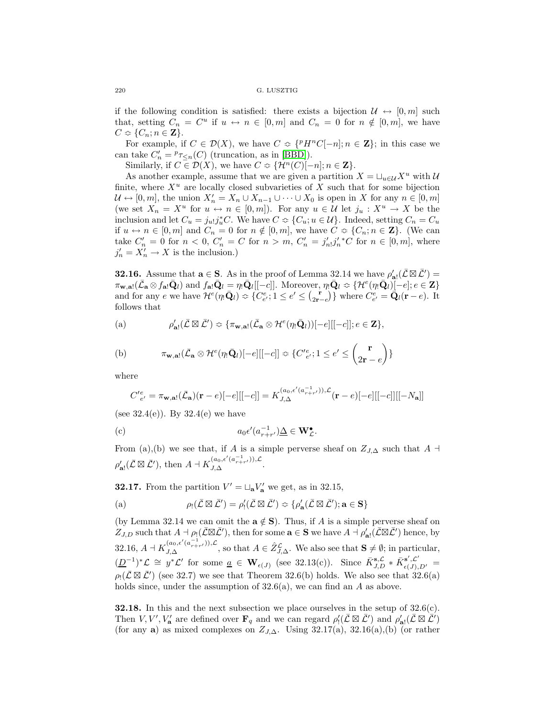if the following condition is satisfied: there exists a bijection  $\mathcal{U} \leftrightarrow [0,m]$  such that, setting  $C_n = C^u$  if  $u \leftrightarrow n \in [0, m]$  and  $C_n = 0$  for  $n \notin [0, m]$ , we have  $C \Leftrightarrow \{C_n; n \in \mathbf{Z}\}.$ 

For example, if  $C \in \mathcal{D}(X)$ , we have  $C \Leftrightarrow \{^pH^nC[-n]; n \in \mathbf{Z}\}\;$ ; in this case we can take  $C'_n = {}^p\tau_{\leq n}(C)$  (truncation, as in [\[BBD\]](#page-57-4)).

Similarly, if  $C \in \mathcal{D}(X)$ , we have  $C \Leftrightarrow \{ \mathcal{H}^n(C)[-n]; n \in \mathbf{Z} \}.$ 

As another example, assume that we are given a partition  $X = \bigcup_{u \in \mathcal{U}} X^u$  with U finite, where  $X^u$  are locally closed subvarieties of X such that for some bijection  $\mathcal{U} \leftrightarrow [0, m],$  the union  $X'_n = X_n \cup X_{n-1} \cup \cdots \cup X_0$  is open in X for any  $n \in [0, m]$ (we set  $X_n = X^u$  for  $u \leftrightarrow n \in [0, m]$ ). For any  $u \in \mathcal{U}$  let  $j_u : X^u \to X$  be the inclusion and let  $C_u = j_{u} j_u^* C$ . We have  $C \text{ }\mathcal{L} \{C_u; u \in \mathcal{U}\}\$ . Indeed, setting  $C_n = C_u$ if  $u \leftrightarrow n \in [0, m]$  and  $C_n = 0$  for  $n \notin [0, m]$ , we have  $C \text{ }\mathfrak{D} \subset \{C_n; n \in \mathbf{Z}\}\.$  (We can take  $C'_n = 0$  for  $n < 0$ ,  $C'_n = C$  for  $n > m$ ,  $C'_n = j'_{n}j'_{n}^*C$  for  $n \in [0, m]$ , where  $j'_n = X'_n \to X$  is the inclusion.)

**32.16.** Assume that  $\mathbf{a} \in \mathbf{S}$ . As in the proof of Lemma 32.14 we have  $\rho'_{\mathbf{a}!}(\overline{\mathcal{L}} \boxtimes \overline{\mathcal{L}}') =$  $\pi_{\mathbf{w},\mathbf{a}!}(\bar{\mathcal{L}}_{\mathbf{a}} \otimes f_{\mathbf{a}!}\bar{\mathbf{Q}}_l)$  and  $f_{\mathbf{a}!}\bar{\mathbf{Q}}_l = \eta_!\bar{\mathbf{Q}}_l[[-c]].$  Moreover,  $\eta_!\bar{\mathbf{Q}}_l \approx {\{\mathcal{H}^e(\eta_!\bar{\mathbf{Q}}_l)[-e]}; e \in \mathbf{Z}\}$ and for any e we have  $\mathcal{H}^e(\eta_!\bar{\mathbf{Q}}_l) \approx \{C^e_{e'}; 1 \leq e' \leq {r \choose 2\mathbf{r}-e}}\}$  where  $C^e_{e'} = \bar{\mathbf{Q}}_l(\mathbf{r}-e)$ . It follows that

(a) 
$$
\rho'_{\mathbf{a}!}(\overline{\mathcal{L}}\boxtimes\overline{\mathcal{L}}') \approx \{\pi_{\mathbf{w},\mathbf{a}!}(\overline{\mathcal{L}}_{\mathbf{a}}\otimes\mathcal{H}^e(\eta_!\overline{\mathbf{Q}}_l))[-e][[-c]]; e\in\mathbf{Z}\},\
$$

(b) 
$$
\pi_{\mathbf{w},\mathbf{a}!}(\bar{\mathcal{L}}_{\mathbf{a}} \otimes \mathcal{H}^e(\eta_!\bar{\mathbf{Q}}_l)[-e][[-c]] \approx \{C'_{e'}^{\prime}; 1 \leq e' \leq {r \choose 2\mathbf{r}-e}\}
$$

where

$$
C'_{e'}^e = \pi_{\mathbf{w},\mathbf{a}!}(\bar{\mathcal{L}}_{\mathbf{a}})(\mathbf{r}-e)[-e][[-c]] = K_{J,\Delta}^{(a_0,\epsilon'(a_{r+r'}^{-1})),\mathcal{L}}(\mathbf{r}-e)[-e][[-c]][[-N_{\mathbf{a}}]]
$$

(see  $32.4(e)$ ). By  $32.4(e)$  we have

(c) 
$$
a_0 \epsilon'(a_{r+r'}^{-1}) \underline{\Delta} \in \mathbf{W}_L^{\bullet}.
$$

From (a),(b) we see that, if A is a simple perverse sheaf on  $Z_{J,\Delta}$  such that A  $\dashv$  $\rho'_{\mathbf{a}!}(\overline{\mathcal{L}} \boxtimes \overline{\mathcal{L}}'), \text{ then } A \dashv K_{J, \Delta}^{(a_0, \epsilon'(a_{r+r'}^{-1})), \mathcal{L}}.$ 

**32.17.** From the partition  $V' = \sqcup_{\mathbf{a}} V'_{\mathbf{a}}$  we get, as in 32.15,

(a) 
$$
\rho_! (\bar{\mathcal{L}} \boxtimes \bar{\mathcal{L}}') = \rho'_! (\bar{\mathcal{L}} \boxtimes \bar{\mathcal{L}}') \Leftrightarrow \{ \rho'_{\mathbf{a}} (\bar{\mathcal{L}} \boxtimes \bar{\mathcal{L}}'); \mathbf{a} \in \mathbf{S} \}
$$

(by Lemma 32.14 we can omit the  $\mathbf{a} \notin \mathbf{S}$ ). Thus, if A is a simple perverse sheaf on  $Z_{J,D}$  such that  $A \dashv \rho_!(\bar{L} \boxtimes \bar{L}')$ , then for some  $\mathbf{a} \in \mathbf{S}$  we have  $A \dashv \rho'_{\mathbf{a}!}(\bar{L} \boxtimes \bar{L}')$  hence, by 32.16,  $A \dashv K_{J,\Delta}^{(a_0,\epsilon'(a_{r+r'}^{-1})),\mathcal{L}}$ , so that  $A \in \hat{Z}^{\mathcal{L}}_{J,\Delta}$ . We also see that  $\mathbf{S} \neq \emptyset$ ; in particular,  $(\underline{D}^{-1})^*$  $\mathcal{L} \cong y^*$  $\mathcal{L}'$  for some  $\underline{a} \in \mathbf{W}_{\epsilon(J)}$  (see 32.13(c)). Since  $\overline{K}_{J,D}^{\mathbf{s},\mathcal{L}} * \overline{K}_{\epsilon(J),D'}^{\mathbf{s}',\mathcal{L}'} =$  $\rho_! (\bar{L} \boxtimes \bar{L}')$  (see 32.7) we see that Theorem 32.6(b) holds. We also see that 32.6(a) holds since, under the assumption of  $32.6(a)$ , we can find an A as above.

**32.18.** In this and the next subsection we place ourselves in the setup of 32.6(c). Then  $V, V', V'_{\mathbf{a}}$  are defined over  $\mathbf{F}_q$  and we can regard  $\rho'_1(\bar{\mathcal{L}} \boxtimes \bar{\mathcal{L}}')$  and  $\rho'_{\mathbf{a}!}(\bar{\mathcal{L}} \boxtimes \bar{\mathcal{L}}')$ (for any **a**) as mixed complexes on  $Z_{J,\Delta}$ . Using 32.17(a), 32.16(a),(b) (or rather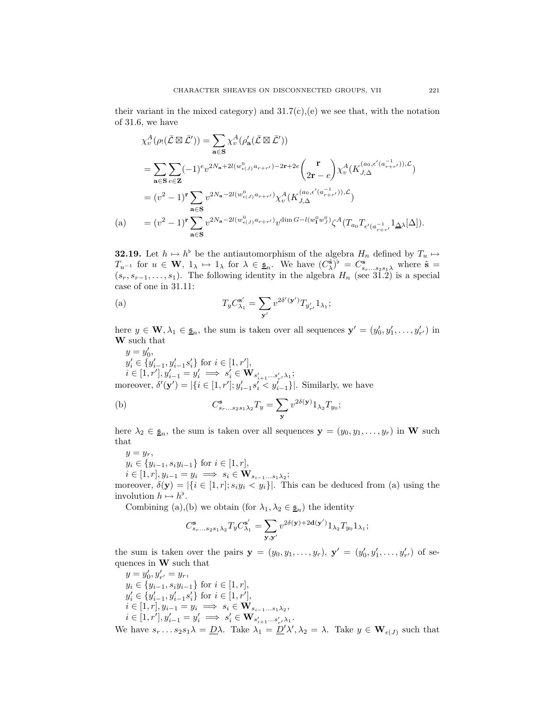their variant in the mixed category) and  $31.7(c)$ , (e) we see that, with the notation of 31.6, we have

$$
\chi_v^A(\rho_! (\bar{\mathcal{L}} \boxtimes \bar{\mathcal{L}}')) = \sum_{\mathbf{a} \in \mathbf{S}} \chi_v^A(\rho'_{\mathbf{a}} (\bar{\mathcal{L}} \boxtimes \bar{\mathcal{L}}'))
$$
  
\n
$$
= \sum_{\mathbf{a} \in \mathbf{S}} \sum_{e \in \mathbf{Z}} (-1)^e v^{2N_{\mathbf{a}} + 2l(w_{e(J)}^0 a_{r+r'}) - 2\mathbf{r} + 2e} \binom{\mathbf{r}}{2\mathbf{r} - e} \chi_v^A(K_{J,\Delta}^{(a_0, \epsilon'(a_{r+r'}^{-1})), \mathcal{L}})
$$
  
\n
$$
= (v^2 - 1)^{\mathbf{r}} \sum_{\mathbf{a} \in \mathbf{S}} v^{2N_{\mathbf{a}} - 2l(w_{e(J)}^0 a_{r+r'})} \chi_v^A(K_{J,\Delta}^{(a_0, \epsilon'(a_{r+r'}^{-1})), \mathcal{L}})
$$
  
\n(a) 
$$
= (v^2 - 1)^{\mathbf{r}} \sum_{\mathbf{a} \in \mathbf{S}} v^{2N_{\mathbf{a}} - 2l(w_{e(J)}^0 a_{r+r'})} v^{\dim G - l(w_1^0 w_J^0)} \zeta^A (T_{a_0} T_{\epsilon'(a_{r+r'}^{-1}} \mathbf{1}_{\Delta \lambda}[\Delta]).
$$

**32.19.** Let  $h \mapsto h^{\flat}$  be the antiautomorphism of the algebra  $H_n$  defined by  $T_u \mapsto$  $T_{u^{-1}}$  for  $u \in \mathbf{W}$ ,  $1_{\lambda} \mapsto 1_{\lambda}$  for  $\lambda \in \underline{\mathfrak{s}}_n$ . We have  $(C_{\lambda}^{\tilde{\mathbf{s}}})^{\flat} = C_{s_r...s_2s_1\lambda}^{\mathbf{s}}$  where  $\tilde{\mathbf{s}} =$  $(s_r, s_{r-1},...,s_1)$ . The following identity in the algebra  $H_n$  (see 31.2) is a special case of one in 31.11:

(a) 
$$
T_y C_{\lambda_1}^{\mathbf{s}'} = \sum_{\mathbf{y}'} v^{2\delta'(\mathbf{y}')} T_{y'_{r'}} 1_{\lambda_1};
$$

here  $y \in \mathbf{W}, \lambda_1 \in \underline{\mathfrak{s}}_n$ , the sum is taken over all sequences  $\mathbf{y}' = (y'_0, y'_1, \dots, y'_{r'})$  in **W** such that

we have

$$
y = y'_0,
$$
  
\n
$$
y'_i \in \{y'_{i-1}, y'_{i-1} s'_i\} \text{ for } i \in [1, r'],
$$
  
\n
$$
i \in [1, r'], y'_{i-1} = y'_i \implies s'_i \in \mathbf{W}_{s'_{i+1} \dots s'_{i}, \lambda_1};
$$
  
\nmoreover, 
$$
\delta'(\mathbf{y}') = |\{i \in [1, r'], y'_{i-1} s'_i < y'_{i-1}\}|.
$$
 Similarly,

(b) 
$$
C_{s_r...s_2s_1\lambda_2}^{\mathbf{s}}T_y = \sum_{\mathbf{y}} v^{2\delta(\mathbf{y})}1_{\lambda_2}T_{y_0};
$$

here  $\lambda_2 \in \underline{\mathfrak{s}}_n$ , the sum is taken over all sequences  $\mathbf{y} = (y_0, y_1, \dots, y_r)$  in **W** such that

 $y = y_r$ ,  $y_i \in \{y_{i-1}, s_i y_{i-1}\}$  for  $i \in [1, r]$ ,  $i \in [1, r], y_{i-1} = y_i \implies s_i \in \mathbf{W}_{s_{i-1}...s_1 \lambda_2};$ 

moreover,  $\delta(\mathbf{y}) = |\{i \in [1, r]; s_i y_i < y_i\}|$ . This can be deduced from (a) using the involution  $h \mapsto h^{\flat}$ .

Combining (a),(b) we obtain (for  $\lambda_1, \lambda_2 \in \underline{\mathfrak{s}}_n$ ) the identity

$$
C^{\mathbf{s}}_{s_r...s_2s_1\lambda_2}T_yC^{\mathbf{s}'}_{\lambda_1}=\sum_{\mathbf{y},\mathbf{y}'}v^{2\delta(\mathbf{y})+2\mathbf{d}(\mathbf{y}')}\mathbf{1}_{\lambda_2}T_{y_0}\mathbf{1}_{\lambda_1};
$$

the sum is taken over the pairs  $y = (y_0, y_1, \ldots, y_r)$ ,  $y' = (y'_0, y'_1, \ldots, y'_{r'})$  of sequences in **W** such that

 $y = y'_0, y'_{r'} = y_r,$  $y_i \in \{y_{i-1}, s_i y_{i-1}\}\text{ for }i \in [1, r],$  $y'_{i} \in \{y'_{i-1}, y'_{i-1}s'_{i}\}$  for  $i \in [1, r'],$  $i \in [1, r], y_{i-1} = y_i \implies s_i \in \mathbf{W}_{s_{i-1} \dots s_1 \lambda_2},$  $i \in [1, r'], y'_{i-1} = y'_{i} \implies s'_{i} \in \mathbf{W}_{s'_{i+1}...s'_{r'}\lambda_{1}}.$ We have  $s_r \dots s_2 s_1 \lambda = D \lambda$ . Take  $\lambda_1 = D' \lambda', \lambda_2 = \lambda$ . Take  $y \in \mathbf{W}_{\epsilon(J)}$  such that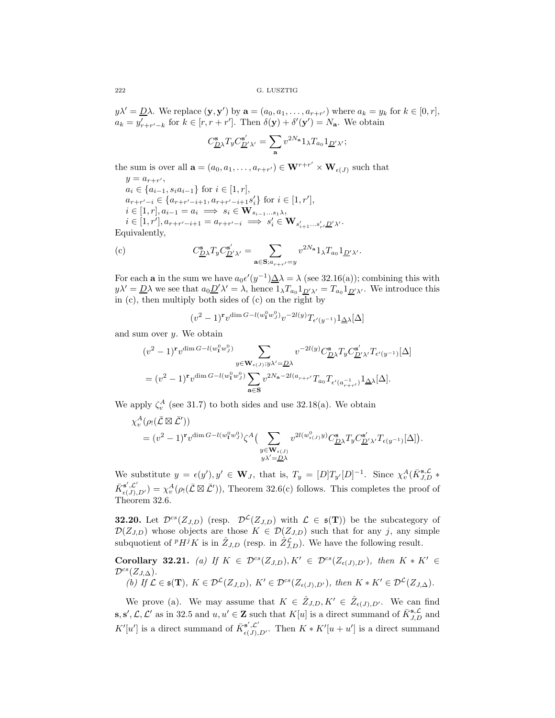$y\lambda' = \underline{D}\lambda$ . We replace  $(\mathbf{y}, \mathbf{y}')$  by  $\mathbf{a} = (a_0, a_1, \dots, a_{r+r'})$  where  $a_k = y_k$  for  $k \in [0, r]$ ,  $a_k = y'_{r+r'-k}$  for  $k \in [r, r+r']$ . Then  $\delta(\mathbf{y}) + \delta'(\mathbf{y}') = N_{\mathbf{a}}$ . We obtain

$$
C_{\underline{D}\lambda}^{\mathbf{s}}T_y C_{\underline{D}'\lambda'}^{\mathbf{s}'} = \sum_{\mathbf{a}} v^{2N_{\mathbf{a}}} 1_{\lambda} T_{a_0} 1_{\underline{D}'\lambda'};
$$

the sum is over all  $\mathbf{a} = (a_0, a_1, \dots, a_{r+r'}) \in \mathbf{W}^{r+r'} \times \mathbf{W}_{\epsilon(J)}$  such that

 $y = a_{r+r'}$  $a_i \in \{a_{i-1}, s_i a_{i-1}\}$  for  $i \in [1, r]$ ,  $a_{r+r'-i} \in \{a_{r+r'-i+1}, a_{r+r'-i+1}s'_i\}$  for  $i \in [1, r'],$  $i \in [1, r], a_{i-1} = a_i \implies s_i \in \mathbf{W}_{s_{i-1} \ldots s_1 \lambda},$  $i \in [1, r'], a_{r+r'-i+1} = a_{r+r'-i} \implies s'_i \in \mathbf{W}_{s'_{i+1}...s'_{r'}D' \lambda'}.$ Equivalently,

(c) 
$$
C_{\underline{D}\lambda}^{\mathbf{s}}T_yC_{\underline{D}'\lambda'}^{\mathbf{s}'} = \sum_{\mathbf{a}\in \mathbf{S}; a_{r+r'}=y} v^{2N_{\mathbf{a}}}1_{\lambda}T_{a_0}1_{\underline{D}'\lambda'}.
$$

For each **a** in the sum we have  $a_0 \epsilon'(y^{-1}) \underline{\Delta} \lambda = \lambda$  (see 32.16(a)); combining this with  $y\lambda' = \underline{D}\lambda$  we see that  $a_0 \underline{D}'\lambda' = \lambda$ , hence  $1_\lambda T_{a_0} 1_{\underline{D}'\lambda'} = T_{a_0} 1_{\underline{D}'\lambda'}$ . We introduce this in  $(c)$ , then multiply both sides of  $(c)$  on the right by

$$
(v^2-1)^r v^{\dim G - l(w_1^0 w_J^0)} v^{-2l(y)} T_{\epsilon'(y^{-1})} 1_{\underline{\Delta}\lambda}[\Delta]
$$

and sum over  $y$ . We obtain

$$
(v^2 - 1)^r v^{\dim G - l(w_1^0 w_J^0)} \sum_{y \in \mathbf{W}_{\epsilon(J)}; y \lambda' = \underline{D}\lambda} v^{-2l(y)} C^{\mathbf{s}}_{\underline{D}\lambda} T_y C^{\mathbf{s}'}_{\underline{D}'\lambda'} T_{\epsilon'(y^{-1})}[\Delta]
$$
  
=  $(v^2 - 1)^r v^{\dim G - l(w_1^0 w_J^0)} \sum_{\mathbf{a} \in \mathbf{S}} v^{2N_{\mathbf{a}} - 2l(a_{r+r'})} T_{a_0} T_{\epsilon'(a_{r+r'}^{-1})} 1_{\Delta\lambda}[\Delta].$ 

We apply  $\zeta_v^A$  (see 31.7) to both sides and use 32.18(a). We obtain

$$
\chi_v^A(\rho_!(\bar{\mathcal{L}}\boxtimes\bar{\mathcal{L}}'))
$$
  
=  $(v^2 - 1)^{\mathbf{r}}v^{\dim G - l(w_1^0w_J^0)}\zeta^A\left(\sum_{\substack{y\in \mathbf{W}_{\epsilon(J)}}} v^{2l(w_{\epsilon(J)}^0y)}C_{\underline{D}\lambda}^{\mathbf{s}}T_yC_{\underline{D}'\lambda'}^{\mathbf{s}'}T_{\epsilon(y^{-1})}[\Delta]\right).$   
 $y\lambda'=\underline{D}\lambda$ 

We substitute  $y = \epsilon(y')$ ,  $y' \in \mathbf{W}_J$ , that is,  $T_y = [D]T_{y'}[D]^{-1}$ . Since  $\chi_v^A(\bar{K}_{J,D}^{s,\mathcal{L}})^*$  $\bar{K}^{s',\mathcal{L}'}_{\epsilon(J),D'}$  =  $\chi^A_v(\rho_!(\bar{\mathcal{L}} \boxtimes \bar{\mathcal{L}}'))$ , Theorem 32.6(c) follows. This completes the proof of Theorem 32.6.

**32.20.** Let  $\mathcal{D}^{cs}(Z_{J,D})$  (resp.  $\mathcal{D}^{L}(Z_{J,D})$  with  $\mathcal{L} \in \mathfrak{s}(\mathbf{T})$ ) be the subcategory of  $\mathcal{D}(Z_{J,D})$  whose objects are those  $K \in \mathcal{D}(Z_{J,D})$  such that for any j, any simple subquotient of  $^p H^j K$  is in  $\hat{Z}_{J,D}$  (resp. in  $\hat{Z}_{J,D}^{\mathcal{L}}$ ). We have the following result.

**Corollary 32.21.** (a) If  $K \in \mathcal{D}^{cs}(Z_{J,D}), K' \in \mathcal{D}^{cs}(Z_{\epsilon(J),D'})$ , then  $K \ast K' \in$  $\mathcal{D}^{cs}(Z_{J,\Delta}).$ 

(b) If 
$$
\mathcal{L} \in \mathfrak{s}(\mathbf{T})
$$
,  $K \in \mathcal{D}^{\mathcal{L}}(Z_{J,D})$ ,  $K' \in \mathcal{D}^{\mathit{cs}}(Z_{\epsilon(J),D'})$ , then  $K * K' \in \mathcal{D}^{\mathcal{L}}(Z_{J,\Delta})$ .

We prove (a). We may assume that  $K \in \hat{Z}_{J,D}, K' \in \hat{Z}_{\epsilon(J),D'}$ . We can find **s**, **s'**,  $\mathcal{L}$ ,  $\mathcal{L}'$  as in 32.5 and  $u, u' \in \mathbf{Z}$  such that  $K[u]$  is a direct summand of  $\bar{K}_{J,D}^{\mathbf{s},\mathcal{L}}$  and  $K'[u']$  is a direct summand of  $\bar{K}^{s',\mathcal{L}'}_{\epsilon(J),D'}$ . Then  $K*K'[u+u']$  is a direct summand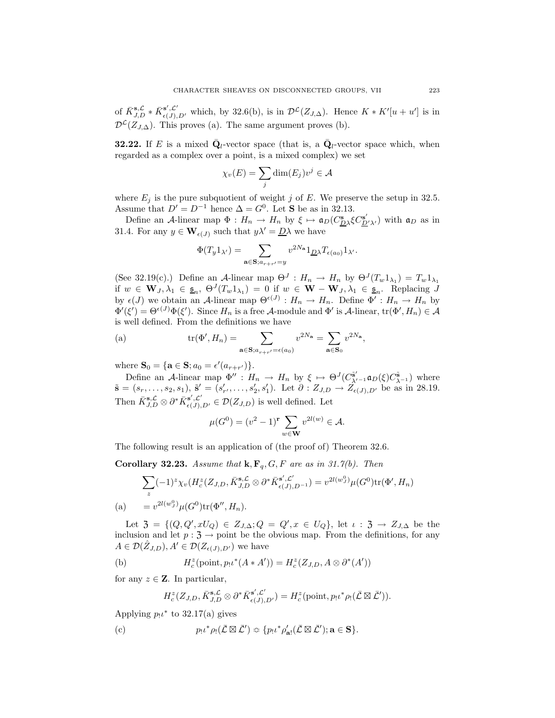of  $\bar{K}_{J,D}^{\mathbf{s},\mathcal{L}} * \bar{K}_{\epsilon(J),D'}^{\mathbf{s}',\mathcal{L}'}$  which, by 32.6(b), is in  $\mathcal{D}^{\mathcal{L}}(Z_{J,\Delta})$ . Hence  $K * K'[u+u']$  is in  $\mathcal{D}^{\mathcal{L}}(Z_{J,\Delta})$ . This proves (a). The same argument proves (b).

**32.22.** If E is a mixed  $\bar{Q}_l$ -vector space (that is, a  $\bar{Q}_l$ -vector space which, when regarded as a complex over a point, is a mixed complex) we set

$$
\chi_v(E) = \sum_j \dim(E_j)v^j \in \mathcal{A}
$$

where  $E_j$  is the pure subquotient of weight j of E. We preserve the setup in 32.5. Assume that  $D' = D^{-1}$  hence  $\Delta = G^0$ . Let **S** be as in 32.13.

Define an A-linear map  $\Phi: H_n \to H_n$  by  $\xi \mapsto \mathfrak{a}_D(C_{\underline{D}\lambda}^{\mathbf{s}} C_{\underline{D}'\lambda'}^{\mathbf{s}'})$  with  $\mathfrak{a}_D$  as in 31.4. For any  $y \in \mathbf{W}_{\epsilon}(J)$  such that  $y\lambda' = \underline{D}\lambda$  we have

$$
\Phi(T_y 1_{\lambda'}) = \sum_{\mathbf{a}\in \mathbf{S}; a_{r+r'}=y} v^{2N_{\mathbf{a}}} 1_{\underline{D}\lambda} T_{\epsilon(a_0)} 1_{\lambda'}.
$$

(See 32.19(c).) Define an A-linear map  $\Theta^J: H_n \to H_n$  by  $\Theta^J(T_w 1_{\lambda_1}) = T_w 1_{\lambda_1}$ if  $w \in \mathbf{W}_J, \lambda_1 \in \underline{\mathfrak{s}}_n, \ \Theta^J(T_w 1_{\lambda_1}) = 0$  if  $w \in \mathbf{W} - \mathbf{W}_J, \lambda_1 \in \underline{\mathfrak{s}}_n$ . Replacing  $J$ by  $\epsilon(J)$  we obtain an A-linear map  $\Theta^{\epsilon(J)}$ :  $H_n \to H_n$ . Define  $\Phi'$ :  $H_n \to H_n$  by  $\Phi'(\xi') = \Theta^{\epsilon(J)} \Phi(\xi')$ . Since  $H_n$  is a free A-module and  $\Phi'$  is A-linear,  $\text{tr}(\Phi', H_n) \in \mathcal{A}$ is well defined. From the definitions we have

(a) 
$$
\operatorname{tr}(\Phi', H_n) = \sum_{\mathbf{a} \in \mathbf{S}; a_{r+r'} = \epsilon(a_0)} v^{2N_{\mathbf{a}}} = \sum_{\mathbf{a} \in \mathbf{S}_0} v^{2N_{\mathbf{a}}},
$$

where  $S_0 = \{ a \in S; a_0 = \epsilon'(a_{r+r'}) \}.$ 

Define an A-linear map  $\Phi'': H_n \to H_n$  by  $\xi \mapsto \Theta^J(C^{\tilde{\mathbf{s}}'}_{\lambda'^{-1}} \mathfrak{a}_D(\xi) C^{\tilde{\mathbf{s}}}_{\lambda^{-1}})$  where  $\tilde{\mathbf{s}} = (s_r, \ldots, s_2, s_1), \, \tilde{\mathbf{s}}' = (s'_{r'}, \ldots, s'_2, s'_1).$  Let  $\partial : Z_{J,D} \to Z_{\epsilon(J),D'}$  be as in 28.19. Then  $\bar{K}_{J,D}^{\mathbf{s},{\cal L}} \otimes \partial^* \bar{K}_{\epsilon(J),D'}^{\mathbf{s}',{\cal L}'} \in \mathcal{D}(Z_{J,D})$  is well defined. Let

$$
\mu(G^{0}) = (v^{2} - 1)^{\mathbf{r}} \sum_{w \in \mathbf{W}} v^{2l(w)} \in \mathcal{A}.
$$

The following result is an application of (the proof of) Theorem 32.6.

**Corollary 32.23.** *Assume that*  $\mathbf{k}, \mathbf{F}_q, G, F$  *are as in 31.7(b). Then* 

$$
\sum_{z} (-1)^{z} \chi_{v} (H_{c}^{z}(Z_{J,D}, \bar{K}_{J,D}^{\mathbf{s}, \mathcal{L}} \otimes \partial^{*} \bar{K}_{\epsilon(J), D^{-1}}^{\mathbf{s}', \mathcal{L}'}) = v^{2l(w_{J}^{0})} \mu(G^{0}) \text{tr}(\Phi', H_{n})
$$
\n(a) 
$$
= v^{2l(w_{J}^{0})} \mu(G^{0}) \text{tr}(\Phi'', H_{n}).
$$

Let  $\mathfrak{Z} = \{ (Q, Q', xU_Q) \in Z_{J,\Delta}; Q = Q', x \in U_Q \}, \text{ let } \iota : \mathfrak{Z} \to Z_{J,\Delta} \text{ be the }$ inclusion and let  $p: \mathfrak{Z} \to \mathfrak{point}$  be the obvious map. From the definitions, for any  $A \in \mathcal{D}(\hat{Z}_{J,D}), A' \in \mathcal{D}(Z_{\epsilon(J),D'})$  we have

(b) 
$$
H_c^z(\text{point}, p_!t^*(A*A')) = H_c^z(Z_{J,D}, A\otimes \partial^*(A'))
$$

for any  $z \in \mathbf{Z}$ . In particular,

$$
H_c^z(Z_{J,D}, \bar{K}_{J,D}^{\mathbf{s} ,\mathcal{L}} \otimes \partial^* \bar{K}_{\epsilon(J),D'}^{\mathbf{s}',\mathcal{L}'}) = H_c^z(\text{point}, p_! \iota^* \rho_! (\bar{\mathcal{L}} \boxtimes \bar{\mathcal{L}}')).
$$

Applying  $p_1 \iota^*$  to 32.17(a) gives

(c) 
$$
p_! \iota^* \rho_! (\bar{\mathcal{L}} \boxtimes \bar{\mathcal{L}}') \approx \{ p_! \iota^* \rho'_{\mathbf{a}!} (\bar{\mathcal{L}} \boxtimes \bar{\mathcal{L}}'); \mathbf{a} \in \mathbf{S} \}.
$$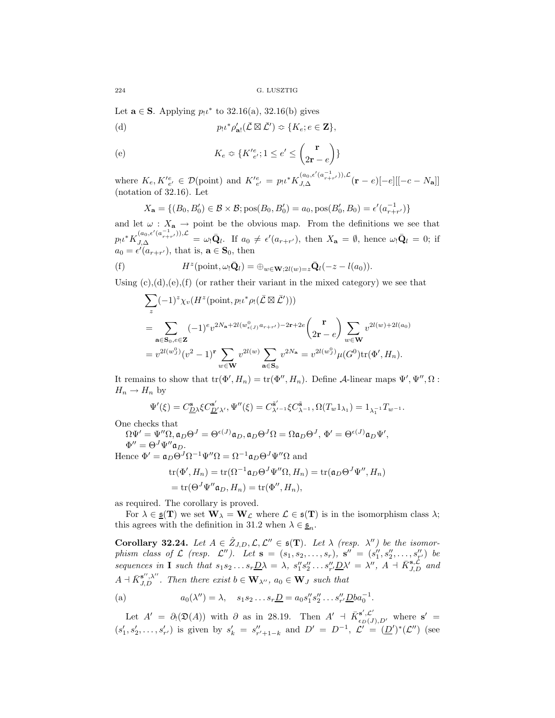Let  $\mathbf{a} \in \mathbf{S}$ . Applying  $p_1 \iota^*$  to 32.16(a), 32.16(b) gives

(d) 
$$
p_!\iota^* \rho'_{\mathbf{a}!}(\bar{\mathcal{L}} \boxtimes \bar{\mathcal{L}}') \approx \{K_e; e \in \mathbf{Z}\},\
$$

(e) 
$$
K_e \approx \{K'_{e'}^e; 1 \le e' \le \binom{\mathbf{r}}{2\mathbf{r} - e}\}
$$

where  $K_e, K'_{e'} \in \mathcal{D}(\text{point})$  and  $K'^{e}_{e'} = p_1 \iota^* K^{(a_0, \epsilon'(a_{r+r'}^{-1})), \mathcal{L}}_{J, \Delta}({\bf r} - e)[-e] [[-c - N_{\bf a}]]$ (notation of 32.16). Let

$$
X_{\mathbf{a}} = \{ (B_0, B'_0) \in \mathcal{B} \times \mathcal{B}; \text{pos}(B_0, B'_0) = a_0, \text{pos}(B'_0, B_0) = \epsilon'(a_{r+r'}^{-1}) \}
$$

and let  $\omega : X_a \to \text{point}$  be the obvious map. From the definitions we see that  $p_1\iota^*K_{J,\Delta}^{(a_0,\epsilon'(a_{r+r'}^{-1})),\mathcal{L}} = \omega_!\bar{\mathbf{Q}}_l$ . If  $a_0 \neq \epsilon'(a_{r+r'})$ , then  $X_{\mathbf{a}} = \emptyset$ , hence  $\omega_!\bar{\mathbf{Q}}_l = 0$ ; if  $a_0 = \epsilon'(a_{r+r'})$ , that is,  $\mathbf{a} \in \mathbf{S}_0$ , then

(f) 
$$
H^z(\text{point}, \omega_! \bar{\mathbf{Q}}_l) = \bigoplus_{w \in \mathbf{W}; 2l(w) = z} \bar{\mathbf{Q}}_l(-z - l(a_0)).
$$

Using  $(c),(d),(e),(f)$  (or rather their variant in the mixed category) we see that

$$
\sum_{z} (-1)^{z} \chi_{v} (H^{z}(\text{point}, p_{!} \iota^{*} \rho_{!}(\bar{\mathcal{L}} \boxtimes \bar{\mathcal{L}}'))) \n= \sum_{\mathbf{a} \in \mathbf{S}_{0}, e \in \mathbf{Z}} (-1)^{e} v^{2N_{\mathbf{a}}+2l(w_{e(j)}^{0}a_{r+r'})-2\mathbf{r}+2e} \begin{pmatrix} \mathbf{r} \\ 2\mathbf{r} - e \end{pmatrix} \sum_{w \in \mathbf{W}} v^{2l(w)+2l(a_{0})} \n= v^{2l(w_{j}^{0})}(v^{2} - 1)^{\mathbf{r}} \sum_{w \in \mathbf{W}} v^{2l(w)} \sum_{\mathbf{a} \in \mathbf{S}_{0}} v^{2N_{\mathbf{a}}} = v^{2l(w_{j}^{0})} \mu(G^{0}) \text{tr}(\Phi', H_{n}).
$$

It remains to show that  $tr(\Phi', H_n) = tr(\Phi'', H_n)$ . Define A-linear maps  $\Psi', \Psi'', \Omega$ :  $H_n \to H_n$  by

$$
\Psi'(\xi) = C_{\mathcal{D}\lambda}^{\mathbf{s}} \xi C_{\mathcal{D}'\lambda'}^{\mathbf{s}'} , \Psi''(\xi) = C_{\lambda'-1}^{\tilde{\mathbf{s}}'} \xi C_{\lambda-1}^{\tilde{\mathbf{s}}}, \Omega(T_w 1_{\lambda_1}) = 1_{\lambda_1^{-1}} T_{w^{-1}}.
$$

One checks that

 $\Omega \Psi' = \Psi'' \Omega, \mathfrak{a}_D \Theta^J = \Theta^{\epsilon(J)} \mathfrak{a}_D, \mathfrak{a}_D \Theta^J \Omega = \Omega \mathfrak{a}_D \Theta^J, \ \Phi' = \Theta^{\epsilon(J)} \mathfrak{a}_D \Psi',$  $\Phi'' = \Theta^J \Psi'' \mathfrak{a}_D.$ 

Hence  $\Phi' = \mathfrak{a}_D \Theta^J \Omega^{-1} \Psi'' \Omega = \Omega^{-1} \mathfrak{a}_D \Theta^J \Psi'' \Omega$  and

$$
\begin{aligned} \text{tr}(\Phi', H_n) &= \text{tr}(\Omega^{-1}\mathfrak{a}_D \Theta^J \Psi'' \Omega, H_n) = \text{tr}(\mathfrak{a}_D \Theta^J \Psi'', H_n) \\ &= \text{tr}(\Theta^J \Psi'' \mathfrak{a}_D, H_n) = \text{tr}(\Phi'', H_n), \end{aligned}
$$

as required. The corollary is proved.

For  $\lambda \in \underline{\mathfrak{s}}(\mathbf{T})$  we set  $\mathbf{W}_{\lambda} = \mathbf{W}_{\mathcal{L}}$  where  $\mathcal{L} \in \mathfrak{s}(\mathbf{T})$  is in the isomorphism class  $\lambda$ ; this agrees with the definition in 31.2 when  $\lambda \in \underline{\mathfrak{s}}_n$ .

**Corollary 32.24.** Let  $A \in \hat{Z}_{J,D}, \mathcal{L}, \mathcal{L}'' \in \mathfrak{s}(\mathbf{T})$ . Let  $\lambda$  (resp.  $\lambda''$ ) be the isomor*phism class of*  $\mathcal{L}$  *(resp.*  $\mathcal{L}''$ *).* Let  $\mathbf{s} = (s_1, s_2, \ldots, s_r)$ ,  $\mathbf{s}'' = (s''_1, s''_2, \ldots, s''_{r'})$  be *sequences in* **I** *such that*  $s_1 s_2 ... s_r \underline{D} \lambda = \lambda$ ,  $s''_1 s''_2 ... s''_{r'} \underline{D} \lambda' = \lambda''$ ,  $A + \overline{K}_{J,D}^{s, \mathcal{L}}$  and  $A + \overline{K}_{J,D}^{\mathbf{s}'',\lambda''}$ . Then there exist  $b \in \mathbf{W}_{\lambda''}, a_0 \in \mathbf{W}_J$  such that

(a) 
$$
a_0(\lambda'') = \lambda
$$
,  $s_1s_2...s_r\underline{D} = a_0s''_1s''_2...s''_{r'}\underline{D}ba_0^{-1}$ .

Let  $A' = \partial_! (\mathfrak{D}(A))$  with  $\partial$  as in 28.19. Then  $A' + \overline{K}_{\epsilon_D(J),D'}^{s',\mathcal{L}'}(s')$  where  $s' =$  $(s'_1, s'_2, \ldots, s'_{r'})$  is given by  $s'_k = s''_{r'+1-k}$  and  $D' = D^{-1}$ ,  $\mathcal{L}' = (\underline{D}')^*(\mathcal{L}'')$  (see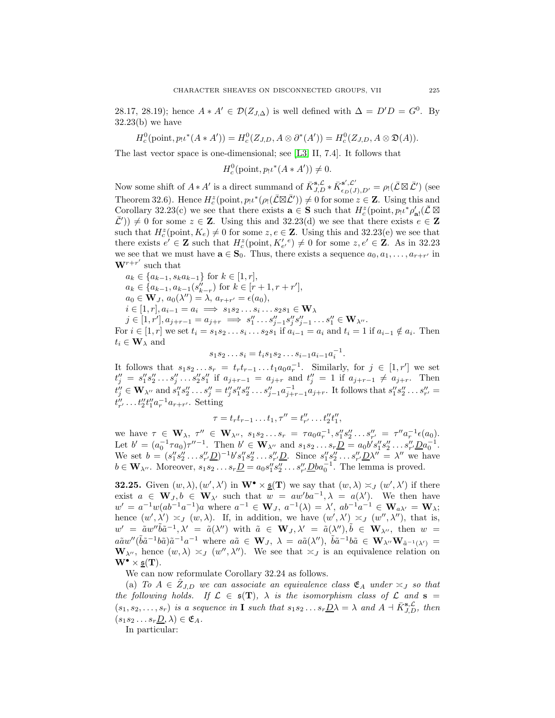28.17, 28.19); hence  $A * A' \in \mathcal{D}(Z_{J,\Delta})$  is well defined with  $\Delta = D'D = G^0$ . By  $32.23(b)$  we have

$$
H_c^0(\text{point}, p_! \iota^*(A * A')) = H_c^0(Z_{J,D}, A \otimes \partial^*(A')) = H_c^0(Z_{J,D}, A \otimes \mathfrak{D}(A)).
$$

The last vector space is one-dimensional; see [\[L3,](#page-57-2) II, 7.4]. It follows that

$$
H_c^0(\text{point}, p_! \iota^*(A*A')) \neq 0.
$$

Now some shift of  $A * A'$  is a direct summand of  $\bar{K}_{J,D}^{s,\mathcal{L}} * \bar{K}_{\epsilon_D(J),D'}^{s',\mathcal{L}'} = \rho_! (\bar{\mathcal{L}} \boxtimes \bar{\mathcal{L}}')$  (see Theorem 32.6). Hence  $H_c^z(\text{point}, p_1\iota^*(\rho_1(\bar{\mathcal{L}} \boxtimes \bar{\mathcal{L}}')) \neq 0$  for some  $z \in \mathbf{Z}$ . Using this and Corollary 32.23(c) we see that there exists  $\mathbf{a} \in \mathbf{S}$  such that  $H_c^z(\text{point}, p_!\iota^* \rho_{\mathbf{a}!}^{\prime}(\bar{\mathcal{L}} \boxtimes$  $(\bar{\mathcal{L}}')$   $\neq$  0 for some  $z \in \mathbf{Z}$ . Using this and 32.23(d) we see that there exists  $e \in \mathbf{Z}$ such that  $H_c^z$ (point,  $K_e \neq 0$  for some  $z, e \in \mathbf{Z}$ . Using this and 32.23(e) we see that there exists  $e' \in \mathbf{Z}$  such that  $H_c^z(\text{point}, K'_{e'}^e) \neq 0$  for some  $z, e' \in \mathbf{Z}$ . As in 32.23 we see that we must have  $\mathbf{a} \in \mathbf{S}_0$ . Thus, there exists a sequence  $a_0, a_1, \ldots, a_{r+r'}$  in  $W^{r+r'}$  such that

$$
a_k \in \{a_{k-1}, s_k a_{k-1}\} \text{ for } k \in [1, r],
$$
  
\n
$$
a_k \in \{a_{k-1}, a_{k-1}(s''_{k-r}) \text{ for } k \in [r+1, r+r'],
$$
  
\n
$$
a_0 \in \mathbf{W}_J, a_0(\lambda'') = \lambda, a_{r+r'} = \epsilon(a_0),
$$
  
\n
$$
i \in [1, r], a_{i-1} = a_i \implies s_1 s_2 \dots s_i \dots s_2 s_1 \in \mathbf{W}_\lambda
$$
  
\n
$$
j \in [1, r'], a_{j+r-1} = a_{j+r} \implies s''_1 \dots s''_{j-1} s''_j s''_{j-1} \dots s''_1 \in \mathbf{W}_{\lambda''}.
$$
  
\nFor  $i \in [1, r]$  we set  $t_i = s_1 s_2 \dots s_i \dots s_2 s_1$  if  $a_{i-1} = a_i$  and  $t_i = 1$  if  $a_{i-1} \notin a_i$ . Then  
\n $t_i \in \mathbf{W}_\lambda$  and

$$
s_1 s_2 \dots s_i = t_i s_1 s_2 \dots s_{i-1} a_{i-1} a_i^{-1}.
$$

It follows that  $s_1 s_2 \ldots s_r = t_r t_{r-1} \ldots t_1 a_0 a_r^{-1}$ . Similarly, for  $j \in [1, r']$  we set  $t''_j = s''_1 s''_2 \dots s''_j \dots s''_2 s''_1$  if  $a_{j+r-1} = a_{j+r}$  and  $t''_j = 1$  if  $a_{j+r-1} \neq a_{j+r}$ . Then  $t''_j \in \mathbf{W}_{\lambda''}$  and  $s''_1 s''_2 \dots s''_j = t''_j s''_1 s''_2 \dots s''_{j-1} a^{-1}_{j+r-1} a_{j+r}$ . It follows that  $s''_1 s''_2 \dots s''_{r'} =$  $t''_{r'} \dots t''_2 t''_1 a^{-1}_r a_{r+r'}$ . Setting

$$
\tau = t_r t_{r-1} \dots t_1, \tau'' = t''_{r'} \dots t''_2 t''_1,
$$

we have  $\tau \in \mathbf{W}_{\lambda}, \ \tau'' \in \mathbf{W}_{\lambda''}, \ s_1 s_2 \ldots s_r = \tau a_0 a_r^{-1}, s_1'' s_2'' \ldots s_{r'}'' = \tau'' a_r^{-1} \epsilon(a_0)$ . Let  $b' = (a_0^{-1} \tau a_0) \tau''^{-1}$ . Then  $b' \in \mathbf{W}_{\lambda''}$  and  $s_1 s_2 \dots s_r \underline{D} = a_0 b' s''_1 s''_2 \dots s''_{r'} \underline{D} a_0^{-1}$ . We set  $b = (s''_1 s''_2 \dots s''_{r'} \underline{D})^{-1} b' s''_1 s''_2 \dots s''_{r'} \underline{D}$ . Since  $s''_1 s''_2 \dots s''_{r'} \underline{D} \lambda'' = \lambda''$  we have  $b \in \mathbf{W}_{\lambda''}$ . Moreover,  $s_1 s_2 \dots s_r \underline{D} = a_0 s_1'' s_2'' \dots s_{r'}' \underline{D} b a_0^{-1}$ . The lemma is proved.

**32.25.** Given  $(w, \lambda), (w', \lambda')$  in  $\mathbf{W}^{\bullet} \times \underline{\mathfrak{s}}(\mathbf{T})$  we say that  $(w, \lambda) \approx_J (w', \lambda')$  if there exist  $a \in \mathbf{W}_J, b \in \mathbf{W}_{\lambda'}$  such that  $w = aw'ba^{-1}, \lambda = a(\lambda')$ . We then have  $w' = a^{-1}w(ab^{-1}a^{-1})a$  where  $a^{-1} \in W_J$ ,  $a^{-1}(\lambda) = \lambda'$ ,  $ab^{-1}a^{-1} \in W_{a\lambda'} = W_{\lambda}$ ; hence  $(w', \lambda') \approx_J (w, \lambda)$ . If, in addition, we have  $(w', \lambda') \approx_J (w'', \lambda'')$ , that is,  $w' = \tilde{a}w''\tilde{b}\tilde{a}^{-1}, \lambda' = \tilde{a}(\lambda'')$  with  $\tilde{a} \in \mathbf{W}_J, \lambda' = \tilde{a}(\lambda''), \tilde{b} \in \mathbf{W}_{\lambda''},$  then  $w =$  $a\tilde{a}w''(\tilde{b}\tilde{a}^{-1}b\tilde{a})\tilde{a}^{-1}a^{-1}$  where  $a\tilde{a} \in \mathbf{W}_J$ ,  $\lambda = a\tilde{a}(\lambda'')$ ,  $\tilde{b}\tilde{a}^{-1}b\tilde{a} \in \mathbf{W}_{\lambda''}\mathbf{W}_{\tilde{a}^{-1}(\lambda')} =$  $\mathbf{W}_{\lambda''}$ , hence  $(w, \lambda) \approx_J (w'', \lambda'')$ . We see that  $\approx_J$  is an equivalence relation on  $\mathbf{W}^{\bullet} \times \underline{\mathfrak{s}}(\mathbf{T}).$ 

We can now reformulate Corollary 32.24 as follows.

(a) *To*  $A \in \mathcal{Z}_{J,D}$  *we can associate an equivalence class*  $\mathfrak{E}_A$  *under*  $\asymp_J$  *so that the following holds.* If  $\mathcal{L} \in \mathfrak{s}(\mathbf{T})$ ,  $\lambda$  *is the isomorphism class of*  $\mathcal{L}$  *and*  $\mathbf{s} =$  $(s_1, s_2, \ldots, s_r)$  *is a sequence in* **I** *such that*  $s_1 s_2 \ldots s_r \underline{D} \lambda = \lambda$  *and*  $A + \overline{K}_{J,D}^{\mathbf{s}, \mathcal{L}}$ *, then*  $(s_1s_2\ldots s_r\underline{D},\lambda)\in\mathfrak{E}_A.$ 

In particular: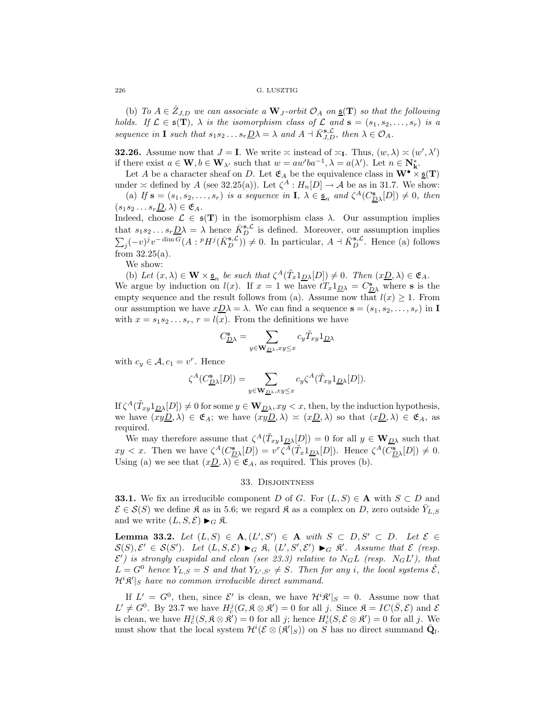(b) *To*  $A \in \hat{Z}_{J,D}$  *we can associate a*  $\mathbf{W}_J$ -*orbit*  $\mathcal{O}_A$  *on*  $\underline{\mathfrak{s}}(\mathbf{T})$  *so that the following holds.* If  $\mathcal{L} \in \mathfrak{s}(\mathbf{T})$ ,  $\lambda$  *is the isomorphism class of*  $\mathcal{L}$  *and*  $\mathbf{s} = (s_1, s_2, \ldots, s_r)$  *is a sequence in* **I** *such that*  $s_1 s_2 ... s_r \underline{D} \lambda = \lambda$  *and*  $A + \overline{K}_{J,D}^{s,\mathcal{L}}$ *, then*  $\lambda \in \mathcal{O}_A$ *.* 

**32.26.** Assume now that  $J = I$ . We write  $\asymp$  instead of  $\asymp_I$ . Thus,  $(w, \lambda) \asymp (w', \lambda')$ if there exist  $a \in \mathbf{W}, b \in \mathbf{W}_{\lambda'}$  such that  $w = aw'ba^{-1}, \lambda = a(\lambda')$ . Let  $n \in \mathbf{N}_{\mathbf{k}}^*$ .

Let A be a character sheaf on D. Let  $\mathfrak{E}_A$  be the equivalence class in  $\mathbf{W}^{\bullet} \times \underline{\mathfrak{s}}(\mathbf{T})$ under  $\approx$  defined by A (see 32.25(a)). Let  $\zeta^A : H_n[D] \to \mathcal{A}$  be as in 31.7. We show:

(a) If  $\mathbf{s} = (s_1, s_2, \ldots, s_r)$  *is a sequence in*  $\mathbf{I}, \lambda \in \underline{\mathfrak{s}}_n$  *and*  $\zeta^A(C_{\underline{D}\lambda}^{\mathbf{s}}[D]) \neq 0$ *, then*  $(s_1s_2 \ldots s_r\underline{D}, \lambda) \in \mathfrak{E}_A$ . Indeed, choose  $\mathcal{L} \in \mathfrak{s}(T)$  in the isomorphism class  $\lambda$ . Our assumption implies

that  $s_1 s_2 \dots s_r \underline{D} \lambda = \lambda$  hence  $\overline{K}_{D}^{s, \mathcal{L}}$  is defined. Moreover, our assumption implies  $\sum_j (-v)^j v^{-\dim G}(A : pH^j(\bar{K}_{D}^{\mathbf{s},\mathcal{L}})) \neq 0$ . In particular,  $A \dashv \bar{K}_{D}^{\mathbf{s},\mathcal{L}}$ . Hence (a) follows from 32.25(a).

We show:

(b) Let  $(x, \lambda) \in \mathbf{W} \times \underline{\mathfrak{s}}_n$  *be such that*  $\zeta^A(\tilde{T}_x 1_{\underline{D}\lambda}[D]) \neq 0$ *. Then*  $(x_{\underline{D}}, \lambda) \in \mathfrak{E}_A$ *.* We argue by induction on  $l(x)$ . If  $x = 1$  we have  $tT_x 1_{\underline{D}\lambda} = C_{\underline{D}\lambda}^s$  where **s** is the empty sequence and the result follows from (a). Assume now that  $l(x) \geq 1$ . From our assumption we have  $xD\lambda = \lambda$ . We can find a sequence  $\mathbf{s} = (s_1, s_2, \dots, s_r)$  in **I** with  $x = s_1 s_2 \dots s_r$ ,  $r = l(x)$ . From the definitions we have

$$
C^{\mathbf{s}}_{\underline{D}\lambda} = \sum_{y \in \mathbf{W}_{\underline{D}\lambda}, xy \leq x} c_y \tilde{T}_{xy} 1_{\underline{D}\lambda}
$$

with  $c_y \in \mathcal{A}, c_1 = v^r$ . Hence

$$
\zeta^A(C^{\mathbf{s}}_{\underline{D}\lambda}[D])=\sum_{y\in \mathbf{W}_{\underline{D}\lambda}, xy\leq x}c_y \zeta^A(\tilde{T}_{xy}\mathbf{1}_{\underline{D}\lambda}[D]).
$$

 $\text{If } \zeta^A(\tilde{T}_{xy}\mathbf{1}_{\underline{D}\lambda}[D]) \neq 0 \text{ for some } y \in \mathbf{W}_{\underline{D}\lambda}, xy < x \text{, then, by the induction hypothesis, }$ we have  $(xyD, \lambda) \in \mathfrak{E}_A$ ; we have  $(xyD, \lambda) \approx (xD, \lambda)$  so that  $(xD, \lambda) \in \mathfrak{E}_A$ , as required.

We may therefore assume that  $\zeta^A(\tilde{T}_{xy}1_{\underline{D}\lambda}[D]) = 0$  for all  $y \in W_{\underline{D}\lambda}$  such that  $xy < x$ . Then we have  $\zeta^A(C_{\mathcal{D}\lambda}^{\mathbf{s}}[D]) = v^r \overline{\zeta^A}(\tilde{T}_x 1_{\mathcal{D}\lambda}[D])$ . Hence  $\zeta^A(\overline{C_{\mathcal{D}\lambda}^{\mathbf{s}}}[D]) \neq 0$ . Using (a) we see that  $(x_0, \lambda) \in \mathfrak{E}_A$ , as required. This proves (b).

### 33. Disjointness

**33.1.** We fix an irreducible component D of G. For  $(L, S) \in A$  with  $S \subset D$  and  $\mathcal{E} \in \mathcal{S}(S)$  we define  $\mathfrak{K}$  as in 5.6; we regard  $\mathfrak{K}$  as a complex on D, zero outside  $Y_{L,S}$ and we write  $(L, S, \mathcal{E}) \blacktriangleright_G \mathfrak{K}$ .

**Lemma 33.2.** *Let*  $(L, S) \in \mathbf{A}, (L', S') \in \mathbf{A}$  *with*  $S \subset D, S' \subset D$ *. Let*  $\mathcal{E} \in$  $S(S), \mathcal{E}' \in S(S')$ . Let  $(L, S, \mathcal{E}) \blacktriangleright_G \mathfrak{K}$ ,  $(L', S', \mathcal{E}') \blacktriangleright_G \mathfrak{K}'$ . Assume that  $\mathcal{E}$  (resp.  $\mathcal{E}'$ ) is strongly cuspidal and clean (see 23.3) relative to  $N_G L$  (resp.  $N_G L'$ ), that  $L = G^0$  hence  $Y_{L,S} = S$  and that  $Y_{L',S'} \neq S$ . Then for any *i*, the local systems  $\check{\mathcal{E}}$ ,  $\mathcal{H}^i\mathfrak{K}'|_{S}$  have no common irreducible direct summand.

If  $L' = G^0$ , then, since  $\mathcal{E}'$  is clean, we have  $\mathcal{H}^i \mathcal{R}' |_{S} = 0$ . Assume now that  $L' \neq G^0$ . By 23.7 we have  $H_c^j(G, \mathfrak{K} \otimes \mathfrak{K}') = 0$  for all j. Since  $\mathfrak{K} = IC(\bar{S}, \mathcal{E})$  and  $\mathcal{E}$ is clean, we have  $H_c^j(S, \mathfrak{K} \otimes \mathfrak{K}') = 0$  for all j; hence  $H_c^i(S, \mathcal{E} \otimes \mathfrak{K}') = 0$  for all j. We must show that the local system  $\mathcal{H}^i(\mathcal{E} \otimes (\mathfrak{K}'|_S))$  on S has no direct summand  $\bar{\mathbf{Q}}_l$ .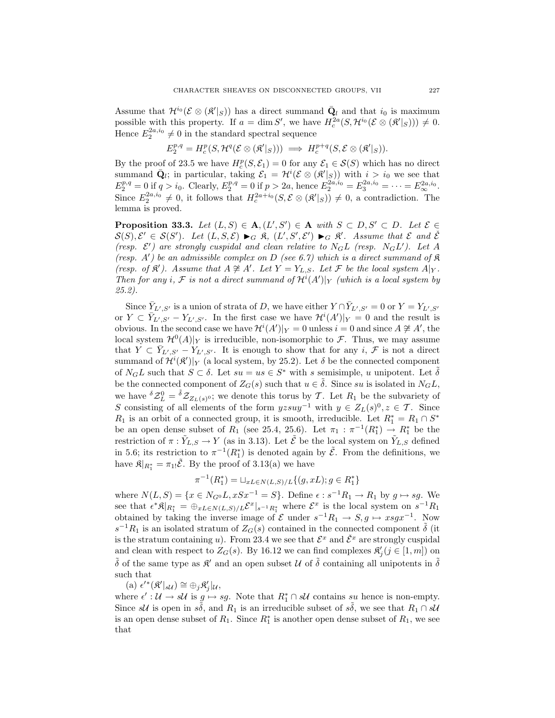Assume that  $\mathcal{H}^{i_0}(\mathcal{E} \otimes (\mathcal{R}'|_S))$  has a direct summand  $\bar{\mathbf{Q}}_l$  and that  $i_0$  is maximum possible with this property. If  $a = \dim S'$ , we have  $H_c^{2a}(S, \mathcal{H}^{i_0}(\mathcal{E} \otimes (\mathcal{R}'|_S))) \neq 0$ . Hence  $E_2^{2a,i_0} \neq 0$  in the standard spectral sequence

$$
E_2^{p,q} = H_c^p(S, \mathcal{H}^q(\mathcal{E} \otimes (\mathfrak{K}'|_S))) \implies H_c^{p+q}(S, \mathcal{E} \otimes (\mathfrak{K}'|_S)).
$$

By the proof of 23.5 we have  $H_c^p(S, \mathcal{E}_1) = 0$  for any  $\mathcal{E}_1 \in \mathcal{S}(S)$  which has no direct summand  $\bar{\mathbf{Q}}_l$ ; in particular, taking  $\mathcal{E}_1 = H^i(\mathcal{E} \otimes (\mathcal{R}'|_S))$  with  $i>i_0$  we see that  $E_2^{p,q} = 0$  if  $q > i_0$ . Clearly,  $E_2^{p,q} = 0$  if  $p > 2a$ , hence  $E_2^{2a,i_0} = E_3^{2a,i_0} = \cdots = E_{\infty}^{2a,i_0}$ . Since  $E_2^{2a, i_0} \neq 0$ , it follows that  $H_c^{2a+i_0}(S, \mathcal{E} \otimes (\mathcal{R}'|_S)) \neq 0$ , a contradiction. The lemma is proved.

**Proposition 33.3.** *Let*  $(L, S) \in \mathbf{A}, (L', S') \in \mathbf{A}$  *with*  $S \subset D, S' \subset D$ *. Let*  $\mathcal{E} \in$  $\mathcal{S}(S), \mathcal{E}' \in \mathcal{S}(S')$ . Let  $(L, S, \mathcal{E}) \blacktriangleright_G \mathfrak{K}$ ,  $(L', S', \mathcal{E}') \blacktriangleright_G \mathfrak{K}'$ . Assume that  $\mathcal E$  and  $\check{\mathcal{E}}$ (resp.  $\mathcal{E}'$ ) are strongly cuspidal and clean relative to  $N_G L$  (resp.  $N_G L'$ ). Let A *(resp.*  $A'$ *)* be an admissible complex on D *(see 6.7)* which is a direct summand of  $\Re$ *(resp. of*  $\mathcal{R}'$ *). Assume that*  $A \not\cong A'$ *. Let*  $Y = Y_{L,S}$ *. Let*  $\mathcal{F}$  *be the local system*  $A|_Y$ *. Then for any i*,  $\mathcal F$  *is not a direct summand of*  $\mathcal H^i(A')|_Y$  *(which is a local system by 25.2).*

Since  $\overline{Y}_{L',S'}$  is a union of strata of D, we have either  $Y \cap \overline{Y}_{L',S'} = 0$  or  $Y = Y_{L',S'}$ or  $Y \subset \overline{Y}_{L',S'} - Y_{L',S'}$ . In the first case we have  $\mathcal{H}^{i}(A')|_{Y} = 0$  and the result is obvious. In the second case we have  $\mathcal{H}^{i}(A')|_{Y} = 0$  unless  $i = 0$  and since  $A \not\cong A'$ , the local system  $\mathcal{H}^0(A)|_Y$  is irreducible, non-isomorphic to F. Thus, we may assume that  $Y \subset \overline{Y}_{L',S'} - Y_{L',S'}$ . It is enough to show that for any i,  $\mathcal F$  is not a direct summand of  $\mathcal{H}^i(\mathfrak{K}')|_Y$  (a local system, by 25.2). Let  $\delta$  be the connected component of  $N_G L$  such that  $S \subset \delta$ . Let  $su = us \in S^*$  with s semisimple, u unipotent. Let  $\delta$ be the connected component of  $Z_G(s)$  such that  $u \in \tilde{\delta}$ . Since su is isolated in  $N_G L$ , we have  ${}^{\delta} \mathcal{Z}_{L}^{0} = {}^{\tilde{\delta}} \mathcal{Z}_{Z_{L}(s)^{0}}$ ; we denote this torus by T. Let  $R_1$  be the subvariety of S consisting of all elements of the form  $yzsuy^{-1}$  with  $y \in Z_L(s)^0, z \in \mathcal{T}$ . Since  $R_1$  is an orbit of a connected group, it is smooth, irreducible. Let  $R_1^* = R_1 \cap S^*$ be an open dense subset of  $R_1$  (see 25.4, 25.6). Let  $\pi_1 : \pi^{-1}(R_1^*) \to R_1^*$  be the restriction of  $\pi : \tilde{Y}_{L,S} \to Y$  (as in 3.13). Let  $\tilde{\mathcal{E}}$  be the local system on  $\tilde{Y}_{L,S}$  defined in 5.6; its restriction to  $\pi^{-1}(R_1^*)$  is denoted again by  $\tilde{\mathcal{E}}$ . From the definitions, we have  $\mathfrak{K}|_{R_1^*} = \pi_{1!} \tilde{\mathcal{E}}$ . By the proof of 3.13(a) we have

$$
\pi^{-1}(R_1^*) = \sqcup_{xL \in N(L,S)/L} \{(g, xL); g \in R_1^*\}
$$

where  $N(L, S) = \{x \in N_{G} \circ L, xSx^{-1} = S\}$ . Define  $\epsilon : s^{-1}R_1 \to R_1$  by  $g \mapsto sg$ . We see that  $\epsilon^* \mathfrak{K} |_{R_1^*} = \bigoplus_{xL \in N(L,S)/L} \mathcal{E}^x |_{s^{-1}R_1^*}$  where  $\mathcal{E}^x$  is the local system on  $s^{-1}R_1$ obtained by taking the inverse image of  $\mathcal E$  under  $s^{-1}R_1 \to S, g \mapsto xsgx^{-1}$ . Now  $s^{-1}R_1$  is an isolated stratum of  $Z_G(s)$  contained in the connected component  $\delta$  (it is the stratum containing u). From 23.4 we see that  $\mathcal{E}^x$  and  $\check{\mathcal{E}}^x$  are strongly cuspidal and clean with respect to  $Z_G(s)$ . By 16.12 we can find complexes  $\mathcal{R}'_j (j \in [1, m])$  on  $\tilde{\delta}$  of the same type as  $\mathcal{R}'$  and an open subset U of  $\tilde{\delta}$  containing all unipotents in  $\tilde{\delta}$ such that

(a)  $\epsilon'^*(\mathfrak{K}'|_{s\mathcal{U}}) \cong \bigoplus_j \mathfrak{K}'_j|_{\mathcal{U}},$ 

where  $\epsilon' : \mathcal{U} \to s\mathcal{U}$  is  $g \mapsto sg$ . Note that  $R_1^* \cap s\mathcal{U}$  contains su hence is non-empty. Since sU is open in s $\delta$ , and  $R_1$  is an irreducible subset of s $\delta$ , we see that  $R_1 \cap sU$ is an open dense subset of  $R_1$ . Since  $R_1^*$  is another open dense subset of  $R_1$ , we see that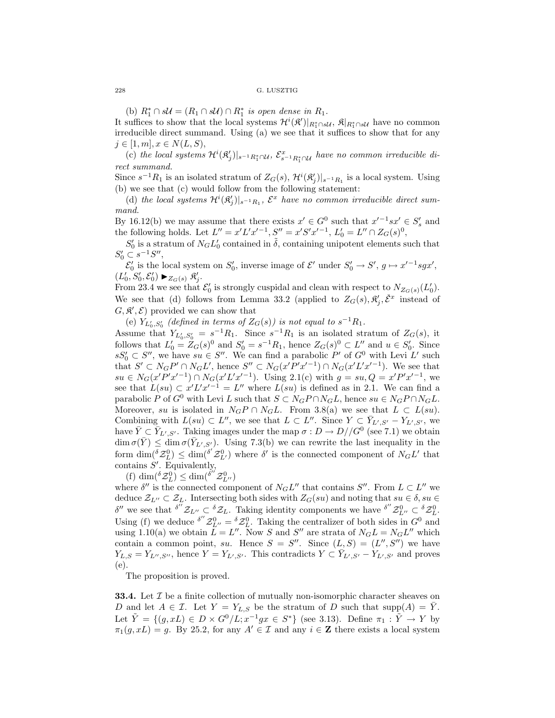(b)  $R_1^* \cap s\mathcal{U} = (R_1 \cap s\mathcal{U}) \cap R_1^*$  *is open dense in*  $R_1$ *.* 

It suffices to show that the local systems  $\mathcal{H}^i(\mathcal{R}')|_{R_1^*\cap s\mathcal{U}}, \mathfrak{K}|_{R_1^*\cap s\mathcal{U}}$  have no common irreducible direct summand. Using (a) we see that it suffices to show that for any  $j \in [1, m], x \in N(L, S),$ 

(c) the local systems  $\mathcal{H}^i(\mathfrak{K}'_j)|_{s^{-1}R_1^*\cap \mathcal{U}}, \mathcal{E}^x_{s^{-1}R_1^*\cap \mathcal{U}}$  have no common irreducible di*rect summand.*

Since  $s^{-1}R_1$  is an isolated stratum of  $Z_G(s)$ ,  $\mathcal{H}^i(\mathfrak{K}'_j)|_{s^{-1}R_1}$  is a local system. Using (b) we see that (c) would follow from the following statement:

(d) the local systems  $\mathcal{H}^i(\mathfrak{K}'_j)|_{s^{-1}R_1}$ ,  $\mathcal{E}^x$  have no common irreducible direct sum*mand.*

By 16.12(b) we may assume that there exists  $x' \in G^0$  such that  $x'^{-1}sx' \in S'_s$  and the following holds. Let  $L'' = x'L'x'^{-1}$ ,  $S'' = x'S'x'^{-1}$ ,  $L'_0 = L'' \cap Z_G(s)^0$ ,

 $S'_0$  is a stratum of  $N_G L'_0$  contained in  $\tilde{\delta}$ , containing unipotent elements such that  $S'_0 \subset s^{-1}S''$ ,

 $\mathcal{E}'_0$  is the local system on  $S'_0$ , inverse image of  $\mathcal{E}'$  under  $S'_0 \to S'$ ,  $g \mapsto x'^{-1}sgx'$ ,  $(L'_0, S'_0, \mathcal{E}'_0) \blacktriangleright_{Z_G(s)} \mathfrak{K}'_j.$ 

From 23.4 we see that  $\mathcal{E}'_0$  is strongly cuspidal and clean with respect to  $N_{Z_G(s)}(L'_0)$ . We see that (d) follows from Lemma 33.2 (applied to  $Z_G(s), \mathfrak{K}'_j, \check{\mathcal{E}}^x$  instead of  $(G, \mathcal{R}', \mathcal{E})$  provided we can show that

(e)  $Y_{L'_0, S'_0}$  (defined in terms of  $Z_G(s)$ ) is not equal to  $s^{-1}R_1$ .

Assume that  $Y_{L'_0, S'_0} = s^{-1}R_1$ . Since  $s^{-1}R_1$  is an isolated stratum of  $Z_G(s)$ , it follows that  $L'_0 = Z_G(s)^0$  and  $S'_0 = s^{-1}R_1$ , hence  $Z_G(s)^0 \subset L''$  and  $u \in S'_0$ . Since  $sS_0' \subset S''$ , we have  $su \in S''$ . We can find a parabolic P' of  $G^0$  with Levi L' such that  $S' \subset N_G P' \cap N_G L'$ , hence  $S'' \subset N_G(x'P'x'^{-1}) \cap N_G(x'L'x'^{-1})$ . We see that  $su \in N_G(x'P'x'^{-1}) \cap N_G(x'L'x'^{-1})$ . Using 2.1(c) with  $g = su, Q = x'P'x'^{-1}$ , we see that  $L(su) \subset x'L'x'^{-1} = L''$  where  $L(su)$  is defined as in 2.1. We can find a parabolic P of  $G^0$  with Levi L such that  $S \subset N_G P \cap N_G L$ , hence  $su \in N_G P \cap N_G L$ . Moreover, su is isolated in  $N_GP \cap N_GL$ . From 3.8(a) we see that  $L \subset L(su)$ . Combining with  $L(su) \subset L''$ , we see that  $L \subset L''$ . Since  $Y \subset \overline{Y}_{L',S'} - Y_{L',S'}$ , we have  $\bar{Y} \subset \bar{Y}_{L',S'}$ . Taking images under the map  $\sigma : D \to D//G^0$  (see 7.1) we obtain  $\dim \sigma(Y) \leq \dim \sigma(Y_{L',S'})$ . Using 7.3(b) we can rewrite the last inequality in the form  $\dim({}^{\delta} \mathcal{Z}_{L}^{0}) \leq \dim({}^{\delta'} \mathcal{Z}_{L'}^{0})$  where  $\delta'$  is the connected component of  $N_G L'$  that contains  $S'$ . Equivalently,

(f)  $\dim({}^{\delta} \mathcal{Z}_L^0) \leq \dim({}^{\delta''} \mathcal{Z}_{L''}^0)$ 

where  $\delta''$  is the connected component of  $N_G L''$  that contains  $S''$ . From  $L \subset L''$  we deduce  $\mathcal{Z}_{L''} \subset \mathcal{Z}_L$ . Intersecting both sides with  $Z_G(su)$  and noting that  $su \in \delta$ ,  $su \in$  $\delta''$  we see that  $\delta'' \mathcal{Z}_{L''} \subset \delta \mathcal{Z}_L$ . Taking identity components we have  $\delta'' \mathcal{Z}_{L''}^0 \subset \delta \mathcal{Z}_L^0$ . Using (f) we deduce  $\delta'' \mathcal{Z}_{L''}^0 = \delta \mathcal{Z}_L^0$ . Taking the centralizer of both sides in  $G^0$  and using 1.10(a) we obtain  $L = L''$ . Now S and S'' are strata of  $N_G L = N_G L''$  which contain a common point, su. Hence  $S = S''$ . Since  $(L, S) = (L'', S'')$  we have  $Y_{L,S} = Y_{L'',S''}$ , hence  $Y = Y_{L',S'}$ . This contradicts  $Y \subset \overline{Y}_{L',S'} - Y_{L',S'}$  and proves (e).

The proposition is proved.

**33.4.** Let T be a finite collection of mutually non-isomorphic character sheaves on D and let  $A \in \mathcal{I}$ . Let  $Y = Y_{L,S}$  be the stratum of D such that supp $(A) = \overline{Y}$ . Let  $\tilde{Y} = \{(q, xL) \in D \times G^0/L; x^{-1}gx \in S^*\}$  (see 3.13). Define  $\pi_1 : \tilde{Y} \to Y$  by  $\pi_1(g, xL) = g$ . By 25.2, for any  $A' \in \mathcal{I}$  and any  $i \in \mathbf{Z}$  there exists a local system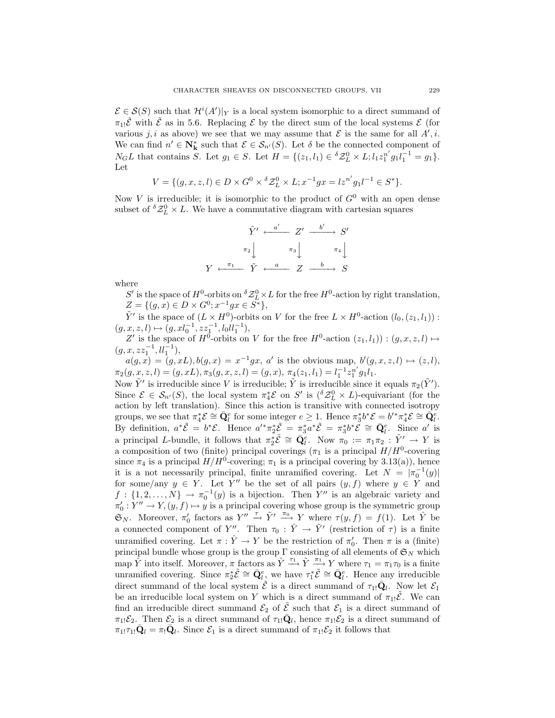$\mathcal{E} \in \mathcal{S}(S)$  such that  $\mathcal{H}^i(A')|_Y$  is a local system isomorphic to a direct summand of  $\pi_{1!}\tilde{\mathcal{E}}$  with  $\tilde{\mathcal{E}}$  as in 5.6. Replacing  $\mathcal{E}$  by the direct sum of the local systems  $\mathcal{E}$  (for various j, i as above) we see that we may assume that  $\mathcal E$  is the same for all  $A', i$ . We can find  $n' \in \mathbb{N}_{\mathbf{k}}^*$  such that  $\mathcal{E} \in \mathcal{S}_{n'}(S)$ . Let  $\delta$  be the connected component of  $N_G L$  that contains S. Let  $g_1 \in S$ . Let  $H = \{(z_1, l_1) \in {}^{\delta} \mathcal{Z}_{L}^0 \times L; l_1 z_1^{n'} g_1 l_1^{-1} = g_1\}.$ Let

$$
V = \{ (g, x, z, l) \in D \times G^0 \times {}^{\delta} \mathcal{Z}_L^0 \times L; x^{-1}gx = l z^{n'} g_1 l^{-1} \in S^* \}.
$$

Now V is irreducible; it is isomorphic to the product of  $G^0$  with an open dense subset of  ${}^{\delta} \mathcal{Z}_L^0 \times L$ . We have a commutative diagram with cartesian squares

$$
\tilde{Y}' \xleftarrow{a'} Z' \xrightarrow{b'} S'
$$
\n
$$
\pi_2 \downarrow \qquad \pi_3 \downarrow \qquad \pi_4 \downarrow
$$
\n
$$
Y \xleftarrow{\pi_1} \tilde{Y} \xleftarrow{a} Z \xrightarrow{b} S
$$

where

S' is the space of  $H^0$ -orbits on  ${}^{\delta}Z^0_L\times L$  for the free  $H^0$ -action by right translation,  $Z = \{ (g, x) \in D \times G^0; x^{-1}gx \in S^* \},\$ 

 $\tilde{Y}'$  is the space of  $(L \times H^0)$ -orbits on V for the free  $L \times H^0$ -action  $(l_0,(z_1,l_1))$ :  $(g, x, z, l) \mapsto (g, xl_0^{-1}, zz_1^{-1}, l_0l_1^{-1}),$ 

Z' is the space of  $H^0$ -orbits on V for the free  $H^0$ -action  $(z_1, l_1)$  :  $(g, x, z, l)$   $\mapsto$  $(g, x, zz_1^{-1}, l l_1^{-1}),$ 

 $a(g, x) = (g, xL), b(g, x) = x^{-1}gx$ , a' is the obvious map,  $b'(g, x, z, l) \mapsto (z, l)$ ,  $\pi_2(g,x,z,l)=(g,xL), \pi_3(g,x,z,l)=(g,x), \, \pi_4(z_1,l_1) = l_1^{-1}z_1^{n'}g_1l_1.$ 

Now  $\tilde{Y}'$  is irreducible since V is irreducible;  $\tilde{Y}$  is irreducible since it equals  $\pi_2(\tilde{Y}')$ . Since  $\mathcal{E} \in \mathcal{S}_{n'}(S)$ , the local system  $\pi_4^* \mathcal{E}$  on S' is  $({}^{\delta} \mathcal{Z}_L^0 \times L)$ -equivariant (for the action by left translation). Since this action is transitive with connected isotropy groups, we see that  $\pi_4^* \mathcal{E} \cong \bar{\mathbf{Q}}_l^e$  for some integer  $e \geq 1$ . Hence  $\pi_3^* b^* \mathcal{E} = b'^* \pi_4^* \mathcal{E} \cong \bar{\mathbf{Q}}_l^e$ . By definition,  $a^*\tilde{\mathcal{E}} = b^*\mathcal{E}$ . Hence  $a'^*\pi_2^*\tilde{\mathcal{E}} = \pi_3^*a^*\tilde{\mathcal{E}} = \pi_3^*b^*\mathcal{E} \cong \bar{\mathbf{Q}}_l^e$ . Since  $a'$  is a principal L-bundle, it follows that  $\pi_2^* \tilde{\mathcal{E}} \cong \bar{\mathbf{Q}}_l^e$ . Now  $\pi_0 := \pi_1 \pi_2 : \tilde{Y}' \to Y$  is a composition of two (finite) principal coverings ( $\pi_1$  is a principal  $H/H^0$ -covering since  $\pi_4$  is a principal  $H/H^0$ -covering;  $\pi_1$  is a principal covering by 3.13(a)), hence it is a not necessarily principal, finite unramified covering. Let  $N = |\pi_0^{-1}(y)|$ for some/any  $y \in Y$ . Let Y'' be the set of all pairs  $(y, f)$  where  $y \in Y$  and  $f: \{1, 2, \ldots, N\} \to \pi_0^{-1}(y)$  is a bijection. Then Y'' is an algebraic variety and  $\pi_0': Y'' \to Y, (y, f) \mapsto y$  is a principal covering whose group is the symmetric group  $\mathfrak{S}_N$ . Moreover,  $\pi'_0$  factors as  $Y'' \stackrel{\tau}{\rightarrow} \tilde{Y}' \stackrel{\pi_0}{\longrightarrow} Y$  where  $\tau(y, f) = f(1)$ . Let  $\hat{Y}$  be a connected component of Y''. Then  $\tau_0$ :  $\hat{Y} \to \tilde{Y}'$  (restriction of  $\tau$ ) is a finite unramified covering. Let  $\pi : \hat{Y} \to Y$  be the restriction of  $\pi'_0$ . Then  $\pi$  is a (finite) principal bundle whose group is the group  $\Gamma$  consisting of all elements of  $\mathfrak{S}_N$  which map  $\hat{Y}$  into itself. Moreover,  $\pi$  factors as  $\hat{Y} \stackrel{\tau_1}{\longrightarrow} \tilde{Y} \stackrel{\pi_1}{\longrightarrow} Y$  where  $\tau_1 = \pi_1 \tau_0$  is a finite unramified covering. Since  $\pi_2^* \tilde{\mathcal{E}} \cong \bar{Q}_l^e$ , we have  $\tau_1^* \tilde{\mathcal{E}} \cong \bar{Q}_l^e$ . Hence any irreducible direct summand of the local system  $\tilde{\mathcal{E}}$  is a direct summand of  $\tau_{1!}\bar{Q}_l$ . Now let  $\mathcal{E}_1$ be an irreducible local system on Y which is a direct summand of  $\pi_{1!} \tilde{\mathcal{E}}$ . We can find an irreducible direct summand  $\mathcal{E}_2$  of  $\tilde{\mathcal{E}}$  such that  $\mathcal{E}_1$  is a direct summand of  $\pi_1 \mathcal{E}_2$ . Then  $\mathcal{E}_2$  is a direct summand of  $\tau_1 \overline{Q}_l$ , hence  $\pi_1 \mathcal{E}_2$  is a direct summand of  $\pi_{1!}\tau_{1!}\mathbf{Q}_l = \pi_!\mathbf{Q}_l$ . Since  $\mathcal{E}_1$  is a direct summand of  $\pi_{1!}\mathcal{E}_2$  it follows that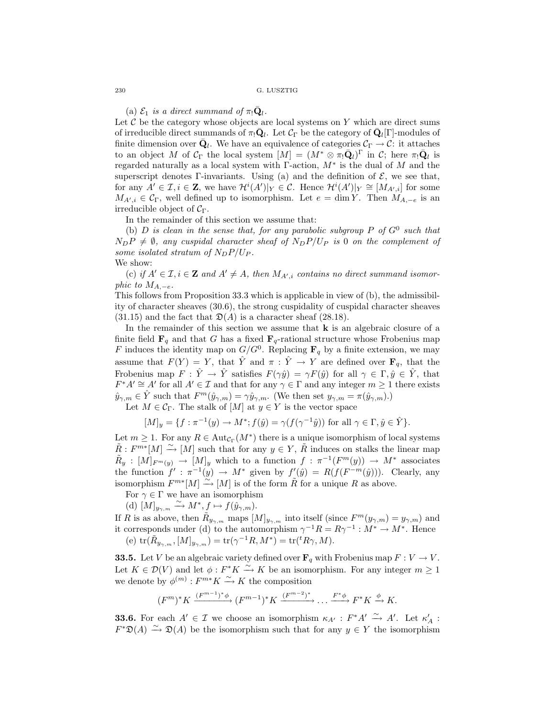(a)  $\mathcal{E}_1$  *is a direct summand of*  $\pi_1 \mathbf{Q}_l$ .

Let  $C$  be the category whose objects are local systems on Y which are direct sums of irreducible direct summands of  $\pi_! \mathbf{Q}_l$ . Let  $\mathcal{C}_{\Gamma}$  be the category of  $\mathbf{Q}_l[\Gamma]$ -modules of finite dimension over  $\bar{\mathbf{Q}}_l$ . We have an equivalence of categories  $\mathcal{C}_{\Gamma} \to \mathcal{C}$ : it attaches to an object M of  $C_{\Gamma}$  the local system  $[M]=(M^*\otimes \pi_!{\bar{\mathbf{Q}}_l})^{\Gamma}$  in C; here  $\pi_!{\bar{\mathbf{Q}}_l}$  is regarded naturally as a local system with  $\Gamma$ -action,  $M^*$  is the dual of M and the superscript denotes Γ-invariants. Using (a) and the definition of  $\mathcal{E}$ , we see that, for any  $A' \in \mathcal{I}, i \in \mathbf{Z}$ , we have  $\mathcal{H}^i(A')|_Y \in \mathcal{C}$ . Hence  $\mathcal{H}^i(A')|_Y \cong [M_{A',i}]$  for some  $M_{A',i} \in \mathcal{C}_{\Gamma}$ , well defined up to isomorphism. Let  $e = \dim Y$ . Then  $M_{A,-e}$  is an irreducible object of  $C_{\Gamma}$ .

In the remainder of this section we assume that:

(b)  $D$  *is clean in the sense that, for any parabolic subgroup*  $P$  *of*  $G^0$  *such that*  $N_{D}P \neq \emptyset$ , any cuspidal character sheaf of  $N_{D}P/U_{P}$  is 0 on the complement of *some isolated stratum of*  $N_D P / U_P$ *.* We show:

(c) if  $A' \in \mathcal{I}, i \in \mathbf{Z}$  and  $A' \neq A$ , then  $M_{A',i}$  contains no direct summand isomor*phic to*  $M_{A,-e}$ *.* 

This follows from Proposition 33.3 which is applicable in view of (b), the admissibility of character sheaves (30.6), the strong cuspidality of cuspidal character sheaves  $(31.15)$  and the fact that  $\mathfrak{D}(A)$  is a character sheaf  $(28.18)$ .

In the remainder of this section we assume that **k** is an algebraic closure of a finite field  $\mathbf{F}_q$  and that G has a fixed  $\mathbf{F}_q$ -rational structure whose Frobenius map F induces the identity map on  $G/G^0$ . Replacing  $\mathbf{F}_q$  by a finite extension, we may assume that  $F(Y) = Y$ , that Y and  $\pi : Y \to Y$  are defined over  $\mathbf{F}_q$ , that the Frobenius map  $F : \hat{Y} \to \hat{Y}$  satisfies  $F(\gamma \hat{y}) = \gamma F(\hat{y})$  for all  $\gamma \in \Gamma, \hat{y} \in \hat{Y}$ , that  $F^*A' \cong A'$  for all  $A' \in \mathcal{I}$  and that for any  $\gamma \in \Gamma$  and any integer  $m \geq 1$  there exists  $\hat{y}_{\gamma,m} \in \hat{Y}$  such that  $F^m(\hat{y}_{\gamma,m}) = \gamma \hat{y}_{\gamma,m}$ . (We then set  $y_{\gamma,m} = \pi(\hat{y}_{\gamma,m})$ .)

Let  $M \in \mathcal{C}_{\Gamma}$ . The stalk of  $[M]$  at  $y \in Y$  is the vector space

$$
[M]_y = \{ f : \pi^{-1}(y) \to M^*; f(\hat{y}) = \gamma(f(\gamma^{-1}\hat{y})) \text{ for all } \gamma \in \Gamma, \hat{y} \in \hat{Y} \}.
$$

Let  $m \geq 1$ . For any  $R \in \text{Aut}_{\mathcal{C}_{\Gamma}}(M^*)$  there is a unique isomorphism of local systems  $\tilde{R}: F^{m*}[M] \stackrel{\sim}{\longrightarrow} [M]$  such that for any  $y \in Y$ ,  $\tilde{R}$  induces on stalks the linear map  $\tilde{R}_y : [M]_{F^m(y)} \to [M]_y$  which to a function  $f : \pi^{-1}(F^m(y)) \to M^*$  associates the function  $f' : \pi^{-1}(y) \to M^*$  given by  $f'(\hat{y}) = R(f(F^{-m}(\hat{y})))$ . Clearly, any isomorphism  $F^{m*}[M] \stackrel{\sim}{\longrightarrow} [M]$  is of the form  $\tilde{R}$  for a unique R as above.

For  $\gamma\in\Gamma$  we have an isomorphism

(d)  $[M]_{y_{\gamma,m}} \xrightarrow{\sim} M^*, f \mapsto f(\hat{y}_{\gamma,m}).$ 

If R is as above, then  $\tilde{R}_{y_{\gamma,m}}$  maps  $[M]_{y_{\gamma,m}}$  into itself (since  $F^m(y_{\gamma,m}) = y_{\gamma,m}$ ) and it corresponds under (d) to the automorphism  $\gamma^{-1}R = R\gamma^{-1} : M^* \to M^*$ . Hence (e)  $\text{tr}(\tilde{R}_{y_{\gamma,m}},[M]_{y_{\gamma,m}})=\text{tr}(\gamma^{-1}R,M^*)=\text{tr}(^tR\gamma,M).$ 

**33.5.** Let V be an algebraic variety defined over  $\mathbf{F}_q$  with Frobenius map  $F: V \to V$ . Let  $K \in \mathcal{D}(V)$  and let  $\phi : F^*K \stackrel{\sim}{\to} K$  be an isomorphism. For any integer  $m \geq 1$ we denote by  $\phi^{(m)} : F^{m*}K \xrightarrow{\sim} K$  the composition

$$
(F^{m})^* K \xrightarrow{(F^{m-1})^* \phi} (F^{m-1})^* K \xrightarrow{(F^{m-2})^*} \dots \xrightarrow{F^* \phi} F^* K \xrightarrow{\phi} K.
$$

**33.6.** For each  $A' \in \mathcal{I}$  we choose an isomorphism  $\kappa_{A'} : F^*A' \xrightarrow{\sim} A'$ . Let  $\kappa'_A :$  $F^*\mathfrak{D}(A) \stackrel{\sim}{\longrightarrow} \mathfrak{D}(A)$  be the isomorphism such that for any  $y \in Y$  the isomorphism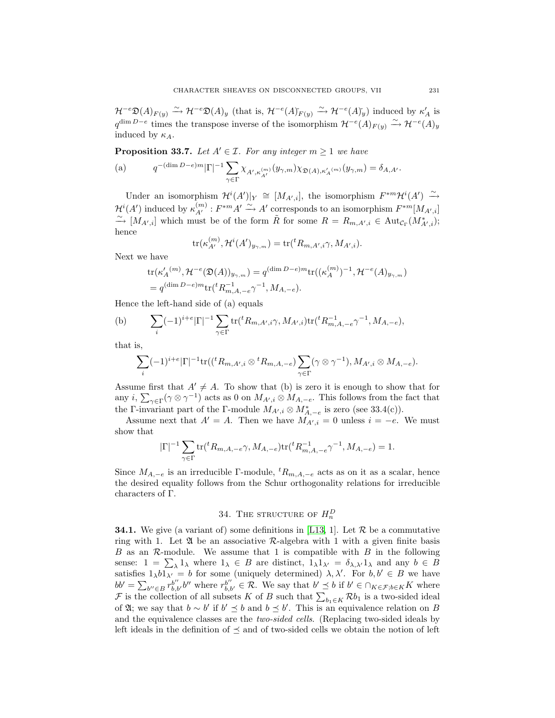$\mathcal{H}^{-e}\mathfrak{D}(A)_{F(y)} \xrightarrow{\sim} \mathcal{H}^{-e}\mathfrak{D}(A)_y$  (that is,  $\mathcal{H}^{-e}(A)_{F(y)}^{\sim} \xrightarrow{\sim} \mathcal{H}^{-e}(A)_y^{\sim}$ ) induced by  $\kappa'_A$  is  $q^{\dim D-e}$  times the transpose inverse of the isomorphism  $\mathcal{H}^{-e}(A)_{F(y)} \xrightarrow{\sim} \mathcal{H}^{-e}(A)_y$ induced by  $\kappa_A$ .

**Proposition 33.7.** Let  $A' \in \mathcal{I}$ . For any integer  $m \geq 1$  we have

$$
\text{(a)}\qquad \ \ q^{-(\dim D - e)m}|\Gamma|^{-1} \sum_{\gamma \in \Gamma} \chi_{A', \kappa_{A'}^{(m)}}(y_{\gamma, m}) \chi_{\mathfrak{D}(A), \kappa_A'(m)}(y_{\gamma, m}) = \delta_{A, A'}.
$$

Under an isomorphism  $\mathcal{H}^i(A')|_Y \cong [M_{A',i}]$ , the isomorphism  $F^{*m}\mathcal{H}^i(A') \stackrel{\sim}{\rightarrow}$  $\mathcal{H}^{i}(A')$  induced by  $\kappa_{A'}^{(m)}: F^{*m}A' \xrightarrow{\sim} A'$  corresponds to an isomorphism  $F^{*m}[M_{A',i}]$ <br>  $\sim$   $M_{-1}$  which wust be of the form  $\tilde{P}$  for some  $P_{-1}$  $\stackrel{\sim}{\longrightarrow} [M_{A',i}]$  which must be of the form  $\tilde{R}$  for some  $R = R_{m,A',i} \in Aut_{\mathcal{C}_{\Gamma}}(M^*_{A',i});$ hence

$$
\operatorname{tr}(\kappa_{A'}^{(m)},\mathcal{H}^i(A')_{y_{\gamma,m}})=\operatorname{tr}({}^tR_{m,A',i}\gamma,M_{A',i}).
$$

Next we have

$$
tr(\kappa'_A{}^{(m)}, \mathcal{H}^{-e}(\mathfrak{D}(A))_{y_{\gamma,m}}) = q^{(\dim D - e)m} tr((\kappa_A^{(m)})^{-1}, \mathcal{H}^{-e}(A)_{y_{\gamma,m}})
$$
  
=  $q^{(\dim D - e)m} tr({}^t R_{m,A,-e}^{-1}, M_{A,-e}).$ 

Hence the left-hand side of (a) equals

(b) 
$$
\sum_{i} (-1)^{i+e} |\Gamma|^{-1} \sum_{\gamma \in \Gamma} \text{tr}({}^{t}R_{m,A',i}\gamma, M_{A',i}) \text{tr}({}^{t}R_{m,A,-e}^{-1}, M_{A,-e}),
$$

that is,

$$
\sum_{i} (-1)^{i+e} |\Gamma|^{-1} \text{tr}(({}^t R_{m,A',i} \otimes {}^t R_{m,A,-e}) \sum_{\gamma \in \Gamma} (\gamma \otimes \gamma^{-1}), M_{A',i} \otimes M_{A,-e}).
$$

Assume first that  $A' \neq A$ . To show that (b) is zero it is enough to show that for any i,  $\sum_{\gamma \in \Gamma} (\gamma \otimes \gamma^{-1})$  acts as 0 on  $M_{A',i} \otimes M_{A,-e}$ . This follows from the fact that the Γ-invariant part of the Γ-module  $M_{A',i} \otimes M^*_{A,-e}$  is zero (see 33.4(c)).

Assume next that  $A' = A$ . Then we have  $M_{A',i} = 0$  unless  $i = -e$ . We must show that

$$
|\Gamma|^{-1}\sum_{\gamma\in\Gamma}\mathrm{tr}({}^tR_{m,A,-e}\gamma,M_{A,-e})\mathrm{tr}({}^tR_{m,A,-e}^{-1}\gamma^{-1},M_{A,-e})=1.
$$

Since  $M_{A,-e}$  is an irreducible Γ-module,  ${}^{t}R_{m,A,-e}$  acts as on it as a scalar, hence the desired equality follows from the Schur orthogonality relations for irreducible characters of Γ.

# 34. THE STRUCTURE OF  $H_n^D$

**34.1.** We give (a variant of) some definitions in [\[L13,](#page-57-5) 1]. Let  $\mathcal{R}$  be a commutative ring with 1. Let  $\mathfrak A$  be an associative R-algebra with 1 with a given finite basis  $B$  as an  $\mathcal{R}$ -module. We assume that 1 is compatible with  $B$  in the following sense:  $1 = \sum_{\lambda} 1_{\lambda}$  where  $1_{\lambda} \in B$  are distinct,  $1_{\lambda} 1_{\lambda'} = \delta_{\lambda, \lambda'} 1_{\lambda}$  and any  $b \in B$ satisfies  $1_{\lambda}b1_{\lambda'}=b$  for some (uniquely determined)  $\lambda, \lambda'$ . For  $b, b' \in B$  we have  $bb' = \sum_{b'' \in B} r_{b,b'}^{b''} b''$  where  $r_{b,b'}^{b''} \in \mathcal{R}$ . We say that  $b' \preceq b$  if  $b' \in \bigcap_{K \in \mathcal{F}, b \in K} K$  where F is the collection of all subsets K of B such that  $\sum_{b_1 \in K} Rb_1$  is a two-sided ideal of  $\mathfrak{A}$ ; we say that  $b \sim b'$  if  $b' \preceq b$  and  $b \preceq b'$ . This is an equivalence relation on B and the equivalence classes are the *two-sided cells*. (Replacing two-sided ideals by left ideals in the definition of  $\preceq$  and of two-sided cells we obtain the notion of left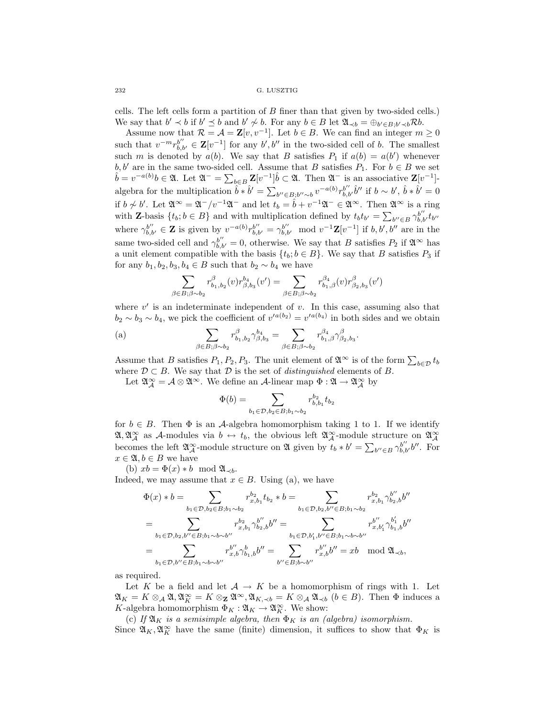cells. The left cells form a partition of B finer than that given by two-sided cells.) We say that  $b' \prec b$  if  $b' \preceq b$  and  $b' \not\sim b$ . For any  $b \in B$  let  $\mathfrak{A}_{\prec b} = \bigoplus_{b' \in B; b' \prec b} \mathcal{R}b$ .

Assume now that  $\mathcal{R} = \mathcal{A} = \mathbf{Z}[v, v^{-1}]$ . Let  $b \in B$ . We can find an integer  $m \geq 0$ such that  $v^{-m}r_{b,b'}^{b''} \in \mathbf{Z}[v^{-1}]$  for any  $b', b''$  in the two-sided cell of b. The smallest such m is denoted by  $a(b)$ . We say that B satisfies  $P_1$  if  $a(b) = a(b')$  whenever  $b, b'$  are in the same two-sided cell. Assume that B satisfies  $P_1$ . For  $b \in B$  we set b, b' are in the same two-sided cell. Assume that B satisfies  $P_1$ . For  $b \in B$  we set  $\hat{b} = v^{-a(b)}b \in \mathfrak{A}$ . Let  $\mathfrak{A}^- = \sum_{b \in B} \mathbf{Z}[v^{-1}]\hat{b} \subset \mathfrak{A}$ . Then  $\mathfrak{A}^-$  is an associative  $\mathbf{Z}[v^{-1}]$ algebra for the multiplication  $\hat{b} * \hat{b}' = \sum_{b'' \in B; b'' \sim b} v^{-a(b)} r_{b,b'}^{b''} \hat{b}''$  if  $b \sim b', \hat{b} * \hat{b}' = 0$ if  $b \nsim b'$ . Let  $\mathfrak{A}^{\infty} = \mathfrak{A}^{-}/v^{-1}\mathfrak{A}^{-}$  and let  $t_{b} = \hat{b} + v^{-1}\mathfrak{A}^{-} \in \mathfrak{A}^{\infty}$ . Then  $\mathfrak{A}^{\infty}$  is a ring with **Z**-basis  $\{t_b; b \in B\}$  and with multiplication defined by  $t_b t_{b'} = \sum_{b'' \in B} \gamma_{b,b'}^{b''} t_{b''}$ where  $\gamma_{b,b'}^{b''} \in \mathbf{Z}$  is given by  $v^{-a(b)} r_{b,b'}^{b''} = \gamma_{b,b'}^{b''} \mod v^{-1} \mathbf{Z}[v^{-1}]$  if  $b, b', b''$  are in the same two-sided cell and  $\gamma_{b,b'}^{b''}=0$ , otherwise. We say that B satisfies  $P_2$  if  $\mathfrak{A}^{\infty}$  has a unit element compatible with the basis  $\{t_b; b \in B\}$ . We say that B satisfies  $P_3$  if for any  $b_1, b_2, b_3, b_4 \in B$  such that  $b_2 \sim b_4$  we have

$$
\sum_{\beta \in B; \beta \sim b_2} r^{\beta}_{b_1, b_2}(v) r^{\beta_4}_{\beta, b_3}(v') = \sum_{\beta \in B; \beta \sim b_2} r^{\beta_4}_{b_1, \beta}(v) r^{\beta}_{\beta_2, b_3}(v')
$$

where  $v'$  is an indeterminate independent of  $v$ . In this case, assuming also that  $b_2 \sim b_3 \sim b_4$ , we pick the coefficient of  $v'^{a(b_2)} = v'^{a(b_4)}$  in both sides and we obtain

(a) 
$$
\sum_{\beta \in B; \beta \sim b_2} r^{\beta}_{b_1, b_2} \gamma^{\beta_4}_{\beta, b_3} = \sum_{\beta \in B; \beta \sim b_2} r^{\beta_4}_{b_1, \beta} \gamma^{\beta}_{\beta_2, b_3}.
$$

Assume that B satisfies  $P_1, P_2, P_3$ . The unit element of  $\mathfrak{A}^{\infty}$  is of the form  $\sum_{b \in \mathcal{D}} t_b$ where  $\mathcal{D} \subset B$ . We say that  $\mathcal{D}$  is the set of *distinguished* elements of B.

Let  $\mathfrak{A}^{\infty}_{\mathcal{A}} = \mathcal{A} \otimes \mathfrak{A}^{\infty}$ . We define an  $\mathcal{A}$ -linear map  $\Phi : \mathfrak{A} \to \mathfrak{A}^{\infty}_{\mathcal{A}}$  by

$$
\Phi(b) = \sum_{b_1 \in \mathcal{D}, b_2 \in B; b_1 \sim b_2} r_{b, b_1}^{b_2} t_{b_2}
$$

for  $b \in B$ . Then  $\Phi$  is an A-algebra homomorphism taking 1 to 1. If we identify  $\mathfrak{A}, \mathfrak{A}^{\infty}_{\mathcal{A}}$  as A-modules via  $b \leftrightarrow t_b$ , the obvious left  $\mathfrak{A}^{\infty}_{\mathcal{A}}$ -module structure on  $\mathfrak{A}^{\infty}_{\mathcal{A}}$ becomes the left  $\mathfrak{A}^{\infty}_{\mathcal{A}}$ -module structure on  $\mathfrak{A}$  given by  $t_b * b' = \sum_{b'' \in B} \gamma_{b,b'}^{b''} b''$ . For  $x \in \mathfrak{A}, b \in B$  we have

(b)  $xb = \Phi(x) * b \mod \mathfrak{A}_{\prec b}$ .

Indeed, we may assume that  $x \in B$ . Using (a), we have

$$
\Phi(x) * b = \sum_{b_1 \in \mathcal{D}, b_2 \in B; b_1 \sim b_2} r_{x, b_1}^{b_2} t_{b_2} * b = \sum_{b_1 \in \mathcal{D}, b_2, b'' \in B; b_1 \sim b_2} r_{x, b_1}^{b_2} \gamma_{b_2, b}^{b''} b''
$$
\n
$$
= \sum_{b_1 \in \mathcal{D}, b_2, b'' \in B; b_1 \sim b \sim b''} r_{x, b_1}^{b_2} \gamma_{b_2, b}^{b''} b'' = \sum_{b_1 \in \mathcal{D}, b'_1, b'' \in B; b_1 \sim b \sim b''} r_{x, b'_1}^{b''} \gamma_{b_1, b}^{b'_1} b''
$$
\n
$$
= \sum_{b_1 \in \mathcal{D}, b'' \in B; b_1 \sim b \sim b''} r_{x, b}^{b''} \gamma_{b_1, b}^{b} b'' = \sum_{b'' \in B; b \sim b''} r_{x, b}^{b''} b'' = xb \mod \mathfrak{A}_{\prec b},
$$

as required.

Let K be a field and let  $A \to K$  be a homomorphism of rings with 1. Let  $\mathfrak{A}_K = K \otimes_{\mathcal{A}} \mathfrak{A}, \mathfrak{A}_K^{\infty} = K \otimes_{\mathbf{Z}} \mathfrak{A}^{\infty}, \mathfrak{A}_{K, \prec b} = K \otimes_{\mathcal{A}} \mathfrak{A}_{\prec b} \quad (b \in B)$ . Then  $\Phi$  induces a K-algebra homomorphism  $\Phi_K : \mathfrak{A}_K \to \mathfrak{A}_K^{\infty}$ . We show:

(c) If  $\mathfrak{A}_K$  *is a semisimple algebra, then*  $\Phi_K$  *is an (algebra) isomorphism.* Since  $\mathfrak{A}_K, \mathfrak{A}_K^{\infty}$  have the same (finite) dimension, it suffices to show that  $\Phi_K$  is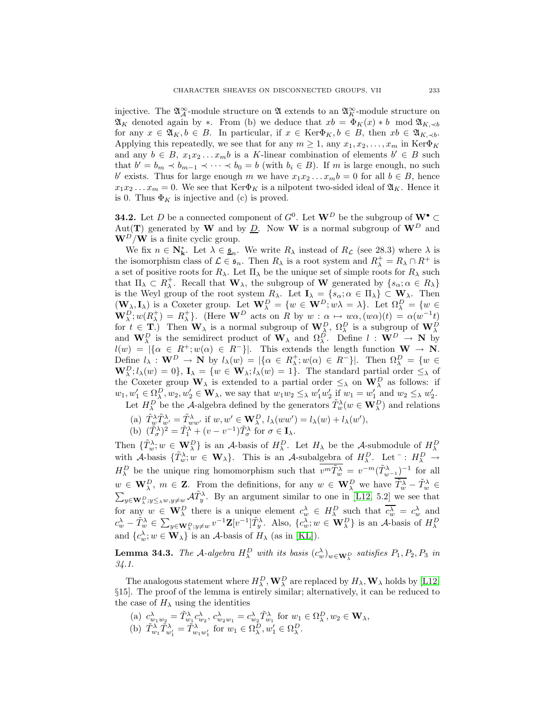injective. The  $\mathfrak{A}^{\infty}_{\mathcal{A}}$ -module structure on  $\mathfrak{A}$  extends to an  $\mathfrak{A}^{\infty}_{K}$ -module structure on  $\mathfrak{A}_K$  denoted again by ∗. From (b) we deduce that  $xb = \Phi_K(x) * b \mod \mathfrak{A}_{K, \preceq b}$ for any  $x \in \mathfrak{A}_K, b \in B$ . In particular, if  $x \in \text{Ker}\Phi_K, b \in B$ , then  $xb \in \mathfrak{A}_{K,\preceq b}$ . Applying this repeatedly, we see that for any  $m \geq 1$ , any  $x_1, x_2, \ldots, x_m$  in Ker $\Phi_K$ and any  $b \in B$ ,  $x_1x_2...x_mb$  is a K-linear combination of elements  $b' \in B$  such that  $b' = b_m \prec b_{m-1} \prec \cdots \prec b_0 = b$  (with  $b_i \in B$ ). If m is large enough, no such b' exists. Thus for large enough m we have  $x_1x_2...x_mb = 0$  for all  $b \in B$ , hence  $x_1x_2...x_m = 0$ . We see that  $\text{Ker}\Phi_K$  is a nilpotent two-sided ideal of  $\mathfrak{A}_K$ . Hence it is 0. Thus  $\Phi_K$  is injective and (c) is proved.

**34.2.** Let D be a connected component of  $G^0$ . Let  $\mathbf{W}^D$  be the subgroup of  $\mathbf{W}^{\bullet} \subset$ Aut(**T**) generated by **W** and by  $\underline{D}$ . Now **W** is a normal subgroup of  $\mathbf{W}^D$  and  $\mathbf{W}^D/\mathbf{W}$  is a finite cyclic group.

We fix  $n \in \mathbb{N}_k^*$ . Let  $\lambda \in \underline{\mathfrak{s}}_n$ . We write  $R_\lambda$  instead of  $R_\mathcal{L}$  (see 28.3) where  $\lambda$  is the isomorphism class of  $\mathcal{L} \in \mathfrak{s}_n$ . Then  $R_\lambda$  is a root system and  $R_\lambda^+ = R_\lambda \cap R^+$  is a set of positive roots for  $R_{\lambda}$ . Let  $\Pi_{\lambda}$  be the unique set of simple roots for  $R_{\lambda}$  such that  $\Pi_{\lambda} \subset R_{\lambda}^+$ . Recall that  $\mathbf{W}_{\lambda}$ , the subgroup of **W** generated by  $\{s_{\alpha}; \alpha \in R_{\lambda}\}\$ is the Weyl group of the root system  $R_{\lambda}$ . Let  $I_{\lambda} = \{s_{\alpha}; \alpha \in \Pi_{\lambda}\} \subset \mathbf{W}_{\lambda}$ . Then  $(\mathbf{W}_{\lambda}, \mathbf{I}_{\lambda})$  is a Coxeter group. Let  $\mathbf{W}_{\lambda}^{D} = \{w \in \mathbf{W}^{D}; w\lambda = \lambda\}$ . Let  $\Omega_{\lambda}^{D} = \{w \in \mathbf{W}_{\lambda}^{D}\}$  $\mathbf{W}_{\lambda}^{D}$ ;  $w(R_{\lambda}^{+}) = R_{\lambda}^{+}$ . (Here  $\mathbf{W}^{D}$  acts on R by  $w : \alpha \mapsto w\alpha$ ,  $(w\alpha)(t) = \alpha(w^{-1}t)$ for  $t \in \mathbf{T}$ .) Then  $\mathbf{W}_{\lambda}$  is a normal subgroup of  $\mathbf{W}_{\lambda}^{D}$ ,  $\Omega_{\lambda}^{D}$  is a subgroup of  $\mathbf{W}_{\lambda}^{D}$  and  $\mathbf{W}_{\lambda}^{D}$  is the semidirect product of  $\mathbf{W}_{\lambda}$  and  $\Omega_{\lambda}^{D}$ . Define  $l : \mathbf{W}^{D} \to \mathbf{N$  $l(w) = \begin{cases} \n\lambda(w) < \lambda \in [R^+; w(\alpha)] \in [R^-; k] \n\end{cases}$ . This extends the length function  $\mathbf{W} \to \mathbf{N}$ . Define  $l_{\lambda}$ : **W**<sup>D</sup>  $\rightarrow$  **N** by  $l_{\lambda}(w) = |\{\alpha \in R_{\lambda}^+; w(\alpha) \in R^-\}|$ . Then  $\Omega_{\lambda}^D = \{w \in$  $\mathbf{W}_{\lambda}^{D}$ ;  $l_{\lambda}(w)=0$ ,  $\mathbf{I}_{\lambda} = \{w \in \mathbf{W}_{\lambda}; l_{\lambda}(w)=1\}$ . The standard partial order  $\leq_{\lambda}$  of the Coxeter group  $W_{\lambda}$  is extended to a partial order  $\leq_{\lambda}$  on  $W_{\lambda}^{D}$  as follows: if  $w_1, w'_1 \in \Omega_\lambda^D, w_2, w'_2 \in \mathbf{W}_\lambda$ , we say that  $w_1w_2 \leq_\lambda w'_1w'_2$  if  $w_1 = w'_1$  and  $w_2 \leq_\lambda w'_2$ .

- Let  $H_{\lambda}^D$  be the A-algebra defined by the generators  $\tilde{T}_w^{\lambda}(w \in \mathbf{W}_{\lambda}^D)$  and relations
- (a)  $\tilde{T}_{w}^{\lambda} \tilde{T}_{w'}^{\lambda} = \tilde{T}_{ww'}^{\lambda}$  if  $w, w' \in \mathbf{W}_{\lambda}^{D}, l_{\lambda}(ww') = l_{\lambda}(w) + l_{\lambda}(w'),$ (b)  $(\tilde{T}_{\sigma}^{\lambda})^2 = \tilde{T}_{1}^{\lambda} + (v - v^{-1}) \tilde{T}_{\sigma}^{\lambda}$  for  $\sigma \in \mathbf{I}_{\lambda}$ .

Then  $\{\tilde{T}_w^{\lambda}: w \in \mathbf{W}_{\lambda}^D\}$  is an A-basis of  $H_{\lambda}^D$ . Let  $H_{\lambda}$  be the A-submodule of  $H_{\lambda}^D$ with A-basis  $\{\tilde{T}_w^{\lambda}; w \in \mathbf{W}_{\lambda}\}\$ . This is an A-subalgebra of  $H_{\lambda}^D$ . Let  $\overline{\phantom{a}}: H_{\lambda}^D \to$  $H^D_\lambda$  be the unique ring homomorphism such that  $\overline{v^m \tilde{T}^{\lambda}_w} = v^{-m} (\tilde{T}^{\lambda}_{w-1})^{-1}$  for all  $w \in \mathbf{W}_{\lambda}^D$ ,  $m \in \mathbf{Z}$ . From the definitions, for any  $w \in \mathbf{W}_{\lambda}^D$  we have  $\tilde{T}_w^{\lambda} - \tilde{T}_w^{\lambda} \in$  $\sum_{y\in\mathbf{W}_{\lambda}^D; y\leq_\lambda w, y\neq w} \mathcal{A} \tilde{T}_y^{\lambda}$ . By an argument similar to one in [\[L12,](#page-57-3) 5.2] we see that for any  $w \in \mathbf{W}_{\lambda}^D$  there is a unique element  $c_w^{\lambda} \in H_{\lambda}^D$  such that  $\overline{c_w^{\lambda}} = c_w^{\lambda}$  and  $c_w^{\lambda} - \tilde{T}_w^{\lambda} \in \sum_{y \in \mathbf{W}_\lambda^D; y \neq w} v^{-1} \mathbf{Z} [v^{-1}] \tilde{T}_y^{\lambda}$ . Also,  $\{c_w^{\lambda}; w \in \mathbf{W}_\lambda^D\}$  is an A-basis of  $H_{\lambda}^D$ and  $\{c_w^{\lambda}; w \in \mathbf{W}_{\lambda}\}\$ is an A-basis of  $H_{\lambda}$  (as in [\[KL\]](#page-57-6)).

**Lemma 34.3.** *The A-algebra*  $H_{\lambda}^{D}$  *with its basis*  $(c_{w}^{\lambda})_{w \in \mathbf{W}_{\lambda}^{D}}$  *satisfies*  $P_1, P_2, P_3$  *in 34.1.*

The analogous statement where  $H_{\lambda}^D$ ,  $\mathbf{W}_{\lambda}^D$  are replaced by  $H_{\lambda}$ ,  $\mathbf{W}_{\lambda}$  holds by [\[L12,](#page-57-3) §15]. The proof of the lemma is entirely similar; alternatively, it can be reduced to the case of  $H_{\lambda}$  using the identities

(a)  $c_{w_1w_2}^{\lambda} = \tilde{T}_{w_1}^{\lambda} c_{w_2}^{\lambda}, c_{w_2w_1}^{\lambda} = c_{w_2}^{\lambda} \tilde{T}_{w_1}^{\lambda}$  for  $w_1 \in \Omega_\lambda^D, w_2 \in \mathbf{W}_\lambda$ , (b)  $\tilde{T}_{w_1}^{\lambda} \tilde{T}_{w'_1}^{\lambda} = \tilde{T}_{w_1 w'_1}^{\lambda}$  for  $w_1 \in \Omega_\lambda^D, w'_1 \in \Omega_\lambda^D$ .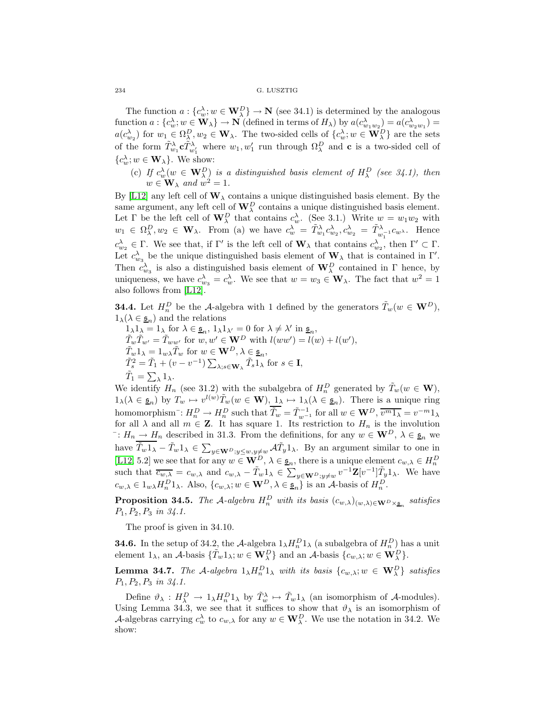The function  $a: \{c_w^{\lambda}; w \in \mathbf{W}_{\lambda}^D\} \to \mathbf{N}$  (see 34.1) is determined by the analogous function  $a: \{c_w^{\lambda}; w \in \mathbf{W}_{\lambda}\} \to \mathbf{N}$  (defined in terms of  $H_{\lambda}$ ) by  $a(c_{w_1w_2}^{\lambda}) = a(c_{w_2w_1}^{\lambda}) =$  $a(c_{w_2}^{\lambda})$  for  $w_1 \in \Omega_\lambda^D, w_2 \in \mathbf{W}_{\lambda}$ . The two-sided cells of  $\{c_w^{\lambda}; w \in \mathbf{W}_{\lambda}^D\}$  are the sets of the form  $\tilde{T}_{w_1}^{\lambda}$ **c** $\tilde{T}_{w'_1}^{\lambda}$  where  $w_1, w'_1$  run through  $\Omega_\lambda^D$  and **c** is a two-sided cell of  ${c_w^{\lambda}}; w \in \mathbf{W}_{\lambda}$ . We show:

(c) If  $c_w^{\lambda}(w \in \mathbf{W}_{\lambda}^D)$  is a distinguished basis element of  $H_{\lambda}^D$  (see 34.1), then  $w \in W_{\lambda}$  and  $\hat{w}^2 = 1$ .

By [\[L12\]](#page-57-3) any left cell of  $\mathbf{W}_{\lambda}$  contains a unique distinguished basis element. By the same argument, any left cell of  $\mathbf{W}_{\lambda}^D$  contains a unique distinguished basis element. Let  $\Gamma$  be the left cell of  $\mathbf{W}_{\lambda}^D$  that contains  $c_w^{\lambda}$ . (See 3.1.) Write  $w = w_1w_2$  with  $w_1 \in \Omega_\lambda^D, w_2 \in \mathbf{W}_\lambda$ . From (a) we have  $c_w^\lambda = \tilde{T}_{w_1}^\lambda c_{w_2}^\lambda, c_{w_2}^\lambda = \tilde{T}_{w_1^{-1}}^\lambda c_{w^\lambda}$ . Hence  $c_{w_2}^{\lambda} \in \Gamma$ . We see that, if  $\Gamma'$  is the left cell of  $\mathbf{W}_{\lambda}$  that contains  $c_{w_2}^{\lambda}$ , then  $\Gamma' \subset \Gamma$ . Let  $c_{w_3}^{\lambda}$  be the unique distinguished basis element of  $\mathbf{W}_{\lambda}$  that is contained in Γ'. Then  $c_{w_3}^{\lambda}$  is also a distinguished basis element of  $\mathbf{W}_{\lambda}^D$  contained in  $\Gamma$  hence, by uniqueness, we have  $c_{w_3}^{\lambda} = c_w^{\lambda}$ . We see that  $w = w_3 \in \mathbf{W}_{\lambda}$ . The fact that  $w^2 = 1$ also follows from [\[L12\]](#page-57-3).

**34.4.** Let  $H_n^D$  be the A-algebra with 1 defined by the generators  $\tilde{T}_w(w \in \mathbf{W}^D)$ ,  $1_\lambda(\lambda \in \underline{\mathfrak{s}}_n)$  and the relations

 $1_{\lambda}1_{\lambda} = 1_{\lambda}$  for  $\lambda \in \underline{\mathfrak{s}}_n, 1_{\lambda}1_{\lambda'} = 0$  for  $\lambda \neq \lambda'$  in  $\underline{\mathfrak{s}}_n$ ,  $\tilde{T}_w \tilde{T}_{w'} = \tilde{T}_{ww'}$  for  $w, w' \in \mathbf{W}^D$  with  $l(ww') = l(w) + l(w'),$  $\tilde{T}_w 1_\lambda = 1_{w\lambda} \tilde{T}_w$  for  $w \in \mathbf{W}^D, \lambda \in \underline{\mathfrak{s}}_n$ ,  $\tilde{T}_s^2 = \tilde{T}_1 + (v - v^{-1}) \sum_{\lambda; s \in \mathbf{W}_{\lambda}} \tilde{T}_s \mathbf{1}_{\lambda}^{\top}$  for  $s \in \mathbf{I}$ ,  $\tilde{T}_1 = \sum_{\lambda} 1_{\lambda}.$ 

We identify  $H_n$  (see 31.2) with the subalgebra of  $H_n^D$  generated by  $\tilde{T}_w(w \in \mathbf{W})$ ,  $1_{\lambda}(\lambda \in \underline{\mathfrak{s}}_n)$  by  $T_w \mapsto v^{l(w)} \tilde{T}_w(w \in \mathbf{W}), 1_{\lambda} \mapsto 1_{\lambda}(\lambda \in \underline{\mathfrak{s}}_n)$ . There is a unique ring homomorphism<sup>-</sup>:  $H_n^D \to H_n^D$  such that  $\overline{\tilde{T}_w} = \tilde{T}_{w^{-1}}^{-1}$  for all  $w \in \mathbf{W}^D$ ,  $\overline{v^m 1_\lambda} = v^{-m} 1_\lambda$ for all  $\lambda$  and all  $m \in \mathbb{Z}$ . It has square 1. Its restriction to  $H_n$  is the involution  $\overline{C}: H_n \longrightarrow H_n$  described in 31.3. From the definitions, for any  $w \in \mathbf{W}^D$ ,  $\lambda \in \underline{\mathfrak{s}}_n$  we have  $\tilde{T}_w 1_\lambda - \tilde{T}_w 1_\lambda \in \sum_{y \in \mathbf{W}^D; y \leq w, y \neq w} \mathcal{A} \tilde{T}_y 1_\lambda$ . By an argument similar to one in [\[L12,](#page-57-3) 5.2] we see that for any  $w \in \mathbf{W}^D$ ,  $\lambda \in \underline{\mathfrak{s}}_n$ , there is a unique element  $c_{w,\lambda} \in H_n^D$ such that  $\overline{c_{w,\lambda}} = c_{w,\lambda}$  and  $c_{w,\lambda} - \tilde{T}_w 1_\lambda \in \sum_{y \in \mathbf{W}^D; y \neq w} v^{-1} \mathbf{Z} [v^{-1}] \tilde{T}_y 1_\lambda$ . We have  $c_{w,\lambda} \in 1_{w\lambda} H_n^D 1_{\lambda}$ . Also,  $\{c_{w,\lambda}; w \in \mathbf{W}^D, \lambda \in \underline{\mathfrak{s}}_n\}$  is an A-basis of  $H_n^D$ .

**Proposition 34.5.** *The* A-algebra  $H_n^D$  with its basis  $(c_{w,\lambda})_{(w,\lambda) \in \mathbf{W}^D \times_{\mathfrak{S}_n}}$  satisfies P1, P2, P<sup>3</sup> *in 34.1.*

The proof is given in 34.10.

**34.6.** In the setup of 34.2, the A-algebra  $1_{\lambda}H_n^D1_{\lambda}$  (a subalgebra of  $H_n^D$ ) has a unit element  $1_\lambda$ , an A-basis  $\{\tilde{T}_w 1_\lambda; w \in \mathbf{W}_{\lambda}^D\}$  and an A-basis  $\{c_{w,\lambda}; w \in \mathbf{W}_{\lambda}^D\}$ .

**Lemma 34.7.** *The* A-algebra  $1_{\lambda}H_n^D1_{\lambda}$  *with its basis*  $\{c_{w,\lambda}; w \in \mathbf{W}_{\lambda}^D\}$  *satisfies* P1, P2, P<sup>3</sup> *in 34.1.*

Define  $\vartheta_{\lambda}: H_{\lambda}^{D} \to 1_{\lambda} H_{n}^{D} 1_{\lambda}$  by  $\tilde{T}_{w}^{\lambda} \mapsto \tilde{T}_{w} 1_{\lambda}$  (an isomorphism of A-modules). Using Lemma 34.3, we see that it suffices to show that  $\vartheta_{\lambda}$  is an isomorphism of A-algebras carrying  $c_w^{\lambda}$  to  $c_{w,\lambda}$  for any  $w \in \mathbf{W}_{\lambda}^D$ . We use the notation in 34.2. We show: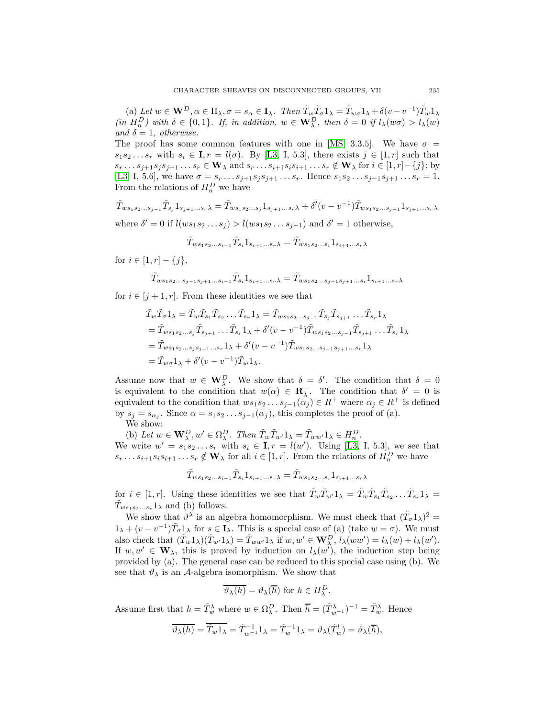(a) Let  $w \in \mathbf{W}^D$ ,  $\alpha \in \Pi_{\lambda}$ ,  $\sigma = s_{\alpha} \in \mathbf{I}_{\lambda}$ . Then  $\tilde{T}_w \tilde{T}_{\sigma} 1_{\lambda} = \tilde{T}_{w\sigma} 1_{\lambda} + \delta(v - v^{-1}) \tilde{T}_w 1_{\lambda}$  $(in H_n^D)$  with  $\delta \in \{0,1\}$ . If, in addition,  $w \in \mathbf{W}_{\lambda}^D$ , then  $\delta = 0$  if  $l_{\lambda}(w\sigma) > l_{\lambda}(w)$ *and*  $\delta = 1$ *, otherwise.* 

The proof has some common features with one in [\[MS,](#page-57-7) 3.3.5]. We have  $\sigma =$  $s_1s_2...s_r$  with  $s_i \in \mathbf{I}, r = l(\sigma)$ . By [\[L3,](#page-57-2) I, 5.3], there exists  $j \in [1, r]$  such that  $s_r \ldots s_{j+1} s_j s_{j+1} \ldots s_r \in \mathbf{W}_{\lambda}$  and  $s_r \ldots s_{i+1} s_i s_{i+1} \ldots s_r \notin \mathbf{W}_{\lambda}$  for  $i \in [1, r] - \{j\}$ ; by [\[L3,](#page-57-2) I, 5.6], we have  $\sigma = s_r \dots s_{j+1} s_j s_{j+1} \dots s_r$ . Hence  $s_1 s_2 \dots s_{j-1} s_{j+1} \dots s_r = 1$ . From the relations of  $H_n^D$  we have

 $\tilde{T}_{ws_1s_2...s_{j-1}}\tilde{T}_{s_j}1_{s_{j+1}...s_r\lambda} = \tilde{T}_{ws_1s_2...s_j}1_{s_{j+1}...s_r\lambda} + \delta'(v-v^{-1})\tilde{T}_{ws_1s_2...s_{j-1}}1_{s_{j+1}...s_r\lambda}$ where  $\delta' = 0$  if  $l(ws_1s_2...s_j) > l(ws_1s_2...s_{j-1})$  and  $\delta' = 1$  otherwise,

$$
\tilde{T}_{ws_1s_2...s_{i-1}}\tilde{T}_{s_i}1_{s_{i+1}...s_r\lambda}=\tilde{T}_{ws_1s_2...s_i}1_{s_{i+1}...s_r\lambda}
$$

for  $i \in [1, r] - \{j\},\$ 

$$
\tilde{T}_{ws_1s_2...s_{j-1}s_{j+1}...s_{i-1}}\tilde{T}_{s_i}1_{s_{i+1}...s_r\lambda}=\tilde{T}_{ws_1s_2...s_{j-1}s_{j+1}...s_i}1_{s_{i+1}...s_r\lambda}
$$

for  $i \in [j+1, r]$ . From these identities we see that

$$
\tilde{T}_{w}\tilde{T}_{\sigma}1_{\lambda} = \tilde{T}_{w}\tilde{T}_{s_{1}}\tilde{T}_{s_{2}}\dots\tilde{T}_{s_{r}}1_{\lambda} = \tilde{T}_{ws_{1}s_{2}\dots s_{j-1}}\tilde{T}_{s_{j}}\tilde{T}_{s_{j+1}}\dots\tilde{T}_{s_{r}}1_{\lambda}
$$
\n
$$
= \tilde{T}_{ws_{1}s_{2}\dots s_{j}}\tilde{T}_{s_{j+1}}\dots\tilde{T}_{s_{r}}1_{\lambda} + \delta'(v - v^{-1})\tilde{T}_{ws_{1}s_{2}\dots s_{j-1}}\tilde{T}_{s_{j+1}}\dots\tilde{T}_{s_{r}}1_{\lambda}
$$
\n
$$
= \tilde{T}_{ws_{1}s_{2}\dots s_{j}s_{j+1}\dots s_{r}}1_{\lambda} + \delta'(v - v^{-1})\tilde{T}_{ws_{1}s_{2}\dots s_{j-1}s_{j+1}\dots s_{r}}1_{\lambda}
$$
\n
$$
= \tilde{T}_{w\sigma}1_{\lambda} + \delta'(v - v^{-1})\tilde{T}_{w}1_{\lambda}.
$$

Assume now that  $w \in \mathbf{W}_{\lambda}^D$ . We show that  $\delta = \delta'$ . The condition that  $\delta = 0$ is equivalent to the condition that  $w(\alpha) \in \mathbb{R}^+_\lambda$ . The condition that  $\delta' = 0$  is equivalent to the condition that  $ws_1s_2 \ldots s_{j-1}(\alpha_j) \in R^+$  where  $\alpha_j \in R^+$  is defined by  $s_j = s_{\alpha_j}$ . Since  $\alpha = s_1 s_2 \dots s_{j-1}(\alpha_j)$ , this completes the proof of (a).

We show:

(b) Let  $w \in \mathbf{W}_{\lambda}^D, w' \in \Omega_{\lambda}^D$ . Then  $\tilde{T}_w \tilde{T}_{w'} 1_{\lambda} = \tilde{T}_{ww'} 1_{\lambda} \in H_n^D$ . We write  $w' = s_1 s_2 \dots s_r$  with  $s_i \in \mathbf{I}, r = l(w')$ . Using [\[L3,](#page-57-2) I, 5.3], we see that  $s_r \ldots s_{i+1} s_i s_{i+1} \ldots s_r \notin \mathbf{W}_{\lambda}$  for all  $i \in [1, r]$ . From the relations of  $H_n^D$  we have

$$
\tilde{T}_{ws_1s_2...s_{i-1}}\tilde{T}_{s_i}1_{s_{i+1}...s_r\lambda} = \tilde{T}_{ws_1s_2...s_i}1_{s_{i+1}...s_r\lambda}
$$

for  $i \in [1, r]$ . Using these identities we see that  $\tilde{T}_w \tilde{T}_{w'} 1_\lambda = \tilde{T}_w \tilde{T}_{s_1} \tilde{T}_{s_2} \dots \tilde{T}_{s_r} 1_\lambda =$  $\tilde{T}_{ws_1s_2...s_r}$  and (b) follows.

We show that  $\vartheta^{\lambda}$  is an algebra homomorphism. We must check that  $(\tilde{T}_{\sigma}1_{\lambda})^2$  =  $1_{\lambda} + (v - v^{-1})\tilde{T}_{\sigma}1_{\lambda}$  for  $s \in I_{\lambda}$ . This is a special case of (a) (take  $w = \sigma$ ). We must also check that  $(\tilde{T}_w 1_\lambda)(\tilde{T}_{w'} 1_\lambda) = \tilde{T}_{ww'} 1_\lambda$  if  $w, w' \in \mathbf{W}_\lambda^D$ ,  $l_\lambda(ww') = l_\lambda(w) + l_\lambda(w')$ . If  $w, w' \in \mathbf{W}_{\lambda}$ , this is proved by induction on  $l_{\lambda}(w')$ , the induction step being provided by (a). The general case can be reduced to this special case using (b). We see that  $\vartheta_{\lambda}$  is an A-algebra isomorphism. We show that

$$
\overline{\vartheta_\lambda(h)} = \vartheta_\lambda(\overline{h}) \text{ for } h \in H_\lambda^D.
$$

Assume first that  $h = \tilde{T}_w^{\lambda}$  where  $w \in \Omega_{\lambda}^D$ . Then  $\overline{h} = (\tilde{T}_{w^{-1}}^{\lambda})^{-1} = \tilde{T}_w^{\lambda}$ . Hence

$$
\overline{\vartheta_{\lambda}(h)} = \overline{\tilde{T}_{w}1_{\lambda}} = \tilde{T}_{w-1}^{-1}1_{\lambda} = \tilde{T}_{w}^{-1}1_{\lambda} = \vartheta_{\lambda}(\tilde{T}_{w}^{l}) = \vartheta_{\lambda}(\overline{h}),
$$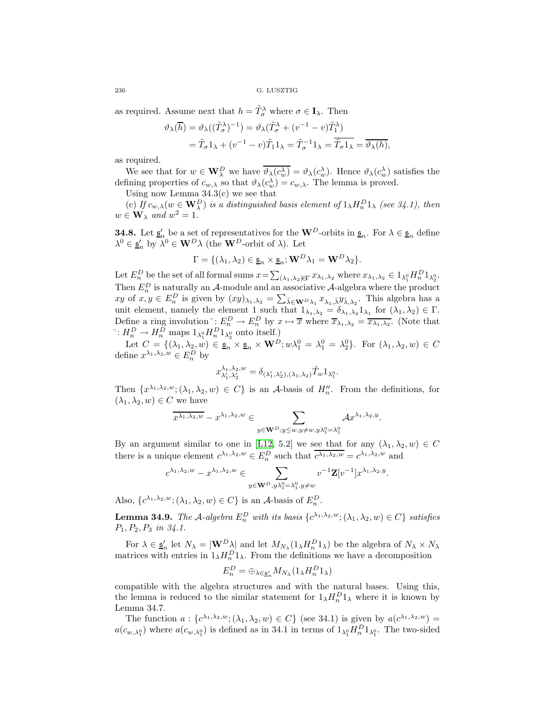as required. Assume next that  $h = \tilde{T}_{\sigma}^{\lambda}$  where  $\sigma \in I_{\lambda}$ . Then

$$
\vartheta_{\lambda}(\overline{h}) = \vartheta_{\lambda}((\tilde{T}_{\sigma}^{\lambda})^{-1}) = \vartheta_{\lambda}(\tilde{T}_{\sigma}^{\lambda} + (v^{-1} - v)\tilde{T}_{1}^{\lambda})
$$
  
=  $\tilde{T}_{\sigma}1_{\lambda} + (v^{-1} - v)\tilde{T}_{1}1_{\lambda} = \tilde{T}_{\sigma}^{-1}1_{\lambda} = \overline{\tilde{T}_{\sigma}1_{\lambda}} = \overline{\vartheta_{\lambda}(h)},$ 

as required.

We see that for  $w \in \mathbf{W}_{\lambda}^D$  we have  $\overline{\vartheta_{\lambda}(c_w^{\lambda})} = \vartheta_{\lambda}(c_w^{\lambda})$ . Hence  $\vartheta_{\lambda}(c_w^{\lambda})$  satisfies the defining properties of  $c_{w,\lambda}$  so that  $\vartheta_{\lambda}(c_w^{\lambda}) = c_{w,\lambda}$ . The lemma is proved.

Using now Lemma  $34.3(c)$  we see that

(c) If  $c_{w,\lambda}(w \in \mathbf{W}_{\lambda}^D)$  is a distinguished basis element of  $1_{\lambda}H_n^D1_{\lambda}$  (see 34.1), then  $w \in W_{\lambda}$  *and*  $w^2 = 1$ .

**34.8.** Let  $\underline{\mathfrak{s}}'_n$  be a set of representatives for the **W**<sup>D</sup>-orbits in  $\underline{\mathfrak{s}}_n$ . For  $\lambda \in \underline{\mathfrak{s}}_n$  define  $\lambda^0 \in \underline{\mathfrak{s}}_n'$  by  $\lambda^0 \in \mathbf{W}^D \lambda$  (the **W**<sup>D</sup>-orbit of  $\lambda$ ). Let

$$
\Gamma = \{(\lambda_1, \lambda_2) \in \underline{\mathfrak{s}}_n \times \underline{\mathfrak{s}}_n; \mathbf{W}^D \lambda_1 = \mathbf{W}^D \lambda_2\}.
$$

Let  $E_n^D$  be the set of all formal sums  $x = \sum_{(\lambda_1, \lambda_2) \in \Gamma} x_{\lambda_1, \lambda_2}$  where  $x_{\lambda_1, \lambda_2} \in 1_{\lambda_1^0} H_n^D 1_{\lambda_2^0}$ . Then  $E_n^D$  is naturally an A-module and an associative A-algebra where the product  $xy$  of  $x, y \in E_n^D$  is given by  $(xy)_{\lambda_1, \lambda_2} = \sum_{\tilde{\lambda} \in \mathbf{W}^D \lambda_1} x_{\lambda_1, \tilde{\lambda}} y_{\tilde{\lambda}, \lambda_2}$ . This algebra has a unit element, namely the element 1 such that  $1_{\lambda_1,\lambda_2} = \delta_{\lambda_1,\lambda_2} 1_{\lambda_1}$  for  $(\lambda_1,\lambda_2) \in \Gamma$ . Define a ring involution<sup>-</sup>:  $E_n^D \to E_n^D$  by  $x \mapsto \overline{x}$  where  $\overline{x}_{\lambda_1, \lambda_2} = \overline{x_{\lambda_1, \lambda_2}}$ . (Note that <sup>-</sup>:  $H_n^D \to H_n^D$  maps  $1_{\lambda_1^0} H_n^D 1_{\lambda_2^0}$  onto itself.)

Let  $C = \{(\lambda_1, \lambda_2, w) \in \underline{\mathfrak{s}}_n \times \underline{\mathfrak{s}}_n \times \mathbf{W}^D; w\lambda_1^0 = \lambda_1^0 = \lambda_2^0\}$ . For  $(\lambda_1, \lambda_2, w) \in C$ define  $x^{\lambda_1, \lambda_2, w} \in E_n^D$  by

$$
x_{\lambda'_1,\lambda'_2}^{\lambda_1,\lambda_2,w}=\delta_{(\lambda'_1,\lambda'_2),(\lambda_1,\lambda_2)}\tilde T_w1_{\lambda_1^0}.
$$

Then  $\{x^{\lambda_1,\lambda_2,w}$ ;  $(\lambda_1,\lambda_2,w)\in C\}$  is an A-basis of  $H''_n$ . From the definitions, for  $(\lambda_1, \lambda_2, w) \in C$  we have

$$
\overline{x^{\lambda_1, \lambda_2, w}} - x^{\lambda_1, \lambda_2, w} \in \sum_{y \in \mathbf{W}^D; y \leq w, y \neq w, y \lambda_1^0 = \lambda_1^0} \mathcal{A} x^{\lambda_1, \lambda_2, y}.
$$

By an argument similar to one in [\[L12,](#page-57-3) 5.2] we see that for any  $(\lambda_1, \lambda_2, w) \in C$ there is a unique element  $c^{\lambda_1, \lambda_2, w} \in E_n^D$  such that  $\overline{c^{\lambda_1, \lambda_2, w}} = c^{\lambda_1, \lambda_2, w}$  and

$$
c^{\lambda_1, \lambda_2, w}-x^{\lambda_1, \lambda_2, w}\in \sum_{y\in \mathbf{W}^D, y\lambda_1^0=\lambda_1^0, y\neq w}v^{-1}\mathbf{Z}[v^{-1}]x^{\lambda_1, \lambda_2, y}.
$$

Also,  $\{c^{\lambda_1, \lambda_2, w}; (\lambda_1, \lambda_2, w) \in C\}$  is an A-basis of  $E_n^D$ .

**Lemma 34.9.** *The* A-algebra  $E_n^D$  with its basis  $\{c^{\lambda_1, \lambda_2, w}; (\lambda_1, \lambda_2, w) \in C\}$  satisfies P1, P2, P<sup>3</sup> *in 34.1.*

For  $\lambda \in \underline{\mathfrak{s}}_n'$  let  $N_\lambda = |\mathbf{W}^D \lambda|$  and let  $M_{N_\lambda}(1_\lambda H_n^D 1_\lambda)$  be the algebra of  $N_\lambda \times N_\lambda$ matrices with entries in  $1_{\lambda}H_n^D1_{\lambda}$ . From the definitions we have a decomposition

$$
E_n^D = \oplus_{\lambda \in \underline{\mathfrak{s}}_n'} M_{N_\lambda} (1_\lambda H_n^D 1_\lambda)
$$

compatible with the algebra structures and with the natural bases. Using this, the lemma is reduced to the similar statement for  $1_{\lambda}H_n^D1_{\lambda}$  where it is known by Lemma 34.7.

The function  $a: \{c^{\lambda_1, \lambda_2, w}; (\lambda_1, \lambda_2, w) \in C\}$  (see 34.1) is given by  $a(c^{\lambda_1, \lambda_2, w}) =$  $a(c_{w,\lambda_1^0})$  where  $a(c_{w,\lambda_1^0})$  is defined as in 34.1 in terms of  $1_{\lambda_1^0}H_n^D1_{\lambda_1^0}$ . The two-sided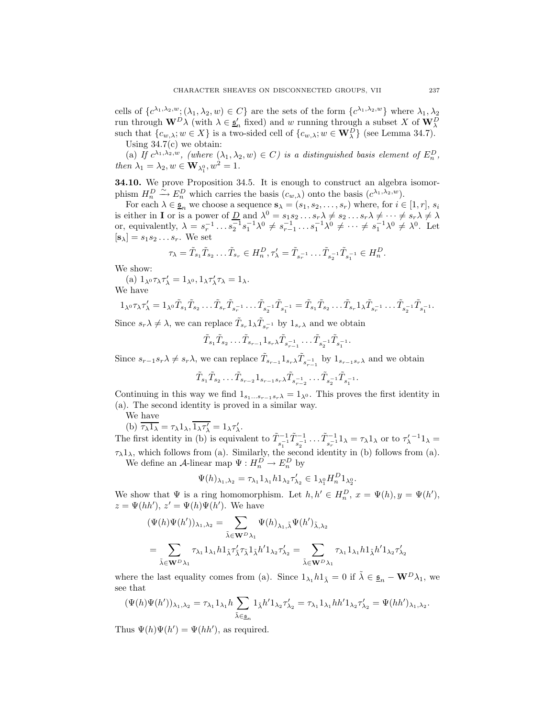cells of  ${c^{\lambda_1,\lambda_2,w}}; (\lambda_1,\lambda_2,w) \in C$  are the sets of the form  ${c^{\lambda_1,\lambda_2,w}}$  where  $\lambda_1,\lambda_2$ run through  $\mathbf{W}^D \lambda$  (with  $\lambda \in \underline{\mathfrak{s}}'_n$  fixed) and w running through a subset X of  $\mathbf{W}_\lambda^D$ such that  $\{c_{w,\lambda}; w \in X\}$  is a two-sided cell of  $\{c_{w,\lambda}; w \in \mathbf{W}_{\lambda}^D\}$  (see Lemma 34.7). Using 34.7(c) we obtain:

(a) If  $c^{\lambda_1, \lambda_2, w}$ , (where  $(\lambda_1, \lambda_2, w) \in C$ ) is a distinguished basis element of  $E_n^D$ , *then*  $\lambda_1 = \lambda_2, w \in \mathbf{W}_{\lambda_1^0}, w^2 = 1.$ 

**34.10.** We prove Proposition 34.5. It is enough to construct an algebra isomorphism  $H_n^D \xrightarrow{\sim} E_n^D$  which carries the basis  $(c_{w,\lambda})$  onto the basis  $(c^{\lambda_1,\lambda_2,w})$ .

For each  $\lambda \in \underline{\mathfrak{s}}_n$  we choose a sequence  $\mathbf{s}_{\lambda} = (s_1, s_2, \ldots, s_r)$  where, for  $i \in [1, r]$ ,  $s_i$ is either in **I** or is a power of <u>D</u> and  $\lambda^0 = s_1 s_2 \dots s_r \lambda \neq s_2 \dots s_r \lambda \neq \dots \neq s_r \lambda \neq \lambda$ or, equivalently,  $\lambda = s_r^{-1} \dots s_2^{-1} s_1^{-1} \lambda^0 \neq s_{r-1}^{-1} \dots s_1^{-1} \lambda^0 \neq \dots \neq s_1^{-1} \lambda^0 \neq \lambda^0$ . Let  $[\mathbf{s}_{\lambda}] = s_1 s_2 \dots s_r$ . We set

$$
\tau_{\lambda} = \tilde{T}_{s_1} \tilde{T}_{s_2} \dots \tilde{T}_{s_r} \in H_n^D, \tau_{\lambda}' = \tilde{T}_{s_r^{-1}} \dots \tilde{T}_{s_2^{-1}} \tilde{T}_{s_1^{-1}} \in H_n^D.
$$

We show:

(a) 
$$
1_{\lambda^0} \tau_{\lambda} \tau'_{\lambda} = 1_{\lambda^0}, 1_{\lambda} \tau'_{\lambda} \tau_{\lambda} = 1_{\lambda}
$$
.  
We have

$$
1_{\lambda^{0}}\tau_{\lambda}\tau'_{\lambda}=1_{\lambda^{0}}\tilde{T}_{s_{1}}\tilde{T}_{s_{2}}\ldots\tilde{T}_{s_{r}}\tilde{T}_{s_{r}}^{-1}\ldots\tilde{T}_{s_{2}^{-1}}\tilde{T}_{s_{1}^{-1}}=\tilde{T}_{s_{1}}\tilde{T}_{s_{2}}\ldots\tilde{T}_{s_{r}}1_{\lambda}\tilde{T}_{s_{r}}^{-1}\ldots\tilde{T}_{s_{2}^{-1}}\tilde{T}_{s_{1}^{-1}}.
$$

Since  $s_r \lambda \neq \lambda$ , we can replace  $\tilde{T}_{s_r} 1_\lambda \tilde{T}_{s_r^{-1}}$  by  $1_{s_r \lambda}$  and we obtain

$$
\tilde{T}_{s_1}\tilde{T}_{s_2}\ldots \tilde{T}_{s_{r-1}}1_{s_r\lambda}\tilde{T}_{s-1}^{-1}\ldots \tilde{T}_{s_2^{-1}}\tilde{T}_{s_1^{-1}}.
$$

Since  $s_{r-1}s_r\lambda \neq s_r\lambda$ , we can replace  $\tilde{T}_{s_{r-1}}1_{s_r\lambda}\tilde{T}_{s_{r-1}}^{-1}$  by  $1_{s_{r-1}s_r\lambda}$  and we obtain

$$
\tilde{T}_{s_1}\tilde{T}_{s_2}\ldots\tilde{T}_{s_{r-2}}1_{s_{r-1}s_r\lambda}\tilde{T}_{s-1}^{-1}\ldots\tilde{T}_{s-1}^{-1}\tilde{T}_{s-1}^{-1}.
$$

Continuing in this way we find  $1_{s_1...s_{r-1}s_r\lambda} = 1_{\lambda^0}$ . This proves the first identity in (a). The second identity is proved in a similar way.

We have

(b) 
$$
\overline{\tau_{\lambda} 1_{\lambda}} = \tau_{\lambda} 1_{\lambda}, \overline{1_{\lambda} \tau'_{\lambda}} = 1_{\lambda} \tau'_{\lambda}.
$$

The first identity in (b) is equivalent to  $\tilde{T}_{s_1^{-1}}^{-1} \tilde{T}_{s_2^{-1}}^{-1} \dots \tilde{T}_{s_r^{-1}}^{-1} 1_\lambda = \tau_\lambda 1_\lambda$  or to  $\tau_\lambda'^{-1} 1_\lambda =$  $\tau_{\lambda}1_{\lambda}$ , which follows from (a). Similarly, the second identity in (b) follows from (a).

We define an A-linear map  $\Psi: H_n^D \to E_n^D$  by

$$
\Psi(h)_{\lambda_1,\lambda_2} = \tau_{\lambda_1} 1_{\lambda_1} h 1_{\lambda_2} \tau'_{\lambda_2} \in 1_{\lambda_1^0} H_n^D 1_{\lambda_2^0}.
$$

We show that  $\Psi$  is a ring homomorphism. Let  $h, h' \in H_n^D$ ,  $x = \Psi(h)$ ,  $y = \Psi(h')$ ,  $z = \Psi(hh'), z' = \Psi(h)\Psi(h').$  We have

$$
(\Psi(h)\Psi(h'))_{\lambda_1,\lambda_2} = \sum_{\tilde{\lambda} \in \mathbf{W}^D \lambda_1} \Psi(h)_{\lambda_1,\tilde{\lambda}} \Psi(h')_{\tilde{\lambda},\lambda_2}
$$
  

$$
= \sum_{\tilde{\lambda} \in \mathbf{W}^D \lambda_1} \tau_{\lambda_1} 1_{\lambda_1} h 1_{\tilde{\lambda}} \tau_{\tilde{\lambda}}' \tau_{\tilde{\lambda}} 1_{\tilde{\lambda}} h' 1_{\lambda_2} \tau_{\lambda_2}' = \sum_{\tilde{\lambda} \in \mathbf{W}^D \lambda_1} \tau_{\lambda_1} 1_{\lambda_1} h 1_{\tilde{\lambda}} h' 1_{\lambda_2} \tau_{\lambda_2}'
$$

where the last equality comes from (a). Since  $1_{\lambda_1} h 1_{\tilde{\lambda}} = 0$  if  $\tilde{\lambda} \in \underline{\mathfrak{s}}_n - \mathbf{W}^D \lambda_1$ , we see that

$$
(\Psi(h)\Psi(h'))_{\lambda_1,\lambda_2}=\tau_{\lambda_1}1_{\lambda_1}h\sum_{\tilde\lambda\in\underline{\mathfrak{s}}_n}1_{\tilde\lambda}h'1_{\lambda_2}\tau'_{\lambda_2}=\tau_{\lambda_1}1_{\lambda_1}hh'1_{\lambda_2}\tau'_{\lambda_2}=\Psi(hh')_{\lambda_1,\lambda_2}.
$$

Thus  $\Psi(h)\Psi(h') = \Psi(hh')$ , as required.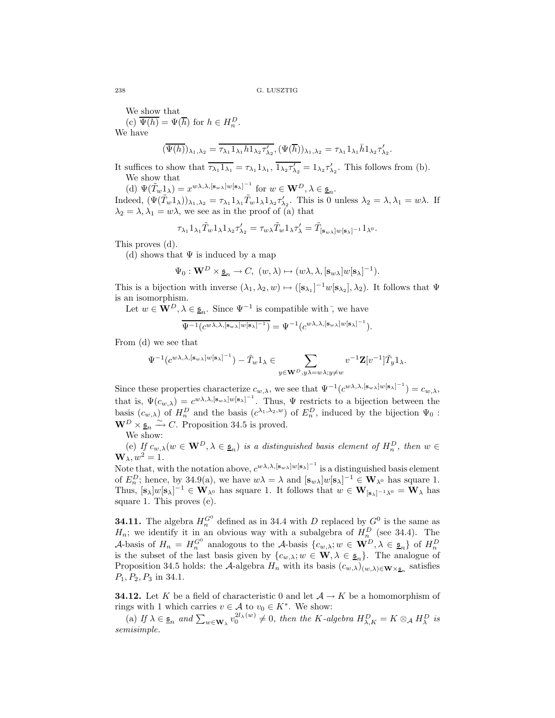We show that

(c)  $\overline{\Psi(h)} = \Psi(\overline{h})$  for  $h \in H_n^D$ . We have

$$
(\overline{\Psi(h)})_{\lambda_1,\lambda_2} = \overline{\tau_{\lambda_1} 1_{\lambda_1} h 1_{\lambda_2} \tau'_{\lambda_2}}, (\Psi(\overline{h}))_{\lambda_1,\lambda_2} = \tau_{\lambda_1} 1_{\lambda_1} \overline{h} 1_{\lambda_2} \tau'_{\lambda_2}.
$$

It suffices to show that  $\overline{\tau_{\lambda_1} 1_{\lambda_1}} = \tau_{\lambda_1} 1_{\lambda_1}$ ,  $\overline{1_{\lambda_2} \tau'_{\lambda_2}} = 1_{\lambda_2} \tau'_{\lambda_2}$ . This follows from (b). We show that

(d)  $\Psi(\tilde{T}_w 1_\lambda) = x^{w\lambda,\lambda,[\mathbf{s}_{w\lambda}]w[\mathbf{s}_{\lambda}]^{-1}}$  for  $w \in \mathbf{W}^D, \lambda \in \underline{\mathfrak{s}}_n$ . Indeed,  $(\Psi(\tilde{T}_{w}1_{\lambda}))_{\lambda_1,\lambda_2} = \tau_{\lambda_1}1_{\lambda_1}\tilde{T}_{w}1_{\lambda}1_{\lambda_2}\tau'_{\lambda_2}$ . This is 0 unless  $\lambda_2 = \lambda, \lambda_1 = w\lambda$ . If  $\lambda_2 = \lambda, \lambda_1 = w\lambda$ , we see as in the proof of (a) that

$$
\tau_{\lambda_1} 1_{\lambda_1} \tilde{T}_w 1_{\lambda} 1_{\lambda_2} \tau'_{\lambda_2} = \tau_{w\lambda} \tilde{T}_w 1_{\lambda} \tau'_{\lambda} = \tilde{T}_{[\mathbf{s}_w]}\Psi[\mathbf{s}_\lambda]^{-1} 1_{\lambda^0}.
$$

This proves (d).

(d) shows that  $\Psi$  is induced by a map

$$
\Psi_0: \mathbf{W}^D \times \underline{\mathfrak{s}}_n \rightarrow C, \ (w, \lambda) \mapsto (w \lambda, \lambda, [\mathbf{s}_{w \lambda}] w [\mathbf{s}_{\lambda}]^{-1}).
$$

This is a bijection with inverse  $(\lambda_1, \lambda_2, w) \mapsto ([s_{\lambda_1}]^{-1}w[s_{\lambda_2}], \lambda_2)$ . It follows that  $\Psi$ is an isomorphism.

Let  $w \in \mathbf{W}^D$ ,  $\lambda \in \underline{\mathfrak{s}}_n$ . Since  $\Psi^{-1}$  is compatible with<sup>-</sup>, we have

$$
\overline{\Psi^{-1}(c^{w\lambda,\lambda,[\mathbf{s}_{w\lambda}]w[\mathbf{s}_{\lambda}]-1})}=\Psi^{-1}(c^{w\lambda,\lambda,[\mathbf{s}_{w\lambda}]w[\mathbf{s}_{\lambda}]^{-1}}).
$$

From (d) we see that

$$
\Psi^{-1}(c^{w\lambda,\lambda,[\mathbf{s}_{w\lambda}]\cdot w[\mathbf{s}_{\lambda}]^{-1}})-\tilde{T}_w1_{\lambda}\in\sum_{y\in\mathbf{W}^D,y\lambda=w\lambda;y\neq w}v^{-1}\mathbf{Z}[v^{-1}]\tilde{T}_y1_{\lambda}.
$$

Since these properties characterize  $c_{w,\lambda}$ , we see that  $\Psi^{-1}(c^{w\lambda,\lambda,[\mathbf{s}_{w\lambda}]}{}^{w[\mathbf{s}_{\lambda}]}{}^{-1}) = c_{w,\lambda}$ , that is,  $\Psi(c_{w,\lambda}) = c^{w\lambda,\lambda,[s_{w\lambda}]w[s_{\lambda}]^{-1}}$ . Thus,  $\Psi$  restricts to a bijection between the basis  $(c_{w,\lambda})$  of  $H_n^D$  and the basis  $(c^{\lambda_1,\lambda_2,w})$  of  $E_n^D$ , induced by the bijection  $\Psi_0$ :  $\mathbf{W}^D \times \underline{\mathfrak{s}}_n \stackrel{\sim}{\longrightarrow} C$ . Proposition 34.5 is proved.

We show:

(e) If  $c_{w,\lambda}(w \in \mathbf{W}^D, \lambda \in \underline{\mathfrak{s}}_n)$  *is a distinguished basis element of*  $H_n^D$ *, then*  $w \in$  $\mathbf{W}_{\lambda}$ ,  $w^2 = 1$ .

Note that, with the notation above,  $c^{w\lambda,\lambda,[s_{w\lambda}]w[s_{\lambda}]^{-1}}$  is a distinguished basis element of  $E_n^D$ ; hence, by 34.9(a), we have  $w\lambda = \lambda$  and  $[\mathbf{s}_w\lambda]w[\mathbf{s}_\lambda]^{-1} \in \mathbf{W}_{\lambda^0}$  has square 1. Thus,  $[\mathbf{s}_{\lambda}]w[\mathbf{s}_{\lambda}]^{-1} \in \mathbf{W}_{\lambda^0}$  has square 1. It follows that  $w \in \mathbf{W}_{[\mathbf{s}_{\lambda}]^{-1}\lambda^0} = \mathbf{W}_{\lambda}$  has square 1. This proves (e).

**34.11.** The algebra  $H_n^{G^0}$  defined as in 34.4 with D replaced by  $G^0$  is the same as  $H_n$ ; we identify it in an obvious way with a subalgebra of  $H_n^D$  (see 34.4). The A-basis of  $H_n = H_n^{G^0}$  analogous to the A-basis  $\{c_{w,\lambda}; w \in \mathbf{W}^D, \lambda \in \underline{\mathfrak{s}}_n\}$  of  $H_n^D$ is the subset of the last basis given by  $\{c_{w,\lambda}; w \in \mathbf{W}, \lambda \in \underline{\mathfrak{s}}_n\}$ . The analogue of Proposition 34.5 holds: the A-algebra  $H_n$  with its basis  $(c_{w,\lambda})_{(w,\lambda)\in W\times\underline{\mathfrak{s}}_n}$  satisfies  $P_1, P_2, P_3$  in 34.1.

**34.12.** Let K be a field of characteristic 0 and let  $A \rightarrow K$  be a homomorphism of rings with 1 which carries  $v \in A$  to  $v_0 \in K^*$ . We show:

(a) If  $\lambda \in \underline{\mathfrak{s}}_n$  and  $\sum_{w \in \mathbf{W}_{\lambda}} v_0^{2l_{\lambda}(w)} \neq 0$ , then the K-algebra  $H_{\lambda,K}^D = K \otimes_A H_{\lambda}^D$  is *semisimple.*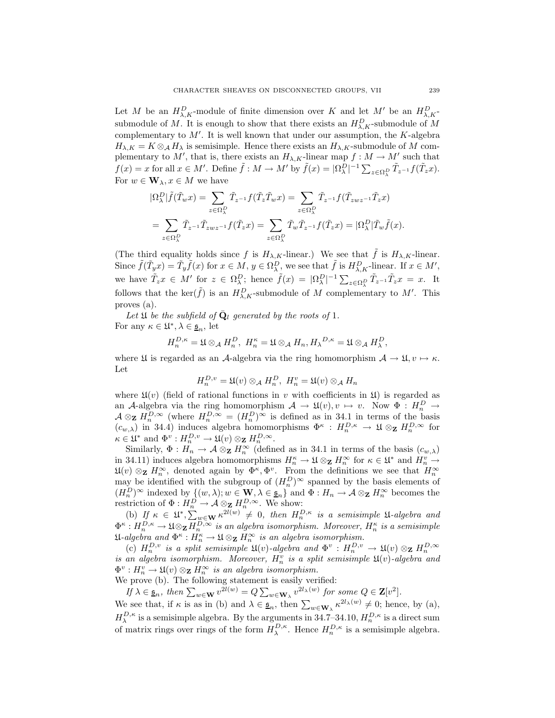Let M be an  $H^D_{\lambda,K}$ -module of finite dimension over K and let M' be an  $H^D_{\lambda,K}$ submodule of M. It is enough to show that there exists an  $H_{\lambda,K}^D$ -submodule of M complementary to  $M'$ . It is well known that under our assumption, the  $K$ -algebra  $H_{\lambda,K} = K \otimes_A H_\lambda$  is semisimple. Hence there exists an  $H_{\lambda,K}$ -submodule of M complementary to M', that is, there exists an  $H_{\lambda,K}$ -linear map  $f: M \to M'$  such that  $f(x) = x$  for all  $x \in M'$ . Define  $\tilde{f}: M \to M'$  by  $\tilde{f}(x) = |\Omega_{\lambda}^D|^{-1} \sum_{z \in \Omega_{\lambda}^D} \tilde{T}_{z^{-1}} f(\tilde{T}_z x)$ . For  $w \in \mathbf{W}_{\lambda}, x \in M$  we have

$$
\begin{split} &|\Omega^D_\lambda| \tilde{f}(\tilde{T}_w x) = \sum_{z \in \Omega^D_\lambda} \tilde{T}_{z^{-1}} f(\tilde{T}_z \tilde{T}_w x) = \sum_{z \in \Omega^D_\lambda} \tilde{T}_{z^{-1}} f(\tilde{T}_{zwz^{-1}} \tilde{T}_z x) \\ &= \sum_{z \in \Omega^D_\lambda} \tilde{T}_{z^{-1}} \tilde{T}_{zwz^{-1}} f(\tilde{T}_z x) = \sum_{z \in \Omega^D_\lambda} \tilde{T}_w \tilde{T}_{z^{-1}} f(\tilde{T}_z x) = |\Omega^D_\lambda| \tilde{T}_w \tilde{f}(x). \end{split}
$$

(The third equality holds since f is  $H_{\lambda,K}$ -linear.) We see that  $\tilde{f}$  is  $H_{\lambda,K}$ -linear. Since  $\tilde{f}(\tilde{T}_y x) = \tilde{T}_y \tilde{f}(x)$  for  $x \in M$ ,  $y \in \Omega_\lambda^D$ , we see that  $\tilde{f}$  is  $H_{\lambda,K}^D$ -linear. If  $x \in M'$ , we have  $\tilde{T}_z x \in M'$  for  $z \in \Omega_\lambda^D$ ; hence  $\tilde{f}(x) = |\Omega_\lambda^D|^{-1} \sum_{z \in \Omega_\lambda^D} \tilde{T}_{z^{-1}} \tilde{T}_z x = x$ . It follows that the ker( $\tilde{f}$ ) is an  $H^D_{\lambda,K}$ -submodule of M complementary to M'. This proves (a).

Let  $\mathfrak U$  be the subfield of  $\bar{\mathbf Q}_l$  generated by the roots of 1. For any  $\kappa \in \mathfrak{U}^*, \lambda \in \underline{\mathfrak{s}}_n$ , let

$$
H^{D,\kappa}_n=\mathfrak{U}\otimes_{\mathcal{A}}H^D_n, \ H^{\kappa}_n=\mathfrak{U}\otimes_{\mathcal{A}}H_n, H_{\lambda}{}^{D,\kappa}=\mathfrak{U}\otimes_{\mathcal{A}}H^D_{\lambda},
$$

where  $\mathfrak U$  is regarded as an A-algebra via the ring homomorphism  $\mathcal A \to \mathfrak U, v \mapsto \kappa$ . Let

$$
H_n^{D,v} = \mathfrak{U}(v) \otimes_A H_n^D, \ H_n^v = \mathfrak{U}(v) \otimes_A H_n
$$

where  $\mathfrak{U}(v)$  (field of rational functions in v with coefficients in  $\mathfrak{U}$ ) is regarded as an A-algebra via the ring homomorphism  $A \to \mathfrak{U}(v), v \mapsto v$ . Now  $\Phi : H_n^D \to$  $\mathcal{A} \otimes_{\mathbf{Z}} H_n^{D,\infty}$  (where  $H_n^{D,\infty} = (H_n^D)^\infty$  is defined as in 34.1 in terms of the basis  $(c_{w,\lambda})$  in 34.4) induces algebra homomorphisms  $\Phi^{\kappa}: H_n^{D,\kappa} \to \mathfrak{U} \otimes_{\mathbf{Z}} H_n^{D,\infty}$  for  $\kappa \in \mathfrak{U}^*$  and  $\Phi^v : H_n^{D,v} \to \mathfrak{U}(v) \otimes_{\mathbf{Z}} H_n^{D,\infty}$ .

Similarly,  $\Phi: H_n \to \mathcal{A} \otimes_{\mathbf{Z}} H_n^{\infty}$  (defined as in 34.1 in terms of the basis  $(c_{w,\lambda})$ ) in 34.11) induces algebra homomorphisms  $H_n^{\kappa} \to \mathfrak{U} \otimes_{\mathbf{Z}} H_n^{\infty}$  for  $\kappa \in \mathfrak{U}^*$  and  $H_n^v \to$  $\mathfrak{U}(v) \otimes_{\mathbf{Z}} H_n^{\infty}$ , denoted again by  $\Phi^{\kappa}, \Phi^v$ . From the definitions we see that  $H_n^{\infty}$ may be identified with the subgroup of  $(H_n^D)^\infty$  spanned by the basis elements of  $(H_n^D)^\infty$  indexed by  $\{(w, \lambda) : w \in \mathbf{W}, \lambda \in \underline{\mathfrak{s}}_n\}$  and  $\Phi : H_n \to \mathcal{A} \otimes_{\mathbf{Z}} H_n^\infty$  becomes the restriction of  $\Phi: H_n^D \to \mathcal{A} \otimes_{\mathbf{Z}} H_n^{D,\infty}$ . We show:

(b) If  $\kappa \in \mathfrak{U}^*, \sum_{w \in \mathbf{W}} \kappa^{2l(w)} \neq 0$ , then  $H_n^{D,\kappa}$  is a semisimple  $\mathfrak{U}$ -algebra and  $\Phi^\kappa: H^{D,\kappa}_n\to \mathfrak{U}\otimes_{\mathbf{Z}} H^{D,\infty}_n$  *is an algebra isomorphism. Moreover,*  $H^\kappa_n$  *is a semisimple*  $\mathfrak{U}\text{-}algebra$  and  $\Phi^{\kappa}: H_n^{\kappa} \to \mathfrak{U} \otimes_{\mathbf{Z}} H_n^{\infty}$  is an algebra isomorphism.

(c)  $H_n^{D,v}$  is a split semisimple  $\mathfrak{U}(v)$ -algebra and  $\Phi^v : H_n^{D,v} \to \mathfrak{U}(v) \otimes_{\mathbf{Z}} H_n^{D,\infty}$ *is an algebra isomorphism. Moreover,*  $H_n^v$  *is a split semisimple*  $\mathfrak{U}(v)$ -algebra and  $\Phi^v : H_n^v \to \mathfrak{U}(v) \otimes_{\mathbf{Z}} H_n^{\infty}$  is an algebra isomorphism.

We prove (b). The following statement is easily verified:

 $I_f \lambda \in \underline{\mathfrak{s}}_n$ , then  $\sum_{w \in \mathbf{W}} v^{2l(w)} = Q \sum_{w \in \mathbf{W}_{\lambda}} v^{2l_{\lambda}(w)}$  for some  $Q \in \mathbf{Z}[v^2]$ .

We see that, if  $\kappa$  is as in (b) and  $\lambda \in \underline{\mathfrak{s}}_n$ , then  $\sum_{w \in \mathbf{W}_{\lambda}} \kappa^{2l_{\lambda}(w)} \neq 0$ ; hence, by (a),  $H_{\lambda}^{D,\kappa}$  is a semisimple algebra. By the arguments in 34.7–34.10,  $H_{n}^{D,\kappa}$  is a direct sum of matrix rings over rings of the form  $H_{\lambda}^{D,\kappa}$ . Hence  $H_{n}^{D,\kappa}$  is a semisimple algebra.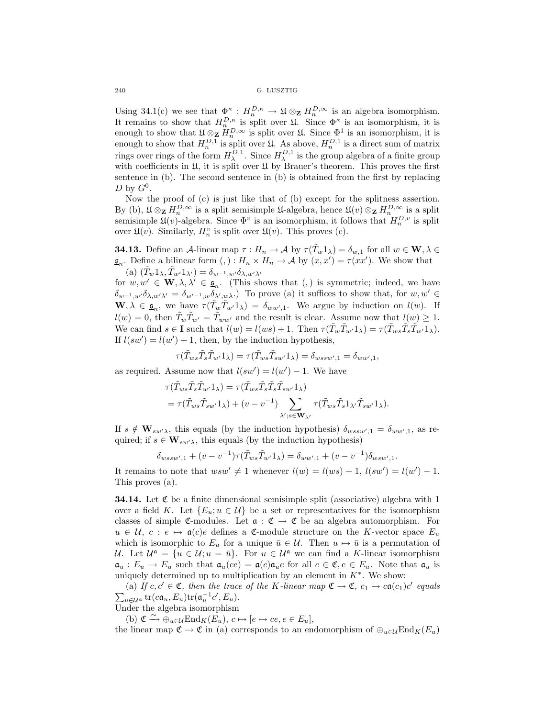Using 34.1(c) we see that  $\Phi_{\alpha}^{\kappa}: H_n^{D,\kappa} \to \mathfrak{U} \otimes_{\mathbf{Z}} H_n^{D,\infty}$  is an algebra isomorphism. It remains to show that  $H_{n}^{D,\kappa}$  is split over  $\mathfrak{U}$ . Since  $\Phi^{\kappa}$  is an isomorphism, it is enough to show that  $\mathfrak{U} \otimes_{\mathbf{Z}} \overset{n}{H}_{n}^{D,\infty}$  is split over  $\mathfrak{U}$ . Since  $\Phi^1$  is an isomorphism, it is enough to show that  $H_n^{D,\overline{1}}$  is split over  $\mathfrak{U}$ . As above,  $H_n^{D,1}$  is a direct sum of matrix rings over rings of the form  $H_{\lambda}^{\tilde{D},1}$ . Since  $H_{\lambda}^{D,1}$  is the group algebra of a finite group with coefficients in  $\mathfrak{U}$ , it is split over  $\mathfrak{U}$  by Brauer's theorem. This proves the first sentence in (b). The second sentence in (b) is obtained from the first by replacing D by  $G^0$ .

Now the proof of (c) is just like that of (b) except for the splitness assertion. By (b),  $\mathfrak{U} \otimes_{\mathbf{Z}} H_n^{D,\infty}$  is a split semisimple  $\mathfrak{U}$ -algebra, hence  $\mathfrak{U}(v) \otimes_{\mathbf{Z}} H_n^{D,\infty}$  is a split semisimple  $\mathfrak{U}(v)$ -algebra. Since  $\Phi^v$  is an isomorphism, it follows that  $H_n^{D,v}$  is split over  $\mathfrak{U}(v)$ . Similarly,  $H_n^v$  is split over  $\mathfrak{U}(v)$ . This proves (c).

**34.13.** Define an A-linear map  $\tau: H_n \to A$  by  $\tau(\tilde{T}_w 1_\lambda) = \delta_{w,1}$  for all  $w \in \mathbf{W}, \lambda \in A$  $\underline{\mathfrak{s}}_n$ . Define a bilinear form  $(,) : H_n \times H_n \to \mathcal{A}$  by  $(x, x') = \tau(xx')$ . We show that (a)  $(\tilde{T}_w 1_\lambda, \tilde{T}_{w'} 1_{\lambda'}) = \delta_{w^{-1},w'} \delta_{\lambda,w'\lambda'}$ 

for  $w, w' \in \mathbf{W}, \lambda, \lambda' \in \underline{\mathfrak{s}}_n$ . (This shows that (,) is symmetric; indeed, we have  $\delta_{w^{-1},w'}\delta_{\lambda,w'\lambda'}=\delta_{w'-1,w}\delta_{\lambda',w\lambda}$ . To prove (a) it suffices to show that, for  $w,w'\in$  $\mathbf{W}, \lambda \in \underline{\mathfrak{s}}_n$ , we have  $\tau(\tilde{T}_w \tilde{T}_{w'} 1_\lambda) = \delta_{ww',1}$ . We argue by induction on  $l(w)$ . If  $l(w) = 0$ , then  $\tilde{T}_w \tilde{T}_{w'} = \tilde{T}_{ww'}$  and the result is clear. Assume now that  $l(w) \geq 1$ . We can find  $s \in I$  such that  $l(w) = l(ws) + 1$ . Then  $\tau(\tilde{T}_w \tilde{T}_{w'} 1_\lambda) = \tau(\tilde{T}_w s \tilde{T}_s \tilde{T}_{w'} 1_\lambda)$ . If  $l(sw') = l(w') + 1$ , then, by the induction hypothesis,

$$
\tau(\tilde{T}_{ws}\tilde{T}_s\tilde{T}_{w'}1_\lambda)=\tau(\tilde{T}_{ws}\tilde{T}_{sw'}1_\lambda)=\delta_{wssw',1}=\delta_{ww',1},
$$

as required. Assume now that  $l(sw') = l(w') - 1$ . We have

$$
\tau(\tilde{T}_{ws}\tilde{T}_s\tilde{T}_{w'}1_\lambda) = \tau(\tilde{T}_{ws}\tilde{T}_s\tilde{T}_s\tilde{T}_{sw'}1_\lambda)
$$
  
=  $\tau(\tilde{T}_{ws}\tilde{T}_{sw'}1_\lambda) + (v - v^{-1}) \sum_{\lambda';s \in \mathbf{W}_{\lambda'}} \tau(\tilde{T}_{ws}\tilde{T}_s1_{\lambda'}\tilde{T}_{sw'}1_\lambda).$ 

If  $s \notin \mathbf{W}_{sw\lambda}$ , this equals (by the induction hypothesis)  $\delta_{wssw',1} = \delta_{ww',1}$ , as required; if  $s \in \mathbf{W}_{sw\lambda}$ , this equals (by the induction hypothesis)

$$
\delta_{wssw',1} + (v - v^{-1})\tau(\tilde{T}_{ws}\tilde{T}_{w'}1_\lambda) = \delta_{ww',1} + (v - v^{-1})\delta_{wsw',1}.
$$

It remains to note that  $wsw' \neq 1$  whenever  $l(w) = l(ws) + 1, l(sw') = l(w') - 1.$ This proves (a).

**34.14.** Let  $\mathfrak C$  be a finite dimensional semisimple split (associative) algebra with 1 over a field K. Let  $\{E_u; u \in \mathcal{U}\}\)$  be a set or representatives for the isomorphism classes of simple C-modules. Let  $\alpha : \mathfrak{C} \to \mathfrak{C}$  be an algebra automorphism. For  $u \in \mathcal{U}, c : e \mapsto \mathfrak{a}(c)e$  defines a C-module structure on the K-vector space  $E_u$ which is isomorphic to  $E_{\bar{u}}$  for a unique  $\bar{u} \in \mathcal{U}$ . Then  $u \mapsto \bar{u}$  is a permutation of U. Let  $\mathcal{U}^{\mathfrak{a}} = \{u \in \mathcal{U}; u = \bar{u}\}\$ . For  $u \in \mathcal{U}^{\mathfrak{a}}$  we can find a K-linear isomorphism  $\mathfrak{a}_u : E_u \to E_u$  such that  $\mathfrak{a}_u(ce) = \mathfrak{a}(c)\mathfrak{a}_u e$  for all  $c \in \mathfrak{C}, e \in E_u$ . Note that  $\mathfrak{a}_u$  is uniquely determined up to multiplication by an element in  $K^*$ . We show:

(a) If  $c, c' \in \mathfrak{C}$ , then the trace of the K-linear map  $\mathfrak{C} \to \mathfrak{C}$ ,  $c_1 \mapsto c\mathfrak{a}(c_1)c'$  equals  $\sum_{u\in\mathcal{U}^{\mathfrak{a}}}$  tr $(c\mathfrak{a}_u,E_u)$ tr $(\mathfrak{a}_u^{-1}c',E_u)$ .

Under the algebra isomorphism

(b)  $\mathfrak{C} \xrightarrow{\sim} \oplus_{u \in \mathcal{U}} \text{End}_K(E_u), c \mapsto [e \mapsto ce, e \in E_u],$ 

the linear map  $\mathfrak{C} \to \mathfrak{C}$  in (a) corresponds to an endomorphism of  $\bigoplus_{u \in \mathcal{U}} \text{End}_K(E_u)$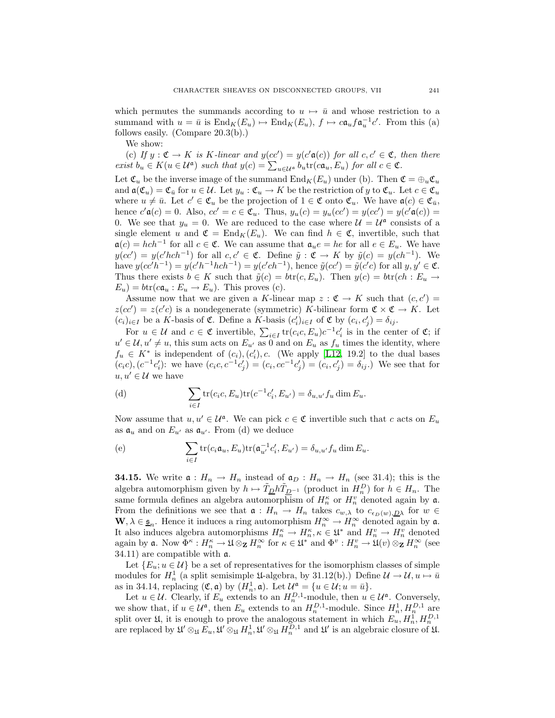which permutes the summands according to  $u \mapsto \bar{u}$  and whose restriction to a summand with  $u = \bar{u}$  is  $\text{End}_K(E_u) \mapsto \text{End}_K(E_u)$ ,  $f \mapsto c \mathfrak{a}_u f \mathfrak{a}_u^{-1} c'$ . From this (a) follows easily. (Compare 20.3(b).)

We show:

(c) If  $y : \mathfrak{C} \to K$  is K-linear and  $y(cc') = y(c'\mathfrak{a}(c))$  for all  $c, c' \in \mathfrak{C}$ , then there *exist*  $b_u \in K(u \in \mathcal{U}^{\mathfrak{a}})$  *such that*  $y(c) = \sum_{u \in \mathcal{U}^{\mathfrak{a}}} b_u \text{tr}(c\mathfrak{a}_u, E_u)$  *for all*  $c \in \mathfrak{C}$ *.* 

Let  $\mathfrak{C}_u$  be the inverse image of the summand  $\text{End}_K(E_u)$  under (b). Then  $\mathfrak{C} = \bigoplus_u \mathfrak{C}_u$ and  $\mathfrak{a}(\mathfrak{C}_u) = \mathfrak{C}_{\bar{u}}$  for  $u \in \mathcal{U}$ . Let  $y_u : \mathfrak{C}_u \to K$  be the restriction of y to  $\mathfrak{C}_u$ . Let  $c \in \mathfrak{C}_u$ where  $u \neq \bar{u}$ . Let  $c' \in \mathfrak{C}_u$  be the projection of  $1 \in \mathfrak{C}$  onto  $\mathfrak{C}_u$ . We have  $\mathfrak{a}(c) \in \mathfrak{C}_{\bar{u}}$ , hence  $c' \mathfrak{a}(c) = 0$ . Also,  $cc' = c \in \mathfrak{C}_u$ . Thus,  $y_u(c) = y_u(cc') = y(cc') = y(c'\mathfrak{a}(c)) =$ 0. We see that  $y_u = 0$ . We are reduced to the case where  $\mathcal{U} = \mathcal{U}^{\mathfrak{a}}$  consists of a single element u and  $\mathfrak{C} = \text{End}_K(E_u)$ . We can find  $h \in \mathfrak{C}$ , invertible, such that  $a(c) = hch^{-1}$  for all  $c \in \mathfrak{C}$ . We can assume that  $a_u e = he$  for all  $e \in E_u$ . We have  $y(cc') = y(c'hch^{-1})$  for all  $c, c' \in \mathfrak{C}$ . Define  $\tilde{y} : \tilde{\mathfrak{C}} \to K$  by  $\tilde{y}(c) = y(ch^{-1})$ . We have  $y(cc'h^{-1}) = y(c'h^{-1}hch^{-1}) = y(c'ch^{-1}),$  hence  $\tilde{y}(cc') = \tilde{y}(c'c)$  for all  $y, y' \in \mathfrak{C}$ . Thus there exists  $b \in K$  such that  $\tilde{y}(c) = btr(c, E_u)$ . Then  $y(c) = btr(ch : E_u \rightarrow E_u)$  $E_u$ ) =  $btr(c\mathfrak{a}_u : E_u \to E_u)$ . This proves (c).

Assume now that we are given a K-linear map  $z : \mathfrak{C} \to K$  such that  $(c, c') =$  $z(cc') = z(c'c)$  is a nondegenerate (symmetric) K-bilinear form  $\mathfrak{C} \times \mathfrak{C} \to K$ . Let  $(c_i)_{i \in I}$  be a K-basis of  $\mathfrak{C}$ . Define a K-basis  $(c'_i)_{i \in I}$  of  $\mathfrak{C}$  by  $(c_i, c'_j) = \delta_{ij}$ .

For  $u \in \mathcal{U}$  and  $c \in \mathfrak{C}$  invertible,  $\sum_{i \in I} tr(c_i c, E_u) c^{-1} c'_i$  is in the center of  $\mathfrak{C}$ ; if  $u' \in \mathcal{U}, u' \neq u$ , this sum acts on  $E_{u'}$  as  $\overline{0}$  and on  $E_u$  as  $f_u$  times the identity, where  $f_u \in K^*$  is independent of  $(c_i)$ ,  $(c'_i)$ , c. (We apply [\[L12,](#page-57-3) 19.2] to the dual bases  $(c_i c), (c^{-1}c'_i)$ : we have  $(c_i c, c^{-1}c'_j) = (c_i, c c^{-1}c'_j) = (c_i, c'_j) = \delta_{ij}$ .) We see that for  $u, u' \in \mathcal{U}$  we have

(d) 
$$
\sum_{i\in I} \text{tr}(c_i c, E_u) \text{tr}(c^{-1}c'_i, E_{u'}) = \delta_{u,u'} f_u \dim E_u.
$$

Now assume that  $u, u' \in \mathcal{U}^{\mathfrak{a}}$ . We can pick  $c \in \mathfrak{C}$  invertible such that c acts on  $E_u$ as  $\mathfrak{a}_u$  and on  $E_{u'}$  as  $\mathfrak{a}_{u'}$ . From (d) we deduce

(e) 
$$
\sum_{i\in I} \text{tr}(c_i \mathfrak{a}_u, E_u) \text{tr}(\mathfrak{a}_{u'}^{-1} c_i', E_{u'}) = \delta_{u,u'} f_u \dim E_u.
$$

**34.15.** We write  $\mathfrak{a}: H_n \to H_n$  instead of  $\mathfrak{a}_D: H_n \to H_n$  (see 31.4); this is the algebra automorphism given by  $h \mapsto \tilde{T}_{\underline{D}} h \tilde{T}_{\underline{D}^{-1}}$  (product in  $H_n^D$ ) for  $h \in H_n$ . The same formula defines an algebra automorphism of  $H_n^{\kappa}$  or  $H_n^v$  denoted again by  $\mathfrak{a}$ . From the definitions we see that  $a: H_n \to H_n$  takes  $c_{w,\lambda}$  to  $c_{\epsilon_D(w),\underline{D}\lambda}$  for  $w \in$ **W**,  $\lambda \in \underline{\mathfrak{s}}_n$ . Hence it induces a ring automorphism  $H_n^{\infty} \to H_n^{\infty}$  denoted again by  $\mathfrak{a}$ . It also induces algebra automorphisms  $H_n^{\kappa} \to H_n^{\kappa}, \kappa \in \mathfrak{U}^*$  and  $H_n^v \to H_n^v$  denoted again by **a**. Now  $\Phi^{\kappa}: H_n^{\kappa} \to \mathfrak{U} \otimes_{\mathbf{Z}} H_n^{\infty}$  for  $\kappa \in \mathfrak{U}^*$  and  $\Phi^v: H_n^v \to \mathfrak{U}(v) \otimes_{\mathbf{Z}} H_n^{\infty}$  (see 34.11) are compatible with a.

Let  ${E_u; u \in \mathcal{U}}$  be a set of representatives for the isomorphism classes of simple modules for  $H_n^1$  (a split semisimple  $\mathfrak{U}$ -algebra, by 31.12(b).) Define  $\mathcal{U} \to \mathcal{U}, u \mapsto \bar{u}$ as in 34.14, replacing  $(\mathfrak{C}, \mathfrak{a})$  by  $(H_n^1, \mathfrak{a})$ . Let  $\mathcal{U}^{\mathfrak{a}} = \{u \in \mathcal{U}; u = \bar{u}\}.$ 

Let  $u \in \mathcal{U}$ . Clearly, if  $E_u$  extends to an  $H_n^{D,1}$ -module, then  $u \in \mathcal{U}^{\mathfrak{a}}$ . Conversely, we show that, if  $u \in \mathcal{U}^{\mathfrak{a}}$ , then  $E_u$  extends to an  $H_n^{D,1}$ -module. Since  $H_n^1, H_n^{D,1}$  are split over  $\mathfrak{U}$ , it is enough to prove the analogous statement in which  $E_u$ ,  $H_n^1$ ,  $H_n^{D,1}$ are replaced by  $\mathfrak{U}' \otimes_{\mathfrak{U}} E_u$ ,  $\mathfrak{U}' \otimes_{\mathfrak{U}} H_n^1$ ,  $\mathfrak{U}' \otimes_{\mathfrak{U}} H_n^{D,1}$  and  $\mathfrak{U}'$  is an algebraic closure of  $\mathfrak{U}$ .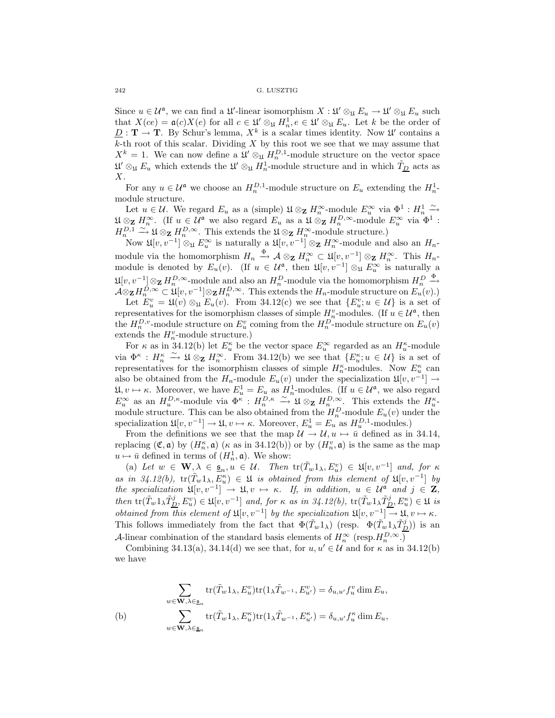Since  $u \in \mathcal{U}^{\mathfrak{a}}$ , we can find a  $\mathfrak{U}'$ -linear isomorphism  $X : \mathfrak{U}' \otimes_{\mathfrak{U}} E_u \to \mathfrak{U}' \otimes_{\mathfrak{U}} E_u$  such that  $X(ce) = \mathfrak{a}(c)X(e)$  for all  $c \in \mathfrak{U}' \otimes_{\mathfrak{U}} H_n$ ,  $e \in \mathfrak{U}' \otimes_{\mathfrak{U}} E_u$ . Let k be the order of  $\underline{D} : \mathbf{T} \to \mathbf{T}$ . By Schur's lemma,  $X^k$  is a scalar times identity. Now  $\mathfrak{U}'$  contains a  $k$ -th root of this scalar. Dividing  $X$  by this root we see that we may assume that  $X^k = 1$ . We can now define a  $\mathfrak{U}' \otimes_{\mathfrak{U}} H_n^{D,1}$ -module structure on the vector space  $\mathfrak{U}' \otimes_{\mathfrak{U}} E_u$  which extends the  $\mathfrak{U}' \otimes_{\mathfrak{U}} H_n^1$ -module structure and in which  $\tilde{T}_{\underline{D}}$  acts as X.

For any  $u \in \mathcal{U}^{\mathfrak{a}}$  we choose an  $H_n^{D,1}$ -module structure on  $E_u$  extending the  $H_n^1$ module structure.

Let  $u \in \mathcal{U}$ . We regard  $E_u$  as a (simple)  $\mathfrak{U} \otimes_{\mathbf{Z}} H_n^{\infty}$ -module  $E_u^{\infty}$  via  $\Phi^1 : H_n^1 \xrightarrow{\sim}$  $\mathfrak{U} \otimes_{\mathbf{Z}} H_n^{\infty}$ . (If  $u \in \mathcal{U}^{\mathfrak{a}}$  we also regard  $E_u$  as a  $\mathfrak{U} \otimes_{\mathbf{Z}} H_n^{D,\infty}$ -module  $E_u^{\infty}$  via  $\mathfrak{a}^1$ :  $H_n^{D,1} \xrightarrow{\sim} \mathfrak{U} \otimes_{\mathbf{Z}} H_n^{D,\infty}$ . This extends the  $\mathfrak{U} \otimes_{\mathbf{Z}} H_n^{\infty}$ -module structure.)

Now  $\mathfrak{U}[v, v^{-1}] \otimes_{\mathfrak{U}} E_u^{\infty}$  is naturally a  $\mathfrak{U}[v, v^{-1}] \otimes_{\mathbf{Z}} H_n^{\infty}$ -module and also an  $H_n$ module via the homomorphism  $H_n \xrightarrow{\Phi} \mathcal{A} \otimes_{\mathbf{Z}} H_n^{\infty} \subset \mathfrak{U}[v, v^{-1}] \otimes_{\mathbf{Z}} H_n^{\infty}$ . This  $H_n$ module is denoted by  $E_u(v)$ . (If  $u \in \mathcal{U}^{\mathfrak{a}}$ , then  $\mathfrak{U}[v, v^{-1}] \otimes_{\mathfrak{U}} E_u^{\infty}$  is naturally a  $\mathfrak{U}[v, v^{-1}]$ ⊗**z**  $H_n^{D, \infty}$ -module and also an  $H_n^{D}$ -module via the homomorphism  $H_n^{D}$  $\xrightarrow{\Phi}$  $\mathcal{A} \otimes_{\mathbf{Z}} H_{n}^{D,\infty} \subset \mathcal{L}(v, v^{-1}] \otimes_{\mathbf{Z}} H_{n}^{D,\infty}$ . This extends the  $H_{n}$ -module structure on  $E_{u}(v)$ .)

Let  $E_u^v = \mathfrak{U}(v) \otimes_{\mathfrak{U}} E_u(v)$ . From 34.12(c) we see that  $\{E_u^v; u \in \mathcal{U}\}\$ is a set of representatives for the isomorphism classes of simple  $H_n^v$ -modules. (If  $u \in \mathcal{U}^{\mathfrak{a}}$ , then the  $H_n^{D,v}$ -module structure on  $E_u^v$  coming from the  $H_n^D$ -module structure on  $E_u(v)$ extends the  $H_n^v$ -module structure.)

For  $\kappa$  as in 34.12(b) let  $E_u^{\kappa}$  be the vector space  $E_u^{\infty}$  regarded as an  $H_u^{\kappa}$ -module via  $\Phi^{\kappa}: H_n^{\kappa} \stackrel{\sim}{\to} \mathfrak{U} \otimes_{\mathbf{Z}} H_n^{\infty}$ . From 34.12(b) we see that  $\{E_u^{\kappa}; u \in \mathcal{U}\}\$ is a set of representatives for the isomorphism classes of simple  $H_n^{\kappa}$ -modules. Now  $E_u^{\kappa}$  can also be obtained from the  $H_n$ -module  $E_u(v)$  under the specialization  $\mathfrak{U}[v, v^{-1}] \rightarrow$  $\mathfrak{U}, v \mapsto \kappa$ . Moreover, we have  $E_u^1 = E_u$  as  $H_n^1$ -modules. (If  $u \in \mathcal{U}^{\mathfrak{a}}$ , we also regard  $E_u^{\infty}$  as an  $H_u^{D,\kappa}$ -module via  $\Phi^{\kappa}: H_n^{D,\kappa} \stackrel{\sim}{\to} \mathfrak{U} \otimes_{\mathbf{Z}} H_n^{D,\infty}$ . This extends the  $H_u^{\kappa}$ module structure. This can be also obtained from the  $H_n^D$ -module  $E_u(v)$  under the specialization  $\mathfrak{U}[v, v^{-1}] \to \mathfrak{U}, v \mapsto \kappa$ . Moreover,  $E_u^1 = E_u$  as  $H_u^{D,1}$ -modules.)

From the definitions we see that the map  $\mathcal{U} \to \mathcal{U}, u \mapsto \bar{u}$  defined as in 34.14, replacing  $(\mathfrak{C}, \mathfrak{a})$  by  $(H_n^{\kappa}, \mathfrak{a})$  ( $\kappa$  as in 34.12(b)) or by  $(H_n^v, \mathfrak{a})$  is the same as the map  $u \mapsto \bar{u}$  defined in terms of  $(H_n^1, \mathfrak{a})$ . We show:

(a) Let  $w \in \mathbf{W}, \lambda \in \underline{\mathfrak{s}}_n, u \in \mathcal{U}$ . Then  $\text{tr}(\tilde{T}_w 1_\lambda, E_u^v) \in \mathfrak{U}[v, v^{-1}]$  and, for  $\kappa$  $as \text{ in } 34.12(b), \text{ tr}(\tilde{T}_w 1_\lambda, E_u^{\kappa}) \in \mathfrak{U}$  *is obtained from this element of*  $\mathfrak{U}[v, v^{-1}]$  *by the specialization*  $\mathfrak{U}[v, v^{-1}] \to \mathfrak{U}, v \mapsto \kappa$ . If, in addition,  $u \in \mathcal{U}^{\mathfrak{a}}$  and  $j \in \mathbb{Z}$ ,  $then \operatorname{tr}(\tilde{T}_w 1_A \tilde{T}_{\underline{D}}^j, E_u^v) \in \mathfrak{U}[v, v^{-1}] \text{ and, for } \kappa \text{ as in } 34.12(b), \operatorname{tr}(\tilde{T}_w 1_A \tilde{T}_{\underline{D}}^j, E_u^{\kappa}) \in \mathfrak{U} \text{ is }$ *obtained from this element of*  $\mathfrak{U}[v, v^{-1}]$  *by the specialization*  $\mathfrak{U}[v, v^{-1}] \to \mathfrak{U}, v \mapsto \kappa$ *.* This follows immediately from the fact that  $\Phi(\tilde{T}_w 1_\lambda)$  (resp.  $\Phi(\tilde{T}_w 1_\lambda \tilde{T}_{\underline{D}}^j)$ ) is an A-linear combination of the standard basis elements of  $H_n^{\infty}$  (resp. $H_n^{D,\infty}$ .)

Combining 34.13(a), 34.14(d) we see that, for  $u, u' \in \mathcal{U}$  and for  $\kappa$  as in 34.12(b) we have

$$
\sum_{w \in \mathbf{W}, \lambda \in \underline{\mathfrak{s}}_n} \text{tr}(\tilde{T}_w 1_\lambda, E_u^v) \text{tr}(1_\lambda \tilde{T}_{w^{-1}}, E_{u'}^v) = \delta_{u, u'} f_u^v \dim E_u,
$$
\n(b)\n
$$
\sum_{w \in \mathbf{W}, \lambda \in \underline{\mathfrak{s}}_n} \text{tr}(\tilde{T}_w 1_\lambda, E_u^{\kappa}) \text{tr}(1_\lambda \tilde{T}_{w^{-1}}, E_{u'}^{\kappa}) = \delta_{u, u'} f_u^{\kappa} \dim E_u,
$$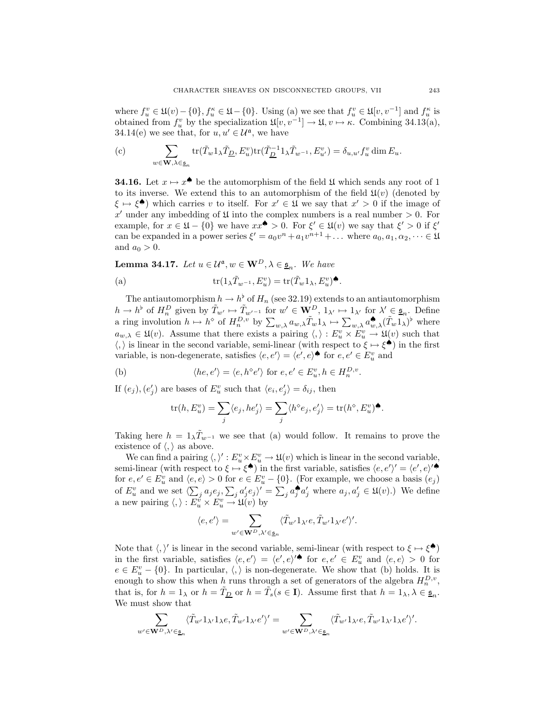where  $f_u^v \in \mathfrak{U}(v) - \{0\}, f_u^{\kappa} \in \mathfrak{U} - \{0\}$ . Using (a) we see that  $f_u^v \in \mathfrak{U}[v, v^{-1}]$  and  $f_u^{\kappa}$  is obtained from  $f_u^v$  by the specialization  $\mathfrak{U}[v, v^{-1}] \to \mathfrak{U}, v \mapsto \kappa$ . Combining 34.13(a), 34.14(e) we see that, for  $u, u' \in \mathcal{U}^{\mathfrak{a}}$ , we have

(c) 
$$
\sum_{w \in \mathbf{W}, \lambda \in \underline{\mathfrak{s}}_n} \text{tr}(\tilde{T}_w \mathbf{1}_{\lambda} \tilde{T}_{\underline{D}}, E_u^v) \text{tr}(\tilde{T}_{\underline{D}}^{-1} \mathbf{1}_{\lambda} \tilde{T}_{w^{-1}}, E_{u'}^v) = \delta_{u, u'} f_u^v \dim E_u.
$$

**34.16.** Let  $x \mapsto x^{\spadesuit}$  be the automorphism of the field  $\mathfrak U$  which sends any root of 1 to its inverse. We extend this to an automorphism of the field  $\mathfrak{U}(v)$  (denoted by  $\xi \mapsto \xi^{\spadesuit}$ ) which carries v to itself. For  $x' \in \mathfrak{U}$  we say that  $x' > 0$  if the image of x' under any imbedding of  $\mathfrak U$  into the complex numbers is a real number  $> 0$ . For example, for  $x \in \mathfrak{U} - \{0\}$  we have  $xx^{\bullet} > 0$ . For  $\xi' \in \mathfrak{U}(v)$  we say that  $\xi' > 0$  if  $\xi'$ can be expanded in a power series  $\xi' = a_0v^n + a_1v^{n+1} + \dots$  where  $a_0, a_1, \alpha_2, \dots \in \mathfrak{U}$ and  $a_0 > 0$ .

**Lemma 34.17.** *Let*  $u \in \mathcal{U}^{\mathfrak{a}}, w \in \mathbf{W}^D, \lambda \in \underline{\mathfrak{s}}_n$ *. We have* 

(a) 
$$
\operatorname{tr}(\mathbb{1}_{\lambda}\tilde{T}_{w^{-1}}, E_u^v) = \operatorname{tr}(\tilde{T}_w\mathbb{1}_{\lambda}, E_u^v) \spadesuit.
$$

The antiautomorphism  $h \to h^{\flat}$  of  $H_n$  (see 32.19) extends to an antiautomorphism  $h \to h^{\flat}$  of  $H_n^D$  given by  $\tilde{T}_{w'} \mapsto \tilde{T}_{w'-1}$  for  $w' \in \mathbf{W}^D$ ,  $1_{\lambda'} \mapsto 1_{\lambda'}$  for  $\lambda' \in \underline{\mathfrak{s}}_n$ . Define a ring involution  $h \mapsto h^{\diamond}$  of  $H_n^{D,v}$  by  $\sum_{w,\lambda} a_{w,\lambda} \tilde{T}_w 1_\lambda \mapsto \sum_{w,\lambda} a_{w,\lambda}^{\spadesuit} (\tilde{T}_w 1_\lambda)^{\flat}$  where  $a_{w,\lambda} \in \mathfrak{U}(v)$ . Assume that there exists a pairing  $\langle, \rangle : E_u^v \times E_u^v \to \mathfrak{U}(v)$  such that  $\langle, \rangle$  is linear in the second variable, semi-linear (with respect to  $\xi \mapsto \xi^{\spadesuit}$ ) in the first variable, is non-degenerate, satisfies  $\langle e, e' \rangle = \langle e', e \rangle$  for  $e, e' \in E_u^v$  and

(b) 
$$
\langle he, e' \rangle = \langle e, h^{\diamond} e' \rangle
$$
 for  $e, e' \in E_u^v, h \in H_n^{D,v}$ .

If  $(e_j)$ ,  $(e'_j)$  are bases of  $E_u^v$  such that  $\langle e_i, e'_j \rangle = \delta_{ij}$ , then

$$
\operatorname{tr}(h, E_u^v) = \sum_j \langle e_j, he_j' \rangle = \sum_j \langle h^\diamond e_j, e_j' \rangle = \operatorname{tr}(h^\diamond, E_u^v)^\spadesuit.
$$

Taking here  $h = 1_{\lambda} \tilde{T}_{w^{-1}}$  we see that (a) would follow. It remains to prove the existence of  $\langle, \rangle$  as above.

We can find a pairing  $\langle , \rangle' : E_u^v \times E_u^v \to \mathfrak{U}(v)$  which is linear in the second variable, semi-linear (with respect to  $\xi \mapsto \xi^{\spadesuit}$ ) in the first variable, satisfies  $\langle e, e' \rangle' = \langle e', e \rangle' \spadesuit$ for  $e, e' \in E_u^v$  and  $\langle e, e \rangle > 0$  for  $e \in E_u^v - \{0\}$ . (For example, we choose a basis  $(e_j)$ ) of  $E_u^v$  and we set  $\langle \sum_j a_j e_j, \sum_j a'_j e_j \rangle' = \sum_j a_j^* a'_j$  where  $a_j, a'_j \in \mathfrak{U}(v)$ .) We define a new pairing  $\langle , \rangle : E_u^v \times E_u^v \to \mathfrak{U}(v)$  by

$$
\langle e,e'\rangle=\sum_{w'\in {\bf W}^D,\lambda'\in \underline{\mathfrak{s}}_n}\langle \tilde{T}_{w'}1_{\lambda'}e,\tilde{T}_{w'}1_{\lambda'}e'\rangle'.
$$

Note that  $\langle, \rangle'$  is linear in the second variable, semi-linear (with respect to  $\xi \mapsto \xi^{\spadesuit}$ ) in the first variable, satisfies  $\langle e, e' \rangle = \langle e', e \rangle^{\prime} \bullet$  for  $e, e' \in E_u^v$  and  $\langle e, e \rangle > 0$  for  $e \in E_u^v - \{0\}$ . In particular,  $\langle, \rangle$  is non-degenerate. We show that (b) holds. It is enough to show this when h runs through a set of generators of the algebra  $H_n^{D,\nu}$ , that is, for  $h = 1_\lambda$  or  $h = \tilde{T}_{\underline{D}}$  or  $h = \tilde{T}_s (s \in \mathbf{I})$ . Assume first that  $h = 1_\lambda, \lambda \in \underline{\mathfrak{s}}_n$ . We must show that

$$
\sum_{w'\in \mathbf{W}^D,\lambda'\in \underline{\mathfrak{s}}_n}\langle \tilde{T}_{w'}1_{\lambda'}1_{\lambda}e,\tilde{T}_{w'}1_{\lambda'}e'\rangle'=\sum_{w'\in \mathbf{W}^D,\lambda'\in \underline{\mathfrak{s}}_n}\langle \tilde{T}_{w'}1_{\lambda'}e,\tilde{T}_{w'}1_{\lambda'}1_{\lambda}e'\rangle'.
$$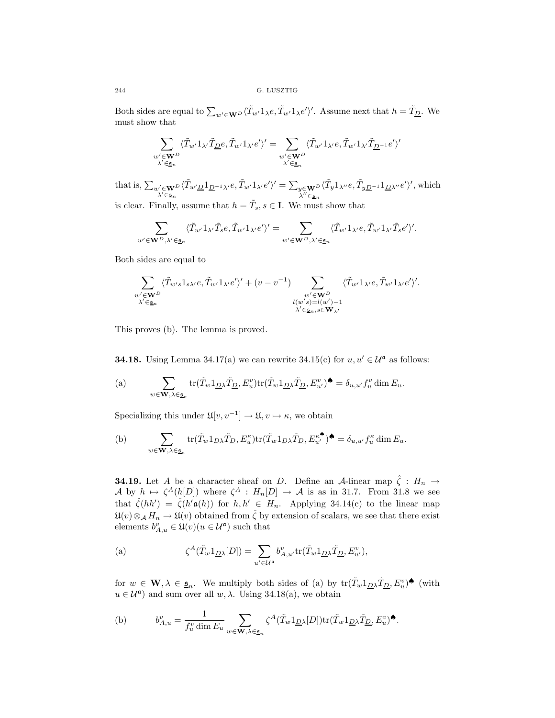Both sides are equal to  $\sum_{w' \in \mathbf{W}^D} \langle \tilde{T}_{w'} 1_{\lambda} e, \tilde{T}_{w'} 1_{\lambda} e' \rangle'$ . Assume next that  $h = \tilde{T}_{\underline{D}}$ . We must show that

$$
\sum_{\substack{w'\in \mathbf{W}^D\\ \lambda'\in \underline{\mathfrak{s}}_n}}\langle \tilde{T}_{w'}1_{\lambda'}\tilde{T}_{\underline{D}}e,\tilde{T}_{w'}1_{\lambda'}e'\rangle'=\sum_{\substack{w'\in \mathbf{W}^D\\ \lambda'\in \underline{\mathfrak{s}}_n}}\langle \tilde{T}_{w'}1_{\lambda'}e,\tilde{T}_{w'}1_{\lambda'}\tilde{T}_{\underline{D}}^{-1}e'\rangle'
$$

that is,  $\sum_{\substack{w' \in \mathbf{W}^D \\ \lambda' \in \underline{\mathfrak{s}}_n}}$  $\langle \tilde{T}_{w'\underline{D}}1_{\underline{D}^{-1}\lambda'}e,\tilde{T}_{w'}1_{\lambda'}e'\rangle'=\textstyle\sum_{\substack{y\in \mathbf{W}^D\\ \lambda''\in \underline{\mathfrak{s}}_n}}$  $\langle \tilde{T}_y 1_{\lambda''}e, \tilde{T}_{yD^{-1}} 1_{\underline{D}\lambda''}e' \rangle'$ , which is clear. Finally, assume that  $h = \tilde{T}_s, s \in \mathbf{I}$ . We must show that

$$
\sum_{\in \mathbf{W}^D, \lambda' \in \underline{\mathfrak{s}}_n} \langle \tilde{T}_{w'} 1_{\lambda'} \tilde{T}_s e, \tilde{T}_{w'} 1_{\lambda'} e' \rangle' = \sum_{w' \in \mathbf{W}^D, \lambda' \in \underline{\mathfrak{s}}_n} \langle \tilde{T}_{w'} 1_{\lambda'} e, \tilde{T}_{w'} 1_{\lambda'} \tilde{T}_s e' \rangle'.
$$

Both sides are equal to

 $w'$ 

$$
\sum_{\substack{w'\in \mathbf{W}^D\\ \lambda'\in \underline{\mathfrak{s}}_n}}\langle \tilde{T}_{w's}1_{s\lambda'}e,\tilde{T}_{w'}1_{\lambda'}e'\rangle'+(v-v^{-1})\sum_{\substack{w'\in \mathbf{W}^D\\ l(w's)=l(w')-1\\ \lambda'\in \underline{\mathfrak{s}}_n,s\in \mathbf{W}_{\lambda'}}}\langle \tilde{T}_{w'}1_{\lambda'}e,\tilde{T}_{w'}1_{\lambda'}e'\rangle'.
$$

This proves (b). The lemma is proved.

**34.18.** Using Lemma 34.17(a) we can rewrite 34.15(c) for  $u, u' \in \mathcal{U}^{\mathfrak{a}}$  as follows:

(a) 
$$
\sum_{w \in \mathbf{W}, \lambda \in \underline{\mathfrak{s}}_n} \text{tr}(\tilde{T}_w \mathbb{1}_{\underline{D}\lambda} \tilde{T}_{\underline{D}}, E_u^v) \text{tr}(\tilde{T}_w \mathbb{1}_{\underline{D}\lambda} \tilde{T}_{\underline{D}}, E_{u'}^v) \spadesuit = \delta_{u, u'} f_u^v \dim E_u.
$$

Specializing this under  $\mathfrak{U}[v, v^{-1}] \to \mathfrak{U}, v \mapsto \kappa$ , we obtain

(b) 
$$
\sum_{w \in \mathbf{W}, \lambda \in \underline{\mathbf{s}}_n} \text{tr}(\tilde{T}_w \mathbf{1}_{\underline{D}\lambda} \tilde{T}_{\underline{D}}, E_u^{\kappa}) \text{tr}(\tilde{T}_w \mathbf{1}_{\underline{D}\lambda} \tilde{T}_{\underline{D}}, E_{u'}^{\kappa^{\blacklozenge}}) \blacklozenge = \delta_{u, u'} f_u^{\kappa} \dim E_u.
$$

**34.19.** Let A be a character sheaf on D. Define an A-linear map  $\hat{\zeta}$  :  $H_n \to$ A by  $h \mapsto \zeta^A(h[D])$  where  $\zeta^A : H_n[D] \to \mathcal{A}$  is as in 31.7. From 31.8 we see that  $\hat{\zeta}(hh') = \hat{\zeta}(h'\mathfrak{a}(h))$  for  $h, h' \in H_n$ . Applying 34.14(c) to the linear map  $\mathfrak{U}(v)\otimes_{\mathcal{A}} H_n \to \mathfrak{U}(v)$  obtained from  $\hat{\zeta}$  by extension of scalars, we see that there exist elements  $b_{A,u}^v \in \mathfrak{U}(v) (u \in \mathcal{U}^{\mathfrak{a}})$  such that

(a) 
$$
\zeta^{A}(\tilde{T}_{w}1_{\underline{D}\lambda}[D]) = \sum_{u'\in\mathcal{U}^{\mathfrak{a}}} b_{A,u'}^{v} \text{tr}(\tilde{T}_{w}1_{\underline{D}\lambda}\tilde{T}_{\underline{D}}, E_{u'}^{v}),
$$

for  $w \in \mathbf{W}, \lambda \in \underline{\mathfrak{s}}_n$ . We multiply both sides of (a) by  $\text{tr}(\tilde{T}_w 1_{\underline{D}} \lambda \tilde{T}_{\underline{D}}, E_v^v)$ <sup> $\bullet$ </sup> (with  $u \in \mathcal{U}^{\mathfrak{a}}$  and sum over all  $w, \lambda$ . Using 34.18(a), we obtain

(b) 
$$
b_{A,u}^v = \frac{1}{f_u^v \dim E_u} \sum_{w \in \mathbf{W}, \lambda \in \underline{\mathfrak{s}}_n} \zeta^A(\tilde{T}_w 1_{\underline{D}\lambda}[D]) \operatorname{tr}(\tilde{T}_w 1_{\underline{D}\lambda}\tilde{T}_{\underline{D}}, E_u^v) \spadesuit.
$$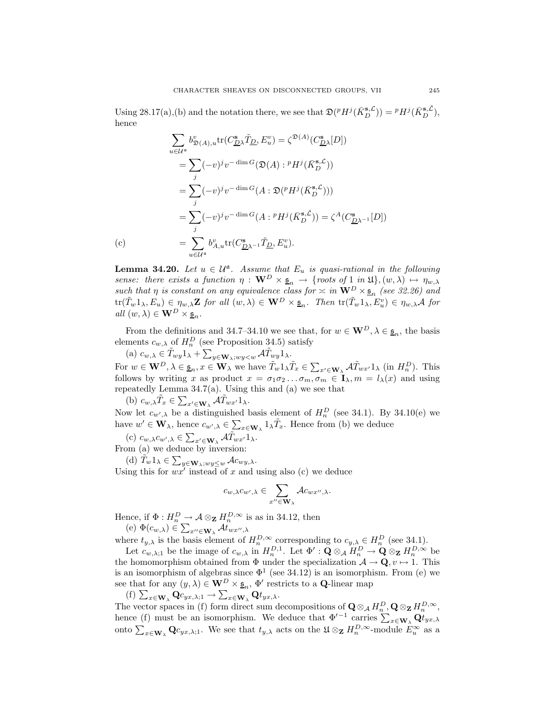Using 28.17(a),(b) and the notation there, we see that  $\mathfrak{D}(^p H^j(\bar{K}_{D}^{\mathbf{s},\mathcal{L}})) = {}^p H^j(\bar{K}_{D}^{\mathbf{s},\mathcal{L}})$ , hence

$$
\sum_{u \in \mathcal{U}^{\mathfrak{a}}} b_{\mathfrak{D}(A),u}^{v} \text{tr}(C_{\underline{D}\lambda}^{\mathbf{s}} \tilde{T}_{\underline{D}}, E_{u}^{v}) = \zeta^{\mathfrak{D}(A)}(C_{\underline{D}\lambda}^{\mathbf{s}}[D])
$$
\n
$$
= \sum_{j} (-v)^{j} v^{-\dim G}(\mathfrak{D}(A) : {^{p}H^{j}}(\bar{K}_{D}^{\mathbf{s}, \mathcal{L}}))
$$
\n
$$
= \sum_{j} (-v)^{j} v^{-\dim G}(A : \mathfrak{D}(^{p}H^{j}(\bar{K}_{D}^{\mathbf{s}, \mathcal{L}})))
$$
\n
$$
= \sum_{j} (-v)^{j} v^{-\dim G}(A : {^{p}H^{j}}(\bar{K}_{D}^{\mathbf{s}, \mathcal{L}})) = \zeta^{A}(C_{\underline{D}\lambda^{-1}}^{\mathbf{s}}[D])
$$
\n(c)\n
$$
= \sum_{u \in \mathcal{U}^{\mathbf{a}}} b_{A,u}^{v} \text{tr}(C_{\underline{D}\lambda^{-1}}^{\mathbf{s}} \tilde{T}_{\underline{D}}, E_{u}^{v}).
$$

**Lemma 34.20.** *Let*  $u \in \mathcal{U}^{\mathfrak{a}}$ . *Assume that*  $E_u$  *is quasi-rational in the following sense: there exists a function*  $\eta : \mathbf{W}^D \times \underline{\mathfrak{s}}_n \to \{\text{roots of } 1 \text{ in } \mathfrak{U}\}, (w, \lambda) \mapsto \eta_{w,\lambda}$ *such that*  $\eta$  *is constant on any equivalence class for*  $\approx$  *in*  $\mathbf{W}^D \times \underline{\mathfrak{s}}_n$  (see 32.26) and  $\mathrm{tr}(\tilde{T}_{w}1_{\lambda}, E_{u}) \in \eta_{w,\lambda} \mathbf{Z}$  for all  $(w, \lambda) \in \mathbf{W}^{D} \times \underline{\mathfrak{s}}_{n}$ . Then  $\mathrm{tr}(\tilde{T}_{w}1_{\lambda}, E_{u}^{v}) \in \eta_{w,\lambda} \mathcal{A}$  for  $all(w, \lambda) \in \mathbf{W}^D \times \underline{\mathfrak{s}}_n.$ 

From the definitions and 34.7–34.10 we see that, for  $w \in \mathbf{W}^D$ ,  $\lambda \in \underline{\mathfrak{s}}_n$ , the basis elements  $c_{w,\lambda}$  of  $H_n^D$  (see Proposition 34.5) satisfy

(a)  $c_{w,\lambda} \in \tilde{T}_{wy}1_{\lambda} + \sum_{y \in \mathbf{W}_{\lambda}: wy < w} \mathcal{A}\tilde{T}_{wy}1_{\lambda}.$ 

For  $w \in \mathbf{W}^D$ ,  $\lambda \in \underline{\mathfrak{s}}_n$ ,  $x \in \mathbf{W}_{\lambda}$  we have  $\tilde{T}_w 1_{\lambda} \tilde{T}_x \in \sum_{x' \in \mathbf{W}_{\lambda}} \mathcal{A} \tilde{T}_{wx'} 1_{\lambda}$  (in  $H_n^D$ ). This follows by writing x as product  $x = \sigma_1 \sigma_2 ... \sigma_m$ ,  $\sigma_m \in I_\lambda$ ,  $m = l_\lambda(x)$  and using repeatedly Lemma 34.7(a). Using this and (a) we see that

(b)  $c_{w,\lambda}\tilde{T}_x \in \sum_{x' \in \mathbf{W}_{\lambda}} \mathcal{A}\tilde{T}_{wx'}1_{\lambda}.$ 

Now let  $c_{w',\lambda}$  be a distinguished basis element of  $H_n^D$  (see 34.1). By 34.10(e) we have  $w' \in \mathbf{W}_{\lambda}$ , hence  $c_{w',\lambda} \in \sum_{x \in \mathbf{W}_{\lambda}} 1_{\lambda} \tilde{T}_x$ . Hence from (b) we deduce

(c)  $c_{w,\lambda}c_{w',\lambda} \in \sum_{x' \in \mathbf{W}_{\lambda}} \mathcal{A} \tilde{T}_{wx'} \mathbb{1}_{\lambda}.$ 

From (a) we deduce by inversion:

(d)  $\widetilde{T}_w 1_\lambda \in \sum_{y \in \mathbf{W}_\lambda; w y \leq w} \mathcal{A}c_{wy,\lambda}.$ 

Using this for  $wx'$  instead of x and using also (c) we deduce

$$
c_{w,\lambda}c_{w',\lambda}\in\sum_{x''\in\mathbf{W}_{\lambda}}\mathcal{A}c_{wx'',\lambda}.
$$

Hence, if  $\Phi: H_n^D \to \mathcal{A} \otimes_{\mathbf{Z}} H_n^{D,\infty}$  is as in 34.12, then

(e)  $\Phi(c_{w,\lambda}) \in \sum_{x'' \in \mathbf{W}_{\lambda}} \mathcal{A}t_{wx'',\lambda}$ 

where  $t_{y,\lambda}$  is the basis element of  $H_n^{D,\infty}$  corresponding to  $c_{y,\lambda} \in H_n^D$  (see 34.1).

Let  $c_{w,\lambda;1}$  be the image of  $c_{w,\lambda}$  in  $H_n^{D,1}$ . Let  $\Phi' : \tilde{\mathbf{Q}} \otimes_{\mathcal{A}} H_n^D \to \tilde{\mathbf{Q}} \otimes_{\mathbf{Z}} H_n^{D,\infty}$  be the homomorphism obtained from  $\Phi$  under the specialization  $\mathcal{A} \to \mathbf{Q}, v \mapsto 1$ . This is an isomorphism of algebras since  $\Phi^1$  (see 34.12) is an isomorphism. From (e) we see that for any  $(y, \lambda) \in \mathbf{W}^D \times \underline{\mathfrak{s}}_n$ ,  $\Phi'$  restricts to a **Q**-linear map

 $(f)$   $\sum_{x \in \mathbf{W}_{\lambda}} \mathbf{Q} c_{yx,\lambda;1} \rightarrow \sum_{x \in \mathbf{W}_{\lambda}} \mathbf{Q} t_{yx,\lambda}.$ 

The vector spaces in (f) form direct sum decompositions of  $\mathbf{Q} \otimes_{\mathcal{A}} H_n^D$ ,  $\mathbf{Q} \otimes_{\mathbf{Z}} H_n^{D, \infty}$ , hence (f) must be an isomorphism. We deduce that  $\Phi'^{-1}$  carries  $\sum_{x \in \mathbf{W}_{\lambda}} \mathbf{Q}^t_{tyx,\lambda}$ onto  $\sum_{x\in\mathbf{W}_{\lambda}}\mathbf{Q}c_{yx,\lambda;1}$ . We see that  $t_{y,\lambda}$  acts on the  $\mathfrak{U}\otimes_{\mathbf{Z}}H^{D,\infty}_{n}$ -module  $E_{u}^{\infty}$  as a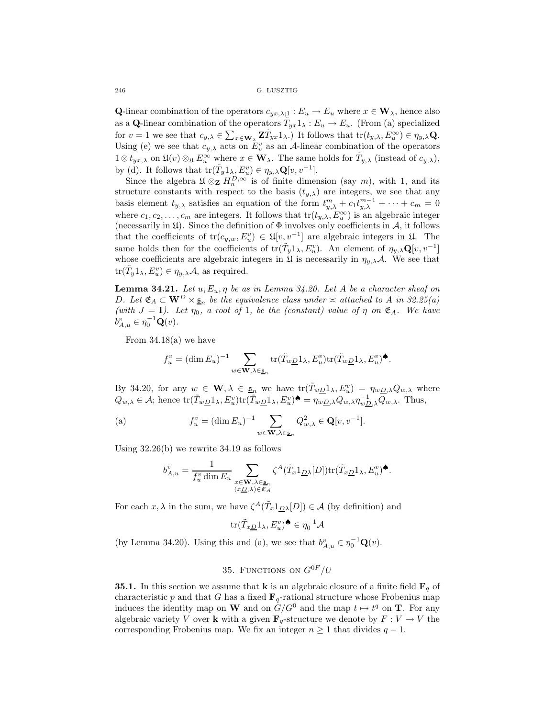**Q**-linear combination of the operators  $c_{yx,\lambda;1}: E_u \to E_u$  where  $x \in W_\lambda$ , hence also as a **Q**-linear combination of the operators  $\tilde{T}_{yx}1_\lambda : E_u \to E_u$ . (From (a) specialized for  $v = 1$  we see that  $c_{y,\lambda} \in \sum_{x \in \mathbf{W}_{\lambda}} \mathbf{Z} \tilde{T}_{yx} 1_{\lambda}$ . It follows that  $tr(t_{y,\lambda}, E_{u}^{\infty}) \in \eta_{y,\lambda} \mathbf{Q}$ . Using (e) we see that  $c_{y,\lambda}$  acts on  $E_u^v$  as an A-linear combination of the operators  $1 \otimes t_{yx,\lambda}$  on  $\mathfrak{U}(v) \otimes_{\mathfrak{U}} E_w^{\infty}$  where  $x \in \mathbf{W}_{\lambda}$ . The same holds for  $\tilde{T}_{y,\lambda}$  (instead of  $c_{y,\lambda}$ ), by (d). It follows that  $\mathrm{tr}(\tilde{T}_y 1_\lambda, E_u^v) \in \eta_{y,\lambda} \mathbf{Q}[v, v^{-1}].$ 

Since the algebra  $\mathfrak{U} \otimes_{\mathbf{Z}} H_n^{D,\infty}$  is of finite dimension (say m), with 1, and its structure constants with respect to the basis  $(t_{y,\lambda})$  are integers, we see that any basis element  $t_{y,\lambda}$  satisfies an equation of the form  $t_{y,\lambda}^m + c_1 t_{y,\lambda}^{m-1} + \cdots + c_m = 0$ where  $c_1, c_2, \ldots, c_m$  are integers. It follows that  $tr(t_{y,\lambda}, E_w^{\infty})$  is an algebraic integer (necessarily in  $\mathfrak{U}$ ). Since the definition of  $\Phi$  involves only coefficients in  $\mathcal{A}$ , it follows that the coefficients of  $tr(c_{y,w}, E_u^v) \in \mathfrak{U}[v, v^{-1}]$  are algebraic integers in  $\mathfrak{U}$ . The same holds then for the coefficients of  $tr(\tilde{T}_y 1_\lambda, E_u^v)$ . An element of  $\eta_{y,\lambda} \mathbf{Q}[v, v^{-1}]$ whose coefficients are algebraic integers in  $\mathfrak U$  is necessarily in  $\eta_{\nu,\lambda}\mathcal A$ . We see that  $\mathrm{tr}(\tilde{T}_y 1_\lambda, E_u^v) \in \eta_{y,\lambda} \mathcal{A}$ , as required.

**Lemma 34.21.** *Let*  $u, E_u, \eta$  *be as in Lemma 34.20. Let*  $A$  *be a character sheaf on* D. Let  $\mathfrak{E}_A \subset \mathbf{W}^D \times \underline{\mathfrak{s}}_n$  be the equivalence class under  $\approx$  attached to A in 32.25(a) *(with*  $J = I$ *). Let*  $\eta_0$ *, a root of* 1*, be the (constant) value of*  $\eta$  *on*  $\mathfrak{E}_A$ *. We have*  $\phi_{A,u}^v \in \eta_0^{-1} \mathbf{Q}(v)$ .

From  $34.18(a)$  we have

$$
f_u^v = (\dim E_u)^{-1} \sum_{w \in \mathbf{W}, \lambda \in \underline{\mathfrak{s}}_n} \text{tr}(\tilde{T}_{w\underline{D}} 1_\lambda, E_u^v) \text{tr}(\tilde{T}_{w\underline{D}} 1_\lambda, E_u^v) \spadesuit.
$$

By 34.20, for any  $w \in \mathbf{W}, \lambda \in \underline{\mathfrak{s}}_n$  we have  $\text{tr}(\tilde{T}_{w\underline{D}}1_{\lambda}, E_u^v) = \eta_{w\underline{D},\lambda}Q_{w,\lambda}$  where  $Q_{w,\lambda} \in \mathcal{A}$ ; hence  $\text{tr}(\tilde{T}_{w\underline{D}}1_{\lambda}, E_u^v)\text{tr}(\tilde{T}_{w\underline{D}}1_{\lambda}, E_u^v) \bullet = \eta_{w\underline{D},\lambda} Q_{w,\lambda} \eta_{w\underline{D},\lambda}^{-1} Q_{w,\lambda}$ . Thus,

(a) 
$$
f_u^v = (\dim E_u)^{-1} \sum_{w \in \mathbf{W}, \lambda \in \mathfrak{s}_n} Q_{w,\lambda}^2 \in \mathbf{Q}[v, v^{-1}].
$$

Using 32.26(b) we rewrite 34.19 as follows

$$
b_{A,u}^v = \frac{1}{f_u^v \dim E_u} \sum_{\substack{x \in \mathbf{W}, \lambda \in \mathfrak{s}_n \\ (x \underline{D}, \lambda) \in \mathfrak{E}_A}} \zeta^A(\tilde{T}_x 1_{\underline{D}\lambda}[D]) \operatorname{tr}(\tilde{T}_{x \underline{D}} 1_{\lambda}, E_u^v)^{\clubsuit}.
$$

For each x,  $\lambda$  in the sum, we have  $\zeta^A(\tilde{T}_x 1_{D\lambda}[D]) \in \mathcal{A}$  (by definition) and

$$
\mathrm{tr}(\tilde{T}_{x\underline{D}}1_{\lambda},E_{u}^{v})^{\spadesuit}\in\eta_{0}^{-1}\mathcal{A}
$$

(by Lemma 34.20). Using this and (a), we see that  $b_{A,u}^v \in \eta_0^{-1} \mathbf{Q}(v)$ .

## 35. FUNCTIONS ON  $G^{0F}/U$

**35.1.** In this section we assume that **k** is an algebraic closure of a finite field  $\mathbf{F}_q$  of characteristic p and that G has a fixed  $\mathbf{F}_q$ -rational structure whose Frobenius map induces the identity map on **W** and on  $G/G^0$  and the map  $t \mapsto t^q$  on **T**. For any algebraic variety V over **k** with a given  $\mathbf{F}_q$ -structure we denote by  $F: V \to V$  the corresponding Frobenius map. We fix an integer  $n \geq 1$  that divides  $q - 1$ .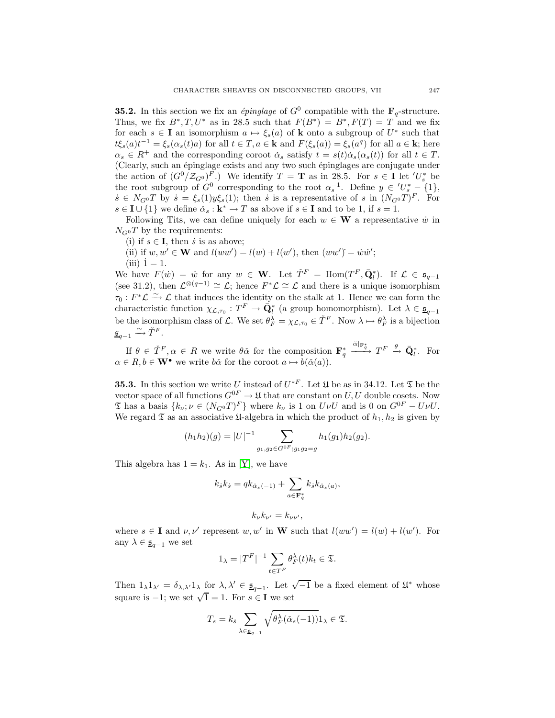**35.2.** In this section we fix an *épinglage* of  $G^0$  compatible with the  $\mathbf{F}_q$ -structure. Thus, we fix  $B^*, T, U^*$  as in 28.5 such that  $F(B^*) = B^*, F(T) = T$  and we fix for each  $s \in I$  an isomorphism  $a \mapsto \xi_s(a)$  of **k** onto a subgroup of  $U^*$  such that  $t\xi_s(a)t^{-1} = \xi_s(\alpha_s(t)a)$  for all  $t \in T, a \in \mathbf{k}$  and  $F(\xi_s(a)) = \xi_s(a^q)$  for all  $a \in \mathbf{k}$ ; here  $\alpha_s \in R^+$  and the corresponding coroot  $\check{\alpha}_s$  satisfy  $t = s(t)\check{\alpha}_s(\alpha_s(t))$  for all  $t \in T$ . (Clearly, such an épinglage exists and any two such épinglages are conjugate under the action of  $(G^0/\mathcal{Z}_{G^0})^F$ .) We identify  $T = \mathbf{T}$  as in 28.5. For  $s \in \mathbf{I}$  let  $'U_s^*$  be the root subgroup of  $G^0$  corresponding to the root  $\alpha_s^{-1}$ . Define  $y \in U_s^* - \{1\}$ ,  $\dot{s} \in N_{G^0}T$  by  $\dot{s} = \xi_s(1)y\xi_s(1)$ ; then  $\dot{s}$  is a representative of  $s$  in  $(N_{G^0}T)^F$ . For  $s \in I \cup \{1\}$  we define  $\check{\alpha}_s : \mathbf{k}^* \to T$  as above if  $s \in I$  and to be 1, if  $s = 1$ .

Following Tits, we can define uniquely for each  $w \in W$  a representative  $\dot{w}$  in  $N_{G}$ <sup>o</sup>T by the requirements:

- (i) if  $s \in I$ , then *i* is as above;
- (ii) if  $w, w' \in W$  and  $l(ww') = l(w) + l(w')$ , then  $(ww') = \dot{w}\dot{w}'$ ;  $(iii)$   $\dot{1} = 1$ .

We have  $F(\dot{w}) = \dot{w}$  for any  $w \in \mathbf{W}$ . Let  $\check{T}^F = \text{Hom}(T^F, \bar{Q}_l^*)$ . If  $\mathcal{L} \in \mathfrak{s}_{q-1}$ (see 31.2), then  $\mathcal{L}^{\otimes (q-1)} \cong \mathcal{L}$ ; hence  $F^*\mathcal{L} \cong \mathcal{L}$  and there is a unique isomorphism  $\tau_0: F^*\mathcal{L} \xrightarrow{\sim} \mathcal{L}$  that induces the identity on the stalk at 1. Hence we can form the characteristic function  $\chi_{\mathcal{L},\tau_0}: T^F \to \tilde{Q}_l^*$  (a group homomorphism). Let  $\lambda \in \underline{\mathfrak{s}}_{q-1}$ be the isomorphism class of L. We set  $\theta_F^{\lambda} = \chi_{\mathcal{L}, \tau_0} \in \check{T}^F$ . Now  $\lambda \mapsto \theta_F^{\lambda}$  is a bijection  $\underline{\mathfrak{s}}_{q-1} \xrightarrow{\sim} \check{T}^F.$ 

If  $\theta \in \check{T}^F, \alpha \in R$  we write  $\theta\check{\alpha}$  for the composition  $\mathbf{F}_q^*$  $\frac{\check{\alpha}|_{\mathbf{F}_q^*}}{\longrightarrow} T^F \stackrel{\theta}{\longrightarrow} \bar{\mathbf{Q}}_l^*$ . For  $\alpha \in R, b \in \mathbf{W}^{\bullet}$  we write  $b\check{\alpha}$  for the coroot  $a \mapsto b(\check{\alpha}(a)).$ 

**35.3.** In this section we write U instead of  $U^{*F}$ . Let  $\mathfrak{U}$  be as in 34.12. Let  $\mathfrak{V}$  be the vector space of all functions  $G^{0F} \to \mathfrak{U}$  that are constant on U, U double cosets. Now  $\mathfrak T$  has a basis  $\{k_{\nu}; \nu \in (N_{G^0}T)^F\}$  where  $k_{\nu}$  is 1 on  $U\nu U$  and is 0 on  $G^{0F} - U\nu U$ . We regard  $\mathfrak T$  as an associative  $\mathfrak U$ -algebra in which the product of  $h_1, h_2$  is given by

$$
(h_1h_2)(g) = |U|^{-1} \sum_{g_1, g_2 \in G^{0F}; g_1g_2 = g} h_1(g_1)h_2(g_2).
$$

This algebra has  $1 = k_1$ . As in [\[Y\]](#page-57-8), we have

$$
k_{\dot{s}}k_{\dot{s}} = qk_{\tilde{\alpha}_s(-1)} + \sum_{a \in \mathbf{F}_q^*} k_{\dot{s}}k_{\tilde{\alpha}_s(a)},
$$

$$
k_{\nu}k_{\nu'}=k_{\nu\nu'},
$$

where  $s \in I$  and  $\nu, \nu'$  represent  $w, w'$  in **W** such that  $l(ww') = l(w) + l(w')$ . For any  $\lambda \in \underline{\mathfrak{s}}_{q-1}$  we set

$$
1_{\lambda} = |T^F|^{-1} \sum_{t \in T^F} \theta_F^{\lambda}(t) k_t \in \mathfrak{T}.
$$

Then  $1_{\lambda}1_{\lambda'} = \delta_{\lambda,\lambda'}1_{\lambda}$  for  $\lambda,\lambda' \in \underline{\mathfrak{s}}_{q-1}$ . Let  $\sqrt{-1}$  be a fixed element of  $\mathfrak{U}^*$  whose square is  $-1$ ; we set  $\sqrt{1} = 1$ . For  $s \in I$  we set

$$
T_s = k_s \sum_{\lambda \in \underline{\mathfrak{s}}_{q-1}} \sqrt{\theta_F^{\lambda}(\check{\alpha}_s(-1))} 1_{\lambda} \in \mathfrak{T}.
$$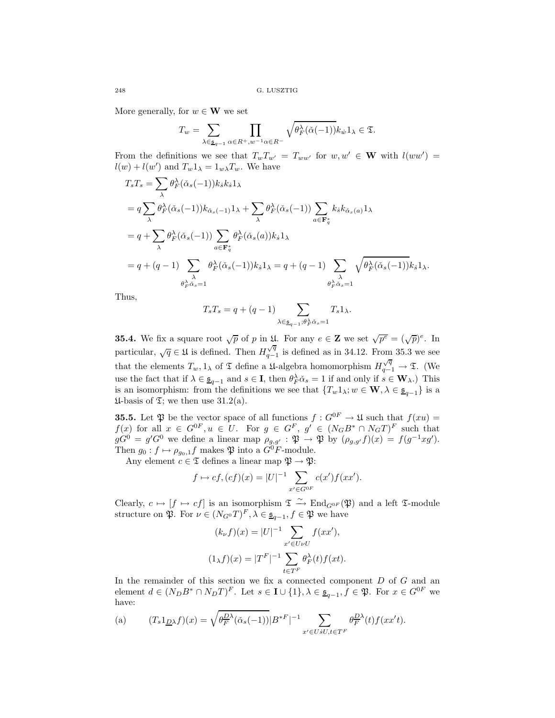More generally, for  $w \in W$  we set

$$
T_w = \sum_{\lambda \in \underline{\mathfrak{s}}_{q-1}} \prod_{\alpha \in R^+, w^{-1} \alpha \in R^-} \sqrt{\theta_F^{\lambda}(\check{\alpha}(-1))} k_{\dot{w}} 1_{\lambda} \in \mathfrak{T}.
$$

From the definitions we see that  $T_w T_{w'} = T_{ww'}$  for  $w, w' \in \mathbf{W}$  with  $l(ww') =$  $l(w) + l(w')$  and  $T_w 1_\lambda = 1_{w\lambda} T_w$ . We have

$$
T_s T_s = \sum_{\lambda} \theta_F^{\lambda} (\check{\alpha}_s(-1)) k_s k_s 1_{\lambda}
$$
  
=  $q \sum_{\lambda} \theta_F^{\lambda} (\check{\alpha}_s(-1)) k_{\check{\alpha}_s(-1)} 1_{\lambda} + \sum_{\lambda} \theta_F^{\lambda} (\check{\alpha}_s(-1)) \sum_{a \in \mathbf{F}_q^*} k_s k_{\check{\alpha}_s(a)} 1_{\lambda}$   
=  $q + \sum_{\lambda} \theta_F^{\lambda} (\check{\alpha}_s(-1)) \sum_{a \in \mathbf{F}_q^*} \theta_F^{\lambda} (\check{\alpha}_s(a)) k_s 1_{\lambda}$   
=  $q + (q - 1) \sum_{\lambda} \theta_F^{\lambda} (\check{\alpha}_s(-1)) k_s 1_{\lambda} = q + (q - 1) \sum_{\lambda} \sqrt{\theta_F^{\lambda} (\check{\alpha}_s(-1))} k_s 1_{\lambda}.$   
 $\theta_F^{\lambda} \check{\alpha}_s = 1$ 

Thus,

$$
T_s T_s = q + (q - 1) \sum_{\lambda \in \underline{\mathfrak{s}}_{q-1}; \theta_F^{\lambda} \dot{\alpha}_s = 1} T_s 1_{\lambda}.
$$

**35.4.** We fix a square root  $\sqrt{p}$  of p in  $\mathfrak{U}$ . For any  $e \in \mathbf{Z}$  we set  $\sqrt{p^e} = (\sqrt{p})^e$ . In particular,  $\sqrt{q} \in \mathfrak{U}$  is defined. Then  $H_{q-1}^{\sqrt{q}}$  is defined as in 34.12. From 35.3 we see that the elements  $T_w, 1_\lambda$  of  $\mathfrak T$  define a 14-algebra homomorphism  $H_{q-1}^{\sqrt{q}} \to \mathfrak T$ . (We use the fact that if  $\lambda \in \underline{\mathfrak{s}}_{q-1}$  and  $s \in \mathbf{I}$ , then  $\theta_F^{\lambda} \check{\alpha}_s = 1$  if and only if  $s \in \mathbf{W}_{\lambda}$ .) This is an isomorphism: from the definitions we see that  $\{T_w 1_\lambda; w \in \mathbf{W}, \lambda \in \underline{\mathfrak{s}}_{q-1}\}$  is a  $\mathfrak{U}$ -basis of  $\mathfrak{T}$ ; we then use 31.2(a).

**35.5.** Let  $\mathfrak{P}$  be the vector space of all functions  $f: G^{0F} \to \mathfrak{U}$  such that  $f(xu) =$  $f(x)$  for all  $x \in G^{0F}, u \in U$ . For  $g \in G^F$ ,  $g' \in (N_G B^* \cap N_G T)^F$  such that  $gG^{0} = g'G^{0}$  we define a linear map  $\rho_{g,g'} : \mathfrak{P} \to \mathfrak{P}$  by  $(\rho_{g,g'}f)(x) = f(g^{-1}xg').$ Then  $g_0: f \mapsto \rho_{g_0,1} f$  makes  $\mathfrak{P}$  into a  $\tilde{G}^0 F$ -module.

Any element  $c \in \mathfrak{T}$  defines a linear map  $\mathfrak{P} \to \mathfrak{P}$ :

$$
f \mapsto cf, (cf)(x) = |U|^{-1} \sum_{x' \in G^{0F}} c(x')f(xx').
$$

Clearly,  $c \mapsto [f \mapsto cf]$  is an isomorphism  $\mathfrak{T} \xrightarrow{\sim} \text{End}_{G^{0F}}(\mathfrak{P})$  and a left  $\mathfrak{T}$ -module structure on  $\mathfrak{P}$ . For  $\nu \in (N_{G^0}T)^F$ ,  $\lambda \in \underline{\mathfrak{s}}_{q-1}$ ,  $f \in \mathfrak{P}$  we have

$$
(k_{\nu}f)(x) = |U|^{-1} \sum_{x' \in U \nu U} f(xx'),
$$

$$
(1_{\lambda}f)(x) = |T^F|^{-1} \sum_{t \in T^F} \theta_F^{\lambda}(t) f(xt).
$$

In the remainder of this section we fix a connected component  $D$  of  $G$  and an element  $d \in (N_D B^* \cap N_D T)^F$ . Let  $s \in I \cup \{1\}, \lambda \in \underline{\mathfrak{s}}_{q-1}, f \in \mathfrak{P}$ . For  $x \in G^{0F}$  we have:

(a) 
$$
(T_s1_{\underline{D}\lambda}f)(x) = \sqrt{\theta_F^{\underline{D}\lambda}(\check{\alpha}_s(-1))} |B^*F|^{-1} \sum_{x' \in U \dot{s}U, t \in T^F} \theta_F^{\underline{D}\lambda}(t) f(xx't).
$$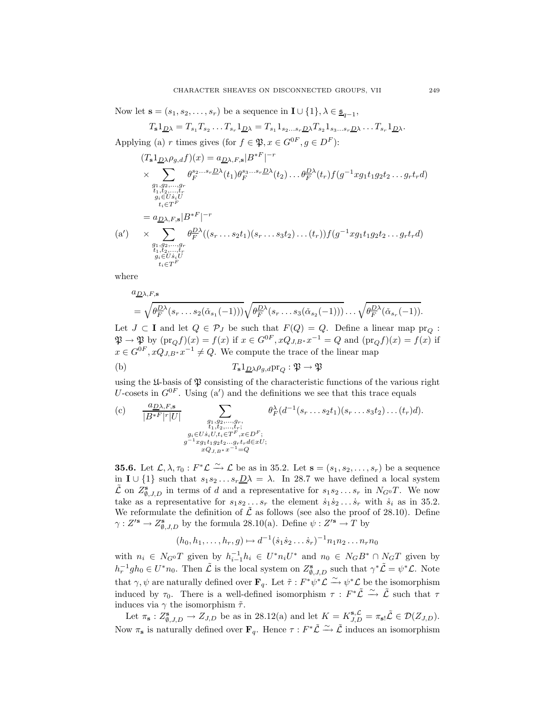Now let  $\mathbf{s} = (s_1, s_2, \ldots, s_r)$  be a sequence in  $\mathbf{I} \cup \{1\}, \lambda \in \underline{\mathfrak{s}}_{q-1}$ ,

$$
T_{\mathbf{s}}\mathbf{1}_{\underline{D}\lambda}=T_{s_1}T_{s_2}\ldots T_{s_r}\mathbf{1}_{\underline{D}\lambda}=T_{s_1}\mathbf{1}_{s_2\ldots s_r\underline{D}\lambda}T_{s_2}\mathbf{1}_{s_3\ldots s_r\underline{D}\lambda}\ldots T_{s_r}\mathbf{1}_{\underline{D}\lambda}.
$$

Applying (a) r times gives (for  $f \in \mathfrak{P}, x \in G^{0F}, g \in D^F$ ):

$$
(T_s1_{\underline{D}\lambda}\rho_{g,d}f)(x) = a_{\underline{D}\lambda,F,s} |B^{*F}|^{-r}
$$
  
\n
$$
\times \sum_{\substack{g_1,g_2,\ldots,g_r\\h_1,h_2,\ldots,h_r\\g_i \in U s_iU\\t_i \in T^F}} \theta_F^{s_2\ldots s_r \underline{D}\lambda}(t_1) \theta_F^{s_3\ldots s_r \underline{D}\lambda}(t_2) \ldots \theta_F^{\underline{D}\lambda}(t_r) f(g^{-1}xg_1t_1g_2t_2\ldots g_rt_r d)
$$
  
\n
$$
= a_{\underline{D}\lambda,F,s} |B^{*F}|^{-r}
$$
  
\n(a')\n
$$
\times \sum_{\substack{g_1,g_2,\ldots,g_r\\h_1,h_2,\ldots,h_r\\g_i \in U s_iU\\t_i \in T^F}} \theta_F^{\underline{D}\lambda}((s_r\ldots s_2t_1)(s_r\ldots s_3t_2)\ldots (t_r)) f(g^{-1}xg_1t_1g_2t_2\ldots g_rt_r d)
$$

where

$$
a_{\underline{D}\lambda,F,\mathbf{s}} = \sqrt{\theta_F^{\underline{D}\lambda}(s_r \dots s_2(\check{\alpha}_{s_1}(-1)))} \sqrt{\theta_F^{\underline{D}\lambda}(s_r \dots s_3(\check{\alpha}_{s_2}(-1)))} \dots \sqrt{\theta_F^{\underline{D}\lambda}(\check{\alpha}_{s_r}(-1))}.
$$

Let  $J \subset \mathbf{I}$  and let  $Q \in \mathcal{P}_J$  be such that  $F(Q) = Q$ . Define a linear map  $pr_Q$ :  $\mathfrak{P} \to \mathfrak{P}$  by  $(\text{pr}_O f)(x) = f(x)$  if  $x \in G^{0F}$ ,  $xQ_{J,B^*}x^{-1} = Q$  and  $(\text{pr}_O f)(x) = f(x)$  if  $x \in G^{0F}, xQ_{J,B^*}x^{-1} \neq Q$ . We compute the trace of the linear map

(b) 
$$
T_{s}1_{\underline{D}\lambda}\rho_{g,d}\text{pr}_{Q}:\mathfrak{P}\to\mathfrak{P}
$$

using the  $\mathfrak{U}$ -basis of  $\mathfrak{P}$  consisting of the characteristic functions of the various right U-cosets in  $G^{0F}$ . Using (a') and the definitions we see that this trace equals

(c) 
$$
\frac{a_{\underline{D}\lambda, F, \mathbf{s}}}{|B^{*F}|^r|U|} \sum_{\substack{g_1, g_2, \ldots, g_r, \\ t_1, t_2, \ldots, t_r; \\ g_i \in U \text{ } i \text{ } U, t_i \in T^F, x \in D^F; \\ g^{-1}xg_1t_1g_2t_2\ldots g_rt_r d\in xU; \\ xQ_{J, B^*}x^{-1} = Q}} \theta_F^{\lambda} (d^{-1}(s_r \ldots s_2 t_1)(s_r \ldots s_3 t_2) \ldots (t_r) d).
$$

**35.6.** Let  $\mathcal{L}, \lambda, \tau_0 : F^* \mathcal{L} \xrightarrow{\sim} \mathcal{L}$  be as in 35.2. Let  $\mathbf{s} = (s_1, s_2, \dots, s_r)$  be a sequence in **I** ∪ {1} such that  $s_1s_2 \ldots s_r\underline{D}\lambda = \lambda$ . In 28.7 we have defined a local system  $\tilde{\mathcal{L}}$  on  $Z_{\emptyset, J, D}^{\mathbf{s}}$  in terms of d and a representative for  $s_1 s_2 \ldots s_r$  in  $N_{G^0} T$ . We now take as a representative for  $s_1s_2...s_r$  the element  $\dot{s}_1\dot{s}_2... \dot{s}_r$  with  $\dot{s}_i$  as in 35.2. We reformulate the definition of  $\mathcal{\hat{L}}$  as follows (see also the proof of 28.10). Define  $\gamma: Z'^{\mathbf{s}} \to Z^{\mathbf{s}}_{\emptyset, J, D}$  by the formula 28.10(a). Define  $\psi: Z'^{\mathbf{s}} \to T$  by

$$
(h_0, h_1, \ldots, h_r, g) \mapsto d^{-1}(\dot{s}_1 \dot{s}_2 \ldots \dot{s}_r)^{-1} n_1 n_2 \ldots n_r n_0
$$

with  $n_i \in N_{G}$  given by  $h_{i-1}^{-1}h_i \in U^*n_iU^*$  and  $n_0 \in N_GB^* \cap N_GT$  given by  $h_r^{-1}gh_0 \in U^*n_0$ . Then  $\tilde{\mathcal{L}}$  is the local system on  $Z_{\emptyset, J, D}^s$  such that  $\gamma^*\tilde{\mathcal{L}} = \psi^*\mathcal{L}$ . Note that  $\gamma, \psi$  are naturally defined over  $\mathbf{F}_q$ . Let  $\tilde{\tau}: F^*\psi^*\mathcal{L} \xrightarrow{\sim} \psi^*\mathcal{L}$  be the isomorphism induced by  $\tau_0$ . There is a well-defined isomorphism  $\tau : F^* \tilde{\mathcal{L}} \stackrel{\sim}{\to} \tilde{\mathcal{L}}$  such that  $\tau$ induces via  $\gamma$  the isomorphism  $\tilde{\tau}$ .

Let  $\pi_{\mathbf{s}} : Z_{\emptyset, J, D}^{\mathbf{s}} \to Z_{J, D}$  be as in 28.12(a) and let  $K = K_{J, D}^{\mathbf{s}, \mathcal{L}} = \pi_{\mathbf{s}} \mathcal{L} \in \mathcal{D}(Z_{J, D}).$ Now  $\pi_s$  is naturally defined over  $\mathbf{F}_q$ . Hence  $\tau: F^*\tilde{\mathcal{L}} \xrightarrow{\sim} \tilde{\mathcal{L}}$  induces an isomorphism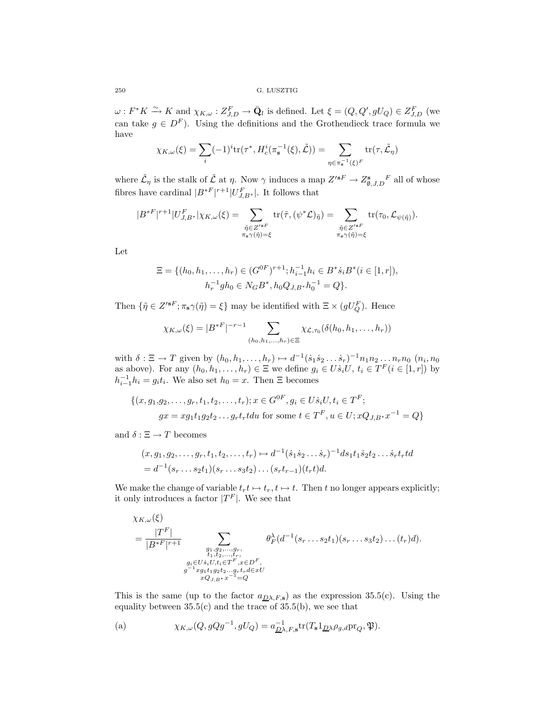$\omega: F^*K \xrightarrow{\sim} K$  and  $\chi_{K,\omega}: Z_{J,D}^F \to \bar{Q}_l$  is defined. Let  $\xi = (Q, Q', gU_Q) \in Z_{J,D}^F$  (we can take  $g \in D^F$ ). Using the definitions and the Grothendieck trace formula we have

$$
\chi_{K,\omega}(\xi) = \sum_{i} (-1)^i \text{tr}(\tau^*, H_c^i(\pi_{\mathbf{s}}^{-1}(\xi), \tilde{\mathcal{L}})) = \sum_{\eta \in \pi_{\mathbf{s}}^{-1}(\xi)^F} \text{tr}(\tau, \tilde{\mathcal{L}}_{\eta})
$$

where  $\tilde{\mathcal{L}}_{\eta}$  is the stalk of  $\tilde{\mathcal{L}}$  at  $\eta$ . Now  $\gamma$  induces a map  $Z'^{sF} \to Z^s_{\emptyset, J, D}{}^F$  all of whose fibres have cardinal  $|B^*^F|^{r+1}|U_{J,B^*}^F|$ . It follows that

$$
|B^{\ast F}|^{r+1}|U_{J,B^{\ast}}^{F}|\chi_{K,\omega}(\xi)=\sum_{\substack{\tilde{\eta}\in Z'^{\ast F}\\ \pi_{\mathbf{s}}\gamma(\tilde{\eta})=\xi}}\mathrm{tr}(\tilde{\tau},(\psi^{\ast}\mathcal{L})_{\tilde{\eta}})=\sum_{\substack{\tilde{\eta}\in Z'^{\ast F}\\ \pi_{\mathbf{s}}\gamma(\tilde{\eta})=\xi}}\mathrm{tr}(\tau_{0},\mathcal{L}_{\psi(\tilde{\eta})}).
$$

Let

$$
\Xi = \{ (h_0, h_1, \dots, h_r) \in (G^{0F})^{r+1}; h_{i-1}^{-1}h_i \in B^* \dot{s}_i B^*(i \in [1, r]),
$$
  

$$
h_r^{-1}gh_0 \in N_G B^*, h_0 Q_{J, B^*} h_0^{-1} = Q \}.
$$

Then  $\{\tilde{\eta} \in Z'^{sF}; \pi_s \gamma(\tilde{\eta}) = \xi\}$  may be identified with  $\Xi \times (gU_Q^F)$ . Hence

$$
\chi_{K,\omega}(\xi) = |B^{*F}|^{-r-1} \sum_{(h_0, h_1, \dots, h_r) \in \Xi} \chi_{\mathcal{L},\tau_0}(\delta(h_0, h_1, \dots, h_r))
$$

with  $\delta : \Xi \to T$  given by  $(h_0, h_1, \ldots, h_r) \mapsto d^{-1}(\dot{s}_1 \dot{s}_2 \ldots \dot{s}_r)^{-1} n_1 n_2 \ldots n_r n_0$   $(n_i, n_0)$ as above). For any  $(h_0, h_1, \ldots, h_r) \in \Xi$  we define  $g_i \in U \dot{s}_i U$ ,  $t_i \in T^F (i \in [1, r])$  by  $h_{i-1}^{-1}h_i = g_it_i$ . We also set  $h_0 = x$ . Then  $\Xi$  becomes

$$
\{(x, g_1, g_2, \dots, g_r, t_1, t_2, \dots, t_r); x \in G^{0F}, g_i \in U \dot{s}_i U, t_i \in T^F;
$$
  

$$
gx = xg_1t_1g_2t_2 \dots g_rt_rtdu \text{ for some } t \in T^F, u \in U; xQ_{J,B^*}x^{-1} = Q\}
$$

and  $\delta : \Xi \to T$  becomes

$$
(x, g_1, g_2, \dots, g_r, t_1, t_2, \dots, t_r) \mapsto d^{-1}(\dot{s}_1 \dot{s}_2 \dots \dot{s}_r)^{-1} ds_1 t_1 \dot{s}_2 t_2 \dots \dot{s}_r t_r t d = d^{-1}(s_r \dots s_2 t_1)(s_r \dots s_3 t_2) \dots (s_r t_{r-1})(t_r t) d.
$$

We make the change of variable  $t_r t \mapsto t_r$ ,  $t \mapsto t$ . Then t no longer appears explicitly; it only introduces a factor  $|T^F|$ . We see that

$$
\chi_{K,\omega}(\xi) = \frac{|T^F|}{|B*^F|^{r+1}} \sum_{\substack{q_1, q_2, ..., q_r, \\ t_1, t_2, ..., t_r, \\ g_i \in U s_i U, t_i \in T^F, x \in D^F, \\ g^{-1}x g_1 t_1 g_2 t_2...g_r t_r d \in xU}} \theta^{\lambda}_{F}(d^{-1}(s_r...s_2 t_1)(s_r...s_3 t_2)...(t_r)d).
$$

This is the same (up to the factor  $a_{\text{D}\lambda,F,s}$ ) as the expression 35.5(c). Using the equality between  $35.5(c)$  and the trace of  $35.5(b)$ , we see that

(a) 
$$
\chi_{K,\omega}(Q,gQg^{-1},gU_Q) = a_{\underline{D}\lambda,F,\mathbf{s}}^{-1} \text{tr}(T_{\mathbf{s}}1_{\underline{D}\lambda}\rho_{g,d}\text{pr}_Q,\mathfrak{P}).
$$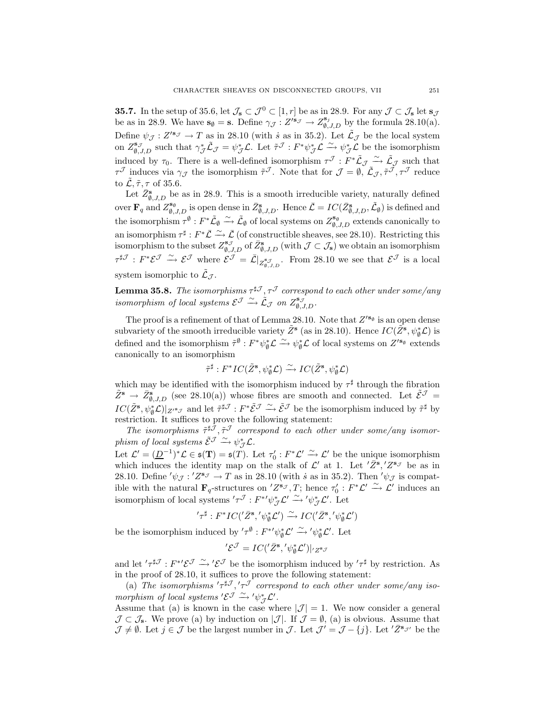**35.7.** In the setup of 35.6, let  $\mathcal{J}_s \subset \mathcal{J}^0 \subset [1, r]$  be as in 28.9. For any  $\mathcal{J} \subset \mathcal{J}_s$  let  $s_{\mathcal{J}}$ be as in 28.9. We have  $\mathbf{s}_{\emptyset} = \mathbf{s}$ . Define  $\gamma_{\mathcal{J}} : Z'^{\mathbf{s}_{\mathcal{J}}} \to Z^{\mathbf{s}_{\mathcal{J}}}_{\emptyset, J, D}$  by the formula 28.10(a). Define  $\psi_{\mathcal{J}}: Z'^{s_{\mathcal{J}}}\to T$  as in 28.10 (with *s* as in 35.2). Let  $\tilde{\mathcal{L}}_{\mathcal{J}}$  be the local system on  $Z_{\emptyset, J, D}^{\mathbf{s}_{J}}$  such that  $\gamma_{J}^{*} \tilde{\mathcal{L}}_{J} = \psi_{J}^{*} \mathcal{L}$ . Let  $\tilde{\tau}^{J} : F^{*} \psi_{J}^{*} \mathcal{L} \xrightarrow{\sim} \psi_{J}^{*} \mathcal{L}$  be the isomorphism induced by  $\tau_0$ . There is a well-defined isomorphism  $\tau^{\mathcal{J}}: F^*\tilde{L}_{\mathcal{J}} \xrightarrow{\sim} \tilde{L}_{\mathcal{J}}$  such that  $\tau^{\mathcal{J}}$  induces via  $\gamma_{\mathcal{J}}$  the isomorphism  $\tilde{\tau}^{\mathcal{J}}$ . Note that for  $\mathcal{J} = \emptyset$ ,  $\tilde{\mathcal{L}}_{\mathcal{J}}, \tilde{\tau}^{\mathcal{J}}, \tau^{\mathcal{J}}$  reduce to  $\mathcal{L}, \tilde{\tau}, \tau$  of 35.6.

Let  $\bar{Z}_{\emptyset, J, D}^{\mathbf{s}}$  be as in 28.9. This is a smooth irreducible variety, naturally defined over  $\mathbf{F}_q$  and  $Z_{\emptyset,J,D}^{\mathbf{s}_\emptyset}$  is open dense in  $\bar{Z}_{\emptyset,J,D}^{\mathbf{s}}$ . Hence  $\bar{\mathcal{L}} = IC(\bar{Z}_{\emptyset,J,D}^{\mathbf{s}}, \tilde{\mathcal{L}}_{\emptyset})$  is defined and the isomorphism  $\tau^{\emptyset} : F^* \tilde{L}_{\emptyset} \xrightarrow{\sim} \tilde{L}_{\emptyset}$  of local systems on  $Z_{\emptyset, J, D}^{\mathbf{s}_{\emptyset}}$  extends canonically to an isomorphism  $\tau^{\sharp}: F^*\bar{\mathcal{L}} \stackrel{\sim}{\longrightarrow} \bar{\mathcal{L}}$  (of constructible sheaves, see 28.10). Restricting this isomorphism to the subset  $Z_{\emptyset, J, D}^{s_{\mathcal{J}}}$  of  $\overline{Z_{\emptyset, J, D}^{s}}$  (with  $\mathcal{J} \subset \mathcal{J}_{s}$ ) we obtain an isomorphism  $\tau^{\sharp\mathcal{J}}$  :  $F^*\mathcal{E}^{\mathcal{J}} \xrightarrow{\sim} \mathcal{E}^{\mathcal{J}}$  where  $\mathcal{E}^{\mathcal{J}} = \overline{\mathcal{L}}|_{Z_{\emptyset,\mathcal{J},D}^{\mathcal{S}}}.$  From 28.10 we see that  $\mathcal{E}^{\mathcal{J}}$  is a local system isomorphic to  $\tilde{\mathcal{L}}_{\mathcal{J}}$ .

**Lemma 35.8.** *The isomorphisms*  $\tau^{\sharp\mathcal{J}}, \tau^{\mathcal{J}}$  *correspond to each other under some/any isomorphism of local systems*  $\mathcal{E}^{\mathcal{J}} \xrightarrow{\sim} \mathcal{L}_{\mathcal{J}}$  *on*  $Z_{\emptyset, J, D}^{s_{\mathcal{J}}}$ .

The proof is a refinement of that of Lemma 28.10. Note that  $Z'^{s_{\emptyset}}$  is an open dense subvariety of the smooth irreducible variety  $\tilde{Z}^s$  (as in 28.10). Hence  $IC(\tilde{Z}^s, \psi^*_\emptyset, \mathcal{L})$  is defined and the isomorphism  $\tilde{\tau}^{\emptyset}: F^*\psi_{\emptyset}^* \mathcal{L} \xrightarrow{\sim} \psi_{\emptyset}^* \mathcal{L}$  of local systems on  $Z'^{s_{\emptyset}}$  extends canonically to an isomorphism

$$
\tilde{\tau}^{\sharp}: F^{*}IC(\tilde{Z}^{\mathbf{s}}, \psi_{\emptyset}^{*}\mathcal{L}) \xrightarrow{\sim} IC(\tilde{Z}^{\mathbf{s}}, \psi_{\emptyset}^{*}\mathcal{L})
$$

which may be identified with the isomorphism induced by  $\tau^{\sharp}$  through the fibration  $\tilde{Z}^s \to \bar{Z}_{\emptyset, J, D}^s$  (see 28.10(a)) whose fibres are smooth and connected. Let  $\tilde{\mathcal{E}}^{\mathcal{J}} =$  $IC(\tilde{Z}^{\mathbf{s}}, \psi_{\emptyset}^* \mathcal{L})|_{Z'^{\mathbf{s}}\mathcal{J}}$  and let  $\tilde{\tau}^{\sharp\mathcal{J}} : F^* \tilde{\mathcal{E}}^{\mathcal{J}} \xrightarrow{\sim} \tilde{\mathcal{E}}^{\mathcal{J}}$  be the isomorphism induced by  $\tilde{\tau}^{\sharp}$  by restriction. It suffices to prove the following statement:

The isomorphisms  $\tilde{\tau}^{\sharp\tilde{\mathcal{J}}}, \tilde{\tau}^{\mathcal{J}}$  correspond to each other under some/any isomor $phism \textit{ of local systems } \tilde{\mathcal{E}}^{\mathcal{J}} \xrightarrow{\sim} \psi_{\mathcal{J}}^* \mathcal{L}.$ 

Let  $\mathcal{L}' = (\underline{D}^{-1})^* \mathcal{L} \in \mathfrak{s}(\mathbf{T}) = \mathfrak{s}(T)$ . Let  $\tau_0' : F^* \mathcal{L}' \xrightarrow{\sim} \mathcal{L}'$  be the unique isomorphism which induces the identity map on the stalk of  $\mathcal{L}'$  at 1. Let  $'\overline{Z}^{\mathbf{s}}$ ,  $'Z^{\mathbf{s}}J$  be as in 28.10. Define  $'\psi_{\mathcal{J}}$ :  $'Z^{s_{\mathcal{J}}} \to T$  as in 28.10 (with *s* as in 35.2). Then  $'\psi_{\mathcal{J}}$  is compatible with the natural  $\mathbf{F}_q$ -structures on  $Z^{s_{\mathcal{J}}}, T$ ; hence  $\tau'_0 : F^* \mathcal{L}' \xrightarrow{\sim} \mathcal{L}'$  induces an isomorphism of local systems  $'\tau^{\mathcal{J}} : F^{*\prime}\psi_{\mathcal{J}}^*\mathcal{L}' \xrightarrow{\sim} ' \psi_{\mathcal{J}}^*\mathcal{L}'.$  Let

 $T^{\sharp}: F^{*}IC('{{\bar{Z}}^{\bf s}}, '{\psi_{\emptyset}^*} {\mathcal L}') \xrightarrow{\sim} IC('{{\bar{Z}}^{\bf s}}, '{\psi_{\emptyset}^*} {\mathcal L}')$ 

be the isomorphism induced by  $'\tau^{\emptyset}: F^{*\prime}\psi_{\emptyset}^*{\mathcal L}' \xrightarrow{\sim} '\psi_{\emptyset}^*{\mathcal L}'.$  Let

$$
'\mathcal{E}^{\mathcal{J}} = IC(^{\prime}\bar{Z}^{\mathbf{s}}, ' \psi_{\emptyset}^{*}\mathcal{L}')|_{'Z^{\mathbf{s}}\mathcal{J}}
$$

and let  $'\tau^{\sharp\mathcal{J}} : F^{*\prime}\mathcal{E}^{\mathcal{J}} \xrightarrow{\sim} ' \mathcal{E}^{\mathcal{J}}$  be the isomorphism induced by  $'\tau^{\sharp}$  by restriction. As in the proof of 28.10, it suffices to prove the following statement:

(a) The isomorphisms  $\tau^{\sharp\mathcal{J}}, \tau^{\mathcal{J}}$  correspond to each other under some/any iso*morphism of local systems* ' $\mathcal{E}^{\mathcal{J}} \xrightarrow{\sim} ' \psi_{\mathcal{J}}^* \mathcal{L}'$ .

Assume that (a) is known in the case where  $|\mathcal{J}| = 1$ . We now consider a general  $\mathcal{J} \subset \mathcal{J}_s$ . We prove (a) by induction on  $|\mathcal{J}|$ . If  $\mathcal{J} = \emptyset$ , (a) is obvious. Assume that  $\mathcal{J} \neq \emptyset$ . Let  $j \in \mathcal{J}$  be the largest number in  $\mathcal{J}$ . Let  $\mathcal{J}' = \mathcal{J} - \{j\}$ . Let  $'\bar{Z}^{s_{\mathcal{J}'}}$  be the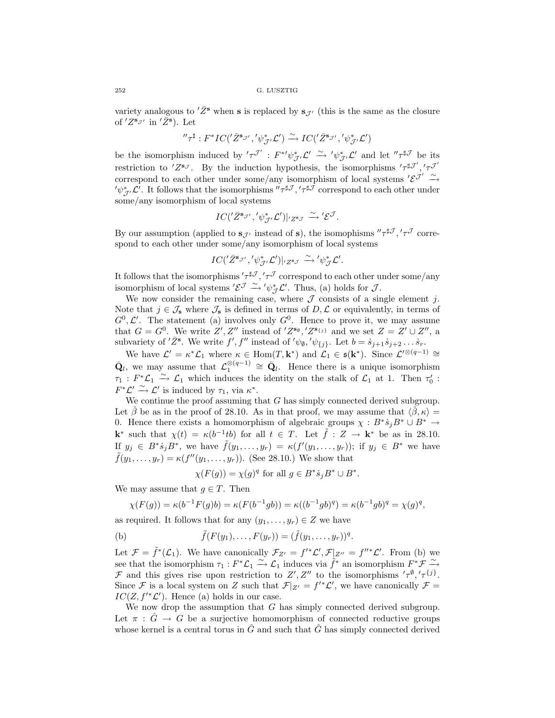variety analogous to  $'\bar{Z}^s$  when **s** is replaced by  $s_{\mathcal{J}}$  (this is the same as the closure of  $Z^{s_{\mathcal{J}'}}$  in  $'\overline{Z}^{s}$ ). Let

$$
''\tau^{\sharp}:F^* IC(^{\prime}\bar{Z}^{{\bf s}_{\mathcal{J}'}}, ^{\prime}\psi_{\mathcal{J}'}^* \mathcal{L}') \xrightarrow{\sim} IC(^{\prime}\bar{Z}^{{\bf s}_{\mathcal{J}'}}, ^{\prime}\psi_{\mathcal{J}'}^* \mathcal{L}')
$$

be the isomorphism induced by  $'\tau^{\mathcal{J}'}: F^{*\prime}\psi_{\mathcal{J}'}^*\mathcal{L}' \xrightarrow{\sim} '\psi_{\mathcal{J}'}^*\mathcal{L}'$  and let  $''\tau^{\sharp\mathcal{J}}$  be its restriction to  $Z^{s_{\mathcal{J}}}$ . By the induction hypothesis, the isomorphisms  $'\tau^{\sharp\mathcal{J}'},'\tau^{\mathcal{J}'}$ correspond to each other under some/any isomorphism of local systems  $'\mathcal{E}^{\mathcal{J}'} \xrightarrow{\sim}$  $'\psi_{\mathcal{J}'}^*\mathcal{L}'$ . It follows that the isomorphisms  $''\tau^{\sharp\mathcal{J}}, ' \tau^{\sharp\mathcal{J}}$  correspond to each other under some/any isomorphism of local systems

$$
IC('{{\bar{Z}}^{{\bf s}_{\mathcal{J}'}}}, ' \psi_{\mathcal{J}'}^* \mathcal{L}')|_{' Z^{{\bf s}_{\mathcal{J}}}} \xrightarrow{\sim} ' \mathcal{E}^{\mathcal{J}}.
$$

By our assumption (applied to  $s_{\mathcal{J}}$  instead of s), the isomophisms  $''\tau^{\sharp\mathcal{J}}, ' \tau^{\mathcal{J}}$  correspond to each other under some/any isomorphism of local systems

$$
IC({'}\bar{Z}^{\mathbf{s}_{\mathcal{J}'}}',{'}\psi_{\mathcal{J}'}^*\mathcal{L}')|_{'Z^{\mathbf{s}_{\mathcal{J}}}} \xrightarrow{\sim} ' \psi_{\mathcal{J}}^*\mathcal{L}'.
$$

It follows that the isomorphisms  $'\tau^{\sharp\mathcal{J}},'\tau^{\mathcal{J}}$  correspond to each other under some/any isomorphism of local systems ' $\mathcal{E}^{\mathcal{J}} \xrightarrow{\sim} ' \psi_{\mathcal{J}}^* \mathcal{L}'$ . Thus, (a) holds for  $\mathcal{J}$ .

We now consider the remaining case, where  $\mathcal J$  consists of a single element j. Note that  $j \in \mathcal{J}_s$  where  $\mathcal{J}_s$  is defined in terms of  $D, \mathcal{L}$  or equivalently, in terms of  $G^0, \mathcal{L}'$ . The statement (a) involves only  $G^0$ . Hence to prove it, we may assume that  $G = G^0$ . We write  $Z', Z''$  instead of ' $Z^{s_0}, Z^{s_{\{j\}}}$  and we set  $Z = Z' \cup Z''$ , a subvariety of  $'\bar{Z}^s$ . We write  $f', f''$  instead of  $'\psi_{\emptyset}, \psi_{\{j\}}$ . Let  $b = \dot{s}_{j+1}\dot{s}_{j+2} \dots \dot{s}_r$ .

We have  $\mathcal{L}' = \kappa^* \mathcal{L}_1$  where  $\kappa \in \text{Hom}(T, \mathbf{k}^*)$  and  $\mathcal{L}_1 \in \mathfrak{s}(\mathbf{k}^*)$ . Since  $\mathcal{L}'^{\otimes (q-1)} \cong$  $\bar{\mathbf{Q}}_l$ , we may assume that  $\mathcal{L}_1^{\otimes (q-1)} \cong \bar{\mathbf{Q}}_l$ . Hence there is a unique isomorphism  $\tau_1: F^*\mathcal{L}_1 \xrightarrow{\sim} \mathcal{L}_1$  which induces the identity on the stalk of  $\mathcal{L}_1$  at 1. Then  $\tau_0'$ :  $F^*\mathcal{L}' \xrightarrow{\sim} \mathcal{L}'$  is induced by  $\tau_1$ , via  $\kappa^*$ .

We continue the proof assuming that  $G$  has simply connected derived subgroup. Let  $\hat{\beta}$  be as in the proof of 28.10. As in that proof, we may assume that  $\langle \hat{\beta}, \kappa \rangle =$ 0. Hence there exists a homomorphism of algebraic groups  $\chi : B^* \dot{s}_j B^* \cup B^* \rightarrow$ **k**<sup>∗</sup> such that  $\chi(t) = \kappa(b^{-1}tb)$  for all  $t \in T$ . Let  $\tilde{f}: Z \to \mathbf{k}^*$  be as in 28.10. If  $y_j \in B^* \dot{s}_j B^*$ , we have  $\tilde{f}(y_1,\ldots,y_r) = \kappa(f'(y_1,\ldots,y_r));$  if  $y_j \in B^*$  we have  $ilde{f}(y_1,..., y_r) = \kappa(f''(y_1,..., y_r)).$  (See 28.10.) We show that

$$
\chi(F(g)) = \chi(g)^q \text{ for all } g \in B^* \dot{s}_j B^* \cup B^*.
$$

We may assume that  $g \in T$ . Then

$$
\chi(F(g)) = \kappa(b^{-1}F(g)b) = \kappa(F(b^{-1}gb)) = \kappa((b^{-1}gb)^q) = \kappa(b^{-1}gb)^q = \chi(g)^q,
$$

as required. It follows that for any  $(y_1,\ldots,y_r) \in Z$  we have

(b) 
$$
\tilde{f}(F(y_1),...,F(y_r)) = (\tilde{f}(y_1,...,y_r))^q
$$
.

Let  $\mathcal{F} = \tilde{f}^*(\mathcal{L}_1)$ . We have canonically  $\mathcal{F}_{Z'} = f'^*\mathcal{L}', \mathcal{F}|_{Z''} = f''^*\mathcal{L}'.$  From (b) we see that the isomorphism  $\tau_1 : F^*\mathcal{L}_1 \xrightarrow{\sim} \mathcal{L}_1$  induces via  $\tilde{f}^*$  an isomorphism  $F^*\mathcal{F} \xrightarrow{\sim}$ F and this gives rise upon restriction to Z', Z'' to the isomorphisms  $'\tau^{\emptyset},'\tau^{\{j\}}$ . Since F is a local system on Z such that  $\mathcal{F}|_{Z'} = f'^*\mathcal{L}'$ , we have canonically  $\mathcal{F} =$  $IC(Z, f'^* \mathcal{L}')$ . Hence (a) holds in our case.

We now drop the assumption that  $G$  has simply connected derived subgroup. Let  $\pi$ :  $\hat{G} \rightarrow G$  be a surjective homomorphism of connected reductive groups whose kernel is a central torus in  $\hat{G}$  and such that  $\hat{G}$  has simply connected derived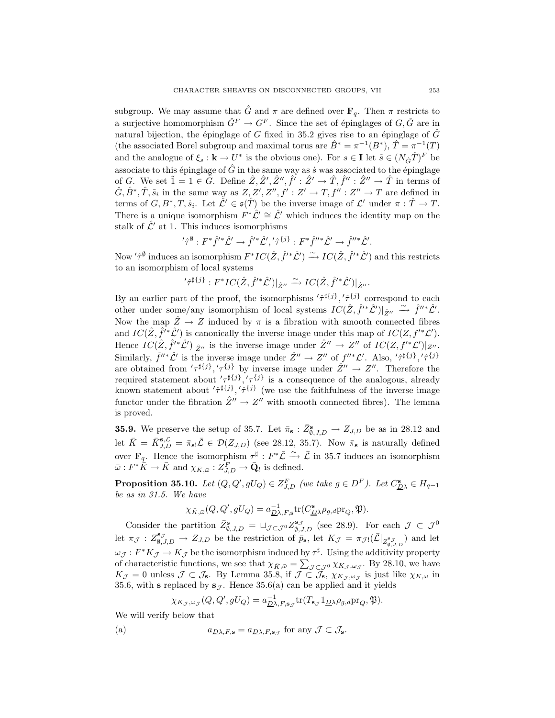subgroup. We may assume that  $\hat{G}$  and  $\pi$  are defined over  $\mathbf{F}_q$ . Then  $\pi$  restricts to a surjective homomorphism  $\hat{G}^F \to G^F$ . Since the set of épinglages of  $G, \hat{G}$  are in natural bijection, the épinglage of G fixed in 35.2 gives rise to an épinglage of  $\hat{G}$ (the associated Borel subgroup and maximal torus are  $\tilde{B}^* = \pi^{-1}(B^*), \tilde{T} = \pi^{-1}(T)$ and the analogue of  $\xi_s : \mathbf{k} \to U^*$  is the obvious one). For  $s \in \mathbf{I}$  let  $\tilde{s} \in (N_{\hat{G}}\hat{T})^F$  be associate to this épinglage of  $\hat{G}$  in the same way as *s* was associated to the épinglage of G. We set  $\tilde{1}=1 \in \tilde{G}$ . Define  $\hat{Z}, \hat{Z}', \hat{Z}'', \hat{f}': \hat{Z}' \to \hat{T}, \hat{f}'' : \hat{Z}'' \to \hat{T}$  in terms of  $\hat{G}, \hat{B}^*, \hat{T}, \tilde{s}_i$  in the same way as  $Z, Z', Z'', f' : Z' \to T, f'' : Z'' \to T$  are defined in terms of  $G, B^*, T, \dot{s}_i$ . Let  $\mathcal{\hat{L}}' \in \mathfrak{s}(\hat{T})$  be the inverse image of  $\mathcal{L}'$  under  $\pi : \hat{T} \to T$ . There is a unique isomorphism  $F^*\hat{\mathcal{L}}' \cong \hat{\mathcal{L}}'$  which induces the identity map on the stalk of  $\hat{\mathcal{L}}'$  at 1. This induces isomorphisms

$$
'\hat{\tau}^{\emptyset}: F^*\hat{f}'^*\hat{\mathcal{L}}' \to \hat{f}'^*\hat{\mathcal{L}}','\hat{\tau}^{\{j\}}: F^*\hat{f}''^*\hat{\mathcal{L}}' \to \hat{f}''^*\hat{\mathcal{L}}'.
$$

Now ' $\hat{\tau}^{\emptyset}$  induces an isomorphism  $F^*IC(\hat{Z}, \hat{f}'^*\hat{\mathcal{L}}') \stackrel{\sim}{\to} IC(\hat{Z}, \hat{f}'^*\hat{\mathcal{L}}')$  and this restricts to an isomorphism of local systems

$$
\langle \hat{\tau}^{\sharp\{j\}} : F^* IC(\hat{Z}, \hat{f}'^* \hat{\mathcal{L}}') |_{\hat{Z}''} \xrightarrow{\sim} IC(\hat{Z}, \hat{f}'^* \hat{\mathcal{L}}') |_{\hat{Z}''}.
$$

By an earlier part of the proof, the isomorphisms  $'\hat{\tau}^{\sharp\{j\}},'\hat{\tau}^{\{j\}}$  correspond to each other under some/any isomorphism of local systems  $IC(\hat{Z}, \hat{f}^{\prime*} \hat{\mathcal{L}}^{\prime})|_{\hat{Z}^{\prime\prime}} \stackrel{\sim}{\longrightarrow} \hat{f}^{\prime\prime*} \hat{\mathcal{L}}^{\prime}.$ Now the map  $\hat{Z} \rightarrow Z$  induced by  $\pi$  is a fibration with smooth connected fibres and  $IC(\hat{Z}, \hat{f}^{\prime*}\hat{\mathcal{L}}')$  is canonically the inverse image under this map of  $IC(Z, f'^*\mathcal{L}')$ . Hence  $IC(\hat{Z}, \hat{f}^{\prime *}\hat{\mathcal{L}}^{\prime})|_{\hat{Z}^{\prime\prime}}$  is the inverse image under  $\hat{Z}^{\prime\prime} \to Z^{\prime\prime}$  of  $IC(Z, f^{\prime *}\mathcal{L}^{\prime})|_{Z^{\prime\prime}}$ . Similarly,  $\hat{f}'' \hat{\mathcal{L}}'$  is the inverse image under  $\hat{Z}'' \to Z''$  of  $f''^* \mathcal{L}'$ . Also,  $'\hat{\tau}^{\sharp\{j\}},'\hat{\tau}^{\{j\}}$ are obtained from  $'\tau^{\sharp\{j\}},'\tau^{\{j\}}$  by inverse image under  $\hat{Z}'' \to Z''$ . Therefore the required statement about  $\langle \tau^{ \sharp \{j\}}, \langle \tau^{ \{j\}} \rangle$  is a consequence of the analogous, already known statement about  $\langle \hat{\tau}^{\sharp}^{\{j\}}, \hat{\tau}^{\{j\}} \rangle$  (we use the faithfulness of the inverse image functor under the fibration  $\hat{Z}'' \to Z''$  with smooth connected fibres). The lemma is proved.

**35.9.** We preserve the setup of 35.7. Let  $\bar{\pi}_s : \bar{Z}_{\emptyset, J, D}^s \to Z_{J, D}$  be as in 28.12 and let  $\bar{K} = \bar{K}_{J,D}^{\mathbf{s},\mathcal{L}} = \bar{\pi}_{\mathbf{s}!}\bar{\mathcal{L}} \in \mathcal{D}(Z_{J,D})$  (see 28.12, 35.7). Now  $\bar{\pi}_{\mathbf{s}}$  is naturally defined over **F**<sub>q</sub>. Hence the isomorphism  $\tau^{\sharp}: F^*\bar{\mathcal{L}} \stackrel{\sim}{\to} \bar{\mathcal{L}}$  in 35.7 induces an isomorphism  $\bar{\omega}: F^* \bar{\tilde{K}} \to \bar{K} \text{ and } \chi_{\bar{K}, \bar{\omega}}: Z_{J, D}^F \to \bar{\mathbf{Q}}_l \text{ is defined.}$ 

**Proposition 35.10.** Let  $(Q, Q', gU_Q) \in Z_{J,D}^F$  (we take  $g \in D^F$ ). Let  $C_{D\lambda}^s \in H_{q-1}$ *be as in 31.5. We have*

$$
\chi_{\bar{K},\bar{\omega}}(Q,Q',gU_Q) = a_{\underline{D}\lambda,F,\mathbf{s}}^{-1} tr(C^{\mathbf{s}}_{\underline{D}\lambda}\rho_{g,d}pr_Q,\mathfrak{P}).
$$

Consider the partition  $\bar{Z}_{\emptyset, J, D}^{\mathbf{s}} = \sqcup_{\mathcal{J} \subset \mathcal{J}^0} Z_{\emptyset, J, D}^{\mathbf{s}_{\mathcal{J}}}$  (see 28.9). For each  $\mathcal{J} \subset \mathcal{J}^0$ let  $\pi_{\mathcal{J}}: Z_{\emptyset, J, D}^{s_{\mathcal{J}}} \to Z_{J, D}$  be the restriction of  $\bar{p}_{s}$ , let  $K_{\mathcal{J}} = \pi_{\mathcal{J}!}(\bar{\mathcal{L}}|_{Z_{\emptyset, J, D}^{s_{\mathcal{J}}}})$  and let  $\omega_{\mathcal{J}}: F^*K_{\mathcal{J}} \to K_{\mathcal{J}}$  be the isomorphism induced by  $\tau^{\sharp}$ . Using the additivity property of characteristic functions, we see that  $\chi_{\bar{K}, \bar{\omega}} = \sum_{\mathcal{J} \subset \mathcal{J}^0} \chi_{K_{\mathcal{J}}, \omega_{\mathcal{J}}}$ . By 28.10, we have  $K_{\mathcal{J}} = 0$  unless  $\mathcal{J} \subset \mathcal{J}_s$ . By Lemma 35.8, if  $\mathcal{J} \subset \mathcal{J}_s$ ,  $\chi_{K_{\mathcal{J}},\omega_{\mathcal{J}}}$  is just like  $\chi_{K,\omega}$  in 35.6, with **s** replaced by  $s_{\mathcal{J}}$ . Hence 35.6(a) can be applied and it yields

$$
\chi_{K_{\mathcal{J}},\omega_{\mathcal{J}}}(Q,Q',gU_Q) = a_{\underline{D}\lambda,F,\mathbf{s}_{\mathcal{J}}}^{-1} \text{tr}(T_{\mathbf{s}_{\mathcal{J}}}1_{\underline{D}\lambda}\rho_{g,d}\text{pr}_Q,\mathfrak{P}).
$$

We will verify below that

(a) 
$$
a_{\underline{D}\lambda,F,\mathbf{s}} = a_{\underline{D}\lambda,F,\mathbf{s}_{\mathcal{J}}}
$$
 for any  $\mathcal{J} \subset \mathcal{J}_{\mathbf{s}}$ .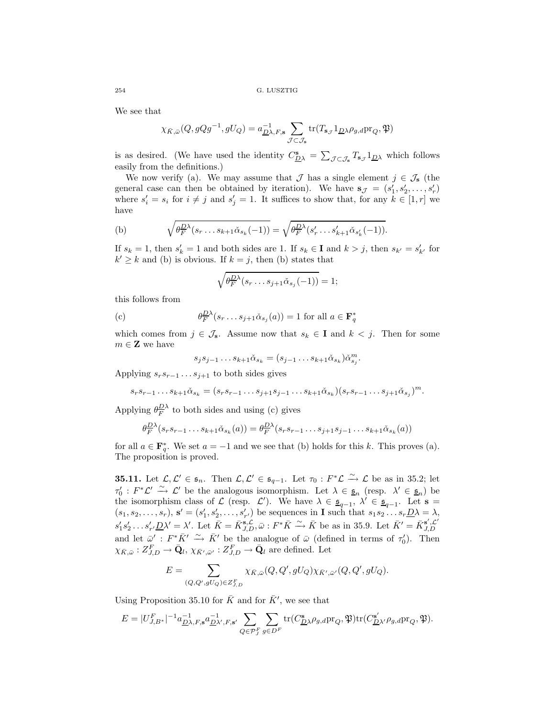We see that

$$
\chi_{\bar{K},\bar{\omega}}(Q,gQg^{-1},gU_Q) = a_{\underline{D}\lambda,F,\mathbf{s}}^{-1} \sum_{\mathcal{J}\subset\mathcal{J}_{\mathbf{s}}} \text{tr}(T_{\mathbf{s}_{\mathcal{J}}}1_{\underline{D}\lambda}\rho_{g,d}\text{pr}_Q,\mathfrak{P})
$$

is as desired. (We have used the identity  $C_{\underline{D}\lambda}^s = \sum_{\mathcal{J}\subset\mathcal{J}_s} T_{s_{\mathcal{J}}} 1_{\underline{D}\lambda}$  which follows easily from the definitions.)

We now verify (a). We may assume that  $\mathcal J$  has a single element  $j \in \mathcal J_{\mathbf{s}}$  (the general case can then be obtained by iteration). We have  $\mathbf{s}_{\mathcal{J}} = (s'_1, s'_2, \ldots, s'_r)$ where  $s_i' = s_i$  for  $i \neq j$  and  $s_j' = 1$ . It suffices to show that, for any  $k \in [1, r]$  we have

(b) 
$$
\sqrt{\theta_F^{D\lambda}(s_r \dots s_{k+1} \check{\alpha}_{s_k}(-1))} = \sqrt{\theta_F^{D\lambda}(s'_r \dots s'_{k+1} \check{\alpha}_{s'_k}(-1))}.
$$

If  $s_k = 1$ , then  $s'_k = 1$  and both sides are 1. If  $s_k \in \mathbf{I}$  and  $k > j$ , then  $s_{k'} = s'_{k'}$  for  $k' \geq k$  and (b) is obvious. If  $k = j$ , then (b) states that

$$
\sqrt{\theta_F^{D\lambda}(s_r \dots s_{j+1} \check{\alpha}_{s_j}(-1))} = 1;
$$

this follows from

(c) 
$$
\theta_F^{D\lambda}(s_r \dots s_{j+1} \check{\alpha}_{s_j}(a)) = 1 \text{ for all } a \in \mathbf{F}_q^*
$$

which comes from  $j \in \mathcal{J}_s$ . Assume now that  $s_k \in \mathbf{I}$  and  $k < j$ . Then for some  $m \in \mathbf{Z}$  we have

$$
s_j s_{j-1} \dots s_{k+1} \check{\alpha}_{s_k} = (s_{j-1} \dots s_{k+1} \check{\alpha}_{s_k}) \check{\alpha}_{s_j}^m.
$$

Applying  $s_r s_{r-1} \ldots s_{j+1}$  to both sides gives

$$
s_r s_{r-1} \dots s_{k+1} \check{\alpha}_{s_k} = (s_r s_{r-1} \dots s_{j+1} s_{j-1} \dots s_{k+1} \check{\alpha}_{s_k}) (s_r s_{r-1} \dots s_{j+1} \check{\alpha}_{s_j})^m.
$$

Applying  $\theta_F^{\underline{D}\lambda}$  to both sides and using (c) gives

$$
\theta_F^{\underline{D}\lambda}(s_r s_{r-1}\dots s_{k+1}\check{\alpha}_{s_k}(a)) = \theta_F^{\underline{D}\lambda}(s_r s_{r-1}\dots s_{j+1} s_{j-1}\dots s_{k+1}\check{\alpha}_{s_k}(a))
$$

for all  $a \in \mathbf{F}_q^*$ . We set  $a = -1$  and we see that (b) holds for this k. This proves (a). The proposition is proved.

**35.11.** Let  $\mathcal{L}, \mathcal{L}' \in \mathfrak{s}_n$ . Then  $\mathcal{L}, \mathcal{L}' \in \mathfrak{s}_{q-1}$ . Let  $\tau_0 : F^*\mathcal{L} \xrightarrow{\sim} \mathcal{L}$  be as in 35.2; let  $\tau_0': F^*\mathcal{L}' \xrightarrow{\sim} \mathcal{L}'$  be the analogous isomorphism. Let  $\lambda \in \underline{\mathfrak{s}}_n$  (resp.  $\lambda' \in \underline{\mathfrak{s}}_n$ ) be the isomorphism class of  $\mathcal{L}$  (resp.  $\mathcal{L}'$ ). We have  $\lambda \in \underline{\mathfrak{s}}_{q-1}$ ,  $\lambda' \in \underline{\mathfrak{s}}_{q-1}$ . Let  $\mathbf{s} =$  $(s_1, s_2, \ldots, s_r)$ ,  $\mathbf{s}' = (s'_1, s'_2, \ldots, s'_{r'})$  be sequences in **I** such that  $s_1 s_2 \ldots s_r \underline{D} \lambda = \lambda$ ,  $s'_1s'_2 \ldots s'_{r'}\underline{D}\lambda' = \lambda'$ . Let  $\bar{K} = \bar{K}_{J,D}^{\mathbf{s},\mathcal{L}}, \bar{\omega} : F^* \bar{K} \stackrel{\sim}{\longrightarrow} \bar{K}$  be as in 35.9. Let  $\bar{K}' = \bar{K}_{J,D}^{\mathbf{s}',\mathcal{L}'}$ and let  $\bar{\omega}'$ :  $F^*\bar{K}' \xrightarrow{\sim} \bar{K}'$  be the analogue of  $\bar{\omega}$  (defined in terms of  $\tau'_0$ ). Then  $\chi_{\bar{K}, \bar{\omega}} : Z^F_{J, D} \to \bar{\mathbf{Q}}_l, \, \chi_{\bar{K}', \bar{\omega}'} : Z^F_{J, D} \to \bar{\mathbf{Q}}_l$  are defined. Let

$$
E = \sum_{(Q,Q',gU_Q)\in Z^F_{J,D}} \chi_{\bar{K},\bar{\omega}}(Q,Q',gU_Q) \chi_{\bar{K}',\bar{\omega}'}(Q,Q',gU_Q).
$$

Using Proposition 35.10 for  $\bar{K}$  and for  $\bar{K}$ <sup>'</sup>, we see that

$$
E = |U_{J,B^*}^F|^{-1} a_{\underline{D}\lambda,F,\mathbf{s}}^{-1} a_{\underline{D}\lambda',F,\mathbf{s}'}^{-1} \sum_{Q \in \mathcal{P}_J^F} \sum_{g \in D^F} \text{tr}(C_{\underline{D}\lambda}^{\mathbf{s}} \rho_{g,d} \text{pr}_Q, \mathfrak{P}) \text{tr}(C_{\underline{D}\lambda'}^{s'} \rho_{g,d} \text{pr}_Q, \mathfrak{P}).
$$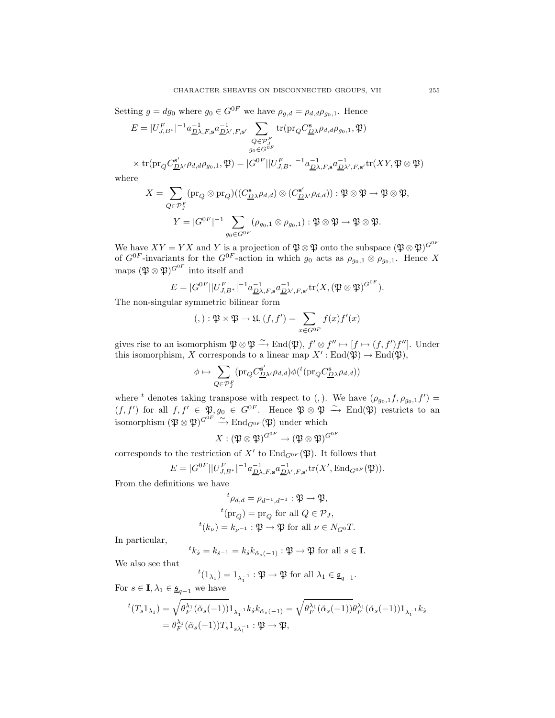Setting  $g = dg_0$  where  $g_0 \in G^{0F}$  we have  $\rho_{g,d} = \rho_{d,d} \rho_{g_0,1}$ . Hence

$$
E = |U_{J,B^*}^F|^{-1} a_{\underline{D}\lambda,F,\mathbf{s}}^{-1} a_{\underline{D}\lambda',F,\mathbf{s}'}^{-1} \sum_{\substack{Q \in \mathcal{P}_J^F \\ g_0 \in G^{0F}}} tr(\text{pr}_Q C_{\underline{D}\lambda}^{\mathbf{s}} \rho_{d,d} \rho_{g_0,1}, \mathfrak{P})
$$

$$
\times \operatorname{tr}(\operatorname{pr}_{Q}C^{s'}_{\underline{D}\lambda'}\rho_{d,d}\rho_{g_0,1},\mathfrak{P}) = |G^{0F}| |U^{F}_{J,B^*}|^{-1} a^{-1}_{\underline{D}\lambda,F,\mathbf{s}} a^{-1}_{\underline{D}\lambda',F,\mathbf{s}'} \operatorname{tr}(XY,\mathfrak{P}\otimes\mathfrak{P})
$$

where

$$
X = \sum_{Q \in \mathcal{P}_J^F} (\text{pr}_Q \otimes \text{pr}_Q)((C^{\mathbf{s}}_{\underline{D}\lambda}\rho_{d,d}) \otimes (C^{\mathbf{s}'}_{\underline{D}\lambda'}\rho_{d,d})) : \mathfrak{P} \otimes \mathfrak{P} \to \mathfrak{P} \otimes \mathfrak{P},
$$
  

$$
Y = |G^{0F}|^{-1} \sum_{g_0 \in G^{0F}} (\rho_{g_0,1} \otimes \rho_{g_0,1}) : \mathfrak{P} \otimes \mathfrak{P} \to \mathfrak{P} \otimes \mathfrak{P}.
$$

We have  $XY = YX$  and Y is a projection of  $\mathfrak{P} \otimes \mathfrak{P}$  onto the subspace  $(\mathfrak{P} \otimes \mathfrak{P})^{G^{0F}}$ of  $G^{0F}$ -invariants for the  $G^{0F}$ -action in which  $g_0$  acts as  $\rho_{g_0,1} \otimes \rho_{g_0,1}$ . Hence X maps  $(\mathfrak{P} \otimes \mathfrak{P})^{G^{0F}}$  into itself and

$$
E = |G^{0F}| |U_{J,B^*}^F|^{-1} a_{\underline{D}\lambda,F,\mathbf{s}}^{-1} a_{\underline{D}\lambda',F,\mathbf{s}'}^{-1} \text{tr}(X,(\mathfrak{P} \otimes \mathfrak{P})^{G^{0F}}).
$$

The non-singular symmetric bilinear form

$$
(,): \mathfrak{P} \times \mathfrak{P} \to \mathfrak{U}, (f, f') = \sum_{x \in G^{0F}} f(x) f'(x)
$$

gives rise to an isomorphism  $\mathfrak{P} \otimes \mathfrak{P} \xrightarrow{\sim} \text{End}(\mathfrak{P}), f' \otimes f'' \mapsto [f \mapsto (f, f')f'']$ . Under this isomorphism, X corresponds to a linear map  $X' : End(\mathfrak{P}) \to End(\mathfrak{P}),$ 

$$
\phi \mapsto \sum_{Q \in {\cal P}^F_J} ({\rm pr}_Q C^{\mathbf{s}'}_{\underline{D} \lambda'} \rho_{d,d}) \phi(^t({\rm pr}_Q C^{\mathbf{s}}_{\underline{D} \lambda} \rho_{d,d}))
$$

where <sup>t</sup> denotes taking transpose with respect to (,). We have  $(\rho_{g_0,1}f, \rho_{g_0,1}f') =$  $(f, f')$  for all  $f, f' \in \mathfrak{P}, g_0 \in G^{0F}$ . Hence  $\mathfrak{P} \otimes \mathfrak{P} \stackrel{\sim}{\rightarrow} End(\mathfrak{P})$  restricts to an isomorphism  $(\mathfrak{P} \otimes \mathfrak{P})^{G^{0F}} \xrightarrow{\sim} \text{End}_{G^{0F}}(\mathfrak{P})$  under which

$$
X: (\mathfrak{P} \otimes \mathfrak{P})^{G^{0F}} \to (\mathfrak{P} \otimes \mathfrak{P})^{G^{0F}}
$$

corresponds to the restriction of  $X'$  to  $\text{End}_{G^{0F}}(\mathfrak{P})$ . It follows that

$$
E = |G^{0F}| |U_{J,B^*}^F|^{-1} a_{\underline{D}\lambda,F,\mathbf{s}}^{-1} a_{\underline{D}\lambda',F,\mathbf{s}'}^{-1} \text{tr}(X', \text{End}_{G^{0F}}(\mathfrak{P})).
$$

From the definitions we have

$$
{}^t \rho_{d,d} = \rho_{d^{-1},d^{-1}} : \mathfrak{P} \to \mathfrak{P},
$$
  

$$
{}^t(\text{pr}_Q) = \text{pr}_Q \text{ for all } Q \in \mathcal{P}_J,
$$
  

$$
{}^t(k_{\nu}) = k_{\nu^{-1}} : \mathfrak{P} \to \mathfrak{P} \text{ for all } \nu \in N_{G^0}T.
$$

In particular,

$$
{}^{t}k_{\check{s}} = k_{\check{s}^{-1}} = k_{\check{s}}k_{\check{\alpha}_{s}(-1)} : \mathfrak{P} \to \mathfrak{P} \text{ for all } s \in \mathbf{I}.
$$

We also see that

 $t(1_{\lambda_1})=1_{\lambda_1^{-1}}:\mathfrak{P}\to\mathfrak{P}$  for all  $\lambda_1\in\underline{\mathfrak{s}}_{q-1}.$ 

For  $s \in I$ ,  $\lambda_1 \in \underline{\mathfrak{s}}_{q-1}$  we have

$$
{}^{t}(T_{s}1_{\lambda_{1}}) = \sqrt{\theta_{F}^{\lambda_{1}}(\check{\alpha}_{s}(-1))}1_{\lambda_{1}^{-1}}k_{\check{s}}k_{\check{\alpha}_{s}(-1)} = \sqrt{\theta_{F}^{\lambda_{1}}(\check{\alpha}_{s}(-1))}\theta_{F}^{\lambda_{1}}(\check{\alpha}_{s}(-1))1_{\lambda_{1}^{-1}}k_{\check{s}}
$$
  
=  $\theta_{F}^{\lambda_{1}}(\check{\alpha}_{s}(-1))T_{s}1_{s\lambda_{1}^{-1}}:\mathfrak{P}\to\mathfrak{P},$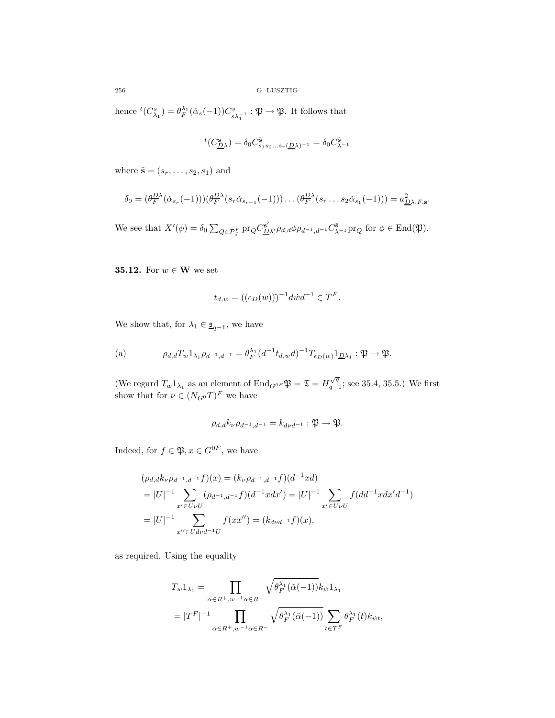hence  ${}^{t}(C_{\lambda_1}^s) = \theta_F^{\lambda_1}(\check{\alpha}_s(-1))C_{s\lambda_1^{-1}}^s : \mathfrak{P} \to \mathfrak{P}$ . It follows that

$$
{}^t(C^{\mathbf{s}}_{\underline{D}\lambda})=\delta_0 C^{\tilde{\mathbf{s}}}_{s_1s_2...s_r(\underline{D}\lambda)^{-1}}=\delta_0 C^{\tilde{\mathbf{s}}}_{\lambda^{-1}}
$$

where  $\tilde{\mathbf{s}} = (s_r, \ldots, s_2, s_1)$  and

$$
\delta_0 = (\theta_F^{D\lambda}(\check{\alpha}_{s_r}(-1)))(\theta_F^{D\lambda}(s_r\check{\alpha}_{s_{r-1}}(-1)))\dots(\theta_F^{D\lambda}(s_r\dots s_2\check{\alpha}_{s_1}(-1))) = a_{\underline{D}\lambda,F,s}^2.
$$

We see that  $X'(\phi) = \delta_0 \sum_{Q \in \mathcal{P}_J^F} \text{pr}_Q C_{\underline{D}\lambda'}^{\mathbf{s'}} \rho_{d,d} \phi \rho_{d^{-1},d^{-1}} C_{\lambda^{-1}}^{\tilde{\mathbf{s}}} \text{pr}_Q \text{ for } \phi \in \text{End}(\mathfrak{P}).$ 

**35.12.** For  $w \in \mathbf{W}$  we set

$$
t_{d,w} = ((\epsilon_D(w)))^{-1} \, d\dot{w} \, d^{-1} \in T^F.
$$

We show that, for  $\lambda_1 \in \underline{\mathfrak{s}}_{q-1}$ , we have

(a) 
$$
\rho_{d,d}T_w 1_{\lambda_1} \rho_{d^{-1},d^{-1}} = \theta_F^{\lambda_1} (d^{-1}t_{d,w}d)^{-1} T_{\epsilon_D(w)} 1_{\underline{D}\lambda_1} : \mathfrak{P} \to \mathfrak{P}.
$$

(We regard  $T_w 1_{\lambda_1}$  as an element of  $\text{End}_{G^{0F}} \mathfrak{P} = \mathfrak{T} = H_{q-1}^{\sqrt{q}}$ ; see 35.4, 35.5.) We first show that for  $\nu \in (N_{G^0}T)^F$  we have

$$
\rho_{d,d}k_{\nu}\rho_{d^{-1},d^{-1}}=k_{d\nu d^{-1}}:\mathfrak{P}\to\mathfrak{P}.
$$

Indeed, for  $f \in \mathfrak{P}, x \in G^{0F}$ , we have

$$
(\rho_{d,d}k_{\nu}\rho_{d^{-1},d^{-1}}f)(x) = (k_{\nu}\rho_{d^{-1},d^{-1}}f)(d^{-1}xd)
$$
  
\n
$$
= |U|^{-1} \sum_{x' \in U \nu U} (\rho_{d^{-1},d^{-1}}f)(d^{-1}xdx') = |U|^{-1} \sum_{x' \in U \nu U} f(dd^{-1}xdx'd^{-1})
$$
  
\n
$$
= |U|^{-1} \sum_{x'' \in Ud\nu d^{-1}U} f(xx'') = (k_{d\nu d^{-1}}f)(x),
$$

as required. Using the equality

$$
T_w 1_{\lambda_1} = \prod_{\alpha \in R^+, w^{-1} \alpha \in R^-} \sqrt{\theta_F^{\lambda_1} (\check{\alpha}(-1))} k_w 1_{\lambda_1}
$$
  
=  $|T^F|^{-1} \prod_{\alpha \in R^+, w^{-1} \alpha \in R^-} \sqrt{\theta_F^{\lambda_1} (\check{\alpha}(-1))} \sum_{t \in T^F} \theta_F^{\lambda_1}(t) k_{w_t},$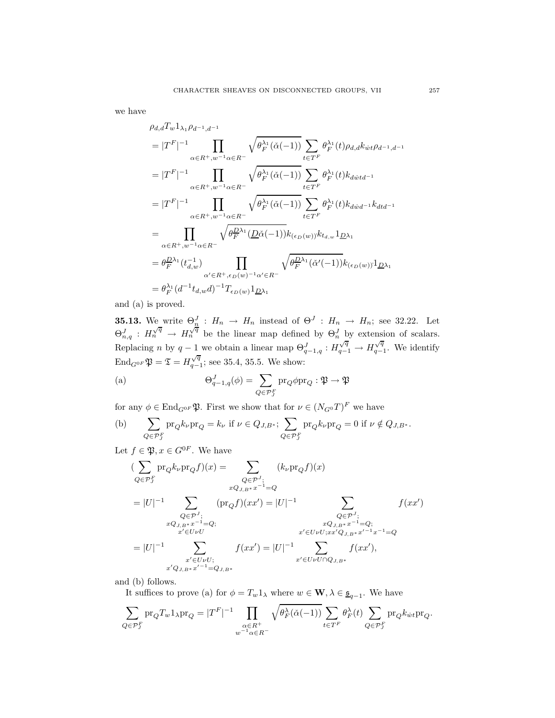we have

$$
\rho_{d,d}T_w 1_{\lambda_1} \rho_{d^{-1},d^{-1}}\n=|T^F|^{-1} \prod_{\alpha \in R^+, w^{-1} \alpha \in R^-} \sqrt{\theta_F^{\lambda_1}(\check{\alpha}(-1))} \sum_{t \in T^F} \theta_F^{\lambda_1}(t) \rho_{d,d}k_{wt} \rho_{d^{-1},d^{-1}}\n=|T^F|^{-1} \prod_{\alpha \in R^+, w^{-1} \alpha \in R^-} \sqrt{\theta_F^{\lambda_1}(\check{\alpha}(-1))} \sum_{t \in T^F} \theta_F^{\lambda_1}(t) k_{dwt}^{1} \n=|T^F|^{-1} \prod_{\alpha \in R^+, w^{-1} \alpha \in R^-} \sqrt{\theta_F^{\lambda_1}(\check{\alpha}(-1))} \sum_{t \in T^F} \theta_F^{\lambda_1}(t) k_{dwt}^{1}^{1} \n= \prod_{\alpha \in R^+, w^{-1} \alpha \in R^-} \sqrt{\theta_F^{\lambda_1}(\underline{D}\check{\alpha}(-1))} k_{(\epsilon_D(w))} k_{t_{d,w}}^{1} 1_{\underline{D}\lambda_1}\n= \theta_F^{\underline{D}\lambda_1}(t_{d,w}^{-1}) \prod_{\alpha' \in R^+, \epsilon_D(w)^{-1} \alpha' \in R^-} \sqrt{\theta_F^{\underline{D}\lambda_1}(\check{\alpha}'(-1))} k_{(\epsilon_D(w))}^{1} 1_{\underline{D}\lambda_1}\n= \theta_F^{\lambda_1}(d^{-1} t_{d,w} d)^{-1} T_{\epsilon_D(w)}^{1} 1_{\underline{D}\lambda_1}
$$

and (a) is proved.

**35.13.** We write  $\Theta_n^J$  :  $H_n \to H_n$  instead of  $\Theta^J$  :  $H_n \to H_n$ ; see 32.22. Let  $\Theta_{n,q}^J$  :  $H_n^{\sqrt{q}} \to H_n^{\sqrt{q}}$  be the linear map defined by  $\Theta_n^J$  by extension of scalars. Replacing n by  $q-1$  we obtain a linear map  $\Theta_{q-1,q}^J : H_{q-1}^{\sqrt{q}} \to H_{q-1}^{\sqrt{q}}$ . We identify End<sub>G<sup>0F</sub>  $\mathfrak{P} = \mathfrak{T} = H_{q-1}^{\sqrt{q}}$ ; see 35.4, 35.5. We show:</sub></sup>

(a) 
$$
\Theta_{q-1,q}^{J}(\phi) = \sum_{Q \in \mathcal{P}_{J}^{F}} \mathrm{pr}_{Q} \phi \mathrm{pr}_{Q} : \mathfrak{P} \to \mathfrak{P}
$$

for any  $\phi \in \text{End}_{G^{0F}} \mathfrak{P}$ . First we show that for  $\nu \in (N_{G^0}T)^F$  we have

(b) 
$$
\sum_{Q \in \mathcal{P}_{J}^{F}} \operatorname{pr}_{Q} k_{\nu} \operatorname{pr}_{Q} = k_{\nu} \text{ if } \nu \in Q_{J,B^{*}}; \sum_{Q \in \mathcal{P}_{J}^{F}} \operatorname{pr}_{Q} k_{\nu} \operatorname{pr}_{Q} = 0 \text{ if } \nu \notin Q_{J,B^{*}}.
$$

Let  $f \in \mathfrak{P}, x \in G^{0F}$ . We have

$$
\begin{aligned}\n &\big(\sum_{Q \in \mathcal{P}_J^F} \text{pr}_Q k_{\nu} \text{pr}_Q f\big)(x) = \sum_{Q \in \mathcal{P}_J^J; \\
 &xQ_{J,B^*} x^{-1} = Q \\
 &= |U|^{-1} \sum_{Q \in \mathcal{P}_J^J; \\
 &xQ_{J,B^*} x^{-1} = Q; \\
 &x' \in U \cup U; \\
 &x' \in U \cup U; \\
 &x' \in U \cup U; \\
 &x' \in U \cup U; \\
 &x' \in U \cup U \cap Q_{J,B^*} x^{-1} = Q; \\
 &x' \in U \cup U \cap Q_{J,B^*} x^{J-1} x^{-1} = Q \\
 &x' \in U \cup U \cap Q_{J,B^*}\n \end{aligned}
$$

and (b) follows.

It suffices to prove (a) for  $\phi = T_w 1_\lambda$  where  $w \in \mathbf{W}, \lambda \in \underline{\mathfrak{s}}_{q-1}$ . We have

$$
\sum_{Q \in \mathcal{P}_J^F} \text{pr}_Q T_w 1_{\lambda} \text{pr}_Q = |T^F|^{-1} \prod_{\substack{\alpha \in R^+ \\ w^{-1} \alpha \in R^-}} \sqrt{\theta_F^{\lambda}(\check{\alpha}(-1))} \sum_{t \in T^F} \theta_F^{\lambda}(t) \sum_{Q \in \mathcal{P}_J^F} \text{pr}_Q k_{\dot{w}t} \text{pr}_Q.
$$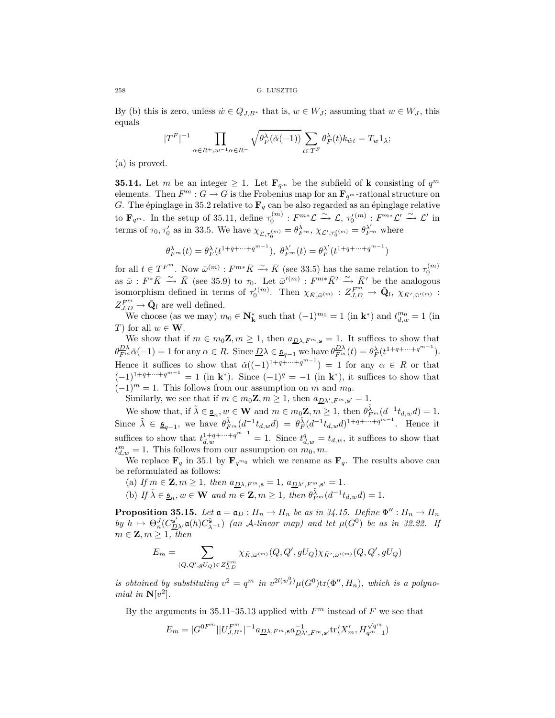By (b) this is zero, unless  $\dot{w} \in Q_{J,B^*}$  that is,  $w \in W_J$ ; assuming that  $w \in W_J$ , this equals

$$
|T^{F}|^{-1} \prod_{\alpha \in R^{+}, w^{-1} \alpha \in R^{-}} \sqrt{\theta^{\lambda}_{F}(\check{\alpha}(-1))} \sum_{t \in T^{F}} \theta^{\lambda}_{F}(t) k_{\dot{w}t} = T_{w} 1_{\lambda};
$$

(a) is proved.

**35.14.** Let m be an integer  $\geq 1$ . Let  $\mathbf{F}_{q^m}$  be the subfield of **k** consisting of  $q^m$ elements. Then  $F^m$ :  $G \to G$  is the Frobenius map for an  $\mathbf{F}_{q^m}$ -rational structure on G. The épinglage in 35.2 relative to  $\mathbf{F}_q$  can be also regarded as an épinglage relative to  $\mathbf{F}_{q^m}$ . In the setup of 35.11, define  $\tau_0^{(m)} : F^{m*}\mathcal{L} \xrightarrow{\sim} \mathcal{L}, \tau_0^{(m)} : F^{m*}\mathcal{L}' \xrightarrow{\sim} \mathcal{L}'$  in terms of  $\tau_0, \tau_0'$  as in 33.5. We have  $\chi_{\mathcal{L}, \tau_0^{(m)}} = \theta_{F^m}^{\lambda}, \chi_{\mathcal{L}', \tau_0^{(m)}} = \theta_{F^m}^{\lambda'}$  where

$$
\theta_{F^m}^{\lambda}(t) = \theta_F^{\lambda}(t^{1+q+\cdots+q^{m-1}}), \ \theta_{F^m}^{\lambda'}(t) = \theta_F^{\lambda'}(t^{1+q+\cdots+q^{m-1}})
$$

for all  $t \in T^{F^m}$ . Now  $\bar{\omega}^{(m)} : F^{m*}\bar{K} \stackrel{\sim}{\longrightarrow} \bar{K}$  (see 33.5) has the same relation to  $\tau_0^{(m)}$ as  $\bar{\omega}: F^*\bar{K} \stackrel{\sim}{\longrightarrow} \bar{K}$  (see 35.9) to  $\tau_0$ . Let  $\bar{\omega}'^{(m)}: F^{m*}\bar{K}' \stackrel{\sim}{\longrightarrow} \bar{K}'$  be the analogous isomorphism defined in terms of  $\tau_0^{(m)}$ . Then  $\chi_{\bar{K}, \bar{\omega}^{(m)}} : Z_{J,D}^{F^m} \to \bar{Q}_l$ ,  $\chi_{\bar{K}', \bar{\omega}^{(m)}}$ :  $Z_{J,D}^{F^m} \rightarrow \bar{\mathbf{Q}}_l$  are well defined.

We choose (as we may)  $m_0 \in \mathbb{N}_k^*$  such that  $(-1)^{m_0} = 1$  (in  $\mathbf{k}^*$ ) and  $t_{d,w}^{m_0} = 1$  (in T) for all  $w \in W$ .

We show that if  $m \in m_0 \mathbb{Z}, m \geq 1$ , then  $a_{\mathbb{Z} \lambda, F^m, \mathbf{s}} = 1$ . It suffices to show that  $\theta_{F^m}^{\underline{D}\lambda}\check{\alpha}(-1)=1$  for any  $\alpha \in R$ . Since  $\underline{D}\lambda \in \underline{\mathfrak{s}}_{q-1}$  we have  $\theta_{F^m}^{\underline{D}\lambda}(t)=\theta_F^{\lambda}(t^{1+q+\cdots+q^{m-1}})$ . Hence it suffices to show that  $\check{\alpha}((-1)^{1+q+\cdots+q^{m-1}}) = 1$  for any  $\alpha \in R$  or that  $(-1)^{1+q+\cdots+q^{m-1}} = 1$  (in **k**<sup>\*</sup>). Since  $(-1)^{q} = -1$  (in **k**<sup>\*</sup>), it suffices to show that  $(-1)^m = 1$ . This follows from our assumption on m and m<sub>0</sub>. Similarly, we see that if  $m \in m_0 \mathbb{Z}, m \geq 1$ , then  $a_{D\lambda', F^m, s'} = 1$ .

We show that, if  $\tilde{\lambda} \in \underline{\mathfrak{s}}_n, w \in \mathbf{W}$  and  $m \in m_0 \mathbf{Z}, m \geq 1$ , then  $\theta_{F^m}^{\tilde{\lambda}}(d^{-1} t_{d,w} d) = 1$ . Since  $\tilde{\lambda} \in \underline{\mathfrak{s}}_{q-1}$ , we have  $\theta_{F^m}^{\tilde{\lambda}}(d^{-1}t_{d,w}d) = \theta_{F}^{\tilde{\lambda}}(d^{-1}t_{d,w}d)^{1+q+\cdots+q^{m-1}}$ . Hence it suffices to show that  $t_{d,w}^{1+q+\cdots+q^{m-1}}=1$ . Since  $t_{d,w}^q=t_{d,w}$ , it suffices to show that  $t_{d,w}^m = 1$ . This follows from our assumption on  $m_0, m$ .

We replace  $\mathbf{F}_q$  in 35.1 by  $\mathbf{F}_{q^m0}$  which we rename as  $\mathbf{F}_q$ . The results above can be reformulated as follows:

(a) If  $m \in \mathbf{Z}, m \geq 1$ , then  $a_{D\lambda, F^m, \mathbf{s}} = 1$ ,  $a_{D\lambda', F^m, \mathbf{s'}} = 1$ .

(b) *If*  $\tilde{\lambda} \in \underline{\mathfrak{s}}_n, w \in \mathbf{W}$  *and*  $m \in \mathbf{Z}, m \geq 1$ , *then*  $\theta_{F^m}^{\tilde{\lambda}}(d^{-1}t_{d,w}d) = 1$ .

**Proposition 35.15.** Let  $\mathfrak{a} = \mathfrak{a}_D : H_n \to H_n$  be as in 34.15. Define  $\Phi'' : H_n \to H_n$ *by*  $h \mapsto \Theta_n^J(C_{\underline{D}\lambda'}^{\mathbf{s}'}\mathfrak{a}(h)C_{\lambda^{-1}}^{\mathbf{s}})$  *(an A-linear map) and let*  $\mu(G^0)$  *be as in 32.22. If*  $m \in \mathbf{Z}, m \geq 1$ , then

$$
E_m=\sum_{(Q,Q',gU_Q)\in Z^{F^m}_{J,D}}\chi_{\bar K,\bar\omega^{(m)}}(Q,Q',gU_Q)\chi_{\bar K',\bar\omega'^{(m)}}(Q,Q',gU_Q)
$$

*is obtained by substituting*  $v^2 = q^m$  *in*  $v^{2l(w)}(\mu(G^0))\text{tr}(\Phi'', H_n)$ *, which is a polynomial in*  $N[v^2]$ *.* 

By the arguments in 35.11–35.13 applied with  $F<sup>m</sup>$  instead of F we see that

$$
E_m=|G^{0F^m}||U^{F^m}_{J,B^*}|^{-1}a_{\underline{D}\lambda,F^m,\mathbf{s}}a_{\underline{D}\lambda',F^m,\mathbf{s}'}^{-1}\mathrm{tr}(X_m',H_{q^m-1}^{\sqrt{q^m}})
$$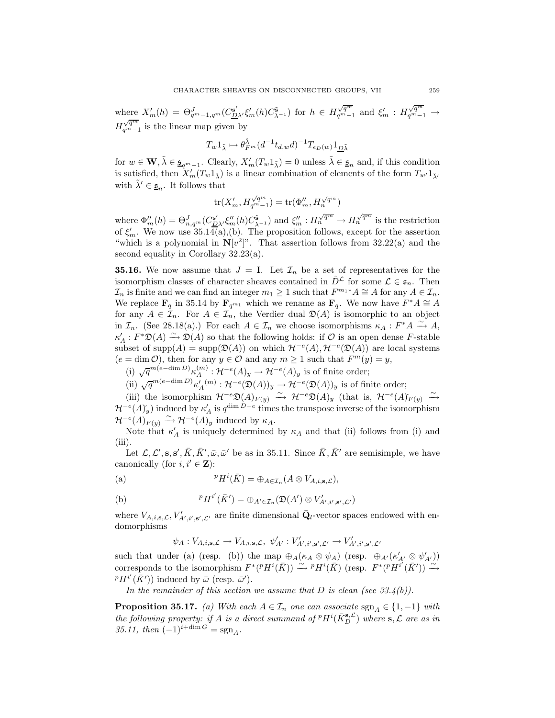where  $X'_m(h) = \Theta_{q^m-1,q^m}^J(C_{\underline{D}\lambda'}^{\mathsf{s}'}\xi'_m(h)C_{\lambda-1}^{\mathsf{s}})$  for  $h \in H_{q^m-1}^{\sqrt{q^m}}$  and  $\xi'_m : H_{q^m-1}^{\sqrt{q^m}} \to$  $H_{q^m-1}^{\sqrt{q^m}}$  is the linear map given by

$$
T_w 1_{\tilde{\lambda}} \mapsto \theta_{F^m}^{\tilde{\lambda}} (d^{-1} t_{d,w} d)^{-1} T_{\epsilon_D(w)} 1_{\underline{D}\tilde{\lambda}}
$$

for  $w \in \mathbf{W}, \tilde{\lambda} \in \underline{\mathfrak{s}}_{q^m-1}$ . Clearly,  $X'_m(T_w 1_{\tilde{\lambda}}) = 0$  unless  $\tilde{\lambda} \in \underline{\mathfrak{s}}_n$  and, if this condition is satisfied, then  $X'_m(T_w 1_{\tilde{\lambda}})$  is a linear combination of elements of the form  $T_{w'} 1_{\tilde{\lambda}}$ with  $\tilde{\lambda}' \in \underline{\mathfrak{s}}_n$ . It follows that

$$
\text{tr}(X'_m, H_{q^m-1}^{\sqrt{q^m}}) = \text{tr}(\Phi''_m, H_n^{\sqrt{q^m}})
$$

where  $\Phi_m''(h) = \Theta_{n,q^m}^J(C_{\mathcal{D}\lambda'}^{s'}\xi_m''(h)C_{\lambda^{-1}}^{\tilde{s}})$  and  $\xi_m'' : H_n^{\sqrt{q^m}} \to H_n^{\sqrt{q^m}}$  is the restriction of  $\xi'_m$ . We now use 35.14(a),(b). The proposition follows, except for the assertion "which is a polynomial in  $N[v^2]$ ". That assertion follows from 32.22(a) and the second equality in Corollary 32.23(a).

**35.16.** We now assume that  $J = I$ . Let  $\mathcal{I}_n$  be a set of representatives for the isomorphism classes of character sheaves contained in  $\hat{D}^{\mathcal{L}}$  for some  $\mathcal{L} \in \mathfrak{s}_n$ . Then  $\mathcal{I}_n$  is finite and we can find an integer  $m_1 \geq 1$  such that  $F^{m_1*}A \cong A$  for any  $A \in \mathcal{I}_n$ . We replace **F**<sub>q</sub> in 35.14 by **F**<sub>q<sup>m1</sup></sub> which we rename as **F**<sub>q</sub>. We now have  $F^*A \cong A$ for any  $A \in \mathcal{I}_n$ . For  $A \in \mathcal{I}_n$ , the Verdier dual  $\mathfrak{D}(A)$  is isomorphic to an object in  $\mathcal{I}_n$ . (See 28.18(a).) For each  $A \in \mathcal{I}_n$  we choose isomorphisms  $\kappa_A : F^*A \xrightarrow{\sim} A$ ,  $\kappa'_A: F^*\mathfrak{D}(A) \stackrel{\sim}{\longrightarrow} \mathfrak{D}(A)$  so that the following holds: if  $\mathcal O$  is an open dense F-stable subset of supp(A) = supp( $\mathfrak{D}(A)$ ) on which  $\mathcal{H}^{-e}(A), \mathcal{H}^{-e}(\mathfrak{D}(A))$  are local systems  $(e = \dim \mathcal{O})$ , then for any  $y \in \mathcal{O}$  and any  $m \ge 1$  such that  $F^m(y) = y$ ,

(i)  $\sqrt{q}^{m(e-\dim D)}\kappa_A^{(m)}$ :  $\mathcal{H}^{-e}(A)_y \to \mathcal{H}^{-e}(A)_y$  is of finite order;

(ii) 
$$
\sqrt{q}^{m(e-\dim D)} \kappa'_{A}(m) : \mathcal{H}^{-e}(\mathfrak{D}(A))_y \to \mathcal{H}^{-e}(\mathfrak{D}(A))_y
$$
 is of finite order;

(iii) the isomorphism  $\mathcal{H}^{-e}\mathfrak{D}(A)_{F(y)} \stackrel{\sim}{\longrightarrow} \mathcal{H}^{-e}\mathfrak{D}(A)_{y}$  (that is,  $\mathcal{H}^{-e}(A)_{F(y)} \stackrel{\sim}{\longrightarrow}$  $\mathcal{H}^{-e}(A)_{y}^{\vee}$ ) induced by  $\kappa'_{A}$  is  $q^{\dim D-e}$  times the transpose inverse of the isomorphism  $\mathcal{H}^{-e}(A)_{F(y)} \xrightarrow{\sim} \mathcal{H}^{-e}(A)_{y}$  induced by  $\kappa_A$ .

Note that  $\kappa'_{A}$  is uniquely determined by  $\kappa_{A}$  and that (ii) follows from (i) and (iii).

Let  $\mathcal{L}, \mathcal{L}', \mathbf{s}, \mathbf{s}', \bar{K}, \bar{K}', \bar{\omega}, \bar{\omega}'$  be as in 35.11. Since  $\bar{K}, \bar{K}'$  are semisimple, we have canonically (for  $i, i' \in \mathbf{Z}$ ):

(a) 
$$
{}^{p}H^{i}(\bar{K}) = \bigoplus_{A \in \mathcal{I}_{n}} (A \otimes V_{A,i,\mathbf{s},\mathcal{L}}),
$$

(b) 
$$
{}^{p}H^{i'}(\bar{K}') = \bigoplus_{A' \in \mathcal{I}_n} (\mathfrak{D}(A') \otimes V'_{A',i',s',\mathcal{L}'})
$$

where  $V_{A,i,s,\mathcal{L}}, V'_{A',i',s',\mathcal{L'}}$  are finite dimensional  $\bar{\mathbf{Q}}_l$ -vector spaces endowed with endomorphisms

$$
\psi_A:V_{A,i,\mathbf{s},\mathcal{L}}\to V_{A,i,\mathbf{s},\mathcal{L}},\ \psi'_{A'}:V'_{A',i',\mathbf{s}',\mathcal{L}'}\to V'_{A',i',\mathbf{s}',\mathcal{L}'}
$$

such that under (a) (resp. (b)) the map  $\oplus_A(\kappa_A \otimes \psi_A)$  (resp.  $\oplus_{A'}(\kappa'_{A'} \otimes \psi'_{A'})$ ) corresponds to the isomorphism  $F^*(P H^i(\overline{K})) \stackrel{\sim}{\longrightarrow} {}^p H^i(\overline{K})$  (resp.  $F^*({}^p H^{i'}(\overline{K}')) \stackrel{\sim}{\longrightarrow}$  ${}^{p}H^{i'}(\bar{K}'))$  induced by  $\bar{\omega}$  (resp.  $\bar{\omega}'$ ).

*In the remainder of this section we assume that* D *is clean (see 33.4(b)).*

**Proposition 35.17.** *(a)* With each  $A \in \mathcal{I}_n$  one can associate sgn<sub> $A \in \{1, -1\}$  *with*</sub> *the following property: if* A *is a direct summand of*  $^pH^i(\bar{K}_D^{\mathbf{s},\mathcal{L}})$  *where*  $\mathbf{s},\mathcal{L}$  *are as in*  $35.11$ , then  $(-1)^{i+\dim G} = \text{sgn}_A$ .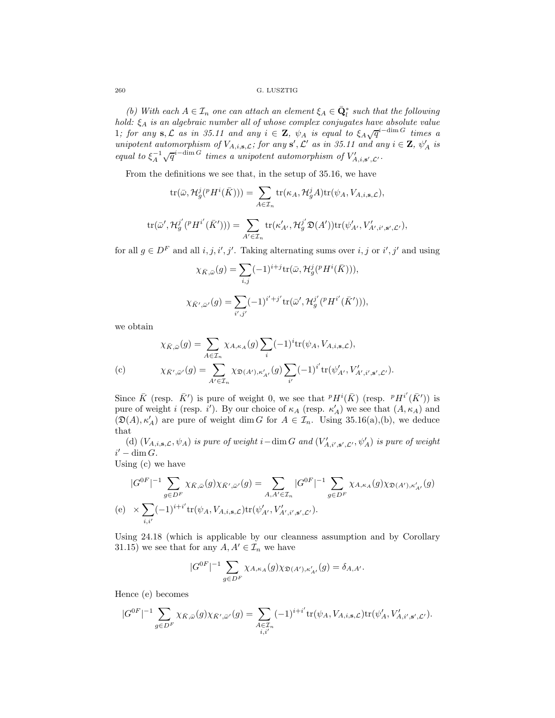*(b)* With each  $A \in \mathcal{I}_n$  one can attach an element  $\xi_A \in \bar{\mathbf{Q}}_l^*$  such that the following *hold:* ξ<sup>A</sup> *is an algebraic number all of whose complex conjugates have absolute value* 1*; for any* **s**, L as in 35.11 and any  $i \in \mathbb{Z}$ ,  $\psi_A$  is equal to  $\xi_A \sqrt{q}^{i-\dim G}$  times a *unipotent automorphism of*  $V_{A,i,s,\mathcal{L}}$ ; for any **s**',  $\mathcal{L}'$  as in 35.11 and any  $i \in \mathbf{Z}$ ,  $\psi'_A$  is *equal to*  $\xi_A^{-1} \sqrt{q}^{i-\dim G}$  *times a unipotent automorphism of*  $V'_{A,i,s',\mathcal{L}'}$ .

From the definitions we see that, in the setup of 35.16, we have

$$
\operatorname{tr}(\bar{\omega}, \mathcal{H}_{g}^{j}(^{p}H^{i}(\bar{K}))) = \sum_{A \in \mathcal{I}_{n}} \operatorname{tr}(\kappa_{A}, \mathcal{H}_{g}^{j}A) \operatorname{tr}(\psi_{A}, V_{A,i,s,\mathcal{L}}),
$$

$$
\operatorname{tr}(\bar{\omega}', \mathcal{H}^{j'}_g({}^p H^{i'}(\bar{K}'))) = \sum_{A' \in \mathcal{I}_n} \operatorname{tr}(\kappa'_{A'}, \mathcal{H}^{j'}_g \mathfrak{D}(A')) \operatorname{tr}(\psi'_{A'}, V'_{A', i', s', \mathcal{L}'}),
$$

for all  $g \in D^F$  and all  $i, j, i', j'$ . Taking alternating sums over  $i, j$  or  $i', j'$  and using

$$
\chi_{\bar{K},\bar{\omega}}(g) = \sum_{i,j} (-1)^{i+j} \text{tr}(\bar{\omega}, \mathcal{H}_g^j({}^p H^i(\bar{K}))),
$$
  

$$
\chi_{\bar{K}',\bar{\omega}'}(g) = \sum_{i',j'} (-1)^{i'+j'} \text{tr}(\bar{\omega}', \mathcal{H}_g^{j'}({}^p H^{i'}(\bar{K}'))),
$$

we obtain

$$
\chi_{\bar{K},\bar{\omega}}(g) = \sum_{A \in \mathcal{I}_n} \chi_{A,\kappa_A}(g) \sum_i (-1)^i \text{tr}(\psi_A, V_{A,i,\mathbf{s},\mathcal{L}}),
$$
  
(c)  

$$
\chi_{\bar{K}',\bar{\omega}'}(g) = \sum_{A' \in \mathcal{I}_n} \chi_{\mathfrak{D}(A'),\kappa'_{A'}}(g) \sum_{i'} (-1)^{i'} \text{tr}(\psi'_{A'}, V'_{A',i',\mathbf{s}',\mathcal{L'}}).
$$

Since  $\bar{K}$  (resp.  $\bar{K}'$ ) is pure of weight 0, we see that  ${}^pH^i(\bar{K})$  (resp.  ${}^pH^{i'}(\bar{K}')$ ) is pure of weight *i* (resp. *i'*). By our choice of  $\kappa_A$  (resp.  $\kappa'_A$ ) we see that  $(A, \kappa_A)$  and  $(\mathfrak{D}(A), \kappa'_A)$  are pure of weight dim G for  $A \in \mathcal{I}_n$ . Using 35.16(a),(b), we deduce that

(d)  $(V_{A,i,s,\mathcal{L}}, \psi_A)$  *is pure of weight*  $i-\dim G$  *and*  $(V'_{A,i',s',\mathcal{L}'}, \psi'_A)$  *is pure of weight*  $i'-\dim G$ .

Using (c) we have

$$
|G^{0F}|^{-1} \sum_{g \in D^F} \chi_{\bar{K}, \bar{\omega}}(g) \chi_{\bar{K}', \bar{\omega}'}(g) = \sum_{A, A' \in \mathcal{I}_n} |G^{0F}|^{-1} \sum_{g \in D^F} \chi_{A, \kappa_A}(g) \chi_{\mathfrak{D}(A'), \kappa'_{A'}}(g)
$$
  
(e) 
$$
\times \sum_{i, i'} (-1)^{i+i'} \text{tr}(\psi_A, V_{A, i, \mathbf{s}, \mathcal{L}}) \text{tr}(\psi'_{A'}, V'_{A', i', \mathbf{s}', \mathcal{L'}}).
$$

Using 24.18 (which is applicable by our cleanness assumption and by Corollary 31.15) we see that for any  $A, A' \in \mathcal{I}_n$  we have

$$
|G^{0F}|^{-1} \sum_{g \in D^F} \chi_{A,\kappa_A}(g) \chi_{\mathfrak{D}(A'),\kappa'_{A'}}(g) = \delta_{A,A'}.
$$

Hence (e) becomes

$$
|G^{0F}|^{-1}\sum_{g\in D^F}\chi_{\bar{K},\bar{\omega}}(g)\chi_{\bar{K}',\bar{\omega}'}(g)=\sum_{\substack{A\in\mathcal{I}_n\\i,i'}}(-1)^{i+i'}\textnormal{tr}(\psi_A,V_{A,i,\mathbf{s},\mathcal{L}})\textnormal{tr}(\psi'_A,V'_{A,i',\mathbf{s}',\mathcal{L}'}).
$$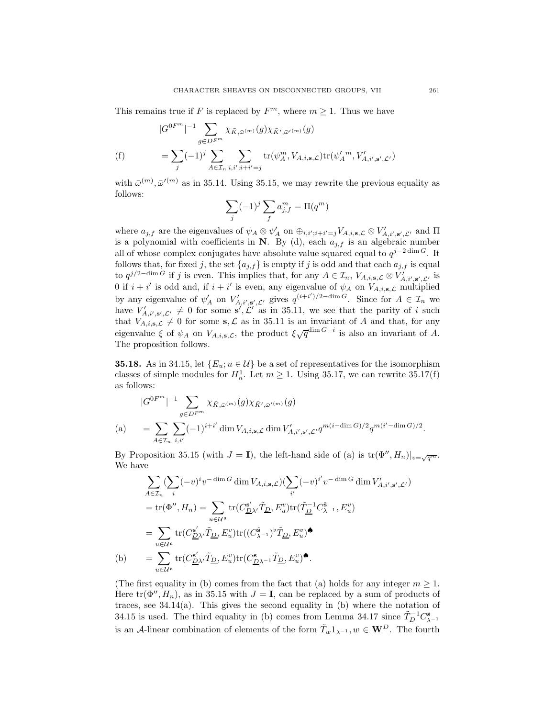This remains true if F is replaced by  $F<sup>m</sup>$ , where  $m \ge 1$ . Thus we have

$$
|G^{0F^{m}}|^{-1} \sum_{g \in D^{F^{m}}} \chi_{\bar{K}, \bar{\omega}^{(m)}}(g) \chi_{\bar{K}', \bar{\omega}'^{(m)}}(g)
$$
  
(f) 
$$
= \sum_{j} (-1)^{j} \sum_{A \in \mathcal{I}_{n}} \sum_{i, i'; i+i'=j} \text{tr}(\psi_{A}^{m}, V_{A,i,\mathbf{s},\mathcal{L}}) \text{tr}(\psi_{A}^{\prime m}, V_{A,i',\mathbf{s}',\mathcal{L}'})
$$

with  $\bar{\omega}^{(m)}$ ,  $\bar{\omega}^{(m)}$  as in 35.14. Using 35.15, we may rewrite the previous equality as follows:

$$
\sum_j (-1)^j \sum_f a^m_{j,f} = \Pi(q^m)
$$

where  $a_{j,f}$  are the eigenvalues of  $\psi_A \otimes \psi'_A$  on  $\oplus_{i,i';i+i'=j} V_{A,i,s,\mathcal{L}} \otimes V'_{A,i',s',\mathcal{L}'}$  and  $\Pi$ is a polynomial with coefficients in  $N$ . By (d), each  $a_{i,f}$  is an algebraic number all of whose complex conjugates have absolute value squared equal to  $q^{j-2\dim G}$ . It follows that, for fixed j, the set  $\{a_{j,f}\}$  is empty if j is odd and that each  $a_{j,f}$  is equal to  $q^{j/2-\dim G}$  if j is even. This implies that, for any  $A \in \mathcal{I}_n$ ,  $V_{A,i,s,\mathcal{L}} \otimes V'_{A,i',s',\mathcal{L}'}$  is 0 if  $i + i'$  is odd and, if  $i + i'$  is even, any eigenvalue of  $\psi_A$  on  $V_{A,i,s,\mathcal{L}}$  multiplied by any eigenvalue of  $\psi'_A$  on  $V'_{A,i',s',\mathcal{L}'}$  gives  $q^{(i+i')/2-\dim G}$ . Since for  $A \in \mathcal{I}_n$  we have  $V'_{A,i',s',\mathcal{L}'} \neq 0$  for some  $s',\mathcal{L}'$  as in 35.11, we see that the parity of i such that  $V_{A,i,s,\mathcal{L}} \neq 0$  for some  $s,\mathcal{L}$  as in 35.11 is an invariant of A and that, for any eigenvalue  $\xi$  of  $\psi_A$  on  $V_{A,i,s,\mathcal{L}}$ , the product  $\xi \sqrt{q}^{\dim G-i}$  is also an invariant of A. The proposition follows.

**35.18.** As in 34.15, let  $\{E_u; u \in \mathcal{U}\}\)$  be a set of representatives for the isomorphism classes of simple modules for  $H_n^1$ . Let  $m \geq 1$ . Using 35.17, we can rewrite 35.17(f) as follows:

$$
|G^{0F^{m}}|^{-1} \sum_{g \in D^{F^{m}}} \chi_{\bar{K}, \bar{\omega}^{(m)}}(g) \chi_{\bar{K}', \bar{\omega}'^{(m)}}(g)
$$
  
(a) 
$$
= \sum_{A \in \mathcal{I}_{n}} \sum_{i, i'} (-1)^{i+i'} \dim V_{A, i, \mathbf{s}, \mathcal{L}} \dim V'_{A, i', \mathbf{s}', \mathcal{L}'} q^{m(i - \dim G)/2} q^{m(i' - \dim G)/2}.
$$

By Proposition 35.15 (with  $J = I$ ), the left-hand side of (a) is  $tr(\Phi'', H_n)|_{v=\sqrt{q^m}}$ . We have

$$
\sum_{A \in \mathcal{I}_n} (\sum_i (-v)^i v^{-\dim G} \dim V_{A,i,\mathbf{s},\mathcal{L}}) (\sum_{i'} (-v)^{i'} v^{-\dim G} \dim V'_{A,i',\mathbf{s}',\mathcal{L}'})
$$
\n
$$
= \text{tr}(\Phi'', H_n) = \sum_{u \in \mathcal{U}^a} \text{tr}(C_{\underline{D}\lambda'}^{s'} \tilde{T}_{\underline{D}}, E_u^v) \text{tr}(\tilde{T}_{\underline{D}}^{-1} C_{\lambda^{-1}}^{\tilde{\mathbf{s}}}, E_u^v)
$$
\n
$$
= \sum_{u \in \mathcal{U}^a} \text{tr}(C_{\underline{D}\lambda'}^{s'} \tilde{T}_{\underline{D}}, E_u^v) \text{tr}((C_{\lambda^{-1}}^{\tilde{\mathbf{s}}})^{\tilde{\mathbf{p}}}, E_u^v) \blacklozenge
$$
\n(b)\n
$$
= \sum_{u \in \mathcal{U}^a} \text{tr}(C_{\underline{D}\lambda'}^{s'} \tilde{T}_{\underline{D}}, E_u^v) \text{tr}(C_{\underline{D}\lambda^{-1}}^{\tilde{\mathbf{s}}}, E_u^v) \blacktriangleleft.
$$

(The first equality in (b) comes from the fact that (a) holds for any integer  $m \geq 1$ . Here  $tr(\Phi'', H_n)$ , as in 35.15 with  $J = I$ , can be replaced by a sum of products of traces, see  $34.14(a)$ . This gives the second equality in (b) where the notation of 34.15 is used. The third equality in (b) comes from Lemma 34.17 since  $\tilde{T}_{\underline{D}}^{-1}C_{\lambda^{-1}}^{\tilde{\mathbf{s}}}$ is an A-linear combination of elements of the form  $\tilde{T}_w 1_{\lambda^{-1}}$ ,  $w \in \mathbf{W}^D$ . The fourth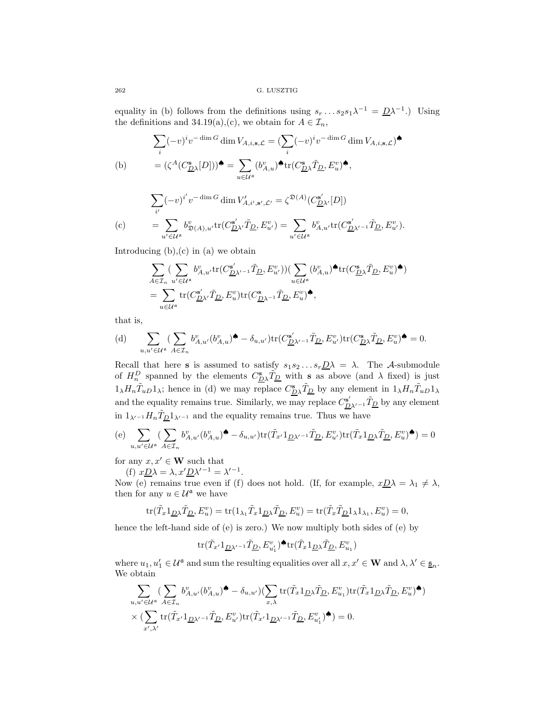equality in (b) follows from the definitions using  $s_r \dots s_2 s_1 \lambda^{-1} = D\lambda^{-1}$ .) Using the definitions and 34.19(a),(c), we obtain for  $A \in \mathcal{I}_n$ ,

$$
\sum_{i} (-v)^{i} v^{-\dim G} \dim V_{A,i,\mathbf{s},\mathcal{L}} = (\sum_{i} (-v)^{i} v^{-\dim G} \dim V_{A,i,\mathbf{s},\mathcal{L}})^{\spadesuit}
$$
\n(b)\n
$$
= (\zeta^{A} (C_{\mathcal{D}\lambda}^{s}[D]))^{\spadesuit} = \sum_{u \in \mathcal{U}^{a}} (b_{A,u}^{v})^{\spadesuit} \text{tr}(C_{\mathcal{D}\lambda}^{s}\tilde{T}_{\mathcal{D}}, E_{u}^{v})^{\spadesuit},
$$

$$
\sum_{i'} (-v)^{i'} v^{-\dim G} \dim V'_{A,i',s',\mathcal{L}'} = \zeta^{\mathfrak{D}(A)} (C^{\mathbf{s}'}_{\mathcal{D}\lambda'}[D])
$$
  
(c) 
$$
= \sum_{u' \in \mathcal{U}^{\mathfrak{a}}} b^v_{\mathfrak{D}(A),u'} \text{tr}(C^{\mathbf{s}'}_{\mathcal{D}\lambda'} \tilde{T}_{\mathcal{D}}, E^v_{u'}) = \sum_{u' \in \mathcal{U}^{\mathfrak{a}}} b^v_{A,u'} \text{tr}(C^{\mathbf{s}'}_{\mathcal{D}\lambda'^{-1}} \tilde{T}_{\mathcal{D}}, E^v_{u'}).
$$

Introducing  $(b)$ ,  $(c)$  in  $(a)$  we obtain

$$
\begin{split} &\sum_{A\in \mathcal{I}_n}(\sum_{u'\in \mathcal{U}^{\mathfrak{a}}} b_{A,u'}^v \text{tr}(C_{\underline{D}\lambda'^{-1}}^{ \mathfrak{s}'} \tilde{T}_{\underline{D}}, E_{u'}^v))(\sum_{u\in \mathcal{U}^{\mathfrak{a}}}(b_{A,u}^v)^{\spadesuit}\text{tr}(C_{\underline{D}\lambda}^{ \mathfrak{s} } \tilde{T}_{\underline{D}}, E_u^v)^{\spadesuit})\\ &=\sum_{u\in \mathcal{U}^{\mathfrak{a}}} \text{tr}(C_{\underline{D}\lambda'}^{ \mathfrak{s}'} \tilde{T}_{\underline{D}}, E_u^v) \text{tr}(C_{\underline{D}\lambda^{-1}}^{ \mathfrak{s} } \tilde{T}_{\underline{D}}, E_u^v)^{\spadesuit}, \end{split}
$$

that is,

(d) 
$$
\sum_{u,u'\in\mathcal{U}^{\mathfrak{a}}}\left(\sum_{A\in\mathcal{I}_n}b_{A,u'}^v(b_{A,u}^v)^{\clubsuit}-\delta_{u,u'}\right)\mathrm{tr}(C_{\underline{D}\lambda'^{-1}}^{\mathbf{s}'}\tilde{T}_{\underline{D}},E_{u'}^v)\mathrm{tr}(C_{\underline{D}\lambda}^{\mathbf{s}}\tilde{T}_{\underline{D}},E_u^v)^{\spadesuit}=0.
$$

Recall that here **s** is assumed to satisfy  $s_1s_2 \ldots s_r \underline{D}\lambda = \lambda$ . The A-submodule of  $H_n^D$  spanned by the elements  $C_{D\lambda}^s \tilde{T}_{D}$  with **s** as above (and  $\lambda$  fixed) is just  $1_\lambda H_n \tilde{T}_{uD} 1_\lambda$ ; hence in (d) we may replace  $C_{\underline{D}\lambda}^s \tilde{T}_{\underline{D}}$  by any element in  $1_\lambda H_n \tilde{T}_{uD} 1_\lambda$ and the equality remains true. Similarly, we may replace  $C_{\underline{D}\lambda'^{-1}}^{s'} \tilde{T}_{\underline{D}}$  by any element in  $1_{\lambda'^{-1}}H_n\tilde{T}_{\underline{D}}1_{\lambda'^{-1}}$  and the equality remains true. Thus we have

$$
\text{(e)} \ \ \sum_{u,u'\in \mathcal{U}^{\mathfrak{a}}}\big(\sum_{A\in \mathcal{I}_n}b_{A,u'}^v(b_{A,u}^v)^{\spadesuit}-\delta_{u,u'}\big)\mathrm{tr}\big(\tilde{T}_{x'}\mathbf{1}_{\underline{D}\lambda'^{-1}}\tilde{T}_{\underline{D}},E_{u'}^v)\mathrm{tr}\big(\tilde{T}_{x}\mathbf{1}_{\underline{D}\lambda}\tilde{T}_{\underline{D}},E_u^v)^{\spadesuit}\big)=0
$$

for any  $x, x' \in \mathbf{W}$  such that

(f)  $xD\lambda = \lambda, x'D\lambda'^{-1} = \lambda'^{-1}.$ 

Now (e) remains true even if (f) does not hold. (If, for example,  $x \underline{D} \lambda = \lambda_1 \neq \lambda$ , then for any  $u \in \mathcal{U}^{\mathfrak{a}}$  we have

$$
\text{tr}(\tilde{T}_x 1_{\underline{D}\lambda}\tilde{T}_{\underline{D}}, E_u^v) = \text{tr}(1_{\lambda_1}\tilde{T}_x 1_{\underline{D}\lambda}\tilde{T}_{\underline{D}}, E_u^v) = \text{tr}(\tilde{T}_x \tilde{T}_{\underline{D}} 1_{\lambda} 1_{\lambda_1}, E_u^v) = 0,
$$

hence the left-hand side of (e) is zero.) We now multiply both sides of (e) by

$$
\mathrm{tr}(\tilde{T}_{x'}1_{\underline{D}\lambda'^{-1}}\tilde{T}_{\underline{D}},E_{u'_1}^v)^{\spadesuit}\mathrm{tr}(\tilde{T}_x1_{\underline{D}\lambda}\tilde{T}_{\underline{D}},E_{u_1}^v)
$$

where  $u_1, u'_1 \in \mathcal{U}^{\mathfrak{a}}$  and sum the resulting equalities over all  $x, x' \in \mathbf{W}$  and  $\lambda, \lambda' \in \underline{\mathfrak{s}}_n$ . We obtain

$$
\sum_{u,u'\in\mathcal{U}^{\mathfrak{a}}}\big(\sum_{A\in\mathcal{I}_n}b_{A,u'}^v(b_{A,u}^v)^{\spadesuit}-\delta_{u,u'}\big)\big(\sum_{x,\lambda}\text{tr}(\tilde{T}_x\mathbf{1}_{\underline{D}\lambda}\tilde{T}_{\underline{D}},E_{u_1}^v)\text{tr}(\tilde{T}_x\mathbf{1}_{\underline{D}\lambda}\tilde{T}_{\underline{D}},E_{u}^v)^{\spadesuit}\big)
$$

$$
\times\big(\sum_{x',\lambda'}\text{tr}(\tilde{T}_{x'}\mathbf{1}_{\underline{D}\lambda'^{-1}}\tilde{T}_{\underline{D}},E_{u'}^v)\text{tr}(\tilde{T}_{x'}\mathbf{1}_{\underline{D}\lambda'^{-1}}\tilde{T}_{\underline{D}},E_{u_1'}^v)^{\spadesuit}\big)=0.
$$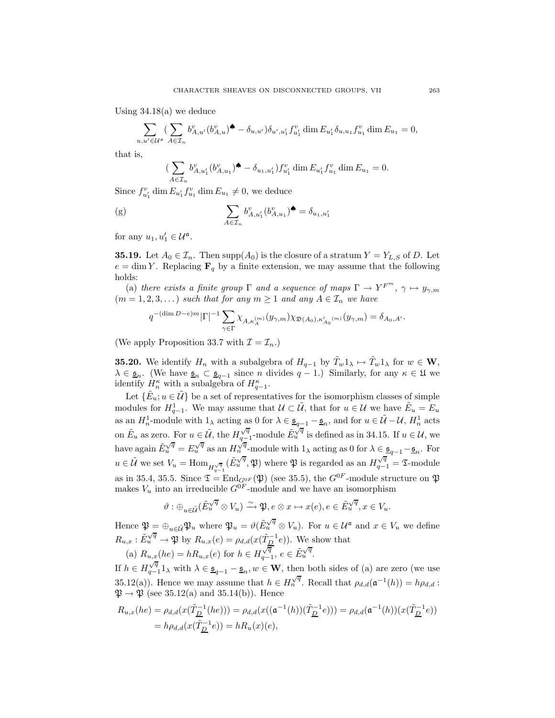Using 34.18(a) we deduce

$$
\sum_{u,u'\in\mathcal{U}^{\mathfrak{a}}}\left(\sum_{A\in\mathcal{I}_n}b_{A,u'}^v(b_{A,u}^v)^{\spadesuit}-\delta_{u,u'}\right)\delta_{u',u'_1}f_{u'_1}^v\dim E_{u'_1}\delta_{u,u_1}f_{u_1}^v\dim E_{u_1}=0,
$$

that is,

$$
(\sum_{A\in\mathcal{I}_n}b_{A,u'_1}^v(b_{A,u_1}^v)^{\spadesuit}-\delta_{u_1,u'_1})f_{u'_1}^v\dim E_{u'_1}f_{u_1}^v\dim E_{u_1}=0.
$$

Since  $f_{u'_1}^v \dim E_{u'_1} f_{u_1}^v \dim E_{u_1} \neq 0$ , we deduce

(g) 
$$
\sum_{A \in \mathcal{I}_n} b_{A, u'_1}^v (b_{A, u_1}^v) \spadesuit = \delta_{u_1, u'_1}
$$

for any  $u_1, u'_1 \in \mathcal{U}^{\mathfrak{a}}$ .

**35.19.** Let  $A_0 \in \mathcal{I}_n$ . Then supp $(A_0)$  is the closure of a stratum  $Y = Y_{L,S}$  of D. Let  $e = \dim Y$ . Replacing  $\mathbf{F}_q$  by a finite extension, we may assume that the following holds:

(a) *there exists a finite group*  $\Gamma$  *and a sequence of maps*  $\Gamma \to Y^{F^m}$ ,  $\gamma \mapsto y_{\gamma,m}$  $(m = 1, 2, 3, ...)$  *such that for any*  $m \ge 1$  *and any*  $A \in \mathcal{I}_n$  *we have* 

$$
q^{-(\dim D - e)m}|\Gamma|^{-1} \sum_{\gamma \in \Gamma} \chi_{A,\kappa_A^{(m)}}(y_{\gamma,m}) \chi_{\mathfrak{D}(A_0),\kappa_{A_0}'^{(m)}}(y_{\gamma,m}) = \delta_{A_0,A'}.
$$

(We apply Proposition 33.7 with  $\mathcal{I} = \mathcal{I}_n$ .)

**35.20.** We identify  $H_n$  with a subalgebra of  $H_{q-1}$  by  $\tilde{T}_w 1_\lambda \mapsto \tilde{T}_w 1_\lambda$  for  $w \in \mathbf{W}$ ,  $\lambda \in \underline{\mathfrak{s}}_n$ . (We have  $\underline{\mathfrak{s}}_n \subset \underline{\mathfrak{s}}_{q-1}$  since n divides  $q-1$ .) Similarly, for any  $\kappa \in \mathfrak{U}$  we identify  $H_n^{\kappa}$  with a subalgebra of  $H_{q-1}^{\kappa}$ .

Let  $\{\tilde{E}_u; u \in \tilde{\mathcal{U}}\}$  be a set of representatives for the isomorphism classes of simple modules for  $H_{q-1}^1$ . We may assume that  $\mathcal{U} \subset \tilde{\mathcal{U}}$ , that for  $u \in \mathcal{U}$  we have  $\tilde{E}_u = E_u$ as an  $H_n^1$ -module with  $1_\lambda$  acting as 0 for  $\lambda \in \underline{\mathfrak{s}}_{q-1} - \underline{\mathfrak{s}}_n$ , and for  $u \in \widetilde{\mathcal{U}} - \mathcal{U}$ ,  $H_n^1$  acts on  $\tilde{E}_u$  as zero. For  $u \in \tilde{\mathcal{U}}$ , the  $H_{q-1}^{\sqrt{q}}$ -module  $\tilde{E}_u^{\sqrt{q}}$  is defined as in 34.15. If  $u \in \mathcal{U}$ , we have again  $\tilde{E}_u^{\sqrt{q}} = E_u^{\sqrt{q}}$  as an  $H_n^{\sqrt{q}}$ -module with  $1_\lambda$  acting as 0 for  $\lambda \in \underline{\mathfrak{s}}_{q-1} - \underline{\mathfrak{s}}_n$ . For  $u \in \tilde{U}$  we set  $V_u = \text{Hom}_{H_{q-1}^{\sqrt{q}}}(\tilde{E}_u^{\sqrt{q}}, \mathfrak{P})$  where  $\mathfrak{P}$  is regarded as an  $H_{q-1}^{\sqrt{q}} = \mathfrak{T}$ -module as in 35.4, 35.5. Since  $\mathfrak{T} = \text{End}_{G^{0F}}(\mathfrak{P})$  (see 35.5), the  $G^{0F}$ -module structure on  $\mathfrak{P}$ makes  $V_u$  into an irreducible  $G^{0F}$ -module and we have an isomorphism

$$
\vartheta: \oplus_{u \in \tilde{U}} (\tilde{E}_u^{\sqrt{q}} \otimes V_u) \xrightarrow{\sim} \mathfrak{P}, e \otimes x \mapsto x(e), e \in \tilde{E}_u^{\sqrt{q}}, x \in V_u.
$$

Hence  $\mathfrak{P} = \bigoplus_{u \in \tilde{U}} \mathfrak{P}_u$  where  $\mathfrak{P}_u = \vartheta(\tilde{E}_u^{\sqrt{q}} \otimes V_u)$ . For  $u \in \mathcal{U}^{\mathfrak{a}}$  and  $x \in V_u$  we define  $R_{u,x}: \tilde{E}_u^{\sqrt{q}} \to \mathfrak{P}$  by  $R_{u,x}(e) = \rho_{d,d}(x(\tilde{T}_D^{-1}e))$ . We show that (a)  $R_{u,x}(he) = hR_{u,x}(e)$  for  $h \in H_{q-1}^{\sqrt{q}}, e \in \tilde{E}_u^{\sqrt{q}}$ .

If  $h \in H_{q-1}^{\sqrt{q}} 1_\lambda$  with  $\lambda \in \underline{\mathfrak{s}}_{q-1} - \underline{\mathfrak{s}}_n, w \in \mathbf{W}$ , then both sides of (a) are zero (we use 35.12(a)). Hence we may assume that  $h \in H_N^{\sqrt{q}}$ . Recall that  $\rho_{d,d}(\mathfrak{a}^{-1}(h)) = h \rho_{d,d}$ :  $\mathfrak{P} \rightarrow \mathfrak{P}$  (see 35.12(a) and 35.14(b)). Hence

$$
R_{u,x}(he) = \rho_{d,d}(x(\tilde{T}_{\underline{D}}^{-1}(he))) = \rho_{d,d}(x((\mathfrak{a}^{-1}(h))(\tilde{T}_{\underline{D}}^{-1}e))) = \rho_{d,d}(\mathfrak{a}^{-1}(h))(x(\tilde{T}_{\underline{D}}^{-1}e))
$$
  
=  $h\rho_{d,d}(x(\tilde{T}_{\underline{D}}^{-1}e)) = hR_u(x)(e),$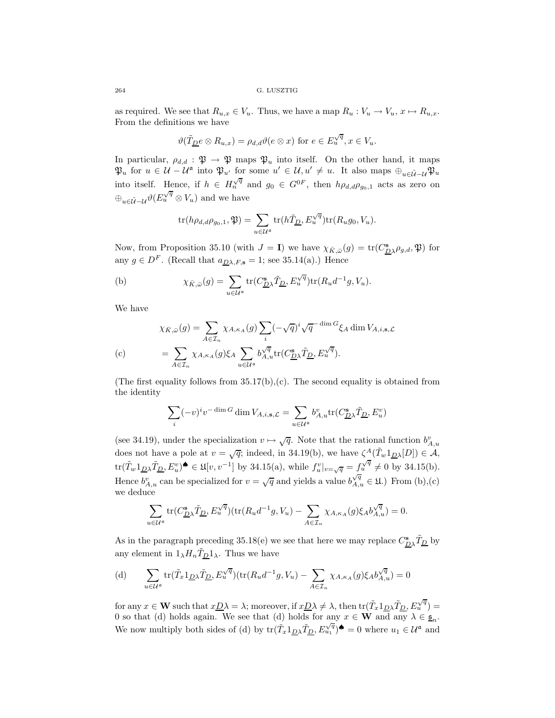as required. We see that  $R_{u,x} \in V_u$ . Thus, we have a map  $R_u : V_u \to V_u$ ,  $x \mapsto R_{u,x}$ . From the definitions we have

$$
\vartheta(\tilde{T}_{\underline{D}}e\otimes R_{u,x})=\rho_{d,d}\vartheta(e\otimes x) \text{ for } e\in E_{u}^{\sqrt{q}}, x\in V_{u}.
$$

In particular,  $\rho_{d,d} : \mathfrak{P} \to \mathfrak{P}$  maps  $\mathfrak{P}_u$  into itself. On the other hand, it maps  $\mathfrak{P}_u$  for  $u \in \mathcal{U} - \mathcal{U}^{\mathfrak{a}}$  into  $\mathfrak{P}_{u'}$  for some  $u' \in \mathcal{U}, u' \neq u$ . It also maps  $\bigoplus_{u \in \tilde{\mathcal{U}} - \mathcal{U}} \mathfrak{P}_u$ into itself. Hence, if  $h \in H_n^{\sqrt{q}}$  and  $g_0 \in G^{0F}$ , then  $h \rho_{d,d} \rho_{g_0,1}$  acts as zero on  $\bigoplus_{u \in \tilde{U} - U} \vartheta(E_u^{\sqrt{q}} \otimes V_u)$  and we have

$$
\text{tr}(h\rho_{d,d}\rho_{g_0,1},\mathfrak{P})=\sum_{u\in\mathcal{U}^{\mathfrak{a}}}\text{tr}(h\tilde{T}_{\underline{D}},E_u^{\sqrt{q}})\text{tr}(R_ug_0,V_u).
$$

Now, from Proposition 35.10 (with  $J = I$ ) we have  $\chi_{\bar{K}, \bar{\omega}}(g) = \text{tr}(C_{\underline{D}\lambda}^s \rho_{g,d}, \mathfrak{P})$  for any  $g \in D^F$ . (Recall that  $a_{D\lambda,F,s} = 1$ ; see 35.14(a).) Hence

(b) 
$$
\chi_{\bar{K},\bar{\omega}}(g) = \sum_{u \in \mathcal{U}^{\mathfrak{a}}} tr(C_{\underline{D}\lambda}^{\mathfrak{s}} \tilde{T}_{\underline{D}}, E_u^{\sqrt{q}}) tr(R_u d^{-1}g, V_u).
$$

We have

$$
\chi_{\bar{K},\bar{\omega}}(g) = \sum_{A \in \mathcal{I}_n} \chi_{A,\kappa_A}(g) \sum_i (-\sqrt{q})^i \sqrt{q}^{-\dim G} \xi_A \dim V_{A,i,\mathbf{s},\mathcal{L}}
$$
  
(c)  

$$
= \sum_{A \in \mathcal{I}_n} \chi_{A,\kappa_A}(g) \xi_A \sum_{u \in \mathcal{U}^{\mathbf{a}}} b_{A,u}^{\sqrt{q}} \text{tr}(C_{\underline{D}}^{\mathbf{s}} \chi \tilde{T}_{\underline{D}}, E_u^{\sqrt{q}}).
$$

(The first equality follows from  $35.17(b)$ , (c). The second equality is obtained from the identity

$$
\sum_i (-v)^i v^{-\dim G} \dim V_{A,i,\mathbf{s},\mathcal{L}} = \sum_{u \in \mathcal{U}^{\mathfrak{a}}} b_{A,u}^v \text{tr}(C^{\mathbf{s}}_{\underline{D}\lambda}\tilde{T}_{\underline{D}},E^v_u)
$$

(see 34.19), under the specialization  $v \mapsto \sqrt{q}$ . Note that the rational function  $b_{A,u}^v$ does not have a pole at  $v = \sqrt{q}$ ; indeed, in 34.19(b), we have  $\zeta^A(\tilde{T}_w 1_{\underline{D}\lambda}[D]) \in \mathcal{A}$ , tr( $\tilde{T}_w 1_{\underline{D}\lambda} \tilde{T}_{\underline{D}}, E_v^v$ ) $\blacklozenge \in \mathfrak{U}[v, v^{-1}]$  by 34.15(a), while  $f_v^v|_{v=\sqrt{q}} = f_v^{\sqrt{q}} \neq 0$  by 34.15(b). Hence  $b_{A,u}^{\nu}$  can be specialized for  $v = \sqrt{q}$  and yields a value  $b_{A,u}^{\sqrt{q}} \in \mathfrak{U}$ .) From (b),(c) we deduce

$$
\sum_{u \in \mathcal{U}^{\mathfrak{a}}} \text{tr}(C_{\underline{D}\lambda}^{\mathbf{s}} \tilde{T}_{\underline{D}}, E_u^{\sqrt{q}})(\text{tr}(R_u d^{-1}g, V_u) - \sum_{A \in \mathcal{I}_n} \chi_{A, \kappa_A}(g) \xi_A b_{A, u}^{\sqrt{q}}) = 0.
$$

As in the paragraph preceding  $35.18(e)$  we see that here we may replace  $C_{D\lambda}^s \tilde{T}_{D}$  by any element in  $1_{\lambda}H_n\tilde{T}_{\underline{D}}1_{\lambda}$ . Thus we have

(d) 
$$
\sum_{u \in \mathcal{U}^{\mathfrak{a}}} tr(\tilde{T}_x 1_{\underline{D}\lambda} \tilde{T}_{\underline{D}}, E_u^{\sqrt{q}})(tr(R_u d^{-1}g, V_u) - \sum_{A \in \mathcal{I}_n} \chi_{A, \kappa_A}(g) \xi_A b_{A, u}^{\sqrt{q}}) = 0
$$

for any  $x \in \mathbf{W}$  such that  $x \underline{D} \lambda = \lambda$ ; moreover, if  $x \underline{D} \lambda \neq \lambda$ , then  $\text{tr}(\tilde{T}_x \mathbb{1}_{\underline{D} \lambda} \tilde{T}_{\underline{D}}, E_u^{\sqrt{q}}) =$ 0 so that (d) holds again. We see that (d) holds for any  $x \in \mathbf{W}$  and any  $\lambda \in \underline{\mathfrak{s}}_n$ . We now multiply both sides of (d) by  $tr(\tilde{T}_x 1_{\underline{D}} \tilde{X}_{\underline{D}}^{\underline{C}})$ ,  $E_{u_1}^{\sqrt{q}}$   $\blacklozenge$  = 0 where  $u_1 \in \mathcal{U}^{\mathfrak{a}}$  and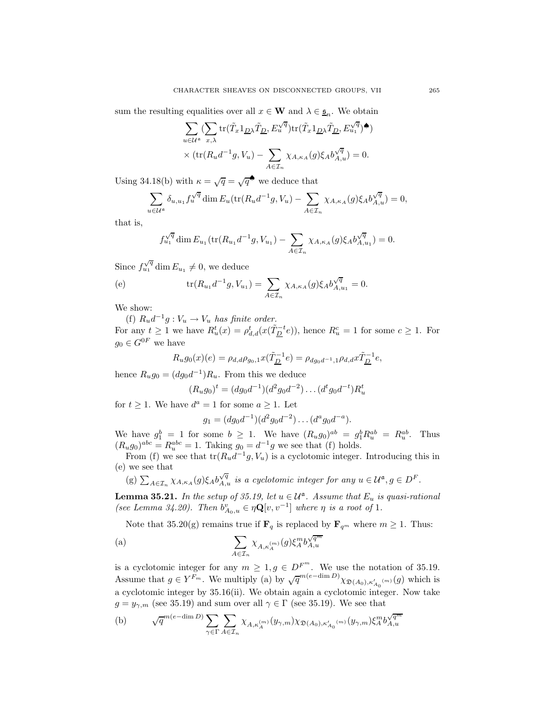sum the resulting equalities over all  $x \in \mathbf{W}$  and  $\lambda \in \underline{\mathfrak{s}}_n$ . We obtain

$$
\begin{split} & \sum_{u\in \mathcal{U}^{\mathfrak{a}}}(\sum_{x,\lambda}\text{tr}(\tilde{T}_x\mathbf{1}_{\underline{D}\lambda}\tilde{T}_{\underline{D}},E_u^{\sqrt{q}})\text{tr}(\tilde{T}_x\mathbf{1}_{\underline{D}\lambda}\tilde{T}_{\underline{D}},E_{u_1}^{\sqrt{q}}) \spadesuit) \\ & \times (\text{tr}(R_ud^{-1}g,V_u) - \sum_{A\in \mathcal{I}_n}\chi_{A,\kappa_A}(g)\xi_A b_{A,u}^{\sqrt{q}}) = 0. \end{split}
$$

Using 34.18(b) with  $\kappa = \sqrt{q} = \sqrt{q}^{\spadesuit}$  we deduce that

$$
\sum_{u \in \mathcal{U}^{\mathfrak{a}}} \delta_{u, u_1} f_u^{\sqrt{q}} \dim E_u(\text{tr}(R_u d^{-1}g, V_u) - \sum_{A \in \mathcal{I}_n} \chi_{A, \kappa_A}(g) \xi_A b_{A, u}^{\sqrt{q}}) = 0,
$$

that is,

$$
f_{u_1}^{\sqrt{q}} \dim E_{u_1}(\text{tr}(R_{u_1}d^{-1}g, V_{u_1}) - \sum_{A \in \mathcal{I}_n} \chi_{A, \kappa_A}(g) \xi_A b_{A, u_1}^{\sqrt{q}}) = 0.
$$

Since  $f_{u_1}^{\sqrt{q}} \dim E_{u_1} \neq 0$ , we deduce

(e) 
$$
\text{tr}(R_{u_1}d^{-1}g, V_{u_1}) = \sum_{A \in \mathcal{I}_n} \chi_{A, \kappa_A}(g) \xi_A b_{A, u_1}^{\sqrt{q}} = 0.
$$

We show:

(f)  $R_u d^{-1}g : V_u \to V_u$  has finite order. For any  $t \geq 1$  we have  $R_u^t(x) = \rho_{d,d}^t(x(\tilde{T}_{\underline{D}}^{-t}e))$ , hence  $R_u^c = 1$  for some  $c \geq 1$ . For  $g_0 \in G^{0F}$  we have

$$
R_u g_0(x)(e) = \rho_{d,d} \rho_{g_0,1} x(\tilde{T}_{\underline{D}}^{-1} e) = \rho_{dg_0d^{-1},1} \rho_{d,d} x \tilde{T}_{\underline{D}}^{-1} e,
$$

hence  $R_u g_0 = (dg_0 d^{-1})R_u$ . From this we deduce

$$
(R_u g_0)^t = (dg_0 d^{-1})(d^2 g_0 d^{-2}) \dots (d^t g_0 d^{-t}) R_u^t
$$

for  $t \geq 1$ . We have  $d^a = 1$  for some  $a \geq 1$ . Let

 $g_1 = (dg_0d^{-1})(d^2g_0d^{-2})\dots(d^ag_0d^{-a}).$ 

We have  $g_1^b = 1$  for some  $b \geq 1$ . We have  $(R_u g_0)^{ab} = g_1^b R_u^{ab} = R_u^{ab}$ . Thus  $(R_u g_0)^{abc} = R_u^{abc} = 1$ . Taking  $g_0 = d^{-1}g$  we see that (f) holds.

From (f) we see that  $tr(R_u d^{-1}g, V_u)$  is a cyclotomic integer. Introducing this in (e) we see that

(g)  $\sum_{A \in \mathcal{I}_n} \chi_{A,\kappa_A}(g) \xi_A b_{A,u}^{\sqrt{q}}$  *is a cyclotomic integer for any*  $u \in \mathcal{U}^{\mathfrak{a}}, g \in D^F$ .

**Lemma 35.21.** *In the setup of 35.19, let*  $u \in \mathcal{U}^{\mathfrak{a}}$ *. Assume that*  $E_u$  *is quasi-rational (see Lemma 34.20). Then*  $b_{A_0,u}^v \in \eta \mathbf{Q}[v, v^{-1}]$  *where*  $\eta$  *is a root of* 1*.* 

Note that 35.20(g) remains true if  $\mathbf{F}_q$  is replaced by  $\mathbf{F}_{q^m}$  where  $m \geq 1$ . Thus:

(a) 
$$
\sum_{A \in \mathcal{I}_n} \chi_{A,\kappa_A^{(m)}}(g) \xi_A^m b_{A,u}^{\sqrt{q^m}}
$$

is a cyclotomic integer for any  $m \geq 1, g \in D^{F^m}$ . We use the notation of 35.19.<br>Assume that  $g \in Y^{F_m}$ . We multiply (a) by  $\sqrt{q}^{m(e-\dim D)} \chi_{\mathfrak{D}(A_0), \kappa'_{A_0}(m)}(g)$  which is a cyclotomic integer by 35.16(ii). We obtain again a cyclotomic integer. Now take  $g = y_{\gamma,m}$  (see 35.19) and sum over all  $\gamma \in \Gamma$  (see 35.19). We see that

(b) 
$$
\sqrt{q}^{m(e-\dim D)} \sum_{\gamma \in \Gamma} \sum_{A \in \mathcal{I}_n} \chi_{A,\kappa_A^{(m)}}(y_{\gamma,m}) \chi_{\mathfrak{D}(A_0),\kappa_{A_0}^\prime(^m)}(y_{\gamma,m}) \xi_A^m b_{A,u}^{\sqrt{q^m}}
$$